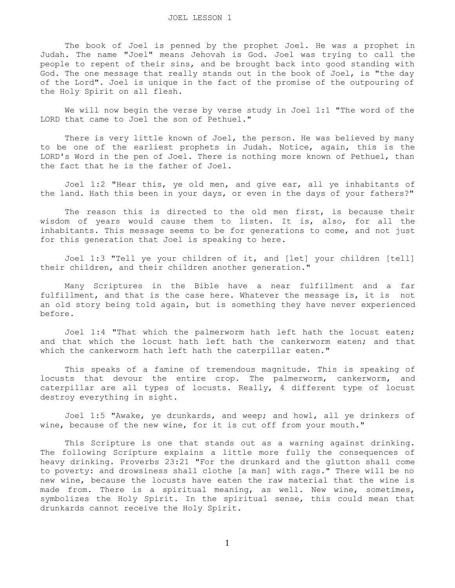The book of Joel is penned by the prophet Joel. He was a prophet in Judah. The name "Joel" means Jehovah is God. Joel was trying to call the people to repent of their sins, and be brought back into good standing with God. The one message that really stands out in the book of Joel, is "the day of the Lord". Joel is unique in the fact of the promise of the outpouring of the Holy Spirit on all flesh.

 We will now begin the verse by verse study in Joel 1:1 "The word of the LORD that came to Joel the son of Pethuel."

There is very little known of Joel, the person. He was believed by many to be one of the earliest prophets in Judah. Notice, again, this is the LORD's Word in the pen of Joel. There is nothing more known of Pethuel, than the fact that he is the father of Joel.

 Joel 1:2 "Hear this, ye old men, and give ear, all ye inhabitants of the land. Hath this been in your days, or even in the days of your fathers?"

The reason this is directed to the old men first, is because their wisdom of years would cause them to listen. It is, also, for all the inhabitants. This message seems to be for generations to come, and not just for this generation that Joel is speaking to here.

 Joel 1:3 "Tell ye your children of it, and [let] your children [tell] their children, and their children another generation."

 Many Scriptures in the Bible have a near fulfillment and a far fulfillment, and that is the case here. Whatever the message is, it is not an old story being told again, but is something they have never experienced before.

 Joel 1:4 "That which the palmerworm hath left hath the locust eaten; and that which the locust hath left hath the cankerworm eaten; and that which the cankerworm hath left hath the caterpillar eaten."

 This speaks of a famine of tremendous magnitude. This is speaking of locusts that devour the entire crop. The palmerworm, cankerworm, and caterpillar are all types of locusts. Really, 4 different type of locust destroy everything in sight.

 Joel 1:5 "Awake, ye drunkards, and weep; and howl, all ye drinkers of wine, because of the new wine, for it is cut off from your mouth."

 This Scripture is one that stands out as a warning against drinking. The following Scripture explains a little more fully the consequences of heavy drinking. Proverbs 23:21 "For the drunkard and the glutton shall come to poverty: and drowsiness shall clothe [a man] with rags." There will be no new wine, because the locusts have eaten the raw material that the wine is made from. There is a spiritual meaning, as well. New wine, sometimes, symbolizes the Holy Spirit. In the spiritual sense, this could mean that drunkards cannot receive the Holy Spirit.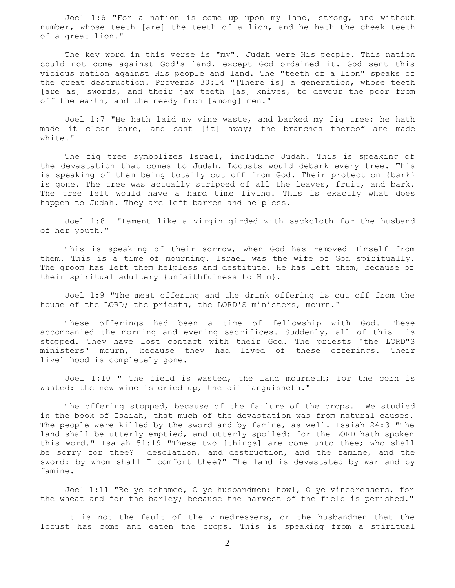Joel 1:6 "For a nation is come up upon my land, strong, and without number, whose teeth [are] the teeth of a lion, and he hath the cheek teeth of a great lion."

 The key word in this verse is "my". Judah were His people. This nation could not come against God's land, except God ordained it. God sent this vicious nation against His people and land. The "teeth of a lion" speaks of the great destruction. Proverbs 30:14 "[There is] a generation, whose teeth [are as] swords, and their jaw teeth [as] knives, to devour the poor from off the earth, and the needy from [among] men."

 Joel 1:7 "He hath laid my vine waste, and barked my fig tree: he hath made it clean bare, and cast [it] away; the branches thereof are made white."

 The fig tree symbolizes Israel, including Judah. This is speaking of the devastation that comes to Judah. Locusts would debark every tree. This is speaking of them being totally cut off from God. Their protection {bark} is gone. The tree was actually stripped of all the leaves, fruit, and bark. The tree left would have a hard time living. This is exactly what does happen to Judah. They are left barren and helpless.

 Joel 1:8 "Lament like a virgin girded with sackcloth for the husband of her youth."

 This is speaking of their sorrow, when God has removed Himself from them. This is a time of mourning. Israel was the wife of God spiritually. The groom has left them helpless and destitute. He has left them, because of their spiritual adultery {unfaithfulness to Him}.

 Joel 1:9 "The meat offering and the drink offering is cut off from the house of the LORD; the priests, the LORD'S ministers, mourn."

 These offerings had been a time of fellowship with God. These accompanied the morning and evening sacrifices. Suddenly, all of this is stopped. They have lost contact with their God. The priests "the LORD"S ministers" mourn, because they had lived of these offerings. Their livelihood is completely gone.

 Joel 1:10 " The field is wasted, the land mourneth; for the corn is wasted: the new wine is dried up, the oil languisheth."

 The offering stopped, because of the failure of the crops. We studied in the book of Isaiah, that much of the devastation was from natural causes. The people were killed by the sword and by famine, as well. Isaiah 24:3 "The land shall be utterly emptied, and utterly spoiled: for the LORD hath spoken this word." Isaiah 51:19 "These two [things] are come unto thee; who shall be sorry for thee? desolation, and destruction, and the famine, and the sword: by whom shall I comfort thee?" The land is devastated by war and by famine.

 Joel 1:11 "Be ye ashamed, O ye husbandmen; howl, O ye vinedressers, for the wheat and for the barley; because the harvest of the field is perished."

It is not the fault of the vinedressers, or the husbandmen that the locust has come and eaten the crops. This is speaking from a spiritual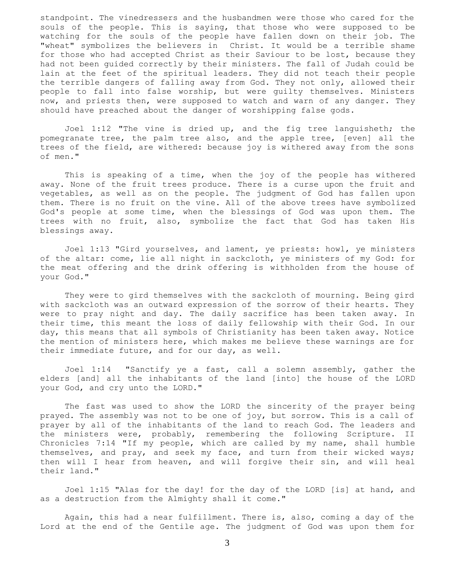standpoint. The vinedressers and the husbandmen were those who cared for the souls of the people. This is saying, that those who were supposed to be watching for the souls of the people have fallen down on their job. The "wheat" symbolizes the believers in Christ. It would be a terrible shame for those who had accepted Christ as their Saviour to be lost, because they had not been guided correctly by their ministers. The fall of Judah could be lain at the feet of the spiritual leaders. They did not teach their people the terrible dangers of falling away from God. They not only, allowed their people to fall into false worship, but were guilty themselves. Ministers now, and priests then, were supposed to watch and warn of any danger. They should have preached about the danger of worshipping false gods.

 Joel 1:12 "The vine is dried up, and the fig tree languisheth; the pomegranate tree, the palm tree also, and the apple tree, [even] all the trees of the field, are withered: because joy is withered away from the sons of men."

This is speaking of a time, when the joy of the people has withered away. None of the fruit trees produce. There is a curse upon the fruit and vegetables, as well as on the people. The judgment of God has fallen upon them. There is no fruit on the vine. All of the above trees have symbolized God's people at some time, when the blessings of God was upon them. The trees with no fruit, also, symbolize the fact that God has taken His blessings away.

 Joel 1:13 "Gird yourselves, and lament, ye priests: howl, ye ministers of the altar: come, lie all night in sackcloth, ye ministers of my God: for the meat offering and the drink offering is withholden from the house of your God."

 They were to gird themselves with the sackcloth of mourning. Being gird with sackcloth was an outward expression of the sorrow of their hearts. They were to pray night and day. The daily sacrifice has been taken away. In their time, this meant the loss of daily fellowship with their God. In our day, this means that all symbols of Christianity has been taken away. Notice the mention of ministers here, which makes me believe these warnings are for their immediate future, and for our day, as well.

 Joel 1:14 "Sanctify ye a fast, call a solemn assembly, gather the elders [and] all the inhabitants of the land [into] the house of the LORD your God, and cry unto the LORD."

 The fast was used to show the LORD the sincerity of the prayer being prayed. The assembly was not to be one of joy, but sorrow. This is a call of prayer by all of the inhabitants of the land to reach God. The leaders and the ministers were, probably, remembering the following Scripture. II Chronicles 7:14 "If my people, which are called by my name, shall humble themselves, and pray, and seek my face, and turn from their wicked ways; then will I hear from heaven, and will forgive their sin, and will heal their land."

 Joel 1:15 "Alas for the day! for the day of the LORD [is] at hand, and as a destruction from the Almighty shall it come."

 Again, this had a near fulfillment. There is, also, coming a day of the Lord at the end of the Gentile age. The judgment of God was upon them for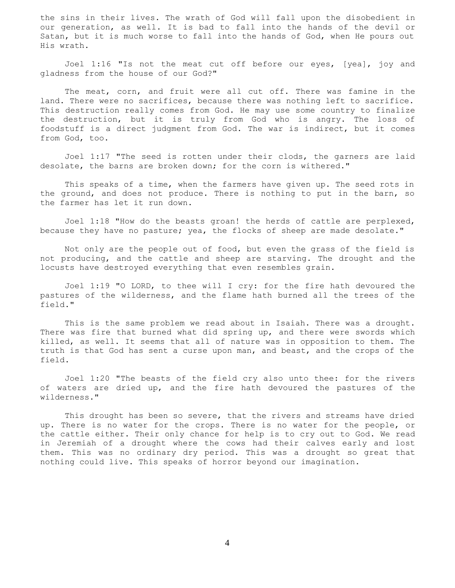the sins in their lives. The wrath of God will fall upon the disobedient in our generation, as well. It is bad to fall into the hands of the devil or Satan, but it is much worse to fall into the hands of God, when He pours out His wrath.

 Joel 1:16 "Is not the meat cut off before our eyes, [yea], joy and gladness from the house of our God?"

 The meat, corn, and fruit were all cut off. There was famine in the land. There were no sacrifices, because there was nothing left to sacrifice. This destruction really comes from God. He may use some country to finalize the destruction, but it is truly from God who is angry. The loss of foodstuff is a direct judgment from God. The war is indirect, but it comes from God, too.

 Joel 1:17 "The seed is rotten under their clods, the garners are laid desolate, the barns are broken down; for the corn is withered."

 This speaks of a time, when the farmers have given up. The seed rots in the ground, and does not produce. There is nothing to put in the barn, so the farmer has let it run down.

 Joel 1:18 "How do the beasts groan! the herds of cattle are perplexed, because they have no pasture; yea, the flocks of sheep are made desolate."

 Not only are the people out of food, but even the grass of the field is not producing, and the cattle and sheep are starving. The drought and the locusts have destroyed everything that even resembles grain.

 Joel 1:19 "O LORD, to thee will I cry: for the fire hath devoured the pastures of the wilderness, and the flame hath burned all the trees of the field."

 This is the same problem we read about in Isaiah. There was a drought. There was fire that burned what did spring up, and there were swords which killed, as well. It seems that all of nature was in opposition to them. The truth is that God has sent a curse upon man, and beast, and the crops of the field.

 Joel 1:20 "The beasts of the field cry also unto thee: for the rivers of waters are dried up, and the fire hath devoured the pastures of the wilderness."

 This drought has been so severe, that the rivers and streams have dried up. There is no water for the crops. There is no water for the people, or the cattle either. Their only chance for help is to cry out to God. We read in Jeremiah of a drought where the cows had their calves early and lost them. This was no ordinary dry period. This was a drought so great that nothing could live. This speaks of horror beyond our imagination.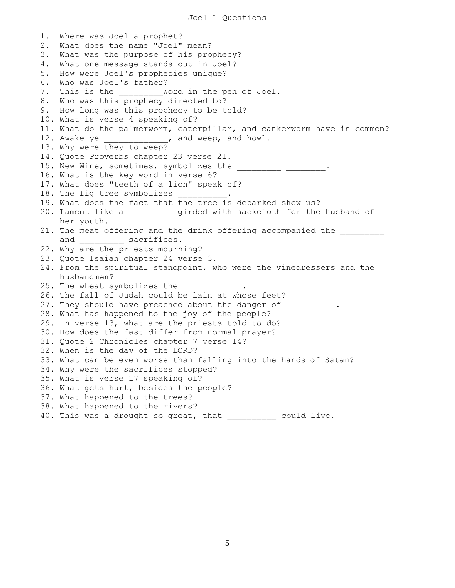```
Joel 1 Questions
```
1. Where was Joel a prophet? 2. What does the name "Joel" mean? 3. What was the purpose of his prophecy? 4. What one message stands out in Joel? 5. How were Joel's prophecies unique? 6. Who was Joel's father? 7. This is the  $N$  and in the pen of Joel. 8. Who was this prophecy directed to? 9. How long was this prophecy to be told? 10. What is verse 4 speaking of? 11. What do the palmerworm, caterpillar, and cankerworm have in common? 12. Awake ye \_\_\_\_\_\_\_\_\_\_\_\_\_, and weep, and howl. 13. Why were they to weep? 14. Quote Proverbs chapter 23 verse 21. 15. New Wine, sometimes, symbolizes the \_\_\_\_\_\_\_\_\_ \_\_\_\_\_\_\_\_. 16. What is the key word in verse 6? 17. What does "teeth of a lion" speak of? 18. The fig tree symbolizes 19. What does the fact that the tree is debarked show us? 20. Lament like a  $q$ irded with sackcloth for the husband of her youth. 21. The meat offering and the drink offering accompanied the and \_\_\_\_\_\_ sacrifices. 22. Why are the priests mourning? 23. Quote Isaiah chapter 24 verse 3. 24. From the spiritual standpoint, who were the vinedressers and the husbandmen? 25. The wheat symbolizes the 26. The fall of Judah could be lain at whose feet? 27. They should have preached about the danger of \_\_\_\_\_\_\_\_\_\_. 28. What has happened to the joy of the people? 29. In verse 13, what are the priests told to do? 30. How does the fast differ from normal prayer? 31. Quote 2 Chronicles chapter 7 verse 14? 32. When is the day of the LORD? 33. What can be even worse than falling into the hands of Satan? 34. Why were the sacrifices stopped? 35. What is verse 17 speaking of? 36. What gets hurt, besides the people? 37. What happened to the trees? 38. What happened to the rivers? 40. This was a drought so great, that \_\_\_\_\_\_\_\_\_\_ could live.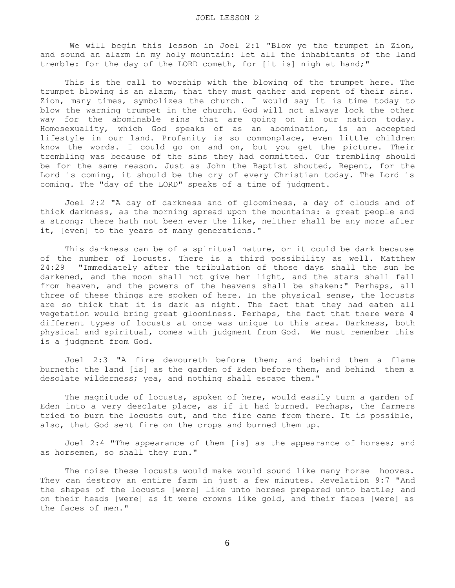We will begin this lesson in Joel 2:1 "Blow ye the trumpet in Zion, and sound an alarm in my holy mountain: let all the inhabitants of the land tremble: for the day of the LORD cometh, for [it is] nigh at hand;"

 This is the call to worship with the blowing of the trumpet here. The trumpet blowing is an alarm, that they must gather and repent of their sins. Zion, many times, symbolizes the church. I would say it is time today to blow the warning trumpet in the church. God will not always look the other way for the abominable sins that are going on in our nation today. Homosexuality, which God speaks of as an abomination, is an accepted lifestyle in our land. Profanity is so commonplace, even little children know the words. I could go on and on, but you get the picture. Their trembling was because of the sins they had committed. Our trembling should be for the same reason. Just as John the Baptist shouted, Repent, for the Lord is coming, it should be the cry of every Christian today. The Lord is coming. The "day of the LORD" speaks of a time of judgment.

 Joel 2:2 "A day of darkness and of gloominess, a day of clouds and of thick darkness, as the morning spread upon the mountains: a great people and a strong; there hath not been ever the like, neither shall be any more after it, [even] to the years of many generations."

 This darkness can be of a spiritual nature, or it could be dark because of the number of locusts. There is a third possibility as well. Matthew 24:29 "Immediately after the tribulation of those days shall the sun be darkened, and the moon shall not give her light, and the stars shall fall from heaven, and the powers of the heavens shall be shaken:" Perhaps, all three of these things are spoken of here. In the physical sense, the locusts are so thick that it is dark as night. The fact that they had eaten all vegetation would bring great gloominess. Perhaps, the fact that there were 4 different types of locusts at once was unique to this area. Darkness, both physical and spiritual, comes with judgment from God. We must remember this is a judgment from God.

 Joel 2:3 "A fire devoureth before them; and behind them a flame burneth: the land [is] as the garden of Eden before them, and behind them a desolate wilderness; yea, and nothing shall escape them."

 The magnitude of locusts, spoken of here, would easily turn a garden of Eden into a very desolate place, as if it had burned. Perhaps, the farmers tried to burn the locusts out, and the fire came from there. It is possible, also, that God sent fire on the crops and burned them up.

 Joel 2:4 "The appearance of them [is] as the appearance of horses; and as horsemen, so shall they run."

 The noise these locusts would make would sound like many horse hooves. They can destroy an entire farm in just a few minutes. Revelation 9:7 "And the shapes of the locusts [were] like unto horses prepared unto battle; and on their heads [were] as it were crowns like gold, and their faces [were] as the faces of men."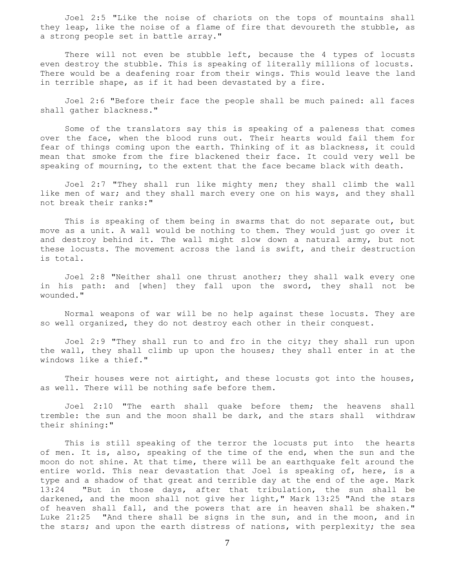Joel 2:5 "Like the noise of chariots on the tops of mountains shall they leap, like the noise of a flame of fire that devoureth the stubble, as a strong people set in battle array."

There will not even be stubble left, because the 4 types of locusts even destroy the stubble. This is speaking of literally millions of locusts. There would be a deafening roar from their wings. This would leave the land in terrible shape, as if it had been devastated by a fire.

 Joel 2:6 "Before their face the people shall be much pained: all faces shall gather blackness."

 Some of the translators say this is speaking of a paleness that comes over the face, when the blood runs out. Their hearts would fail them for fear of things coming upon the earth. Thinking of it as blackness, it could mean that smoke from the fire blackened their face. It could very well be speaking of mourning, to the extent that the face became black with death.

 Joel 2:7 "They shall run like mighty men; they shall climb the wall like men of war; and they shall march every one on his ways, and they shall not break their ranks:"

 This is speaking of them being in swarms that do not separate out, but move as a unit. A wall would be nothing to them. They would just go over it and destroy behind it. The wall might slow down a natural army, but not these locusts. The movement across the land is swift, and their destruction is total.

 Joel 2:8 "Neither shall one thrust another; they shall walk every one in his path: and [when] they fall upon the sword, they shall not be wounded."

 Normal weapons of war will be no help against these locusts. They are so well organized, they do not destroy each other in their conquest.

 Joel 2:9 "They shall run to and fro in the city; they shall run upon the wall, they shall climb up upon the houses; they shall enter in at the windows like a thief."

Their houses were not airtight, and these locusts got into the houses, as well. There will be nothing safe before them.

 Joel 2:10 "The earth shall quake before them; the heavens shall tremble: the sun and the moon shall be dark, and the stars shall withdraw their shining:"

 This is still speaking of the terror the locusts put into the hearts of men. It is, also, speaking of the time of the end, when the sun and the moon do not shine. At that time, there will be an earthquake felt around the entire world. This near devastation that Joel is speaking of, here, is a type and a shadow of that great and terrible day at the end of the age. Mark 13:24 "But in those days, after that tribulation, the sun shall be darkened, and the moon shall not give her light," Mark 13:25 "And the stars of heaven shall fall, and the powers that are in heaven shall be shaken." Luke 21:25 "And there shall be signs in the sun, and in the moon, and in the stars; and upon the earth distress of nations, with perplexity; the sea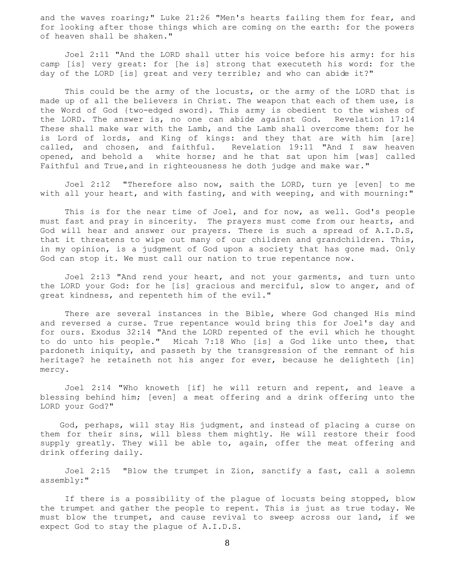and the waves roaring;" Luke 21:26 "Men's hearts failing them for fear, and for looking after those things which are coming on the earth: for the powers of heaven shall be shaken."

 Joel 2:11 "And the LORD shall utter his voice before his army: for his camp [is] very great: for [he is] strong that executeth his word: for the day of the LORD [is] great and very terrible; and who can abide it?"

 This could be the army of the locusts, or the army of the LORD that is made up of all the believers in Christ. The weapon that each of them use, is the Word of God {two-edged sword}. This army is obedient to the wishes of the LORD. The answer is, no one can abide against God. Revelation 17:14 These shall make war with the Lamb, and the Lamb shall overcome them: for he is Lord of lords, and King of kings: and they that are with him [are] called, and chosen, and faithful. Revelation 19:11 "And I saw heaven opened, and behold a white horse; and he that sat upon him [was] called Faithful and True, and in righteousness he doth judge and make war."

 Joel 2:12 "Therefore also now, saith the LORD, turn ye [even] to me with all your heart, and with fasting, and with weeping, and with mourning:"

This is for the near time of Joel, and for now, as well. God's people must fast and pray in sincerity. The prayers must come from our hearts, and God will hear and answer our prayers. There is such a spread of A.I.D.S, that it threatens to wipe out many of our children and grandchildren. This, in my opinion, is a judgment of God upon a society that has gone mad. Only God can stop it. We must call our nation to true repentance now.

 Joel 2:13 "And rend your heart, and not your garments, and turn unto the LORD your God: for he [is] gracious and merciful, slow to anger, and of great kindness, and repenteth him of the evil."

 There are several instances in the Bible, where God changed His mind and reversed a curse. True repentance would bring this for Joel's day and for ours. Exodus 32:14 "And the LORD repented of the evil which he thought to do unto his people." Micah 7:18 Who [is] a God like unto thee, that pardoneth iniquity, and passeth by the transgression of the remnant of his heritage? he retaineth not his anger for ever, because he delighteth [in] mercy.

 Joel 2:14 "Who knoweth [if] he will return and repent, and leave a blessing behind him; [even] a meat offering and a drink offering unto the LORD your God?"

 God, perhaps, will stay His judgment, and instead of placing a curse on them for their sins, will bless them mightly. He will restore their food supply greatly. They will be able to, again, offer the meat offering and drink offering daily.

 Joel 2:15 "Blow the trumpet in Zion, sanctify a fast, call a solemn assembly:"

 If there is a possibility of the plague of locusts being stopped, blow the trumpet and gather the people to repent. This is just as true today. We must blow the trumpet, and cause revival to sweep across our land, if we expect God to stay the plague of A.I.D.S.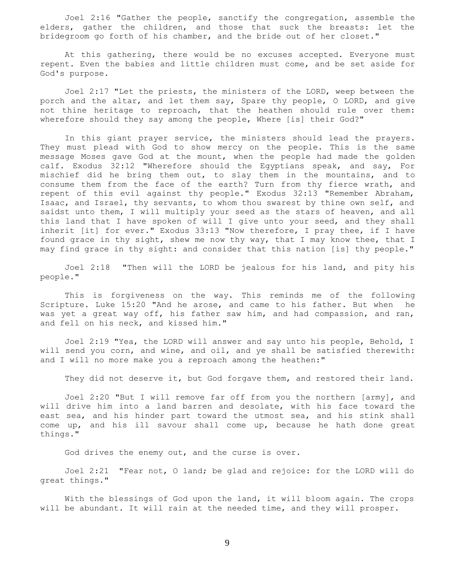Joel 2:16 "Gather the people, sanctify the congregation, assemble the elders, gather the children, and those that suck the breasts: let the bridegroom go forth of his chamber, and the bride out of her closet."

 At this gathering, there would be no excuses accepted. Everyone must repent. Even the babies and little children must come, and be set aside for God's purpose.

 Joel 2:17 "Let the priests, the ministers of the LORD, weep between the porch and the altar, and let them say, Spare thy people, O LORD, and give not thine heritage to reproach, that the heathen should rule over them: wherefore should they say among the people, Where [is] their God?"

 In this giant prayer service, the ministers should lead the prayers. They must plead with God to show mercy on the people. This is the same message Moses gave God at the mount, when the people had made the golden calf. Exodus 32:12 "Wherefore should the Egyptians speak, and say, For mischief did he bring them out, to slay them in the mountains, and to consume them from the face of the earth? Turn from thy fierce wrath, and repent of this evil against thy people." Exodus 32:13 "Remember Abraham, Isaac, and Israel, thy servants, to whom thou swarest by thine own self, and saidst unto them, I will multiply your seed as the stars of heaven, and all this land that I have spoken of will I give unto your seed, and they shall inherit [it] for ever." Exodus 33:13 "Now therefore, I pray thee, if I have found grace in thy sight, shew me now thy way, that I may know thee, that I may find grace in thy sight: and consider that this nation [is] thy people."

 Joel 2:18 "Then will the LORD be jealous for his land, and pity his people."

 This is forgiveness on the way. This reminds me of the following Scripture. Luke 15:20 "And he arose, and came to his father. But when he was yet a great way off, his father saw him, and had compassion, and ran, and fell on his neck, and kissed him."

 Joel 2:19 "Yea, the LORD will answer and say unto his people, Behold, I will send you corn, and wine, and oil, and ye shall be satisfied therewith: and I will no more make you a reproach among the heathen:"

They did not deserve it, but God forgave them, and restored their land.

 Joel 2:20 "But I will remove far off from you the northern [army], and will drive him into a land barren and desolate, with his face toward the east sea, and his hinder part toward the utmost sea, and his stink shall come up, and his ill savour shall come up, because he hath done great things."

God drives the enemy out, and the curse is over.

 Joel 2:21 "Fear not, O land; be glad and rejoice: for the LORD will do great things."

 With the blessings of God upon the land, it will bloom again. The crops will be abundant. It will rain at the needed time, and they will prosper.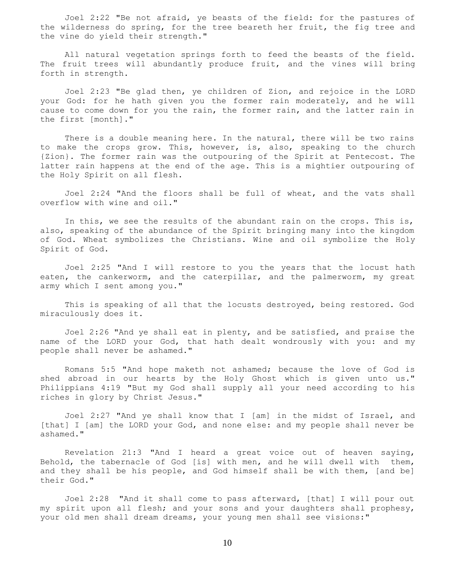Joel 2:22 "Be not afraid, ye beasts of the field: for the pastures of the wilderness do spring, for the tree beareth her fruit, the fig tree and the vine do yield their strength."

 All natural vegetation springs forth to feed the beasts of the field. The fruit trees will abundantly produce fruit, and the vines will bring forth in strength.

 Joel 2:23 "Be glad then, ye children of Zion, and rejoice in the LORD your God: for he hath given you the former rain moderately, and he will cause to come down for you the rain, the former rain, and the latter rain in the first [month]."

 There is a double meaning here. In the natural, there will be two rains to make the crops grow. This, however, is, also, speaking to the church {Zion}. The former rain was the outpouring of the Spirit at Pentecost. The latter rain happens at the end of the age. This is a mightier outpouring of the Holy Spirit on all flesh.

 Joel 2:24 "And the floors shall be full of wheat, and the vats shall overflow with wine and oil."

 In this, we see the results of the abundant rain on the crops. This is, also, speaking of the abundance of the Spirit bringing many into the kingdom of God. Wheat symbolizes the Christians. Wine and oil symbolize the Holy Spirit of God.

 Joel 2:25 "And I will restore to you the years that the locust hath eaten, the cankerworm, and the caterpillar, and the palmerworm, my great army which I sent among you."

 This is speaking of all that the locusts destroyed, being restored. God miraculously does it.

 Joel 2:26 "And ye shall eat in plenty, and be satisfied, and praise the name of the LORD your God, that hath dealt wondrously with you: and my people shall never be ashamed."

 Romans 5:5 "And hope maketh not ashamed; because the love of God is shed abroad in our hearts by the Holy Ghost which is given unto us." Philippians 4:19 "But my God shall supply all your need according to his riches in glory by Christ Jesus."

 Joel 2:27 "And ye shall know that I [am] in the midst of Israel, and [that] I [am] the LORD your God, and none else: and my people shall never be ashamed."

 Revelation 21:3 "And I heard a great voice out of heaven saying, Behold, the tabernacle of God [is] with men, and he will dwell with them, and they shall be his people, and God himself shall be with them, [and be] their God."

 Joel 2:28 "And it shall come to pass afterward, [that] I will pour out my spirit upon all flesh; and your sons and your daughters shall prophesy, your old men shall dream dreams, your young men shall see visions:"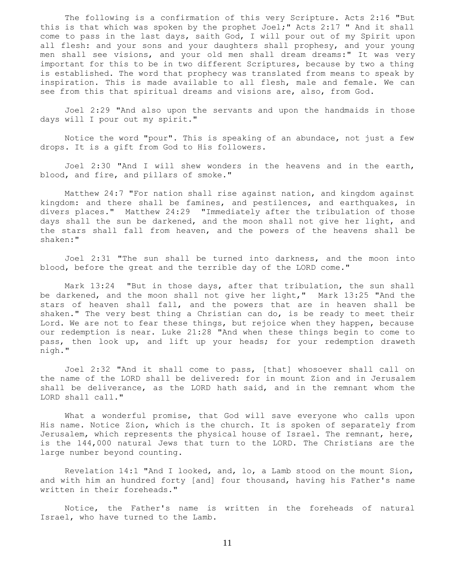The following is a confirmation of this very Scripture. Acts 2:16 "But this is that which was spoken by the prophet Joel;" Acts 2:17 " And it shall come to pass in the last days, saith God, I will pour out of my Spirit upon all flesh: and your sons and your daughters shall prophesy, and your young men shall see visions, and your old men shall dream dreams:" It was very important for this to be in two different Scriptures, because by two a thing is established. The word that prophecy was translated from means to speak by inspiration. This is made available to all flesh, male and female. We can see from this that spiritual dreams and visions are, also, from God.

 Joel 2:29 "And also upon the servants and upon the handmaids in those days will I pour out my spirit."

 Notice the word "pour". This is speaking of an abundace, not just a few drops. It is a gift from God to His followers.

 Joel 2:30 "And I will shew wonders in the heavens and in the earth, blood, and fire, and pillars of smoke."

 Matthew 24:7 "For nation shall rise against nation, and kingdom against kingdom: and there shall be famines, and pestilences, and earthquakes, in divers places." Matthew 24:29 "Immediately after the tribulation of those days shall the sun be darkened, and the moon shall not give her light, and the stars shall fall from heaven, and the powers of the heavens shall be shaken:"

 Joel 2:31 "The sun shall be turned into darkness, and the moon into blood, before the great and the terrible day of the LORD come."

 Mark 13:24 "But in those days, after that tribulation, the sun shall be darkened, and the moon shall not give her light," Mark 13:25 "And the stars of heaven shall fall, and the powers that are in heaven shall be shaken." The very best thing a Christian can do, is be ready to meet their Lord. We are not to fear these things, but rejoice when they happen, because our redemption is near. Luke 21:28 "And when these things begin to come to pass, then look up, and lift up your heads; for your redemption draweth nigh."

 Joel 2:32 "And it shall come to pass, [that] whosoever shall call on the name of the LORD shall be delivered: for in mount Zion and in Jerusalem shall be deliverance, as the LORD hath said, and in the remnant whom the LORD shall call."

 What a wonderful promise, that God will save everyone who calls upon His name. Notice Zion, which is the church. It is spoken of separately from Jerusalem, which represents the physical house of Israel. The remnant, here, is the 144,000 natural Jews that turn to the LORD. The Christians are the large number beyond counting.

 Revelation 14:1 "And I looked, and, lo, a Lamb stood on the mount Sion, and with him an hundred forty [and] four thousand, having his Father's name written in their foreheads."

 Notice, the Father's name is written in the foreheads of natural Israel, who have turned to the Lamb.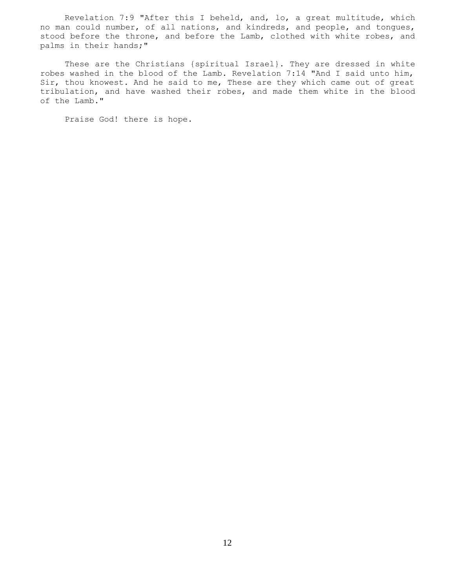Revelation 7:9 "After this I beheld, and, lo, a great multitude, which no man could number, of all nations, and kindreds, and people, and tongues, stood before the throne, and before the Lamb, clothed with white robes, and palms in their hands;"

 These are the Christians {spiritual Israel}. They are dressed in white robes washed in the blood of the Lamb. Revelation 7:14 "And I said unto him, Sir, thou knowest. And he said to me, These are they which came out of great tribulation, and have washed their robes, and made them white in the blood of the Lamb."

Praise God! there is hope.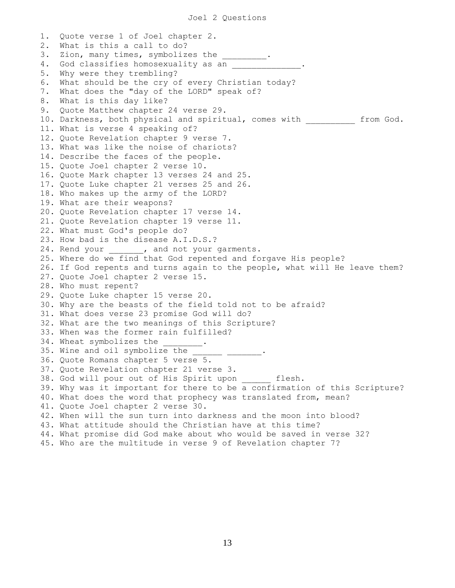```
Joel 2 Questions
```
1. Quote verse 1 of Joel chapter 2. 2. What is this a call to do? 3. Zion, many times, symbolizes the \_\_\_\_\_\_\_\_\_. 4. God classifies homosexuality as an 5. Why were they trembling? 6. What should be the cry of every Christian today? 7. What does the "day of the LORD" speak of? 8. What is this day like? 9. Quote Matthew chapter 24 verse 29. 10. Darkness, both physical and spiritual, comes with from God. 11. What is verse 4 speaking of? 12. Quote Revelation chapter 9 verse 7. 13. What was like the noise of chariots? 14. Describe the faces of the people. 15. Quote Joel chapter 2 verse 10. 16. Quote Mark chapter 13 verses 24 and 25. 17. Quote Luke chapter 21 verses 25 and 26. 18. Who makes up the army of the LORD? 19. What are their weapons? 20. Quote Revelation chapter 17 verse 14. 21. Quote Revelation chapter 19 verse 11. 22. What must God's people do? 23. How bad is the disease A.I.D.S.? 24. Rend your , and not your garments. 25. Where do we find that God repented and forgave His people? 26. If God repents and turns again to the people, what will He leave them? 27. Quote Joel chapter 2 verse 15. 28. Who must repent? 29. Quote Luke chapter 15 verse 20. 30. Why are the beasts of the field told not to be afraid? 31. What does verse 23 promise God will do? 32. What are the two meanings of this Scripture? 33. When was the former rain fulfilled? 34. Wheat symbolizes the \_\_\_\_\_\_\_\_. 35. Wine and oil symbolize the 36. Quote Romans chapter 5 verse 5. 37. Quote Revelation chapter 21 verse 3. 38. God will pour out of His Spirit upon flesh. 39. Why was it important for there to be a confirmation of this Scripture? 40. What does the word that prophecy was translated from, mean? 41. Quote Joel chapter 2 verse 30. 42. When will the sun turn into darkness and the moon into blood? 43. What attitude should the Christian have at this time? 44. What promise did God make about who would be saved in verse 32? 45. Who are the multitude in verse 9 of Revelation chapter 7?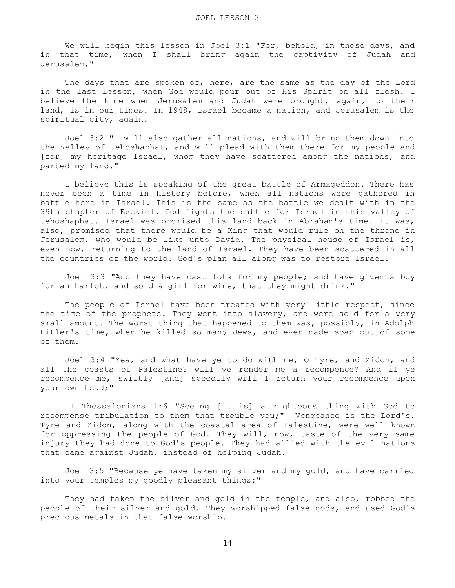We will begin this lesson in Joel 3:1 "For, behold, in those days, and in that time, when I shall bring again the captivity of Judah and Jerusalem,"

The days that are spoken of, here, are the same as the day of the Lord in the last lesson, when God would pour out of His Spirit on all flesh. I believe the time when Jerusalem and Judah were brought, again, to their land, is in our times. In 1948, Israel became a nation, and Jerusalem is the spiritual city, again.

 Joel 3:2 "I will also gather all nations, and will bring them down into the valley of Jehoshaphat, and will plead with them there for my people and [for] my heritage Israel, whom they have scattered among the nations, and parted my land."

 I believe this is speaking of the great battle of Armageddon. There has never been a time in history before, when all nations were gathered in battle here in Israel. This is the same as the battle we dealt with in the 39th chapter of Ezekiel. God fights the battle for Israel in this valley of Jehoshaphat. Israel was promised this land back in Abraham's time. It was, also, promised that there would be a King that would rule on the throne in Jerusalem, who would be like unto David. The physical house of Israel is, even now, returning to the land of Israel. They have been scattered in all the countries of the world. God's plan all along was to restore Israel.

 Joel 3:3 "And they have cast lots for my people; and have given a boy for an harlot, and sold a girl for wine, that they might drink."

 The people of Israel have been treated with very little respect, since the time of the prophets. They went into slavery, and were sold for a very small amount. The worst thing that happened to them was, possibly, in Adolph Hitler's time, when he killed so many Jews, and even made soap out of some of them.

 Joel 3:4 "Yea, and what have ye to do with me, O Tyre, and Zidon, and all the coasts of Palestine? will ye render me a recompence? And if ye recompence me, swiftly [and] speedily will I return your recompence upon your own head;"

 II Thessalonians 1:6 "Seeing [it is] a righteous thing with God to recompense tribulation to them that trouble you;" Vengeance is the Lord's. Tyre and Zidon, along with the coastal area of Palestine, were well known for oppressing the people of God. They will, now, taste of the very same injury they had done to God's people. They had allied with the evil nations that came against Judah, instead of helping Judah.

 Joel 3:5 "Because ye have taken my silver and my gold, and have carried into your temples my goodly pleasant things:"

 They had taken the silver and gold in the temple, and also, robbed the people of their silver and gold. They worshipped false gods, and used God's precious metals in that false worship.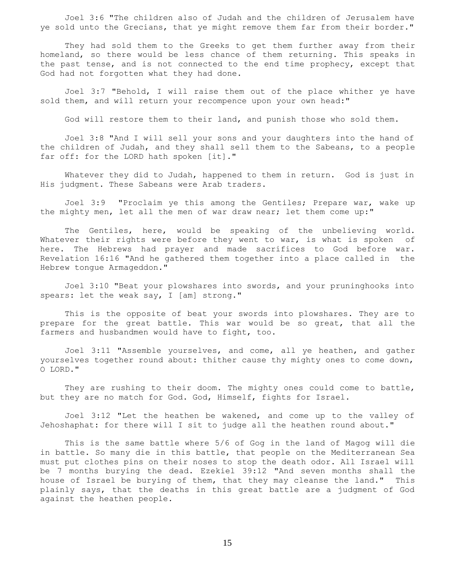Joel 3:6 "The children also of Judah and the children of Jerusalem have ye sold unto the Grecians, that ye might remove them far from their border."

 They had sold them to the Greeks to get them further away from their homeland, so there would be less chance of them returning. This speaks in the past tense, and is not connected to the end time prophecy, except that God had not forgotten what they had done.

 Joel 3:7 "Behold, I will raise them out of the place whither ye have sold them, and will return your recompence upon your own head:"

God will restore them to their land, and punish those who sold them.

 Joel 3:8 "And I will sell your sons and your daughters into the hand of the children of Judah, and they shall sell them to the Sabeans, to a people far off: for the LORD hath spoken [it]."

 Whatever they did to Judah, happened to them in return. God is just in His judgment. These Sabeans were Arab traders.

 Joel 3:9 "Proclaim ye this among the Gentiles; Prepare war, wake up the mighty men, let all the men of war draw near; let them come up:"

 The Gentiles, here, would be speaking of the unbelieving world. Whatever their rights were before they went to war, is what is spoken of here. The Hebrews had prayer and made sacrifices to God before war. Revelation 16:16 "And he gathered them together into a place called in the Hebrew tongue Armageddon."

 Joel 3:10 "Beat your plowshares into swords, and your pruninghooks into spears: let the weak say, I [am] strong."

 This is the opposite of beat your swords into plowshares. They are to prepare for the great battle. This war would be so great, that all the farmers and husbandmen would have to fight, too.

 Joel 3:11 "Assemble yourselves, and come, all ye heathen, and gather yourselves together round about: thither cause thy mighty ones to come down, O LORD."

They are rushing to their doom. The mighty ones could come to battle, but they are no match for God. God, Himself, fights for Israel.

 Joel 3:12 "Let the heathen be wakened, and come up to the valley of Jehoshaphat: for there will I sit to judge all the heathen round about."

 This is the same battle where 5/6 of Gog in the land of Magog will die in battle. So many die in this battle, that people on the Mediterranean Sea must put clothes pins on their noses to stop the death odor. All Israel will be 7 months burying the dead. Ezekiel 39:12 "And seven months shall the house of Israel be burying of them, that they may cleanse the land." This plainly says, that the deaths in this great battle are a judgment of God against the heathen people.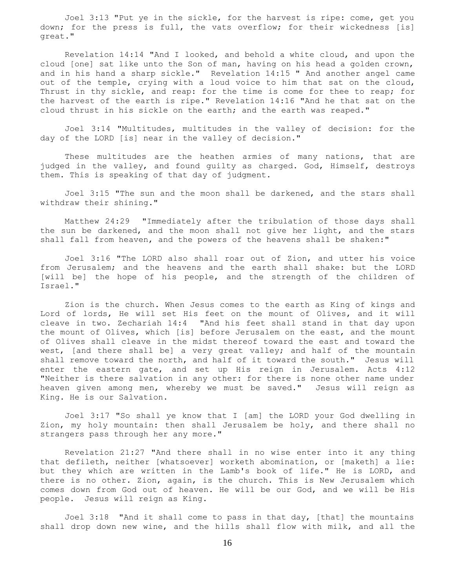Joel 3:13 "Put ye in the sickle, for the harvest is ripe: come, get you down; for the press is full, the vats overflow; for their wickedness [is] great."

 Revelation 14:14 "And I looked, and behold a white cloud, and upon the cloud [one] sat like unto the Son of man, having on his head a golden crown, and in his hand a sharp sickle." Revelation 14:15 " And another angel came out of the temple, crying with a loud voice to him that sat on the cloud, Thrust in thy sickle, and reap: for the time is come for thee to reap; for the harvest of the earth is ripe." Revelation 14:16 "And he that sat on the cloud thrust in his sickle on the earth; and the earth was reaped."

 Joel 3:14 "Multitudes, multitudes in the valley of decision: for the day of the LORD [is] near in the valley of decision."

 These multitudes are the heathen armies of many nations, that are judged in the valley, and found guilty as charged. God, Himself, destroys them. This is speaking of that day of judgment.

 Joel 3:15 "The sun and the moon shall be darkened, and the stars shall withdraw their shining."

 Matthew 24:29 "Immediately after the tribulation of those days shall the sun be darkened, and the moon shall not give her light, and the stars shall fall from heaven, and the powers of the heavens shall be shaken:"

 Joel 3:16 "The LORD also shall roar out of Zion, and utter his voice from Jerusalem; and the heavens and the earth shall shake: but the LORD [will be] the hope of his people, and the strength of the children of Israel."

 Zion is the church. When Jesus comes to the earth as King of kings and Lord of lords, He will set His feet on the mount of Olives, and it will cleave in two. Zechariah 14:4 "And his feet shall stand in that day upon the mount of Olives, which [is] before Jerusalem on the east, and the mount of Olives shall cleave in the midst thereof toward the east and toward the west, [and there shall be] a very great valley; and half of the mountain shall remove toward the north, and half of it toward the south." Jesus will enter the eastern gate, and set up His reign in Jerusalem. Acts 4:12 "Neither is there salvation in any other: for there is none other name under heaven given among men, whereby we must be saved." Jesus will reign as King. He is our Salvation.

 Joel 3:17 "So shall ye know that I [am] the LORD your God dwelling in Zion, my holy mountain: then shall Jerusalem be holy, and there shall no strangers pass through her any more."

 Revelation 21:27 "And there shall in no wise enter into it any thing that defileth, neither [whatsoever] worketh abomination, or [maketh] a lie: but they which are written in the Lamb's book of life." He is LORD, and there is no other. Zion, again, is the church. This is New Jerusalem which comes down from God out of heaven. He will be our God, and we will be His people. Jesus will reign as King.

 Joel 3:18 "And it shall come to pass in that day, [that] the mountains shall drop down new wine, and the hills shall flow with milk, and all the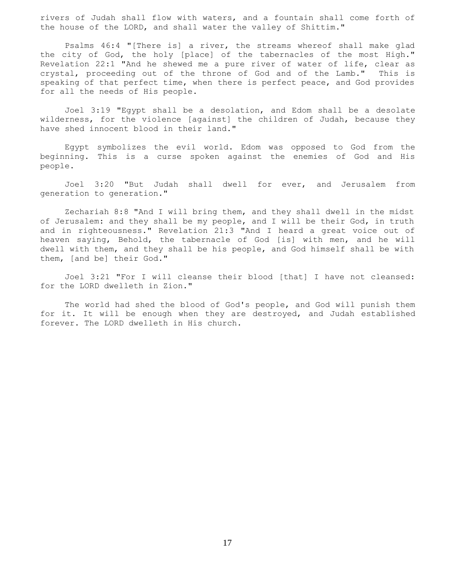rivers of Judah shall flow with waters, and a fountain shall come forth of the house of the LORD, and shall water the valley of Shittim."

 Psalms 46:4 "[There is] a river, the streams whereof shall make glad the city of God, the holy [place] of the tabernacles of the most High." Revelation 22:1 "And he shewed me a pure river of water of life, clear as crystal, proceeding out of the throne of God and of the Lamb." This is speaking of that perfect time, when there is perfect peace, and God provides for all the needs of His people.

 Joel 3:19 "Egypt shall be a desolation, and Edom shall be a desolate wilderness, for the violence [against] the children of Judah, because they have shed innocent blood in their land."

 Egypt symbolizes the evil world. Edom was opposed to God from the beginning. This is a curse spoken against the enemies of God and His people.

 Joel 3:20 "But Judah shall dwell for ever, and Jerusalem from generation to generation."

 Zechariah 8:8 "And I will bring them, and they shall dwell in the midst of Jerusalem: and they shall be my people, and I will be their God, in truth and in righteousness." Revelation 21:3 "And I heard a great voice out of heaven saying, Behold, the tabernacle of God [is] with men, and he will dwell with them, and they shall be his people, and God himself shall be with them, [and be] their God."

 Joel 3:21 "For I will cleanse their blood [that] I have not cleansed: for the LORD dwelleth in Zion."

 The world had shed the blood of God's people, and God will punish them for it. It will be enough when they are destroyed, and Judah established forever. The LORD dwelleth in His church.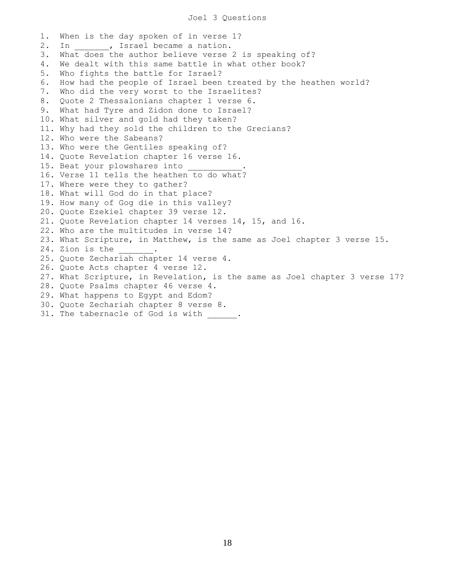## Joel 3 Questions

1. When is the day spoken of in verse 1? 2. In , Israel became a nation. 3. What does the author believe verse 2 is speaking of? 4. We dealt with this same battle in what other book? 5. Who fights the battle for Israel? 6. How had the people of Israel been treated by the heathen world? 7. Who did the very worst to the Israelites? 8. Quote 2 Thessalonians chapter 1 verse 6. 9. What had Tyre and Zidon done to Israel? 10. What silver and gold had they taken? 11. Why had they sold the children to the Grecians? 12. Who were the Sabeans? 13. Who were the Gentiles speaking of? 14. Quote Revelation chapter 16 verse 16. 15. Beat your plowshares into 16. Verse 11 tells the heathen to do what? 17. Where were they to gather? 18. What will God do in that place? 19. How many of Gog die in this valley? 20. Quote Ezekiel chapter 39 verse 12. 21. Quote Revelation chapter 14 verses 14, 15, and 16. 22. Who are the multitudes in verse 14? 23. What Scripture, in Matthew, is the same as Joel chapter 3 verse 15. 24. Zion is the 25. Quote Zechariah chapter 14 verse 4. 26. Quote Acts chapter 4 verse 12. 27. What Scripture, in Revelation, is the same as Joel chapter 3 verse 17? 28. Quote Psalms chapter 46 verse 4. 29. What happens to Egypt and Edom? 30. Quote Zechariah chapter 8 verse 8. 31. The tabernacle of God is with \_\_\_\_\_\_.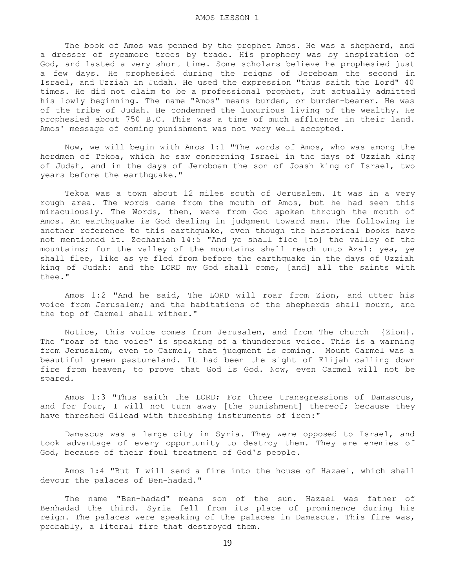The book of Amos was penned by the prophet Amos. He was a shepherd, and a dresser of sycamore trees by trade. His prophecy was by inspiration of God, and lasted a very short time. Some scholars believe he prophesied just a few days. He prophesied during the reigns of Jereboam the second in Israel, and Uzziah in Judah. He used the expression "thus saith the Lord" 40 times. He did not claim to be a professional prophet, but actually admitted his lowly beginning. The name "Amos" means burden, or burden-bearer. He was of the tribe of Judah. He condemned the luxurious living of the wealthy. He prophesied about 750 B.C. This was a time of much affluence in their land. Amos' message of coming punishment was not very well accepted.

 Now, we will begin with Amos 1:1 "The words of Amos, who was among the herdmen of Tekoa, which he saw concerning Israel in the days of Uzziah king of Judah, and in the days of Jeroboam the son of Joash king of Israel, two years before the earthquake."

 Tekoa was a town about 12 miles south of Jerusalem. It was in a very rough area. The words came from the mouth of Amos, but he had seen this miraculously. The Words, then, were from God spoken through the mouth of Amos. An earthquake is God dealing in judgment toward man. The following is another reference to this earthquake, even though the historical books have not mentioned it. Zechariah 14:5 "And ye shall flee [to] the valley of the mountains; for the valley of the mountains shall reach unto Azal: yea, ye shall flee, like as ye fled from before the earthquake in the days of Uzziah king of Judah: and the LORD my God shall come, [and] all the saints with thee."

 Amos 1:2 "And he said, The LORD will roar from Zion, and utter his voice from Jerusalem; and the habitations of the shepherds shall mourn, and the top of Carmel shall wither."

 Notice, this voice comes from Jerusalem, and from The church {Zion}. The "roar of the voice" is speaking of a thunderous voice. This is a warning from Jerusalem, even to Carmel, that judgment is coming. Mount Carmel was a beautiful green pastureland. It had been the sight of Elijah calling down fire from heaven, to prove that God is God. Now, even Carmel will not be spared.

 Amos 1:3 "Thus saith the LORD; For three transgressions of Damascus, and for four, I will not turn away [the punishment] thereof; because they have threshed Gilead with threshing instruments of iron:"

 Damascus was a large city in Syria. They were opposed to Israel, and took advantage of every opportunity to destroy them. They are enemies of God, because of their foul treatment of God's people.

 Amos 1:4 "But I will send a fire into the house of Hazael, which shall devour the palaces of Ben-hadad."

 The name "Ben-hadad" means son of the sun. Hazael was father of Benhadad the third. Syria fell from its place of prominence during his reign. The palaces were speaking of the palaces in Damascus. This fire was, probably, a literal fire that destroyed them.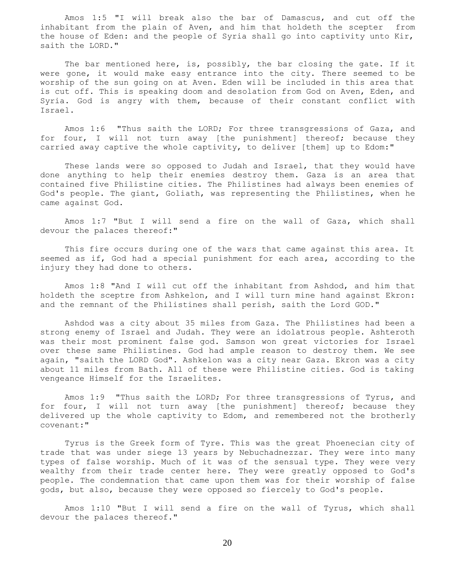Amos 1:5 "I will break also the bar of Damascus, and cut off the inhabitant from the plain of Aven, and him that holdeth the scepter from the house of Eden: and the people of Syria shall go into captivity unto Kir, saith the LORD."

The bar mentioned here, is, possibly, the bar closing the gate. If it were gone, it would make easy entrance into the city. There seemed to be worship of the sun going on at Aven. Eden will be included in this area that is cut off. This is speaking doom and desolation from God on Aven, Eden, and Syria. God is angry with them, because of their constant conflict with Israel.

 Amos 1:6 "Thus saith the LORD; For three transgressions of Gaza, and for four, I will not turn away [the punishment] thereof; because they carried away captive the whole captivity, to deliver [them] up to Edom:"

 These lands were so opposed to Judah and Israel, that they would have done anything to help their enemies destroy them. Gaza is an area that contained five Philistine cities. The Philistines had always been enemies of God's people. The giant, Goliath, was representing the Philistines, when he came against God.

 Amos 1:7 "But I will send a fire on the wall of Gaza, which shall devour the palaces thereof:"

 This fire occurs during one of the wars that came against this area. It seemed as if, God had a special punishment for each area, according to the injury they had done to others.

 Amos 1:8 "And I will cut off the inhabitant from Ashdod, and him that holdeth the sceptre from Ashkelon, and I will turn mine hand against Ekron: and the remnant of the Philistines shall perish, saith the Lord GOD."

 Ashdod was a city about 35 miles from Gaza. The Philistines had been a strong enemy of Israel and Judah. They were an idolatrous people. Ashteroth was their most prominent false god. Samson won great victories for Israel over these same Philistines. God had ample reason to destroy them. We see again, "saith the LORD God". Ashkelon was a city near Gaza. Ekron was a city about 11 miles from Bath. All of these were Philistine cities. God is taking vengeance Himself for the Israelites.

 Amos 1:9 "Thus saith the LORD; For three transgressions of Tyrus, and for four, I will not turn away [the punishment] thereof; because they delivered up the whole captivity to Edom, and remembered not the brotherly covenant:"

 Tyrus is the Greek form of Tyre. This was the great Phoenecian city of trade that was under siege 13 years by Nebuchadnezzar. They were into many types of false worship. Much of it was of the sensual type. They were very wealthy from their trade center here. They were greatly opposed to God's people. The condemnation that came upon them was for their worship of false gods, but also, because they were opposed so fiercely to God's people.

 Amos 1:10 "But I will send a fire on the wall of Tyrus, which shall devour the palaces thereof."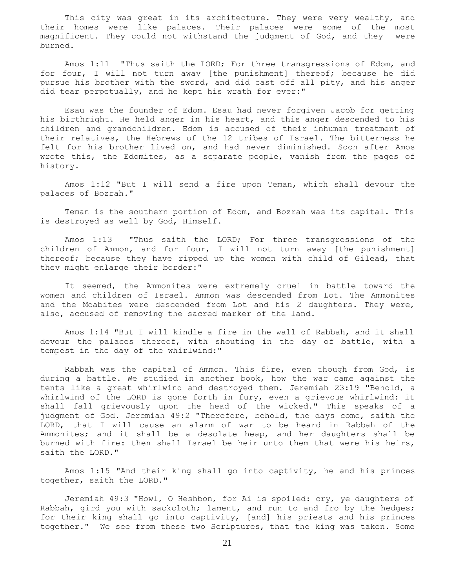This city was great in its architecture. They were very wealthy, and their homes were like palaces. Their palaces were some of the most magnificent. They could not withstand the judgment of God, and they were burned.

 Amos 1:11 "Thus saith the LORD; For three transgressions of Edom, and for four, I will not turn away [the punishment] thereof; because he did pursue his brother with the sword, and did cast off all pity, and his anger did tear perpetually, and he kept his wrath for ever:"

 Esau was the founder of Edom. Esau had never forgiven Jacob for getting his birthright. He held anger in his heart, and this anger descended to his children and grandchildren. Edom is accused of their inhuman treatment of their relatives, the Hebrews of the 12 tribes of Israel. The bitterness he felt for his brother lived on, and had never diminished. Soon after Amos wrote this, the Edomites, as a separate people, vanish from the pages of history.

 Amos 1:12 "But I will send a fire upon Teman, which shall devour the palaces of Bozrah."

 Teman is the southern portion of Edom, and Bozrah was its capital. This is destroyed as well by God, Himself.

 Amos 1:13 "Thus saith the LORD; For three transgressions of the children of Ammon, and for four, I will not turn away [the punishment] thereof; because they have ripped up the women with child of Gilead, that they might enlarge their border:"

 It seemed, the Ammonites were extremely cruel in battle toward the women and children of Israel. Ammon was descended from Lot. The Ammonites and the Moabites were descended from Lot and his 2 daughters. They were, also, accused of removing the sacred marker of the land.

 Amos 1:14 "But I will kindle a fire in the wall of Rabbah, and it shall devour the palaces thereof, with shouting in the day of battle, with a tempest in the day of the whirlwind:"

 Rabbah was the capital of Ammon. This fire, even though from God, is during a battle. We studied in another book, how the war came against the tents like a great whirlwind and destroyed them. Jeremiah 23:19 "Behold, a whirlwind of the LORD is gone forth in fury, even a grievous whirlwind: it shall fall grievously upon the head of the wicked." This speaks of a judgment of God. Jeremiah 49:2 "Therefore, behold, the days come, saith the LORD, that I will cause an alarm of war to be heard in Rabbah of the Ammonites; and it shall be a desolate heap, and her daughters shall be burned with fire: then shall Israel be heir unto them that were his heirs, saith the LORD."

 Amos 1:15 "And their king shall go into captivity, he and his princes together, saith the LORD."

 Jeremiah 49:3 "Howl, O Heshbon, for Ai is spoiled: cry, ye daughters of Rabbah, gird you with sackcloth; lament, and run to and fro by the hedges; for their king shall go into captivity, [and] his priests and his princes together." We see from these two Scriptures, that the king was taken. Some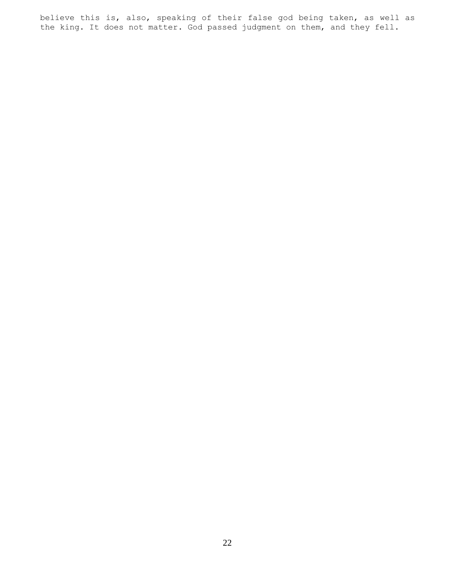believe this is, also, speaking of their false god being taken, as well as the king. It does not matter. God passed judgment on them, and they fell.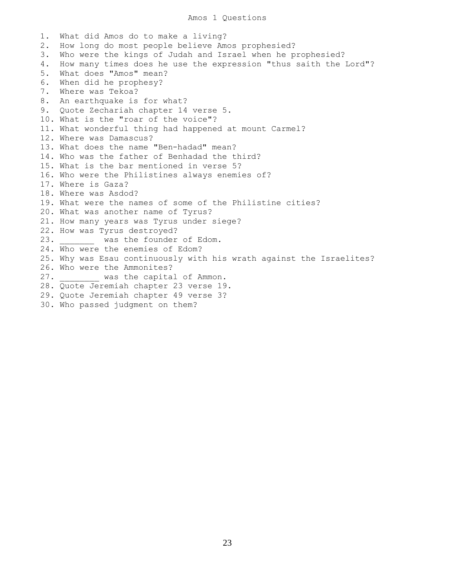## Amos 1 Questions

1. What did Amos do to make a living? 2. How long do most people believe Amos prophesied? 3. Who were the kings of Judah and Israel when he prophesied? 4. How many times does he use the expression "thus saith the Lord"? 5. What does "Amos" mean? 6. When did he prophesy? 7. Where was Tekoa? 8. An earthquake is for what? 9. Quote Zechariah chapter 14 verse 5. 10. What is the "roar of the voice"? 11. What wonderful thing had happened at mount Carmel? 12. Where was Damascus? 13. What does the name "Ben-hadad" mean? 14. Who was the father of Benhadad the third? 15. What is the bar mentioned in verse 5? 16. Who were the Philistines always enemies of? 17. Where is Gaza? 18. Where was Asdod? 19. What were the names of some of the Philistine cities? 20. What was another name of Tyrus? 21. How many years was Tyrus under siege? 22. How was Tyrus destroyed? 23. Was the founder of Edom. 24. Who were the enemies of Edom? 25. Why was Esau continuously with his wrath against the Israelites? 26. Who were the Ammonites? 27. Was the capital of Ammon. 28. Quote Jeremiah chapter 23 verse 19. 29. Quote Jeremiah chapter 49 verse 3? 30. Who passed judgment on them?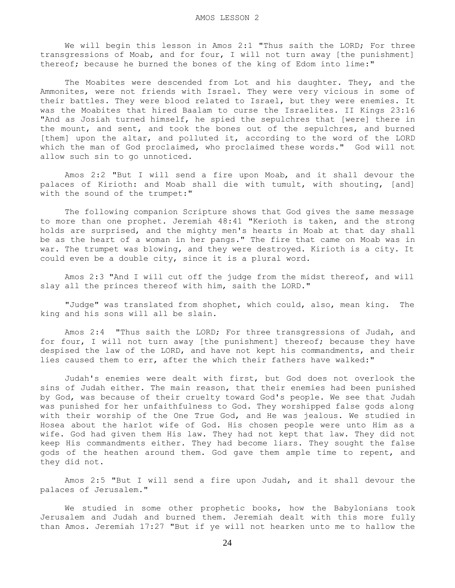We will begin this lesson in Amos 2:1 "Thus saith the LORD; For three transgressions of Moab, and for four, I will not turn away [the punishment] thereof; because he burned the bones of the king of Edom into lime:"

 The Moabites were descended from Lot and his daughter. They, and the Ammonites, were not friends with Israel. They were very vicious in some of their battles. They were blood related to Israel, but they were enemies. It was the Moabites that hired Baalam to curse the Israelites. II Kings 23:16 "And as Josiah turned himself, he spied the sepulchres that [were] there in the mount, and sent, and took the bones out of the sepulchres, and burned [them] upon the altar, and polluted it, according to the word of the LORD which the man of God proclaimed, who proclaimed these words." God will not allow such sin to go unnoticed.

 Amos 2:2 "But I will send a fire upon Moab, and it shall devour the palaces of Kirioth: and Moab shall die with tumult, with shouting, [and] with the sound of the trumpet:"

 The following companion Scripture shows that God gives the same message to more than one prophet. Jeremiah 48:41 "Kerioth is taken, and the strong holds are surprised, and the mighty men's hearts in Moab at that day shall be as the heart of a woman in her pangs." The fire that came on Moab was in war. The trumpet was blowing, and they were destroyed. Kirioth is a city. It could even be a double city, since it is a plural word.

 Amos 2:3 "And I will cut off the judge from the midst thereof, and will slay all the princes thereof with him, saith the LORD."

 "Judge" was translated from shophet, which could, also, mean king. The king and his sons will all be slain.

 Amos 2:4 "Thus saith the LORD; For three transgressions of Judah, and for four, I will not turn away [the punishment] thereof; because they have despised the law of the LORD, and have not kept his commandments, and their lies caused them to err, after the which their fathers have walked:"

 Judah's enemies were dealt with first, but God does not overlook the sins of Judah either. The main reason, that their enemies had been punished by God, was because of their cruelty toward God's people. We see that Judah was punished for her unfaithfulness to God. They worshipped false gods along with their worship of the One True God, and He was jealous. We studied in Hosea about the harlot wife of God. His chosen people were unto Him as a wife. God had given them His law. They had not kept that law. They did not keep His commandments either. They had become liars. They sought the false gods of the heathen around them. God gave them ample time to repent, and they did not.

 Amos 2:5 "But I will send a fire upon Judah, and it shall devour the palaces of Jerusalem."

 We studied in some other prophetic books, how the Babylonians took Jerusalem and Judah and burned them. Jeremiah dealt with this more fully than Amos. Jeremiah 17:27 "But if ye will not hearken unto me to hallow the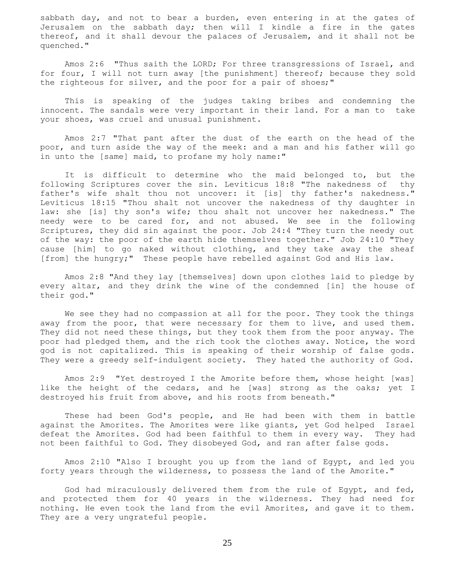sabbath day, and not to bear a burden, even entering in at the gates of Jerusalem on the sabbath day; then will I kindle a fire in the gates thereof, and it shall devour the palaces of Jerusalem, and it shall not be quenched."

 Amos 2:6 "Thus saith the LORD; For three transgressions of Israel, and for four, I will not turn away [the punishment] thereof; because they sold the righteous for silver, and the poor for a pair of shoes;"

 This is speaking of the judges taking bribes and condemning the innocent. The sandals were very important in their land. For a man to take your shoes, was cruel and unusual punishment.

 Amos 2:7 "That pant after the dust of the earth on the head of the poor, and turn aside the way of the meek: and a man and his father will go in unto the [same] maid, to profane my holy name:"

 It is difficult to determine who the maid belonged to, but the following Scriptures cover the sin. Leviticus 18:8 "The nakedness of thy father's wife shalt thou not uncover: it [is] thy father's nakedness." Leviticus 18:15 "Thou shalt not uncover the nakedness of thy daughter in law: she [is] thy son's wife; thou shalt not uncover her nakedness." The needy were to be cared for, and not abused. We see in the following Scriptures, they did sin against the poor. Job 24:4 "They turn the needy out of the way: the poor of the earth hide themselves together." Job 24:10 "They cause [him] to go naked without clothing, and they take away the sheaf [from] the hungry;" These people have rebelled against God and His law.

 Amos 2:8 "And they lay [themselves] down upon clothes laid to pledge by every altar, and they drink the wine of the condemned [in] the house of their god."

 We see they had no compassion at all for the poor. They took the things away from the poor, that were necessary for them to live, and used them. They did not need these things, but they took them from the poor anyway. The poor had pledged them, and the rich took the clothes away. Notice, the word god is not capitalized. This is speaking of their worship of false gods. They were a greedy self-indulgent society. They hated the authority of God.

 Amos 2:9 "Yet destroyed I the Amorite before them, whose height [was] like the height of the cedars, and he [was] strong as the oaks; yet I destroyed his fruit from above, and his roots from beneath."

 These had been God's people, and He had been with them in battle against the Amorites. The Amorites were like giants, yet God helped Israel defeat the Amorites. God had been faithful to them in every way. They had not been faithful to God. They disobeyed God, and ran after false gods.

 Amos 2:10 "Also I brought you up from the land of Egypt, and led you forty years through the wilderness, to possess the land of the Amorite."

 God had miraculously delivered them from the rule of Egypt, and fed, and protected them for 40 years in the wilderness. They had need for nothing. He even took the land from the evil Amorites, and gave it to them. They are a very ungrateful people.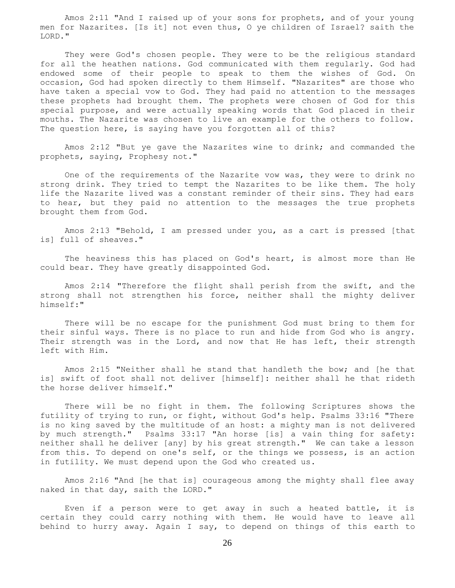Amos 2:11 "And I raised up of your sons for prophets, and of your young men for Nazarites. [Is it] not even thus, O ye children of Israel? saith the LORD."

 They were God's chosen people. They were to be the religious standard for all the heathen nations. God communicated with them regularly. God had endowed some of their people to speak to them the wishes of God. On occasion, God had spoken directly to them Himself. "Nazarites" are those who have taken a special vow to God. They had paid no attention to the messages these prophets had brought them. The prophets were chosen of God for this special purpose, and were actually speaking words that God placed in their mouths. The Nazarite was chosen to live an example for the others to follow. The question here, is saying have you forgotten all of this?

 Amos 2:12 "But ye gave the Nazarites wine to drink; and commanded the prophets, saying, Prophesy not."

 One of the requirements of the Nazarite vow was, they were to drink no strong drink. They tried to tempt the Nazarites to be like them. The holy life the Nazarite lived was a constant reminder of their sins. They had ears to hear, but they paid no attention to the messages the true prophets brought them from God.

 Amos 2:13 "Behold, I am pressed under you, as a cart is pressed [that is] full of sheaves."

 The heaviness this has placed on God's heart, is almost more than He could bear. They have greatly disappointed God.

 Amos 2:14 "Therefore the flight shall perish from the swift, and the strong shall not strengthen his force, neither shall the mighty deliver himself:"

 There will be no escape for the punishment God must bring to them for their sinful ways. There is no place to run and hide from God who is angry. Their strength was in the Lord, and now that He has left, their strength left with Him.

 Amos 2:15 "Neither shall he stand that handleth the bow; and [he that is] swift of foot shall not deliver [himself]: neither shall he that rideth the horse deliver himself."

 There will be no fight in them. The following Scriptures shows the futility of trying to run, or fight, without God's help. Psalms 33:16 "There is no king saved by the multitude of an host: a mighty man is not delivered by much strength." Psalms 33:17 "An horse [is] a vain thing for safety: neither shall he deliver [any] by his great strength." We can take a lesson from this. To depend on one's self, or the things we possess, is an action in futility. We must depend upon the God who created us.

 Amos 2:16 "And [he that is] courageous among the mighty shall flee away naked in that day, saith the LORD."

 Even if a person were to get away in such a heated battle, it is certain they could carry nothing with them. He would have to leave all behind to hurry away. Again I say, to depend on things of this earth to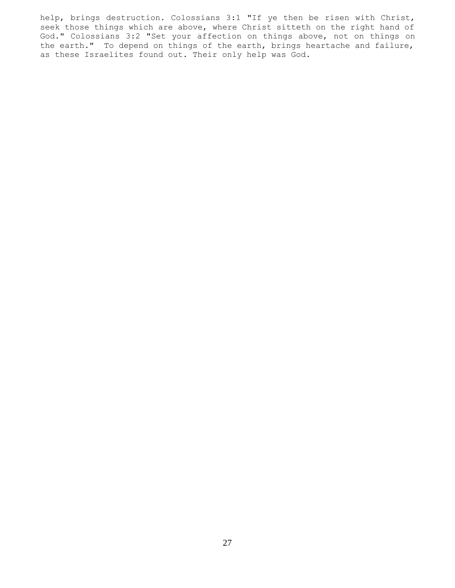help, brings destruction. Colossians 3:1 "If ye then be risen with Christ, seek those things which are above, where Christ sitteth on the right hand of God." Colossians 3:2 "Set your affection on things above, not on things on the earth." To depend on things of the earth, brings heartache and failure, as these Israelites found out. Their only help was God.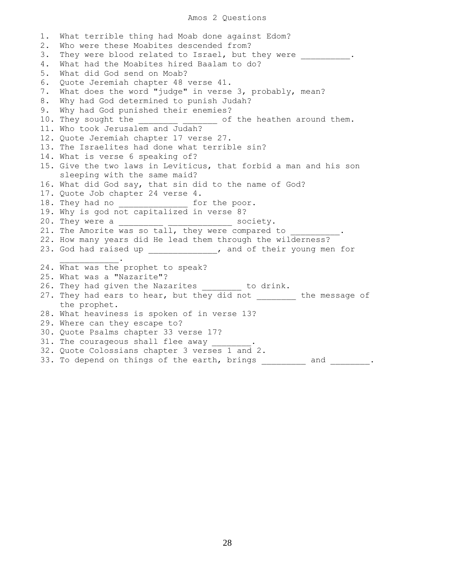## Amos 2 Questions

1. What terrible thing had Moab done against Edom? 2. Who were these Moabites descended from? 3. They were blood related to Israel, but they were \_\_\_\_\_\_\_\_. 4. What had the Moabites hired Baalam to do? 5. What did God send on Moab? 6. Quote Jeremiah chapter 48 verse 41. 7. What does the word "judge" in verse 3, probably, mean? 8. Why had God determined to punish Judah? 9. Why had God punished their enemies? 10. They sought the \_\_\_\_\_\_\_\_\_ \_\_\_\_\_\_\_ of the heathen around them. 11. Who took Jerusalem and Judah? 12. Quote Jeremiah chapter 17 verse 27. 13. The Israelites had done what terrible sin? 14. What is verse 6 speaking of? 15. Give the two laws in Leviticus, that forbid a man and his son sleeping with the same maid? 16. What did God say, that sin did to the name of God? 17. Quote Job chapter 24 verse 4. 18. They had no \_\_\_\_\_\_\_\_\_\_\_\_\_\_\_\_\_\_ for the poor. 19. Why is god not capitalized in verse 8? 20. They were a \_\_\_\_\_\_ \_\_\_\_\_\_\_\_\_\_\_\_\_\_ society. 21. The Amorite was so tall, they were compared to 22. How many years did He lead them through the wilderness? 23. God had raised up \_\_\_\_\_\_\_\_\_\_\_\_\_\_, and of their young men for  $\overline{\phantom{a}}$  ,  $\overline{\phantom{a}}$  ,  $\overline{\phantom{a}}$  ,  $\overline{\phantom{a}}$  ,  $\overline{\phantom{a}}$  ,  $\overline{\phantom{a}}$  ,  $\overline{\phantom{a}}$  ,  $\overline{\phantom{a}}$  ,  $\overline{\phantom{a}}$  ,  $\overline{\phantom{a}}$  ,  $\overline{\phantom{a}}$  ,  $\overline{\phantom{a}}$  ,  $\overline{\phantom{a}}$  ,  $\overline{\phantom{a}}$  ,  $\overline{\phantom{a}}$  ,  $\overline{\phantom{a}}$ 24. What was the prophet to speak? 25. What was a "Nazarite"? 26. They had given the Nazarites to drink. 27. They had ears to hear, but they did not \_\_\_\_\_\_\_\_ the message of the prophet. 28. What heaviness is spoken of in verse 13? 29. Where can they escape to? 30. Quote Psalms chapter 33 verse 17? 31. The courageous shall flee away 32. Quote Colossians chapter 3 verses 1 and 2. 33. To depend on things of the earth, brings \_\_\_\_\_\_\_\_\_ and \_\_\_\_\_\_\_\_.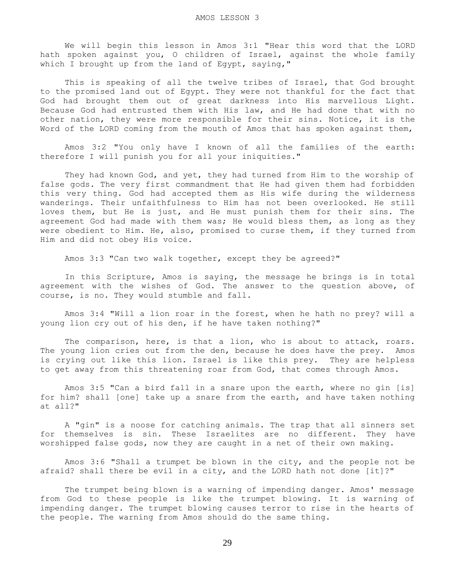We will begin this lesson in Amos 3:1 "Hear this word that the LORD hath spoken against you, O children of Israel, against the whole family which I brought up from the land of Egypt, saying,"

 This is speaking of all the twelve tribes of Israel, that God brought to the promised land out of Egypt. They were not thankful for the fact that God had brought them out of great darkness into His marvellous Light. Because God had entrusted them with His law, and He had done that with no other nation, they were more responsible for their sins. Notice, it is the Word of the LORD coming from the mouth of Amos that has spoken against them,

 Amos 3:2 "You only have I known of all the families of the earth: therefore I will punish you for all your iniquities."

 They had known God, and yet, they had turned from Him to the worship of false gods. The very first commandment that He had given them had forbidden this very thing. God had accepted them as His wife during the wilderness wanderings. Their unfaithfulness to Him has not been overlooked. He still loves them, but He is just, and He must punish them for their sins. The agreement God had made with them was; He would bless them, as long as they were obedient to Him. He, also, promised to curse them, if they turned from Him and did not obey His voice.

Amos 3:3 "Can two walk together, except they be agreed?"

 In this Scripture, Amos is saying, the message he brings is in total agreement with the wishes of God. The answer to the question above, of course, is no. They would stumble and fall.

 Amos 3:4 "Will a lion roar in the forest, when he hath no prey? will a young lion cry out of his den, if he have taken nothing?"

The comparison, here, is that a lion, who is about to attack, roars. The young lion cries out from the den, because he does have the prey. Amos is crying out like this lion. Israel is like this prey. They are helpless to get away from this threatening roar from God, that comes through Amos.

 Amos 3:5 "Can a bird fall in a snare upon the earth, where no gin [is] for him? shall [one] take up a snare from the earth, and have taken nothing at all?"

 A "gin" is a noose for catching animals. The trap that all sinners set for themselves is sin. These Israelites are no different. They have worshipped false gods, now they are caught in a net of their own making.

 Amos 3:6 "Shall a trumpet be blown in the city, and the people not be afraid? shall there be evil in a city, and the LORD hath not done [it]?"

 The trumpet being blown is a warning of impending danger. Amos' message from God to these people is like the trumpet blowing. It is warning of impending danger. The trumpet blowing causes terror to rise in the hearts of the people. The warning from Amos should do the same thing.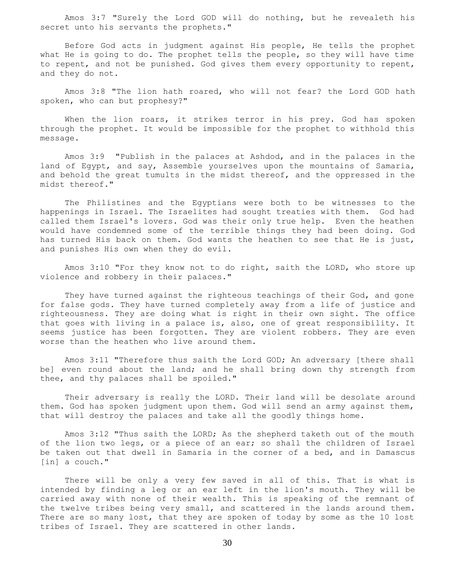Amos 3:7 "Surely the Lord GOD will do nothing, but he revealeth his secret unto his servants the prophets."

 Before God acts in judgment against His people, He tells the prophet what He is going to do. The prophet tells the people, so they will have time to repent, and not be punished. God gives them every opportunity to repent, and they do not.

 Amos 3:8 "The lion hath roared, who will not fear? the Lord GOD hath spoken, who can but prophesy?"

When the lion roars, it strikes terror in his prey. God has spoken through the prophet. It would be impossible for the prophet to withhold this message.

 Amos 3:9 "Publish in the palaces at Ashdod, and in the palaces in the land of Egypt, and say, Assemble yourselves upon the mountains of Samaria, and behold the great tumults in the midst thereof, and the oppressed in the midst thereof."

 The Philistines and the Egyptians were both to be witnesses to the happenings in Israel. The Israelites had sought treaties with them. God had called them Israel's lovers. God was their only true help. Even the heathen would have condemned some of the terrible things they had been doing. God has turned His back on them. God wants the heathen to see that He is just, and punishes His own when they do evil.

 Amos 3:10 "For they know not to do right, saith the LORD, who store up violence and robbery in their palaces."

 They have turned against the righteous teachings of their God, and gone for false gods. They have turned completely away from a life of justice and righteousness. They are doing what is right in their own sight. The office that goes with living in a palace is, also, one of great responsibility. It seems justice has been forgotten. They are violent robbers. They are even worse than the heathen who live around them.

 Amos 3:11 "Therefore thus saith the Lord GOD; An adversary [there shall be] even round about the land; and he shall bring down thy strength from thee, and thy palaces shall be spoiled."

 Their adversary is really the LORD. Their land will be desolate around them. God has spoken judgment upon them. God will send an army against them, that will destroy the palaces and take all the goodly things home.

 Amos 3:12 "Thus saith the LORD; As the shepherd taketh out of the mouth of the lion two legs, or a piece of an ear; so shall the children of Israel be taken out that dwell in Samaria in the corner of a bed, and in Damascus [in] a couch."

 There will be only a very few saved in all of this. That is what is intended by finding a leg or an ear left in the lion's mouth. They will be carried away with none of their wealth. This is speaking of the remnant of the twelve tribes being very small, and scattered in the lands around them. There are so many lost, that they are spoken of today by some as the 10 lost tribes of Israel. They are scattered in other lands.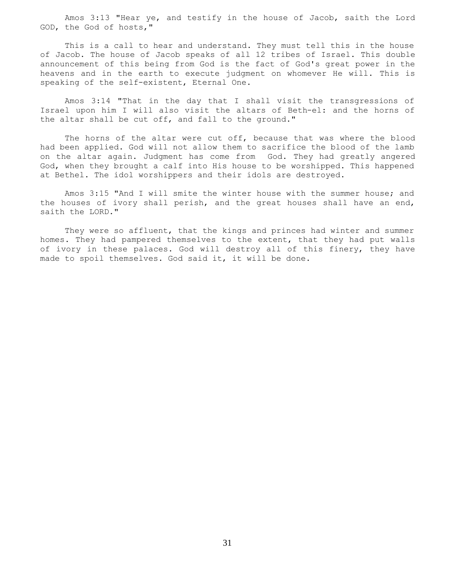Amos 3:13 "Hear ye, and testify in the house of Jacob, saith the Lord GOD, the God of hosts,"

 This is a call to hear and understand. They must tell this in the house of Jacob. The house of Jacob speaks of all 12 tribes of Israel. This double announcement of this being from God is the fact of God's great power in the heavens and in the earth to execute judgment on whomever He will. This is speaking of the self-existent, Eternal One.

 Amos 3:14 "That in the day that I shall visit the transgressions of Israel upon him I will also visit the altars of Beth-el: and the horns of the altar shall be cut off, and fall to the ground."

The horns of the altar were cut off, because that was where the blood had been applied. God will not allow them to sacrifice the blood of the lamb on the altar again. Judgment has come from God. They had greatly angered God, when they brought a calf into His house to be worshipped. This happened at Bethel. The idol worshippers and their idols are destroyed.

 Amos 3:15 "And I will smite the winter house with the summer house; and the houses of ivory shall perish, and the great houses shall have an end, saith the LORD."

 They were so affluent, that the kings and princes had winter and summer homes. They had pampered themselves to the extent, that they had put walls of ivory in these palaces. God will destroy all of this finery, they have made to spoil themselves. God said it, it will be done.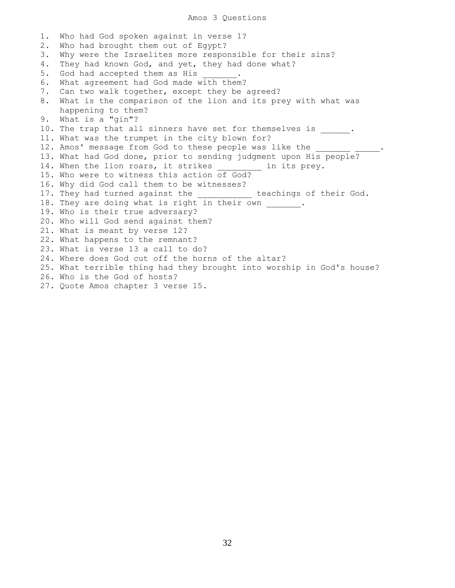## Amos 3 Questions

1. Who had God spoken against in verse 1? 2. Who had brought them out of Egypt? 3. Why were the Israelites more responsible for their sins? 4. They had known God, and yet, they had done what? 5. God had accepted them as His 6. What agreement had God made with them? 7. Can two walk together, except they be agreed? 8. What is the comparison of the lion and its prey with what was happening to them? 9. What is a "gin"? 10. The trap that all sinners have set for themselves is \_\_\_\_\_\_. 11. What was the trumpet in the city blown for? 12. Amos' message from God to these people was like the 13. What had God done, prior to sending judgment upon His people? 14. When the lion roars, it strikes \_\_\_\_\_\_\_\_\_ in its prey. 15. Who were to witness this action of God? 16. Why did God call them to be witnesses? 17. They had turned against the teachings of their God. 18. They are doing what is right in their own . 19. Who is their true adversary? 20. Who will God send against them? 21. What is meant by verse 12? 22. What happens to the remnant? 23. What is verse 13 a call to do? 24. Where does God cut off the horns of the altar? 25. What terrible thing had they brought into worship in God's house? 26. Who is the God of hosts? 27. Quote Amos chapter 3 verse 15.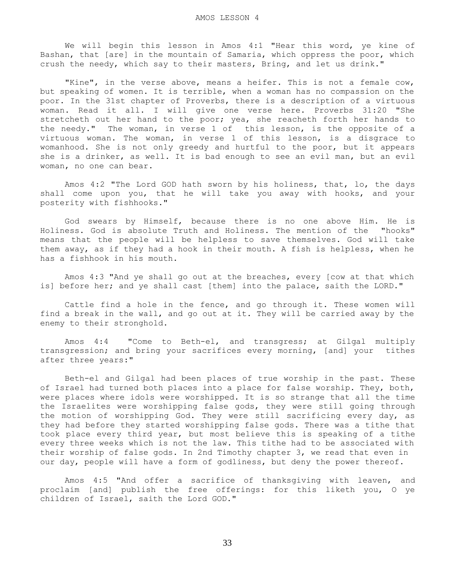We will begin this lesson in Amos 4:1 "Hear this word, ye kine of Bashan, that [are] in the mountain of Samaria, which oppress the poor, which crush the needy, which say to their masters, Bring, and let us drink."

"Kine", in the verse above, means a heifer. This is not a female cow, but speaking of women. It is terrible, when a woman has no compassion on the poor. In the 31st chapter of Proverbs, there is a description of a virtuous woman. Read it all. I will give one verse here. Proverbs 31:20 "She stretcheth out her hand to the poor; yea, she reacheth forth her hands to the needy." The woman, in verse 1 of this lesson, is the opposite of a virtuous woman. The woman, in verse 1 of this lesson, is a disgrace to womanhood. She is not only greedy and hurtful to the poor, but it appears she is a drinker, as well. It is bad enough to see an evil man, but an evil woman, no one can bear.

 Amos 4:2 "The Lord GOD hath sworn by his holiness, that, lo, the days shall come upon you, that he will take you away with hooks, and your posterity with fishhooks."

 God swears by Himself, because there is no one above Him. He is Holiness. God is absolute Truth and Holiness. The mention of the "hooks" means that the people will be helpless to save themselves. God will take them away, as if they had a hook in their mouth. A fish is helpless, when he has a fishhook in his mouth.

 Amos 4:3 "And ye shall go out at the breaches, every [cow at that which is] before her; and ye shall cast [them] into the palace, saith the LORD."

 Cattle find a hole in the fence, and go through it. These women will find a break in the wall, and go out at it. They will be carried away by the enemy to their stronghold.

 Amos 4:4 "Come to Beth-el, and transgress; at Gilgal multiply transgression; and bring your sacrifices every morning, [and] your tithes after three years:"

 Beth-el and Gilgal had been places of true worship in the past. These of Israel had turned both places into a place for false worship. They, both, were places where idols were worshipped. It is so strange that all the time the Israelites were worshipping false gods, they were still going through the motion of worshipping God. They were still sacrificing every day, as they had before they started worshipping false gods. There was a tithe that took place every third year, but most believe this is speaking of a tithe every three weeks which is not the law. This tithe had to be associated with their worship of false gods. In 2nd Timothy chapter 3, we read that even in our day, people will have a form of godliness, but deny the power thereof.

 Amos 4:5 "And offer a sacrifice of thanksgiving with leaven, and proclaim [and] publish the free offerings: for this liketh you, O ye children of Israel, saith the Lord GOD."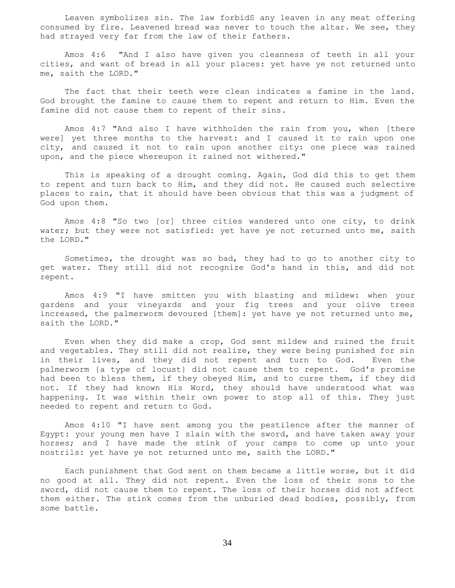Leaven symbolizes sin. The law forbidS any leaven in any meat offering consumed by fire. Leavened bread was never to touch the altar. We see, they had strayed very far from the law of their fathers.

 Amos 4:6 "And I also have given you cleanness of teeth in all your cities, and want of bread in all your places: yet have ye not returned unto me, saith the LORD."

 The fact that their teeth were clean indicates a famine in the land. God brought the famine to cause them to repent and return to Him. Even the famine did not cause them to repent of their sins.

 Amos 4:7 "And also I have withholden the rain from you, when [there were] yet three months to the harvest: and I caused it to rain upon one city, and caused it not to rain upon another city: one piece was rained upon, and the piece whereupon it rained not withered."

 This is speaking of a drought coming. Again, God did this to get them to repent and turn back to Him, and they did not. He caused such selective places to rain, that it should have been obvious that this was a judgment of God upon them.

 Amos 4:8 "So two [or] three cities wandered unto one city, to drink water; but they were not satisfied: yet have ye not returned unto me, saith the LORD."

 Sometimes, the drought was so bad, they had to go to another city to get water. They still did not recognize God's hand in this, and did not repent.

 Amos 4:9 "I have smitten you with blasting and mildew: when your gardens and your vineyards and your fig trees and your olive trees increased, the palmerworm devoured [them]: yet have ye not returned unto me, saith the LORD."

 Even when they did make a crop, God sent mildew and ruined the fruit and vegetables. They still did not realize, they were being punished for sin in their lives, and they did not repent and turn to God. Even the palmerworm {a type of locust} did not cause them to repent. God's promise had been to bless them, if they obeyed Him, and to curse them, if they did not. If they had known His Word, they should have understood what was happening. It was within their own power to stop all of this. They just needed to repent and return to God.

 Amos 4:10 "I have sent among you the pestilence after the manner of Egypt: your young men have I slain with the sword, and have taken away your horses; and I have made the stink of your camps to come up unto your nostrils: yet have ye not returned unto me, saith the LORD."

 Each punishment that God sent on them became a little worse, but it did no good at all. They did not repent. Even the loss of their sons to the sword, did not cause them to repent. The loss of their horses did not affect them either. The stink comes from the unburied dead bodies, possibly, from some battle.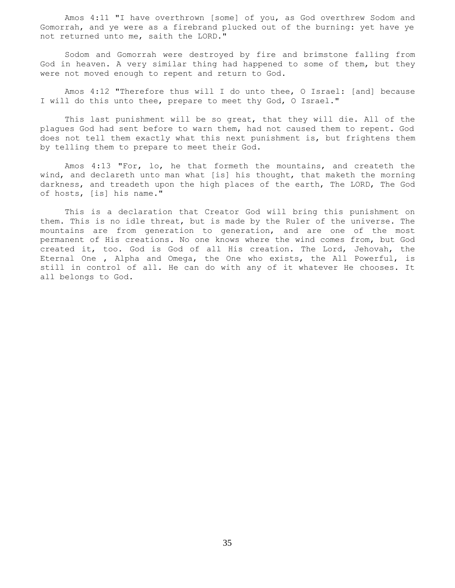Amos 4:11 "I have overthrown [some] of you, as God overthrew Sodom and Gomorrah, and ye were as a firebrand plucked out of the burning: yet have ye not returned unto me, saith the LORD."

 Sodom and Gomorrah were destroyed by fire and brimstone falling from God in heaven. A very similar thing had happened to some of them, but they were not moved enough to repent and return to God.

 Amos 4:12 "Therefore thus will I do unto thee, O Israel: [and] because I will do this unto thee, prepare to meet thy God, O Israel."

 This last punishment will be so great, that they will die. All of the plagues God had sent before to warn them, had not caused them to repent. God does not tell them exactly what this next punishment is, but frightens them by telling them to prepare to meet their God.

 Amos 4:13 "For, lo, he that formeth the mountains, and createth the wind, and declareth unto man what [is] his thought, that maketh the morning darkness, and treadeth upon the high places of the earth, The LORD, The God of hosts, [is] his name."

 This is a declaration that Creator God will bring this punishment on them. This is no idle threat, but is made by the Ruler of the universe. The mountains are from generation to generation, and are one of the most permanent of His creations. No one knows where the wind comes from, but God created it, too. God is God of all His creation. The Lord, Jehovah, the Eternal One , Alpha and Omega, the One who exists, the All Powerful, is still in control of all. He can do with any of it whatever He chooses. It all belongs to God.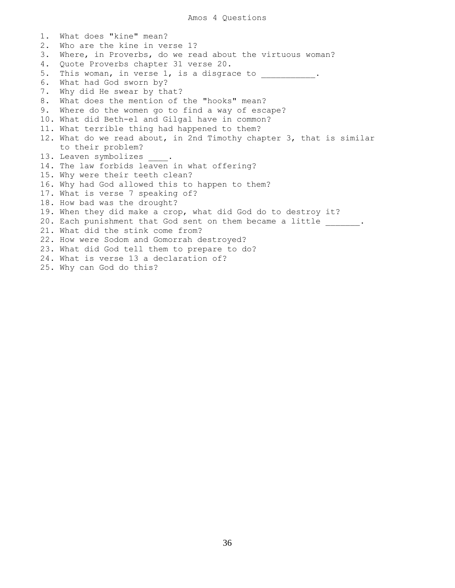1. What does "kine" mean? 2. Who are the kine in verse 1? 3. Where, in Proverbs, do we read about the virtuous woman? 4. Quote Proverbs chapter 31 verse 20. 5. This woman, in verse 1, is a disgrace to  $\hspace{1cm}$ . 6. What had God sworn by? 7. Why did He swear by that? 8. What does the mention of the "hooks" mean? 9. Where do the women go to find a way of escape? 10. What did Beth-el and Gilgal have in common? 11. What terrible thing had happened to them? 12. What do we read about, in 2nd Timothy chapter 3, that is similar to their problem? 13. Leaven symbolizes 14. The law forbids leaven in what offering? 15. Why were their teeth clean? 16. Why had God allowed this to happen to them? 17. What is verse 7 speaking of? 18. How bad was the drought? 19. When they did make a crop, what did God do to destroy it? 20. Each punishment that God sent on them became a little \_\_\_\_\_\_. 21. What did the stink come from? 22. How were Sodom and Gomorrah destroyed? 23. What did God tell them to prepare to do? 24. What is verse 13 a declaration of? 25. Why can God do this?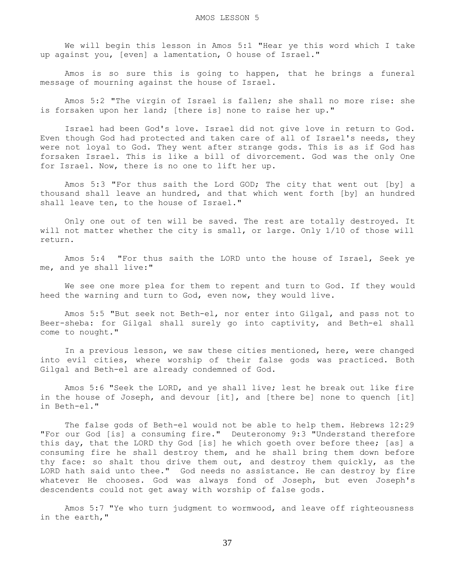We will begin this lesson in Amos 5:1 "Hear ye this word which I take up against you, [even] a lamentation, O house of Israel."

 Amos is so sure this is going to happen, that he brings a funeral message of mourning against the house of Israel.

 Amos 5:2 "The virgin of Israel is fallen; she shall no more rise: she is forsaken upon her land; [there is] none to raise her up."

 Israel had been God's love. Israel did not give love in return to God. Even though God had protected and taken care of all of Israel's needs, they were not loyal to God. They went after strange gods. This is as if God has forsaken Israel. This is like a bill of divorcement. God was the only One for Israel. Now, there is no one to lift her up.

 Amos 5:3 "For thus saith the Lord GOD; The city that went out [by] a thousand shall leave an hundred, and that which went forth [by] an hundred shall leave ten, to the house of Israel."

 Only one out of ten will be saved. The rest are totally destroyed. It will not matter whether the city is small, or large. Only 1/10 of those will return.

 Amos 5:4 "For thus saith the LORD unto the house of Israel, Seek ye me, and ye shall live:"

 We see one more plea for them to repent and turn to God. If they would heed the warning and turn to God, even now, they would live.

 Amos 5:5 "But seek not Beth-el, nor enter into Gilgal, and pass not to Beer-sheba: for Gilgal shall surely go into captivity, and Beth-el shall come to nought."

 In a previous lesson, we saw these cities mentioned, here, were changed into evil cities, where worship of their false gods was practiced. Both Gilgal and Beth-el are already condemned of God.

 Amos 5:6 "Seek the LORD, and ye shall live; lest he break out like fire in the house of Joseph, and devour [it], and [there be] none to quench [it] in Beth-el."

 The false gods of Beth-el would not be able to help them. Hebrews 12:29 "For our God [is] a consuming fire." Deuteronomy 9:3 "Understand therefore this day, that the LORD thy God [is] he which goeth over before thee; [as] a consuming fire he shall destroy them, and he shall bring them down before thy face: so shalt thou drive them out, and destroy them quickly, as the LORD hath said unto thee." God needs no assistance. He can destroy by fire whatever He chooses. God was always fond of Joseph, but even Joseph's descendents could not get away with worship of false gods.

 Amos 5:7 "Ye who turn judgment to wormwood, and leave off righteousness in the earth,"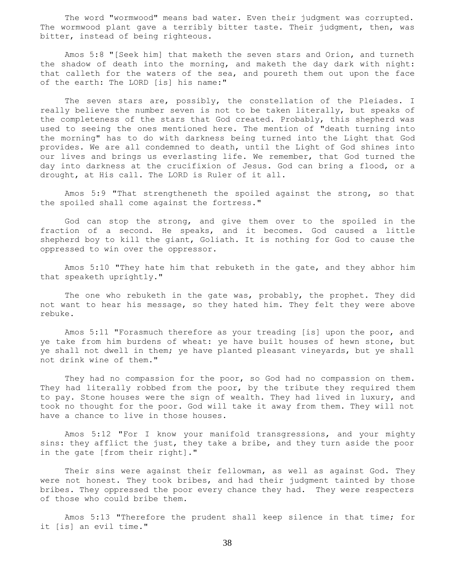The word "wormwood" means bad water. Even their judgment was corrupted. The wormwood plant gave a terribly bitter taste. Their judgment, then, was bitter, instead of being righteous.

 Amos 5:8 "[Seek him] that maketh the seven stars and Orion, and turneth the shadow of death into the morning, and maketh the day dark with night: that calleth for the waters of the sea, and poureth them out upon the face of the earth: The LORD [is] his name:"

The seven stars are, possibly, the constellation of the Pleiades. I really believe the number seven is not to be taken literally, but speaks of the completeness of the stars that God created. Probably, this shepherd was used to seeing the ones mentioned here. The mention of "death turning into the morning" has to do with darkness being turned into the Light that God provides. We are all condemned to death, until the Light of God shines into our lives and brings us everlasting life. We remember, that God turned the day into darkness at the crucifixion of Jesus. God can bring a flood, or a drought, at His call. The LORD is Ruler of it all.

 Amos 5:9 "That strengtheneth the spoiled against the strong, so that the spoiled shall come against the fortress."

 God can stop the strong, and give them over to the spoiled in the fraction of a second. He speaks, and it becomes. God caused a little shepherd boy to kill the giant, Goliath. It is nothing for God to cause the oppressed to win over the oppressor.

 Amos 5:10 "They hate him that rebuketh in the gate, and they abhor him that speaketh uprightly."

 The one who rebuketh in the gate was, probably, the prophet. They did not want to hear his message, so they hated him. They felt they were above rebuke.

 Amos 5:11 "Forasmuch therefore as your treading [is] upon the poor, and ye take from him burdens of wheat: ye have built houses of hewn stone, but ye shall not dwell in them; ye have planted pleasant vineyards, but ye shall not drink wine of them."

 They had no compassion for the poor, so God had no compassion on them. They had literally robbed from the poor, by the tribute they required them to pay. Stone houses were the sign of wealth. They had lived in luxury, and took no thought for the poor. God will take it away from them. They will not have a chance to live in those houses.

 Amos 5:12 "For I know your manifold transgressions, and your mighty sins: they afflict the just, they take a bribe, and they turn aside the poor in the gate [from their right]."

 Their sins were against their fellowman, as well as against God. They were not honest. They took bribes, and had their judgment tainted by those bribes. They oppressed the poor every chance they had. They were respecters of those who could bribe them.

 Amos 5:13 "Therefore the prudent shall keep silence in that time; for it [is] an evil time."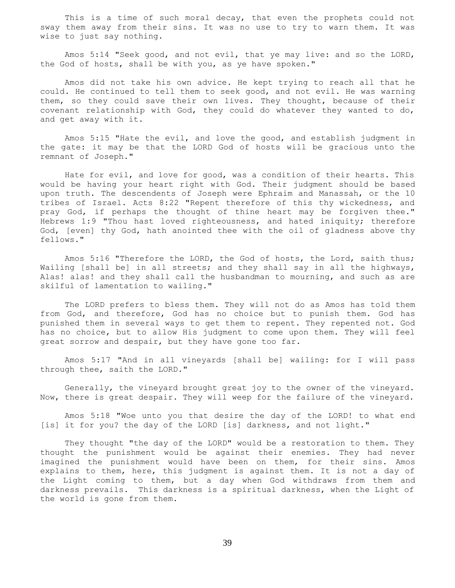This is a time of such moral decay, that even the prophets could not sway them away from their sins. It was no use to try to warn them. It was wise to just say nothing.

 Amos 5:14 "Seek good, and not evil, that ye may live: and so the LORD, the God of hosts, shall be with you, as ye have spoken."

 Amos did not take his own advice. He kept trying to reach all that he could. He continued to tell them to seek good, and not evil. He was warning them, so they could save their own lives. They thought, because of their covenant relationship with God, they could do whatever they wanted to do, and get away with it.

 Amos 5:15 "Hate the evil, and love the good, and establish judgment in the gate: it may be that the LORD God of hosts will be gracious unto the remnant of Joseph."

 Hate for evil, and love for good, was a condition of their hearts. This would be having your heart right with God. Their judgment should be based upon truth. The descendents of Joseph were Ephraim and Manassah, or the 10 tribes of Israel. Acts 8:22 "Repent therefore of this thy wickedness, and pray God, if perhaps the thought of thine heart may be forgiven thee." Hebrews 1:9 "Thou hast loved righteousness, and hated iniquity; therefore God, [even] thy God, hath anointed thee with the oil of gladness above thy fellows."

 Amos 5:16 "Therefore the LORD, the God of hosts, the Lord, saith thus; Wailing [shall be] in all streets; and they shall say in all the highways, Alas! alas! and they shall call the husbandman to mourning, and such as are skilful of lamentation to wailing."

 The LORD prefers to bless them. They will not do as Amos has told them from God, and therefore, God has no choice but to punish them. God has punished them in several ways to get them to repent. They repented not. God has no choice, but to allow His judgment to come upon them. They will feel great sorrow and despair, but they have gone too far.

 Amos 5:17 "And in all vineyards [shall be] wailing: for I will pass through thee, saith the LORD."

 Generally, the vineyard brought great joy to the owner of the vineyard. Now, there is great despair. They will weep for the failure of the vineyard.

 Amos 5:18 "Woe unto you that desire the day of the LORD! to what end [is] it for you? the day of the LORD [is] darkness, and not light."

 They thought "the day of the LORD" would be a restoration to them. They thought the punishment would be against their enemies. They had never imagined the punishment would have been on them, for their sins. Amos explains to them, here, this judgment is against them. It is not a day of the Light coming to them, but a day when God withdraws from them and darkness prevails. This darkness is a spiritual darkness, when the Light of the world is gone from them.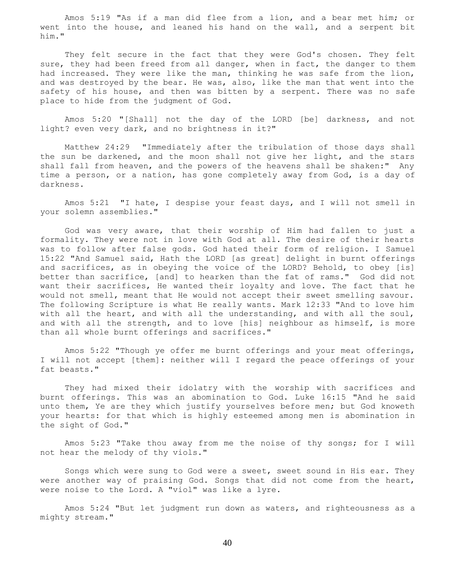Amos 5:19 "As if a man did flee from a lion, and a bear met him; or went into the house, and leaned his hand on the wall, and a serpent bit him."

 They felt secure in the fact that they were God's chosen. They felt sure, they had been freed from all danger, when in fact, the danger to them had increased. They were like the man, thinking he was safe from the lion, and was destroyed by the bear. He was, also, like the man that went into the safety of his house, and then was bitten by a serpent. There was no safe place to hide from the judgment of God.

 Amos 5:20 "[Shall] not the day of the LORD [be] darkness, and not light? even very dark, and no brightness in it?"

 Matthew 24:29 "Immediately after the tribulation of those days shall the sun be darkened, and the moon shall not give her light, and the stars shall fall from heaven, and the powers of the heavens shall be shaken:" Any time a person, or a nation, has gone completely away from God, is a day of darkness.

 Amos 5:21 "I hate, I despise your feast days, and I will not smell in your solemn assemblies."

 God was very aware, that their worship of Him had fallen to just a formality. They were not in love with God at all. The desire of their hearts was to follow after false gods. God hated their form of religion. I Samuel 15:22 "And Samuel said, Hath the LORD [as great] delight in burnt offerings and sacrifices, as in obeying the voice of the LORD? Behold, to obey [is] better than sacrifice, [and] to hearken than the fat of rams." God did not want their sacrifices, He wanted their loyalty and love. The fact that he would not smell, meant that He would not accept their sweet smelling savour. The following Scripture is what He really wants. Mark 12:33 "And to love him with all the heart, and with all the understanding, and with all the soul, and with all the strength, and to love [his] neighbour as himself, is more than all whole burnt offerings and sacrifices."

 Amos 5:22 "Though ye offer me burnt offerings and your meat offerings, I will not accept [them]: neither will I regard the peace offerings of your fat beasts."

 They had mixed their idolatry with the worship with sacrifices and burnt offerings. This was an abomination to God. Luke 16:15 "And he said unto them, Ye are they which justify yourselves before men; but God knoweth your hearts: for that which is highly esteemed among men is abomination in the sight of God."

 Amos 5:23 "Take thou away from me the noise of thy songs; for I will not hear the melody of thy viols."

 Songs which were sung to God were a sweet, sweet sound in His ear. They were another way of praising God. Songs that did not come from the heart, were noise to the Lord. A "viol" was like a lyre.

 Amos 5:24 "But let judgment run down as waters, and righteousness as a mighty stream."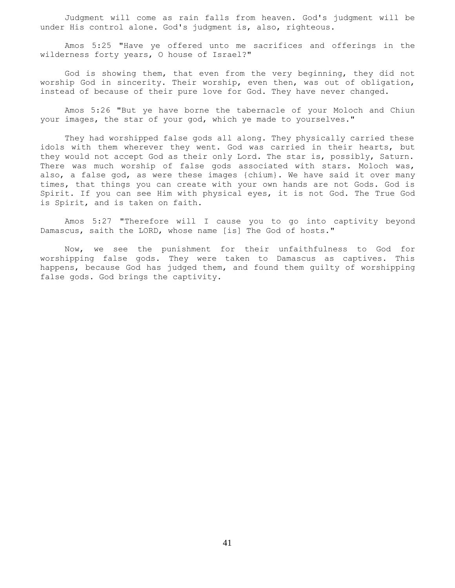Judgment will come as rain falls from heaven. God's judgment will be under His control alone. God's judgment is, also, righteous.

 Amos 5:25 "Have ye offered unto me sacrifices and offerings in the wilderness forty years, O house of Israel?"

 God is showing them, that even from the very beginning, they did not worship God in sincerity. Their worship, even then, was out of obligation, instead of because of their pure love for God. They have never changed.

 Amos 5:26 "But ye have borne the tabernacle of your Moloch and Chiun your images, the star of your god, which ye made to yourselves."

 They had worshipped false gods all along. They physically carried these idols with them wherever they went. God was carried in their hearts, but they would not accept God as their only Lord. The star is, possibly, Saturn. There was much worship of false gods associated with stars. Moloch was, also, a false god, as were these images {chium}. We have said it over many times, that things you can create with your own hands are not Gods. God is Spirit. If you can see Him with physical eyes, it is not God. The True God is Spirit, and is taken on faith.

 Amos 5:27 "Therefore will I cause you to go into captivity beyond Damascus, saith the LORD, whose name [is] The God of hosts."

 Now, we see the punishment for their unfaithfulness to God for worshipping false gods. They were taken to Damascus as captives. This happens, because God has judged them, and found them guilty of worshipping false gods. God brings the captivity.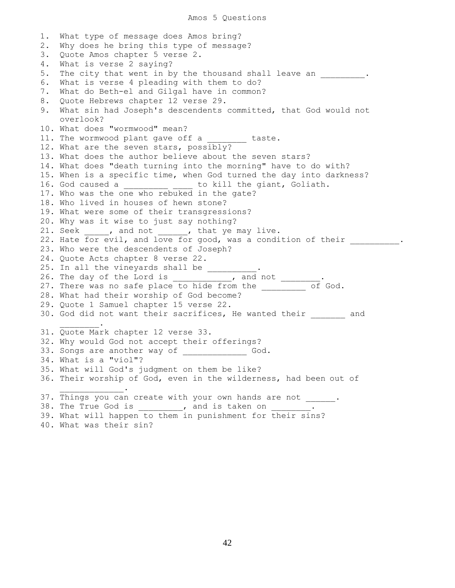1. What type of message does Amos bring? 2. Why does he bring this type of message? 3. Quote Amos chapter 5 verse 2. 4. What is verse 2 saying? 5. The city that went in by the thousand shall leave an \_\_\_\_\_\_\_\_. 6. What is verse 4 pleading with them to do? 7. What do Beth-el and Gilgal have in common? 8. Quote Hebrews chapter 12 verse 29. 9. What sin had Joseph's descendents committed, that God would not overlook? 10. What does "wormwood" mean? 11. The wormwood plant gave off a \_\_\_\_\_\_\_\_ taste. 12. What are the seven stars, possibly? 13. What does the author believe about the seven stars? 14. What does "death turning into the morning" have to do with? 15. When is a specific time, when God turned the day into darkness? 16. God caused a \_\_\_\_\_\_\_\_\_ \_\_\_\_ to kill the giant, Goliath. 17. Who was the one who rebuked in the gate? 18. Who lived in houses of hewn stone? 19. What were some of their transgressions? 20. Why was it wise to just say nothing? 21. Seek \_\_\_\_\_, and not \_\_\_\_\_\_, that ye may live. 22. Hate for evil, and love for good, was a condition of their \_\_\_\_\_\_\_\_\_. 23. Who were the descendents of Joseph? 24. Quote Acts chapter 8 verse 22. 25. In all the vineyards shall be \_\_\_\_\_\_\_\_. 26. The day of the Lord is  $\qquad \qquad$ , and not  $\qquad \qquad$ . 27. There was no safe place to hide from the entirely of God. 28. What had their worship of God become? 29. Quote 1 Samuel chapter 15 verse 22. 30. God did not want their sacrifices, He wanted their \_\_\_\_\_\_ and  $\mathcal{L}=\mathcal{L}^{\mathcal{L}}$ 31. Quote Mark chapter 12 verse 33. 32. Why would God not accept their offerings? 33. Songs are another way of \_\_\_\_\_\_\_\_\_\_\_\_\_\_ God. 34. What is a "viol"? 35. What will God's judgment on them be like? 36. Their worship of God, even in the wilderness, had been out of  $\mathcal{L}=\mathcal{L}=\mathcal{L}=\mathcal{L}=\mathcal{L}=\mathcal{L}=\mathcal{L}$ 37. Things you can create with your own hands are not . 38. The True God is \_\_\_\_\_\_\_\_, and is taken on \_\_\_\_ 39. What will happen to them in punishment for their sins? 40. What was their sin?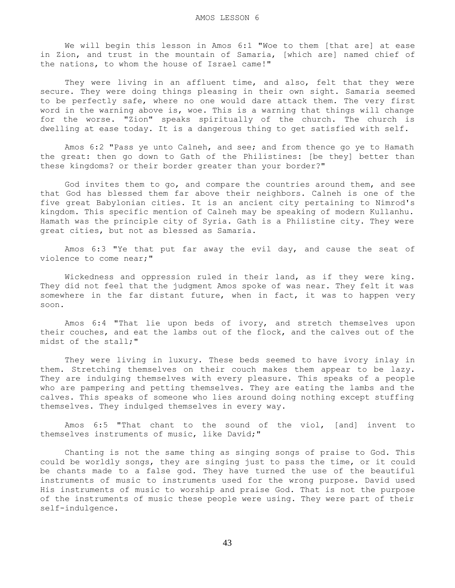We will begin this lesson in Amos 6:1 "Woe to them [that are] at ease in Zion, and trust in the mountain of Samaria, [which are] named chief of the nations, to whom the house of Israel came!"

 They were living in an affluent time, and also, felt that they were secure. They were doing things pleasing in their own sight. Samaria seemed to be perfectly safe, where no one would dare attack them. The very first word in the warning above is, woe. This is a warning that things will change for the worse. "Zion" speaks spiritually of the church. The church is dwelling at ease today. It is a dangerous thing to get satisfied with self.

 Amos 6:2 "Pass ye unto Calneh, and see; and from thence go ye to Hamath the great: then go down to Gath of the Philistines: [be they] better than these kingdoms? or their border greater than your border?"

 God invites them to go, and compare the countries around them, and see that God has blessed them far above their neighbors. Calneh is one of the five great Babylonian cities. It is an ancient city pertaining to Nimrod's kingdom. This specific mention of Calneh may be speaking of modern Kullanhu. Hamath was the principle city of Syria. Gath is a Philistine city. They were great cities, but not as blessed as Samaria.

 Amos 6:3 "Ye that put far away the evil day, and cause the seat of violence to come near;"

 Wickedness and oppression ruled in their land, as if they were king. They did not feel that the judgment Amos spoke of was near. They felt it was somewhere in the far distant future, when in fact, it was to happen very soon.

 Amos 6:4 "That lie upon beds of ivory, and stretch themselves upon their couches, and eat the lambs out of the flock, and the calves out of the midst of the stall;"

 They were living in luxury. These beds seemed to have ivory inlay in them. Stretching themselves on their couch makes them appear to be lazy. They are indulging themselves with every pleasure. This speaks of a people who are pampering and petting themselves. They are eating the lambs and the calves. This speaks of someone who lies around doing nothing except stuffing themselves. They indulged themselves in every way.

 Amos 6:5 "That chant to the sound of the viol, [and] invent to themselves instruments of music, like David;"

 Chanting is not the same thing as singing songs of praise to God. This could be worldly songs, they are singing just to pass the time, or it could be chants made to a false god. They have turned the use of the beautiful instruments of music to instruments used for the wrong purpose. David used His instruments of music to worship and praise God. That is not the purpose of the instruments of music these people were using. They were part of their self-indulgence.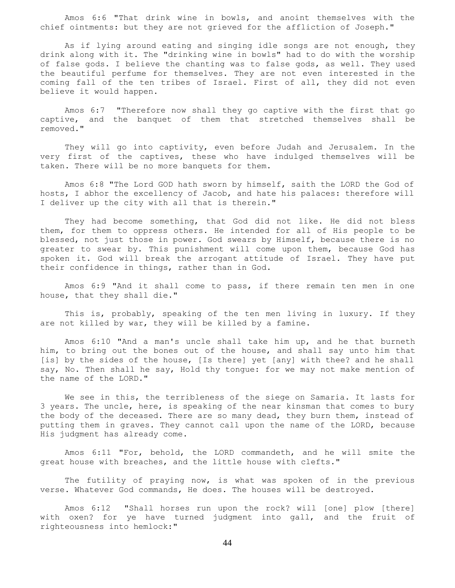Amos 6:6 "That drink wine in bowls, and anoint themselves with the chief ointments: but they are not grieved for the affliction of Joseph."

 As if lying around eating and singing idle songs are not enough, they drink along with it. The "drinking wine in bowls" had to do with the worship of false gods. I believe the chanting was to false gods, as well. They used the beautiful perfume for themselves. They are not even interested in the coming fall of the ten tribes of Israel. First of all, they did not even believe it would happen.

 Amos 6:7 "Therefore now shall they go captive with the first that go captive, and the banquet of them that stretched themselves shall be removed."

 They will go into captivity, even before Judah and Jerusalem. In the very first of the captives, these who have indulged themselves will be taken. There will be no more banquets for them.

 Amos 6:8 "The Lord GOD hath sworn by himself, saith the LORD the God of hosts, I abhor the excellency of Jacob, and hate his palaces: therefore will I deliver up the city with all that is therein."

 They had become something, that God did not like. He did not bless them, for them to oppress others. He intended for all of His people to be blessed, not just those in power. God swears by Himself, because there is no greater to swear by. This punishment will come upon them, because God has spoken it. God will break the arrogant attitude of Israel. They have put their confidence in things, rather than in God.

 Amos 6:9 "And it shall come to pass, if there remain ten men in one house, that they shall die."

This is, probably, speaking of the ten men living in luxury. If they are not killed by war, they will be killed by a famine.

 Amos 6:10 "And a man's uncle shall take him up, and he that burneth him, to bring out the bones out of the house, and shall say unto him that [is] by the sides of the house, [Is there] yet [any] with thee? and he shall say, No. Then shall he say, Hold thy tongue: for we may not make mention of the name of the LORD."

 We see in this, the terribleness of the siege on Samaria. It lasts for 3 years. The uncle, here, is speaking of the near kinsman that comes to bury the body of the deceased. There are so many dead, they burn them, instead of putting them in graves. They cannot call upon the name of the LORD, because His judgment has already come.

 Amos 6:11 "For, behold, the LORD commandeth, and he will smite the great house with breaches, and the little house with clefts."

 The futility of praying now, is what was spoken of in the previous verse. Whatever God commands, He does. The houses will be destroyed.

 Amos 6:12 "Shall horses run upon the rock? will [one] plow [there] with oxen? for ye have turned judgment into gall, and the fruit of righteousness into hemlock:"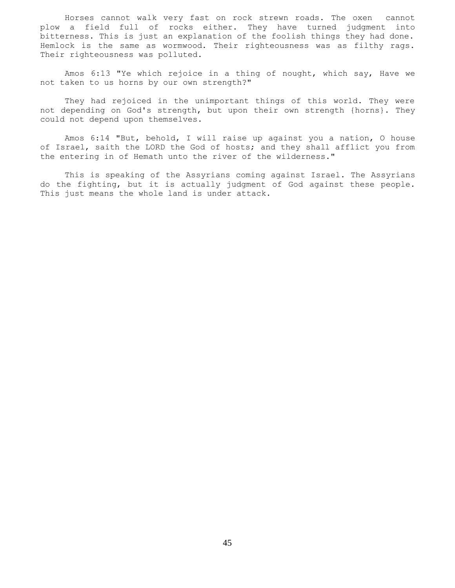Horses cannot walk very fast on rock strewn roads. The oxen cannot plow a field full of rocks either. They have turned judgment into bitterness. This is just an explanation of the foolish things they had done. Hemlock is the same as wormwood. Their righteousness was as filthy rags. Their righteousness was polluted.

 Amos 6:13 "Ye which rejoice in a thing of nought, which say, Have we not taken to us horns by our own strength?"

 They had rejoiced in the unimportant things of this world. They were not depending on God's strength, but upon their own strength {horns}. They could not depend upon themselves.

 Amos 6:14 "But, behold, I will raise up against you a nation, O house of Israel, saith the LORD the God of hosts; and they shall afflict you from the entering in of Hemath unto the river of the wilderness."

 This is speaking of the Assyrians coming against Israel. The Assyrians do the fighting, but it is actually judgment of God against these people. This just means the whole land is under attack.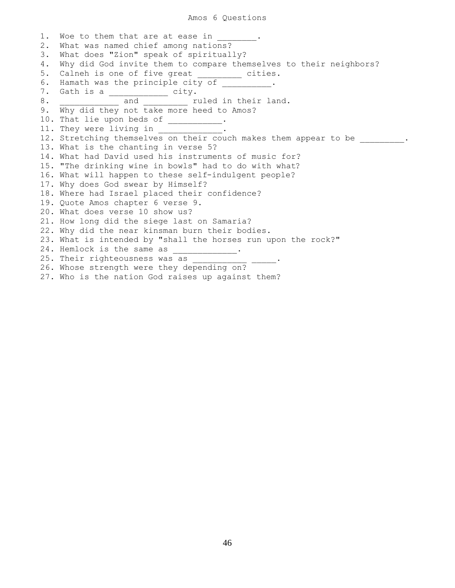## Amos 6 Questions

1. Woe to them that are at ease in 2. What was named chief among nations? 3. What does "Zion" speak of spiritually? 4. Why did God invite them to compare themselves to their neighbors? 5. Calneh is one of five great \_\_\_\_\_\_\_\_ cities. 6. Hamath was the principle city of  $\qquad \qquad$ . 7. Gath is a \_\_\_\_\_\_\_\_\_\_\_\_ city. 8. \_\_\_\_\_\_\_\_\_\_\_\_ and \_\_\_\_\_\_\_\_\_ ruled in their land. 9. Why did they not take more heed to Amos? 10. That lie upon beds of 10. 11. They were living in \_\_\_\_\_\_\_\_\_\_\_\_. 12. Stretching themselves on their couch makes them appear to be  $\hspace{1cm} .$ 13. What is the chanting in verse 5? 14. What had David used his instruments of music for? 15. "The drinking wine in bowls" had to do with what? 16. What will happen to these self-indulgent people? 17. Why does God swear by Himself? 18. Where had Israel placed their confidence? 19. Quote Amos chapter 6 verse 9. 20. What does verse 10 show us? 21. How long did the siege last on Samaria? 22. Why did the near kinsman burn their bodies. 23. What is intended by "shall the horses run upon the rock?" 24. Hemlock is the same as \_\_\_\_\_\_\_\_\_\_\_\_\_. 25. Their righteousness was as \_\_\_\_\_\_\_\_\_\_\_ 26. Whose strength were they depending on? 27. Who is the nation God raises up against them?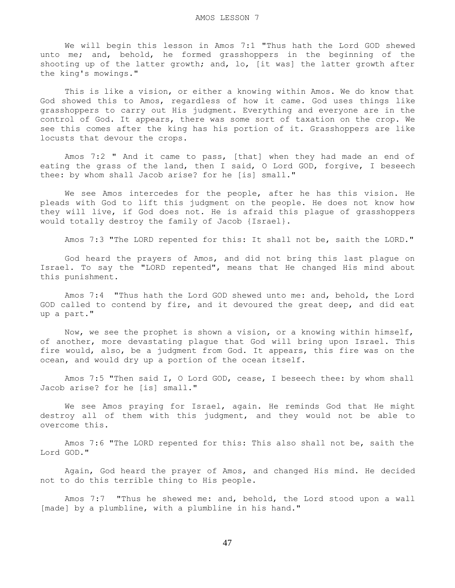We will begin this lesson in Amos 7:1 "Thus hath the Lord GOD shewed unto me; and, behold, he formed grasshoppers in the beginning of the shooting up of the latter growth; and, lo, [it was] the latter growth after the king's mowings."

 This is like a vision, or either a knowing within Amos. We do know that God showed this to Amos, regardless of how it came. God uses things like grasshoppers to carry out His judgment. Everything and everyone are in the control of God. It appears, there was some sort of taxation on the crop. We see this comes after the king has his portion of it. Grasshoppers are like locusts that devour the crops.

 Amos 7:2 " And it came to pass, [that] when they had made an end of eating the grass of the land, then I said, O Lord GOD, forgive, I beseech thee: by whom shall Jacob arise? for he [is] small."

 We see Amos intercedes for the people, after he has this vision. He pleads with God to lift this judgment on the people. He does not know how they will live, if God does not. He is afraid this plague of grasshoppers would totally destroy the family of Jacob {Israel}.

Amos 7:3 "The LORD repented for this: It shall not be, saith the LORD."

 God heard the prayers of Amos, and did not bring this last plague on Israel. To say the "LORD repented", means that He changed His mind about this punishment.

 Amos 7:4 "Thus hath the Lord GOD shewed unto me: and, behold, the Lord GOD called to contend by fire, and it devoured the great deep, and did eat up a part."

 Now, we see the prophet is shown a vision, or a knowing within himself, of another, more devastating plague that God will bring upon Israel. This fire would, also, be a judgment from God. It appears, this fire was on the ocean, and would dry up a portion of the ocean itself.

 Amos 7:5 "Then said I, O Lord GOD, cease, I beseech thee: by whom shall Jacob arise? for he [is] small."

 We see Amos praying for Israel, again. He reminds God that He might destroy all of them with this judgment, and they would not be able to overcome this.

 Amos 7:6 "The LORD repented for this: This also shall not be, saith the Lord GOD."

 Again, God heard the prayer of Amos, and changed His mind. He decided not to do this terrible thing to His people.

 Amos 7:7 "Thus he shewed me: and, behold, the Lord stood upon a wall [made] by a plumbline, with a plumbline in his hand."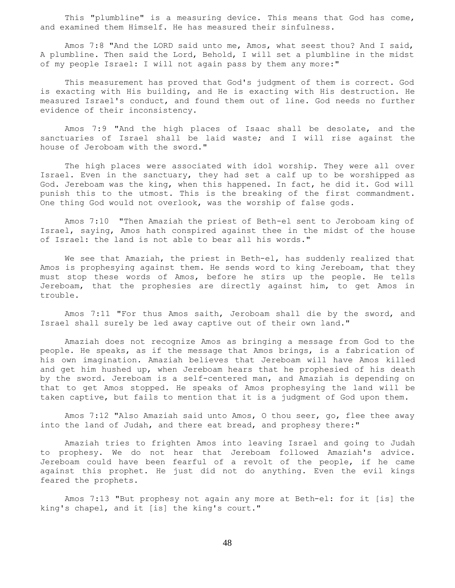This "plumbline" is a measuring device. This means that God has come, and examined them Himself. He has measured their sinfulness.

 Amos 7:8 "And the LORD said unto me, Amos, what seest thou? And I said, A plumbline. Then said the Lord, Behold, I will set a plumbline in the midst of my people Israel: I will not again pass by them any more:"

 This measurement has proved that God's judgment of them is correct. God is exacting with His building, and He is exacting with His destruction. He measured Israel's conduct, and found them out of line. God needs no further evidence of their inconsistency.

 Amos 7:9 "And the high places of Isaac shall be desolate, and the sanctuaries of Israel shall be laid waste; and I will rise against the house of Jeroboam with the sword."

 The high places were associated with idol worship. They were all over Israel. Even in the sanctuary, they had set a calf up to be worshipped as God. Jereboam was the king, when this happened. In fact, he did it. God will punish this to the utmost. This is the breaking of the first commandment. One thing God would not overlook, was the worship of false gods.

 Amos 7:10 "Then Amaziah the priest of Beth-el sent to Jeroboam king of Israel, saying, Amos hath conspired against thee in the midst of the house of Israel: the land is not able to bear all his words."

 We see that Amaziah, the priest in Beth-el, has suddenly realized that Amos is prophesying against them. He sends word to king Jereboam, that they must stop these words of Amos, before he stirs up the people. He tells Jereboam, that the prophesies are directly against him, to get Amos in trouble.

 Amos 7:11 "For thus Amos saith, Jeroboam shall die by the sword, and Israel shall surely be led away captive out of their own land."

 Amaziah does not recognize Amos as bringing a message from God to the people. He speaks, as if the message that Amos brings, is a fabrication of his own imagination. Amaziah believes that Jereboam will have Amos killed and get him hushed up, when Jereboam hears that he prophesied of his death by the sword. Jereboam is a self-centered man, and Amaziah is depending on that to get Amos stopped. He speaks of Amos prophesying the land will be taken captive, but fails to mention that it is a judgment of God upon them.

 Amos 7:12 "Also Amaziah said unto Amos, O thou seer, go, flee thee away into the land of Judah, and there eat bread, and prophesy there:"

 Amaziah tries to frighten Amos into leaving Israel and going to Judah to prophesy. We do not hear that Jereboam followed Amaziah's advice. Jereboam could have been fearful of a revolt of the people, if he came against this prophet. He just did not do anything. Even the evil kings feared the prophets.

 Amos 7:13 "But prophesy not again any more at Beth-el: for it [is] the king's chapel, and it [is] the king's court."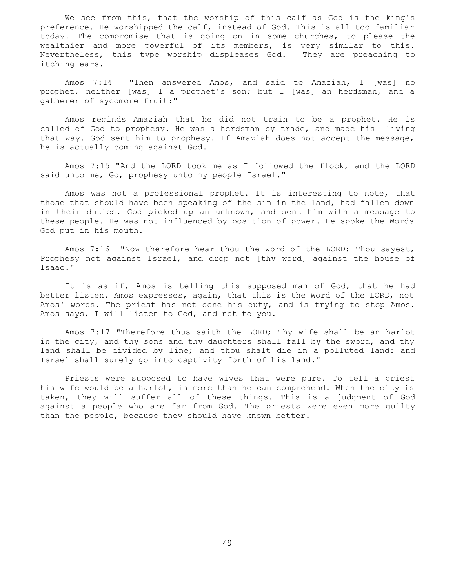We see from this, that the worship of this calf as God is the king's preference. He worshipped the calf, instead of God. This is all too familiar today. The compromise that is going on in some churches, to please the wealthier and more powerful of its members, is very similar to this. Nevertheless, this type worship displeases God. They are preaching to itching ears.

 Amos 7:14 "Then answered Amos, and said to Amaziah, I [was] no prophet, neither [was] I a prophet's son; but I [was] an herdsman, and a gatherer of sycomore fruit:"

 Amos reminds Amaziah that he did not train to be a prophet. He is called of God to prophesy. He was a herdsman by trade, and made his living that way. God sent him to prophesy. If Amaziah does not accept the message, he is actually coming against God.

 Amos 7:15 "And the LORD took me as I followed the flock, and the LORD said unto me, Go, prophesy unto my people Israel."

 Amos was not a professional prophet. It is interesting to note, that those that should have been speaking of the sin in the land, had fallen down in their duties. God picked up an unknown, and sent him with a message to these people. He was not influenced by position of power. He spoke the Words God put in his mouth.

 Amos 7:16 "Now therefore hear thou the word of the LORD: Thou sayest, Prophesy not against Israel, and drop not [thy word] against the house of Isaac."

 It is as if, Amos is telling this supposed man of God, that he had better listen. Amos expresses, again, that this is the Word of the LORD, not Amos' words. The priest has not done his duty, and is trying to stop Amos. Amos says, I will listen to God, and not to you.

 Amos 7:17 "Therefore thus saith the LORD; Thy wife shall be an harlot in the city, and thy sons and thy daughters shall fall by the sword, and thy land shall be divided by line; and thou shalt die in a polluted land: and Israel shall surely go into captivity forth of his land."

 Priests were supposed to have wives that were pure. To tell a priest his wife would be a harlot, is more than he can comprehend. When the city is taken, they will suffer all of these things. This is a judgment of God against a people who are far from God. The priests were even more guilty than the people, because they should have known better.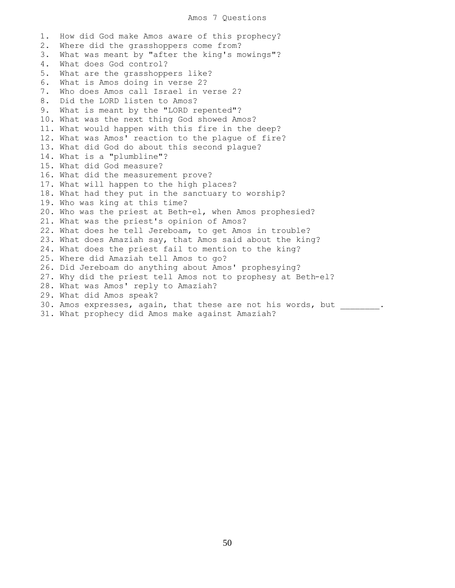1. How did God make Amos aware of this prophecy? 2. Where did the grasshoppers come from? 3. What was meant by "after the king's mowings"? 4. What does God control? 5. What are the grasshoppers like? 6. What is Amos doing in verse 2? 7. Who does Amos call Israel in verse 2? 8. Did the LORD listen to Amos? 9. What is meant by the "LORD repented"? 10. What was the next thing God showed Amos? 11. What would happen with this fire in the deep? 12. What was Amos' reaction to the plague of fire? 13. What did God do about this second plague? 14. What is a "plumbline"? 15. What did God measure? 16. What did the measurement prove? 17. What will happen to the high places? 18. What had they put in the sanctuary to worship? 19. Who was king at this time? 20. Who was the priest at Beth-el, when Amos prophesied? 21. What was the priest's opinion of Amos? 22. What does he tell Jereboam, to get Amos in trouble? 23. What does Amaziah say, that Amos said about the king? 24. What does the priest fail to mention to the king? 25. Where did Amaziah tell Amos to go? 26. Did Jereboam do anything about Amos' prophesying? 27. Why did the priest tell Amos not to prophesy at Beth-el? 28. What was Amos' reply to Amaziah? 29. What did Amos speak? 30. Amos expresses, again, that these are not his words, but . 31. What prophecy did Amos make against Amaziah?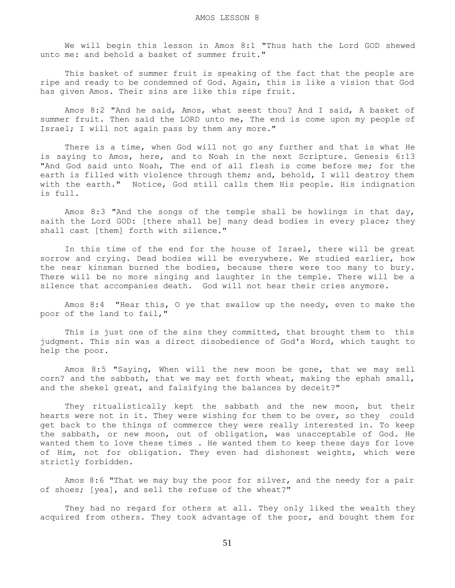We will begin this lesson in Amos 8:1 "Thus hath the Lord GOD shewed unto me: and behold a basket of summer fruit."

 This basket of summer fruit is speaking of the fact that the people are ripe and ready to be condemned of God. Again, this is like a vision that God has given Amos. Their sins are like this ripe fruit.

 Amos 8:2 "And he said, Amos, what seest thou? And I said, A basket of summer fruit. Then said the LORD unto me, The end is come upon my people of Israel; I will not again pass by them any more."

 There is a time, when God will not go any further and that is what He is saying to Amos, here, and to Noah in the next Scripture. Genesis 6:13 "And God said unto Noah, The end of all flesh is come before me; for the earth is filled with violence through them; and, behold, I will destroy them with the earth." Notice, God still calls them His people. His indignation is full.

 Amos 8:3 "And the songs of the temple shall be howlings in that day, saith the Lord GOD: [there shall be] many dead bodies in every place; they shall cast [them] forth with silence."

 In this time of the end for the house of Israel, there will be great sorrow and crying. Dead bodies will be everywhere. We studied earlier, how the near kinsman burned the bodies, because there were too many to bury. There will be no more singing and laughter in the temple. There will be a silence that accompanies death. God will not hear their cries anymore.

 Amos 8:4 "Hear this, O ye that swallow up the needy, even to make the poor of the land to fail,"

This is just one of the sins they committed, that brought them to this judgment. This sin was a direct disobedience of God's Word, which taught to help the poor.

 Amos 8:5 "Saying, When will the new moon be gone, that we may sell corn? and the sabbath, that we may set forth wheat, making the ephah small, and the shekel great, and falsifying the balances by deceit?"

 They ritualistically kept the sabbath and the new moon, but their hearts were not in it. They were wishing for them to be over, so they could get back to the things of commerce they were really interested in. To keep the sabbath, or new moon, out of obligation, was unacceptable of God. He wanted them to love these times . He wanted them to keep these days for love of Him, not for obligation. They even had dishonest weights, which were strictly forbidden.

 Amos 8:6 "That we may buy the poor for silver, and the needy for a pair of shoes; [yea], and sell the refuse of the wheat?"

 They had no regard for others at all. They only liked the wealth they acquired from others. They took advantage of the poor, and bought them for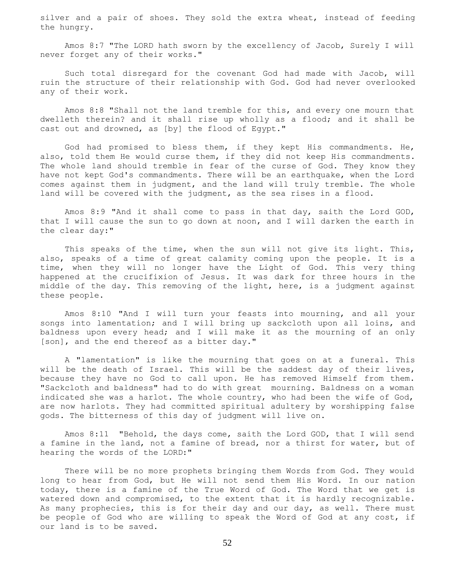silver and a pair of shoes. They sold the extra wheat, instead of feeding the hungry.

 Amos 8:7 "The LORD hath sworn by the excellency of Jacob, Surely I will never forget any of their works."

 Such total disregard for the covenant God had made with Jacob, will ruin the structure of their relationship with God. God had never overlooked any of their work.

 Amos 8:8 "Shall not the land tremble for this, and every one mourn that dwelleth therein? and it shall rise up wholly as a flood; and it shall be cast out and drowned, as [by] the flood of Egypt."

 God had promised to bless them, if they kept His commandments. He, also, told them He would curse them, if they did not keep His commandments. The whole land should tremble in fear of the curse of God. They know they have not kept God's commandments. There will be an earthquake, when the Lord comes against them in judgment, and the land will truly tremble. The whole land will be covered with the judgment, as the sea rises in a flood.

 Amos 8:9 "And it shall come to pass in that day, saith the Lord GOD, that I will cause the sun to go down at noon, and I will darken the earth in the clear day:"

 This speaks of the time, when the sun will not give its light. This, also, speaks of a time of great calamity coming upon the people. It is a time, when they will no longer have the Light of God. This very thing happened at the crucifixion of Jesus. It was dark for three hours in the middle of the day. This removing of the light, here, is a judgment against these people.

 Amos 8:10 "And I will turn your feasts into mourning, and all your songs into lamentation; and I will bring up sackcloth upon all loins, and baldness upon every head; and I will make it as the mourning of an only [son], and the end thereof as a bitter day."

 A "lamentation" is like the mourning that goes on at a funeral. This will be the death of Israel. This will be the saddest day of their lives, because they have no God to call upon. He has removed Himself from them. "Sackcloth and baldness" had to do with great mourning. Baldness on a woman indicated she was a harlot. The whole country, who had been the wife of God, are now harlots. They had committed spiritual adultery by worshipping false gods. The bitterness of this day of judgment will live on.

 Amos 8:11 "Behold, the days come, saith the Lord GOD, that I will send a famine in the land, not a famine of bread, nor a thirst for water, but of hearing the words of the LORD:"

 There will be no more prophets bringing them Words from God. They would long to hear from God, but He will not send them His Word. In our nation today, there is a famine of the True Word of God. The Word that we get is watered down and compromised, to the extent that it is hardly recognizable. As many prophecies, this is for their day and our day, as well. There must be people of God who are willing to speak the Word of God at any cost, if our land is to be saved.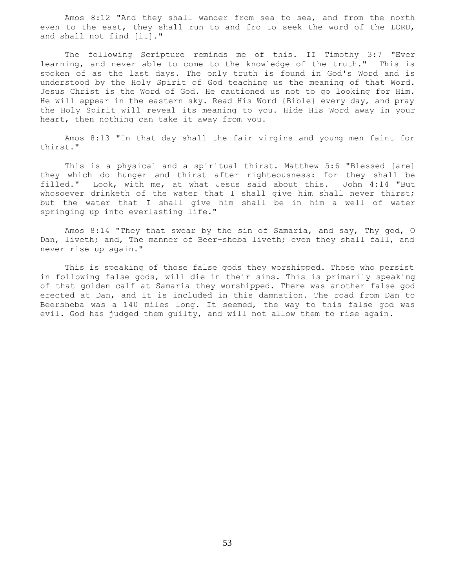Amos 8:12 "And they shall wander from sea to sea, and from the north even to the east, they shall run to and fro to seek the word of the LORD, and shall not find [it]."

 The following Scripture reminds me of this. II Timothy 3:7 "Ever learning, and never able to come to the knowledge of the truth." This is spoken of as the last days. The only truth is found in God's Word and is understood by the Holy Spirit of God teaching us the meaning of that Word. Jesus Christ is the Word of God. He cautioned us not to go looking for Him. He will appear in the eastern sky. Read His Word {Bible} every day, and pray the Holy Spirit will reveal its meaning to you. Hide His Word away in your heart, then nothing can take it away from you.

 Amos 8:13 "In that day shall the fair virgins and young men faint for thirst."

 This is a physical and a spiritual thirst. Matthew 5:6 "Blessed [are] they which do hunger and thirst after righteousness: for they shall be filled." Look, with me, at what Jesus said about this. John 4:14 "But whosoever drinketh of the water that I shall give him shall never thirst; but the water that I shall give him shall be in him a well of water springing up into everlasting life."

 Amos 8:14 "They that swear by the sin of Samaria, and say, Thy god, O Dan, liveth; and, The manner of Beer-sheba liveth; even they shall fall, and never rise up again."

 This is speaking of those false gods they worshipped. Those who persist in following false gods, will die in their sins. This is primarily speaking of that golden calf at Samaria they worshipped. There was another false god erected at Dan, and it is included in this damnation. The road from Dan to Beersheba was a 140 miles long. It seemed, the way to this false god was evil. God has judged them guilty, and will not allow them to rise again.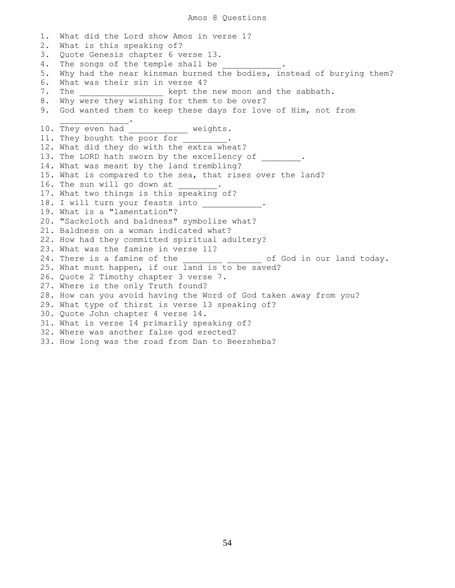## Amos 8 Questions

1. What did the Lord show Amos in verse 1? 2. What is this speaking of? 3. Quote Genesis chapter 6 verse 13. 4. The songs of the temple shall be 5. Why had the near kinsman burned the bodies, instead of burying them? 6. What was their sin in verse 4? 7. The \_\_\_\_\_\_\_\_\_\_\_\_\_\_\_\_\_ kept the new moon and the sabbath. 8. Why were they wishing for them to be over? 9. God wanted them to keep these days for love of Him, not from  $\mathcal{L}_\text{max}$  and  $\mathcal{L}_\text{max}$  and  $\mathcal{L}_\text{max}$ 10. They even had \_\_\_\_\_\_\_\_\_\_\_ weights. 11. They bought the poor for 12. What did they do with the extra wheat? 13. The LORD hath sworn by the excellency of . 14. What was meant by the land trembling? 15. What is compared to the sea, that rises over the land? 16. The sun will go down at 17. What two things is this speaking of? 18. I will turn your feasts into 19. What is a "lamentation"? 20. "Sackcloth and baldness" symbolize what? 21. Baldness on a woman indicated what? 22. How had they committed spiritual adultery? 23. What was the famine in verse 11?<br>24. There is a famine of the **22. There is a famine of God in our land today.** 25. What must happen, if our land is to be saved? 26. Quote 2 Timothy chapter 3 verse 7. 27. Where is the only Truth found? 28. How can you avoid having the Word of God taken away from you? 29. What type of thirst is verse 13 speaking of? 30. Quote John chapter 4 verse 14. 31. What is verse 14 primarily speaking of? 32. Where was another false god erected? 33. How long was the road from Dan to Beersheba?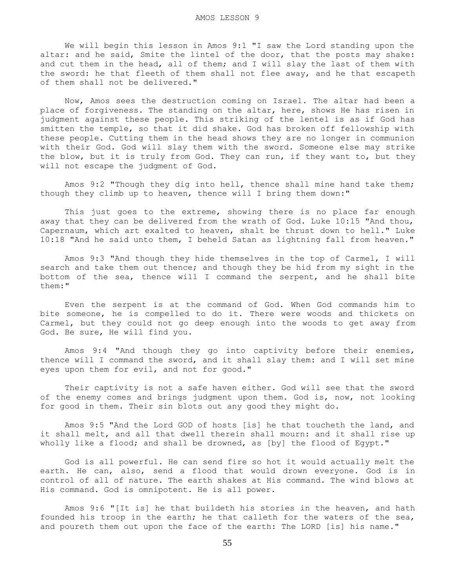We will begin this lesson in Amos 9:1 "I saw the Lord standing upon the altar: and he said, Smite the lintel of the door, that the posts may shake: and cut them in the head, all of them; and I will slay the last of them with the sword: he that fleeth of them shall not flee away, and he that escapeth of them shall not be delivered."

 Now, Amos sees the destruction coming on Israel. The altar had been a place of forgiveness. The standing on the altar, here, shows He has risen in judgment against these people. This striking of the lentel is as if God has smitten the temple, so that it did shake. God has broken off fellowship with these people. Cutting them in the head shows they are no longer in communion with their God. God will slay them with the sword. Someone else may strike the blow, but it is truly from God. They can run, if they want to, but they will not escape the judgment of God.

 Amos 9:2 "Though they dig into hell, thence shall mine hand take them; though they climb up to heaven, thence will I bring them down:"

This just goes to the extreme, showing there is no place far enough away that they can be delivered from the wrath of God. Luke 10:15 "And thou, Capernaum, which art exalted to heaven, shalt be thrust down to hell." Luke 10:18 "And he said unto them, I beheld Satan as lightning fall from heaven."

 Amos 9:3 "And though they hide themselves in the top of Carmel, I will search and take them out thence; and though they be hid from my sight in the bottom of the sea, thence will I command the serpent, and he shall bite them:"

 Even the serpent is at the command of God. When God commands him to bite someone, he is compelled to do it. There were woods and thickets on Carmel, but they could not go deep enough into the woods to get away from God. Be sure, He will find you.

 Amos 9:4 "And though they go into captivity before their enemies, thence will I command the sword, and it shall slay them: and I will set mine eyes upon them for evil, and not for good."

 Their captivity is not a safe haven either. God will see that the sword of the enemy comes and brings judgment upon them. God is, now, not looking for good in them. Their sin blots out any good they might do.

 Amos 9:5 "And the Lord GOD of hosts [is] he that toucheth the land, and it shall melt, and all that dwell therein shall mourn: and it shall rise up wholly like a flood; and shall be drowned, as [by] the flood of Egypt."

 God is all powerful. He can send fire so hot it would actually melt the earth. He can, also, send a flood that would drown everyone. God is in control of all of nature. The earth shakes at His command. The wind blows at His command. God is omnipotent. He is all power.

 Amos 9:6 "[It is] he that buildeth his stories in the heaven, and hath founded his troop in the earth; he that calleth for the waters of the sea, and poureth them out upon the face of the earth: The LORD [is] his name."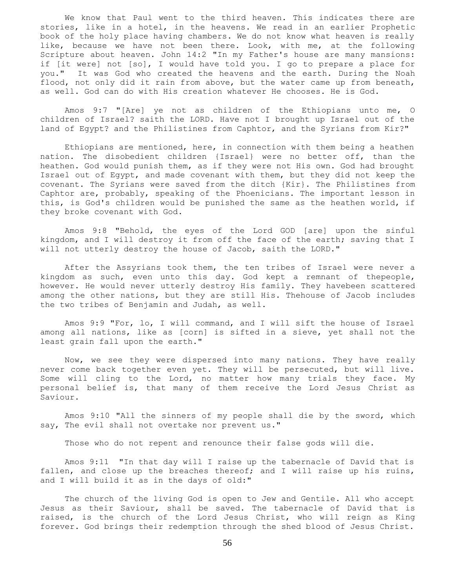We know that Paul went to the third heaven. This indicates there are stories, like in a hotel, in the heavens. We read in an earlier Prophetic book of the holy place having chambers. We do not know what heaven is really like, because we have not been there. Look, with me, at the following Scripture about heaven. John 14:2 "In my Father's house are many mansions: if [it were] not [so], I would have told you. I go to prepare a place for you." It was God who created the heavens and the earth. During the Noah flood, not only did it rain from above, but the water came up from beneath, as well. God can do with His creation whatever He chooses. He is God.

 Amos 9:7 "[Are] ye not as children of the Ethiopians unto me, O children of Israel? saith the LORD. Have not I brought up Israel out of the land of Egypt? and the Philistines from Caphtor, and the Syrians from Kir?"

 Ethiopians are mentioned, here, in connection with them being a heathen nation. The disobedient children {Israel} were no better off, than the heathen. God would punish them, as if they were not His own. God had brought Israel out of Egypt, and made covenant with them, but they did not keep the covenant. The Syrians were saved from the ditch {Kir}. The Philistines from Caphtor are, probably, speaking of the Phoenicians. The important lesson in this, is God's children would be punished the same as the heathen world, if they broke covenant with God.

 Amos 9:8 "Behold, the eyes of the Lord GOD [are] upon the sinful kingdom, and I will destroy it from off the face of the earth; saving that I will not utterly destroy the house of Jacob, saith the LORD."

 After the Assyrians took them, the ten tribes of Israel were never a kingdom as such, even unto this day. God kept a remnant of thepeople, however. He would never utterly destroy His family. They havebeen scattered among the other nations, but they are still His. Thehouse of Jacob includes the two tribes of Benjamin and Judah, as well.

 Amos 9:9 "For, lo, I will command, and I will sift the house of Israel among all nations, like as [corn] is sifted in a sieve, yet shall not the least grain fall upon the earth."

 Now, we see they were dispersed into many nations. They have really never come back together even yet. They will be persecuted, but will live. Some will cling to the Lord, no matter how many trials they face. My personal belief is, that many of them receive the Lord Jesus Christ as Saviour.

 Amos 9:10 "All the sinners of my people shall die by the sword, which say, The evil shall not overtake nor prevent us."

Those who do not repent and renounce their false gods will die.

 Amos 9:11 "In that day will I raise up the tabernacle of David that is fallen, and close up the breaches thereof; and I will raise up his ruins, and I will build it as in the days of old:"

 The church of the living God is open to Jew and Gentile. All who accept Jesus as their Saviour, shall be saved. The tabernacle of David that is raised, is the church of the Lord Jesus Christ, who will reign as King forever. God brings their redemption through the shed blood of Jesus Christ.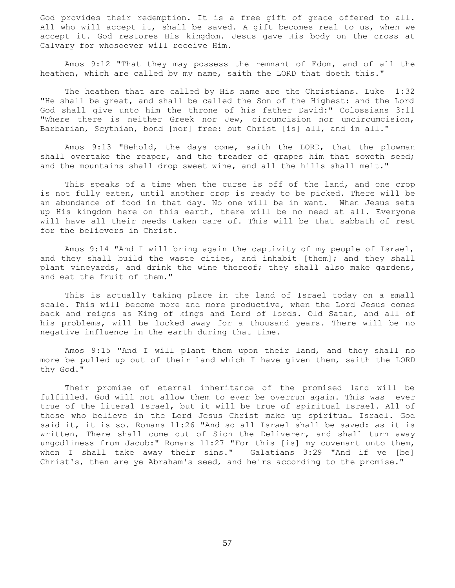God provides their redemption. It is a free gift of grace offered to all. All who will accept it, shall be saved. A gift becomes real to us, when we accept it. God restores His kingdom. Jesus gave His body on the cross at Calvary for whosoever will receive Him.

 Amos 9:12 "That they may possess the remnant of Edom, and of all the heathen, which are called by my name, saith the LORD that doeth this."

 The heathen that are called by His name are the Christians. Luke 1:32 "He shall be great, and shall be called the Son of the Highest: and the Lord God shall give unto him the throne of his father David:" Colossians 3:11 "Where there is neither Greek nor Jew, circumcision nor uncircumcision, Barbarian, Scythian, bond [nor] free: but Christ [is] all, and in all."

 Amos 9:13 "Behold, the days come, saith the LORD, that the plowman shall overtake the reaper, and the treader of grapes him that soweth seed; and the mountains shall drop sweet wine, and all the hills shall melt."

 This speaks of a time when the curse is off of the land, and one crop is not fully eaten, until another crop is ready to be picked. There will be an abundance of food in that day. No one will be in want. When Jesus sets up His kingdom here on this earth, there will be no need at all. Everyone will have all their needs taken care of. This will be that sabbath of rest for the believers in Christ.

 Amos 9:14 "And I will bring again the captivity of my people of Israel, and they shall build the waste cities, and inhabit [them]; and they shall plant vineyards, and drink the wine thereof; they shall also make gardens, and eat the fruit of them."

 This is actually taking place in the land of Israel today on a small scale. This will become more and more productive, when the Lord Jesus comes back and reigns as King of kings and Lord of lords. Old Satan, and all of his problems, will be locked away for a thousand years. There will be no negative influence in the earth during that time.

 Amos 9:15 "And I will plant them upon their land, and they shall no more be pulled up out of their land which I have given them, saith the LORD thy God."

 Their promise of eternal inheritance of the promised land will be fulfilled. God will not allow them to ever be overrun again. This was ever true of the literal Israel, but it will be true of spiritual Israel. All of those who believe in the Lord Jesus Christ make up spiritual Israel. God said it, it is so. Romans 11:26 "And so all Israel shall be saved: as it is written, There shall come out of Sion the Deliverer, and shall turn away ungodliness from Jacob:" Romans 11:27 "For this [is] my covenant unto them, when I shall take away their sins." Galatians 3:29 "And if ye [be] Christ's, then are ye Abraham's seed, and heirs according to the promise."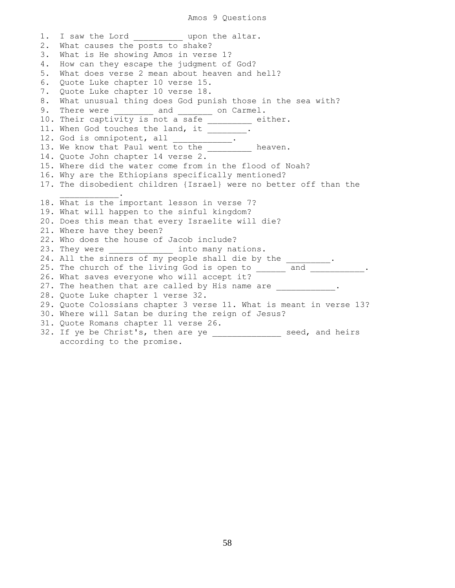1. I saw the Lord \_\_\_\_\_\_\_\_\_\_ upon the altar. 2. What causes the posts to shake? 3. What is He showing Amos in verse 1? 4. How can they escape the judgment of God? 5. What does verse 2 mean about heaven and hell? 6. Quote Luke chapter 10 verse 15. 7. Quote Luke chapter 10 verse 18. 8. What unusual thing does God punish those in the sea with? 9. There were  $\qquad \qquad \text{and} \qquad \qquad \text{on } \text{Carmel.}$ 10. Their captivity is not a safe \_\_\_\_\_\_\_\_ either. 11. When God touches the land, it \_\_\_\_\_\_\_\_. 12. God is omnipotent, all \_\_\_\_\_\_\_\_\_\_\_\_. 13. We know that Paul went to the \_\_\_\_\_\_\_\_ heaven. 14. Quote John chapter 14 verse 2. 15. Where did the water come from in the flood of Noah? 16. Why are the Ethiopians specifically mentioned? 17. The disobedient children {Israel} were no better off than the  $\overline{\phantom{a}}$  ,  $\overline{\phantom{a}}$  ,  $\overline{\phantom{a}}$  ,  $\overline{\phantom{a}}$  ,  $\overline{\phantom{a}}$  ,  $\overline{\phantom{a}}$  ,  $\overline{\phantom{a}}$  ,  $\overline{\phantom{a}}$  ,  $\overline{\phantom{a}}$  ,  $\overline{\phantom{a}}$  ,  $\overline{\phantom{a}}$  ,  $\overline{\phantom{a}}$  ,  $\overline{\phantom{a}}$  ,  $\overline{\phantom{a}}$  ,  $\overline{\phantom{a}}$  ,  $\overline{\phantom{a}}$ 18. What is the important lesson in verse 7? 19. What will happen to the sinful kingdom? 20. Does this mean that every Israelite will die? 21. Where have they been? 22. Who does the house of Jacob include? 23. They were **we** into many nations. 24. All the sinners of my people shall die by the 25. The church of the living God is open to \_\_\_\_\_\_ and \_\_\_\_\_\_\_\_\_\_\_. 26. What saves everyone who will accept it? 27. The heathen that are called by His name are \_\_\_\_\_\_\_\_\_\_\_\_. 28. Quote Luke chapter 1 verse 32. 29. Quote Colossians chapter 3 verse 11. What is meant in verse 13? 30. Where will Satan be during the reign of Jesus? 31. Quote Romans chapter 11 verse 26. 32. If ye be Christ's, then are ye \_\_\_\_\_\_\_\_\_\_\_\_\_\_\_ seed, and heirs according to the promise.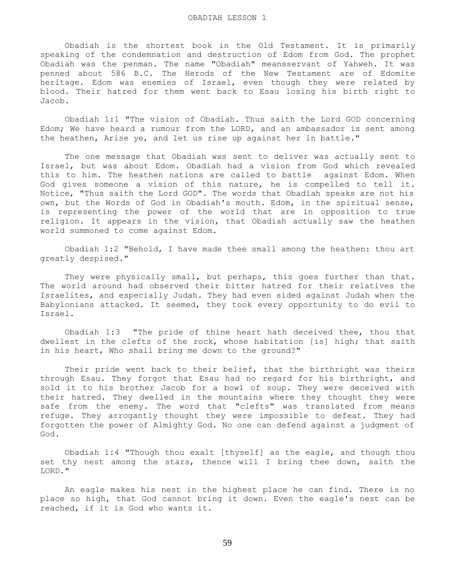Obadiah is the shortest book in the Old Testament. It is primarily speaking of the condemnation and destruction of Edom from God. The prophet Obadiah was the penman. The name "Obadiah" meansservant of Yahweh. It was penned about 586 B.C. The Herods of the New Testament are of Edomite .<br>heritage. Edom was enemies of Israel, even though they were related by blood. Their hatred for them went back to Esau losing his birth right to Jacob.

 Obadiah 1:1 "The vision of Obadiah. Thus saith the Lord GOD concerning Edom; We have heard a rumour from the LORD, and an ambassador is sent among the heathen, Arise ye, and let us rise up against her in battle."

 The one message that Obadiah was sent to deliver was actually sent to Israel, but was about Edom. Obadiah had a vision from God which revealed this to him. The heathen nations are called to battle against Edom. When God gives someone a vision of this nature, he is compelled to tell it. Notice, "Thus saith the Lord GOD". The words that Obadiah speaks are not his own, but the Words of God in Obadiah's mouth. Edom, in the spiritual sense, is representing the power of the world that are in opposition to true religion. It appears in the vision, that Obadiah actually saw the heathen world summoned to come against Edom.

 Obadiah 1:2 "Behold, I have made thee small among the heathen: thou art greatly despised."

They were physically small, but perhaps, this goes further than that. The world around had observed their bitter hatred for their relatives the Israelites, and especially Judah. They had even sided against Judah when the Babylonians attacked. It seemed, they took every opportunity to do evil to Israel.

 Obadiah 1:3 "The pride of thine heart hath deceived thee, thou that dwellest in the clefts of the rock, whose habitation [is] high; that saith in his heart, Who shall bring me down to the ground?"

 Their pride went back to their belief, that the birthright was theirs through Esau. They forgot that Esau had no regard for his birthright, and sold it to his brother Jacob for a bowl of soup. They were deceived with their hatred. They dwelled in the mountains where they thought they were safe from the enemy. The word that "clefts" was translated from means refuge. They arrogantly thought they were impossible to defeat. They had forgotten the power of Almighty God. No one can defend against a judgment of God.

 Obadiah 1:4 "Though thou exalt [thyself] as the eagle, and though thou set thy nest among the stars, thence will I bring thee down, saith the LORD."

 An eagle makes his nest in the highest place he can find. There is no place so high, that God cannot bring it down. Even the eagle's nest can be reached, if it is God who wants it.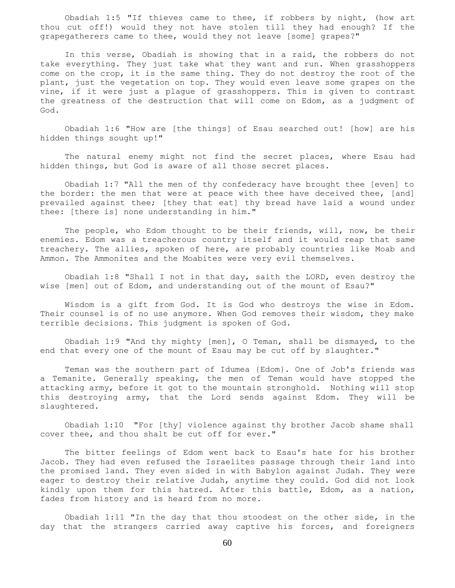Obadiah 1:5 "If thieves came to thee, if robbers by night, (how art thou cut off!) would they not have stolen till they had enough? If the grapegatherers came to thee, would they not leave [some] grapes?"

 In this verse, Obadiah is showing that in a raid, the robbers do not take everything. They just take what they want and run. When grasshoppers come on the crop, it is the same thing. They do not destroy the root of the plant, just the vegetation on top. They would even leave some grapes on the vine, if it were just a plague of grasshoppers. This is given to contrast the greatness of the destruction that will come on Edom, as a judgment of God.

 Obadiah 1:6 "How are [the things] of Esau searched out! [how] are his hidden things sought up!"

 The natural enemy might not find the secret places, where Esau had hidden things, but God is aware of all those secret places.

 Obadiah 1:7 "All the men of thy confederacy have brought thee [even] to the border: the men that were at peace with thee have deceived thee, [and] prevailed against thee; [they that eat] thy bread have laid a wound under thee: [there is] none understanding in him."

 The people, who Edom thought to be their friends, will, now, be their enemies. Edom was a treacherous country itself and it would reap that same treachery. The allies, spoken of here, are probably countries like Moab and Ammon. The Ammonites and the Moabites were very evil themselves.

 Obadiah 1:8 "Shall I not in that day, saith the LORD, even destroy the wise [men] out of Edom, and understanding out of the mount of Esau?"

 Wisdom is a gift from God. It is God who destroys the wise in Edom. Their counsel is of no use anymore. When God removes their wisdom, they make terrible decisions. This judgment is spoken of God.

 Obadiah 1:9 "And thy mighty [men], O Teman, shall be dismayed, to the end that every one of the mount of Esau may be cut off by slaughter."

 Teman was the southern part of Idumea {Edom}. One of Job's friends was a Temanite. Generally speaking, the men of Teman would have stopped the attacking army, before it got to the mountain stronghold. Nothing will stop this destroying army, that the Lord sends against Edom. They will be slaughtered.

 Obadiah 1:10 "For [thy] violence against thy brother Jacob shame shall cover thee, and thou shalt be cut off for ever."

 The bitter feelings of Edom went back to Esau's hate for his brother Jacob. They had even refused the Israelites passage through their land into the promised land. They even sided in with Babylon against Judah. They were eager to destroy their relative Judah, anytime they could. God did not look kindly upon them for this hatred. After this battle, Edom, as a nation, fades from history and is heard from no more.

 Obadiah 1:11 "In the day that thou stoodest on the other side, in the day that the strangers carried away captive his forces, and foreigners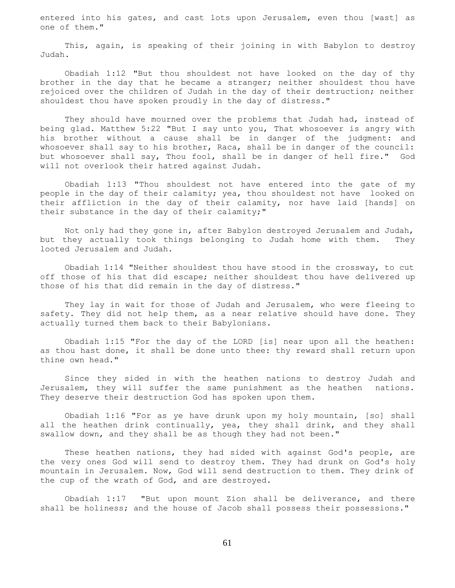entered into his gates, and cast lots upon Jerusalem, even thou [wast] as one of them."

 This, again, is speaking of their joining in with Babylon to destroy Judah.

 Obadiah 1:12 "But thou shouldest not have looked on the day of thy brother in the day that he became a stranger; neither shouldest thou have rejoiced over the children of Judah in the day of their destruction; neither shouldest thou have spoken proudly in the day of distress."

 They should have mourned over the problems that Judah had, instead of being glad. Matthew 5:22 "But I say unto you, That whosoever is angry with his brother without a cause shall be in danger of the judgment: and whosoever shall say to his brother, Raca, shall be in danger of the council: but whosoever shall say, Thou fool, shall be in danger of hell fire." God will not overlook their hatred against Judah.

 Obadiah 1:13 "Thou shouldest not have entered into the gate of my people in the day of their calamity; yea, thou shouldest not have looked on their affliction in the day of their calamity, nor have laid [hands] on their substance in the day of their calamity;"

 Not only had they gone in, after Babylon destroyed Jerusalem and Judah, but they actually took things belonging to Judah home with them. They looted Jerusalem and Judah.

 Obadiah 1:14 "Neither shouldest thou have stood in the crossway, to cut off those of his that did escape; neither shouldest thou have delivered up those of his that did remain in the day of distress."

 They lay in wait for those of Judah and Jerusalem, who were fleeing to safety. They did not help them, as a near relative should have done. They actually turned them back to their Babylonians.

 Obadiah 1:15 "For the day of the LORD [is] near upon all the heathen: as thou hast done, it shall be done unto thee: thy reward shall return upon thine own head."

 Since they sided in with the heathen nations to destroy Judah and Jerusalem, they will suffer the same punishment as the heathen nations. They deserve their destruction God has spoken upon them.

 Obadiah 1:16 "For as ye have drunk upon my holy mountain, [so] shall all the heathen drink continually, yea, they shall drink, and they shall swallow down, and they shall be as though they had not been."

 These heathen nations, they had sided with against God's people, are the very ones God will send to destroy them. They had drunk on God's holy mountain in Jerusalem. Now, God will send destruction to them. They drink of the cup of the wrath of God, and are destroyed.

 Obadiah 1:17 "But upon mount Zion shall be deliverance, and there shall be holiness; and the house of Jacob shall possess their possessions."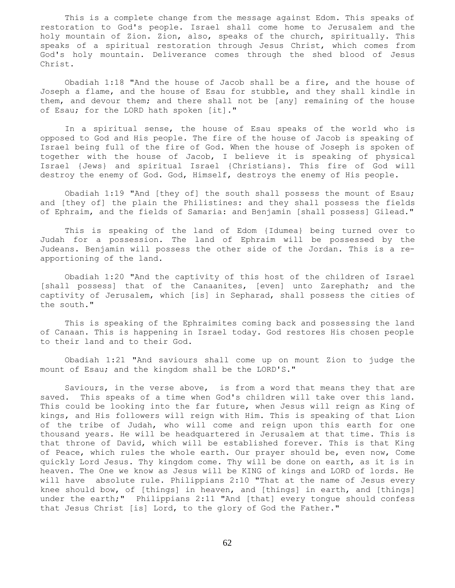This is a complete change from the message against Edom. This speaks of restoration to God's people. Israel shall come home to Jerusalem and the holy mountain of Zion. Zion, also, speaks of the church, spiritually. This speaks of a spiritual restoration through Jesus Christ, which comes from God's holy mountain. Deliverance comes through the shed blood of Jesus Christ.

 Obadiah 1:18 "And the house of Jacob shall be a fire, and the house of Joseph a flame, and the house of Esau for stubble, and they shall kindle in them, and devour them; and there shall not be [any] remaining of the house of Esau; for the LORD hath spoken [it]."

 In a spiritual sense, the house of Esau speaks of the world who is opposed to God and His people. The fire of the house of Jacob is speaking of Israel being full of the fire of God. When the house of Joseph is spoken of together with the house of Jacob, I believe it is speaking of physical Israel {Jews} and spiritual Israel {Christians}. This fire of God will destroy the enemy of God. God, Himself, destroys the enemy of His people.

 Obadiah 1:19 "And [they of] the south shall possess the mount of Esau; and [they of] the plain the Philistines: and they shall possess the fields of Ephraim, and the fields of Samaria: and Benjamin [shall possess] Gilead."

 This is speaking of the land of Edom {Idumea} being turned over to Judah for a possession. The land of Ephraim will be possessed by the Judeans. Benjamin will possess the other side of the Jordan. This is a reapportioning of the land.

 Obadiah 1:20 "And the captivity of this host of the children of Israel [shall possess] that of the Canaanites, [even] unto Zarephath; and the captivity of Jerusalem, which [is] in Sepharad, shall possess the cities of the south."

 This is speaking of the Ephraimites coming back and possessing the land of Canaan. This is happening in Israel today. God restores His chosen people to their land and to their God.

 Obadiah 1:21 "And saviours shall come up on mount Zion to judge the mount of Esau; and the kingdom shall be the LORD'S."

 Saviours, in the verse above, is from a word that means they that are saved. This speaks of a time when God's children will take over this land. This could be looking into the far future, when Jesus will reign as King of kings, and His followers will reign with Him. This is speaking of that Lion of the tribe of Judah, who will come and reign upon this earth for one thousand years. He will be headquartered in Jerusalem at that time. This is that throne of David, which will be established forever. This is that King of Peace, which rules the whole earth. Our prayer should be, even now, Come quickly Lord Jesus. Thy kingdom come. Thy will be done on earth, as it is in heaven. The One we know as Jesus will be KING of kings and LORD of lords. He will have absolute rule. Philippians 2:10 "That at the name of Jesus every knee should bow, of [things] in heaven, and [things] in earth, and [things] under the earth;" Philippians 2:11 "And [that] every tongue should confess that Jesus Christ [is] Lord, to the glory of God the Father."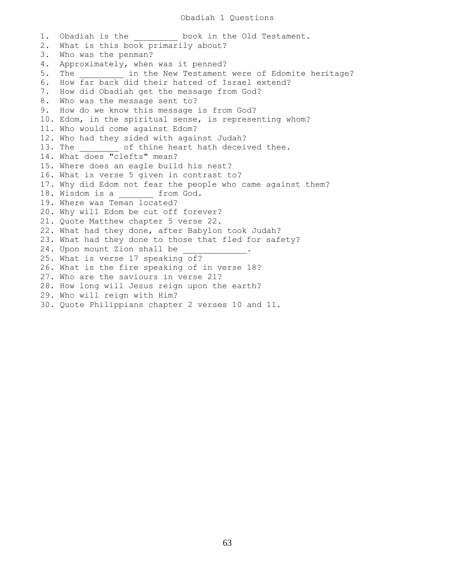1. Obadiah is the book in the Old Testament. 2. What is this book primarily about? 3. Who was the penman? 4. Approximately, when was it penned? 5. The  $\qquad$  in the New Testament were of Edomite heritage? 6. How far back did their hatred of Israel extend? 7. How did Obadiah get the message from God? 8. Who was the message sent to? 9. How do we know this message is from God? 10. Edom, in the spiritual sense, is representing whom? 11. Who would come against Edom? 12. Who had they sided with against Judah? 13. The of thine heart hath deceived thee. 14. What does "clefts" mean? 15. Where does an eagle build his nest? 16. What is verse 5 given in contrast to? 17. Why did Edom not fear the people who came against them? 18. Wisdom is a \_\_\_\_\_\_\_ from God. 19. Where was Teman located? 20. Why will Edom be cut off forever? 21. Quote Matthew chapter 5 verse 22. 22. What had they done, after Babylon took Judah? 23. What had they done to those that fled for safety? 24. Upon mount Zion shall be 25. What is verse 17 speaking of? 26. What is the fire speaking of in verse 18? 27. Who are the saviours in verse 21? 28. How long will Jesus reign upon the earth? 29. Who will reign with Him? 30. Quote Philippians chapter 2 verses 10 and 11.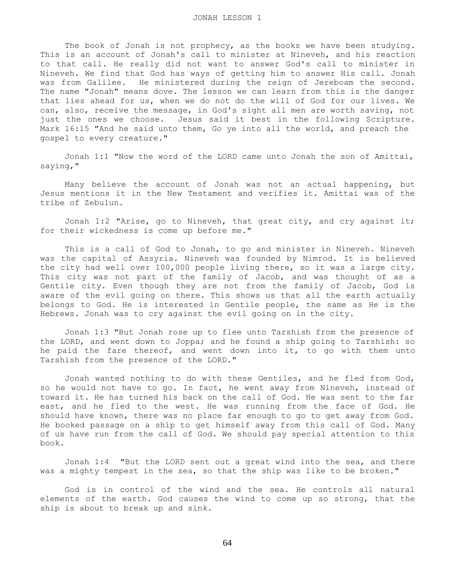The book of Jonah is not prophecy, as the books we have been studying. This is an account of Jonah's call to minister at Nineveh, and his reaction to that call. He really did not want to answer God's call to minister in Nineveh. We find that God has ways of getting him to answer His call. Jonah was from Galilee. He ministered during the reign of Jereboam the second. The name "Jonah" means dove. The lesson we can learn from this is the danger that lies ahead for us, when we do not do the will of God for our lives. We can, also, receive the message, in God's sight all men are worth saving, not just the ones we choose. Jesus said it best in the following Scripture. Mark 16:15 "And he said unto them, Go ye into all the world, and preach the gospel to every creature."

 Jonah 1:1 "Now the word of the LORD came unto Jonah the son of Amittai, saying,"

 Many believe the account of Jonah was not an actual happening, but Jesus mentions it in the New Testament and verifies it. Amittai was of the tribe of Zebulun.

Jonah 1:2 "Arise, go to Nineveh, that great city, and cry against it; for their wickedness is come up before me."

 This is a call of God to Jonah, to go and minister in Nineveh. Nineveh was the capital of Assyria. Nineveh was founded by Nimrod. It is believed the city had well over 100,000 people living there, so it was a large city. This city was not part of the family of Jacob, and was thought of as a Gentile city. Even though they are not from the family of Jacob, God is aware of the evil going on there. This shows us that all the earth actually belongs to God. He is interested in Gentile people, the same as He is the Hebrews. Jonah was to cry against the evil going on in the city.

 Jonah 1:3 "But Jonah rose up to flee unto Tarshish from the presence of the LORD, and went down to Joppa; and he found a ship going to Tarshish: so he paid the fare thereof, and went down into it, to go with them unto Tarshish from the presence of the LORD."

 Jonah wanted nothing to do with these Gentiles, and he fled from God, so he would not have to go. In fact, he went away from Nineveh, instead of toward it. He has turned his back on the call of God. He was sent to the far east, and he fled to the west. He was running from the face of God. He should have known, there was no place far enough to go to get away from God. He booked passage on a ship to get himself away from this call of God. Many of us have run from the call of God. We should pay special attention to this book.

 Jonah 1:4 "But the LORD sent out a great wind into the sea, and there was a mighty tempest in the sea, so that the ship was like to be broken."

 God is in control of the wind and the sea. He controls all natural elements of the earth. God causes the wind to come up so strong, that the ship is about to break up and sink.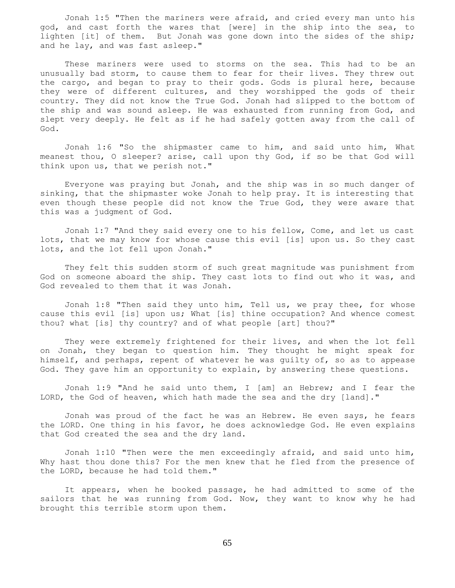Jonah 1:5 "Then the mariners were afraid, and cried every man unto his god, and cast forth the wares that [were] in the ship into the sea, to lighten [it] of them. But Jonah was gone down into the sides of the ship; and he lay, and was fast asleep."

 These mariners were used to storms on the sea. This had to be an unusually bad storm, to cause them to fear for their lives. They threw out the cargo, and began to pray to their gods. Gods is plural here, because they were of different cultures, and they worshipped the gods of their country. They did not know the True God. Jonah had slipped to the bottom of the ship and was sound asleep. He was exhausted from running from God, and slept very deeply. He felt as if he had safely gotten away from the call of God.

 Jonah 1:6 "So the shipmaster came to him, and said unto him, What meanest thou, O sleeper? arise, call upon thy God, if so be that God will think upon us, that we perish not."

 Everyone was praying but Jonah, and the ship was in so much danger of sinking, that the shipmaster woke Jonah to help pray. It is interesting that even though these people did not know the True God, they were aware that this was a judgment of God.

 Jonah 1:7 "And they said every one to his fellow, Come, and let us cast lots, that we may know for whose cause this evil [is] upon us. So they cast lots, and the lot fell upon Jonah."

 They felt this sudden storm of such great magnitude was punishment from God on someone aboard the ship. They cast lots to find out who it was, and God revealed to them that it was Jonah.

 Jonah 1:8 "Then said they unto him, Tell us, we pray thee, for whose cause this evil [is] upon us; What [is] thine occupation? And whence comest thou? what [is] thy country? and of what people [art] thou?"

 They were extremely frightened for their lives, and when the lot fell on Jonah, they began to question him. They thought he might speak for himself, and perhaps, repent of whatever he was guilty of, so as to appease God. They gave him an opportunity to explain, by answering these questions.

 Jonah 1:9 "And he said unto them, I [am] an Hebrew; and I fear the LORD, the God of heaven, which hath made the sea and the dry [land]."

 Jonah was proud of the fact he was an Hebrew. He even says, he fears the LORD. One thing in his favor, he does acknowledge God. He even explains that God created the sea and the dry land.

 Jonah 1:10 "Then were the men exceedingly afraid, and said unto him, Why hast thou done this? For the men knew that he fled from the presence of the LORD, because he had told them."

 It appears, when he booked passage, he had admitted to some of the sailors that he was running from God. Now, they want to know why he had brought this terrible storm upon them.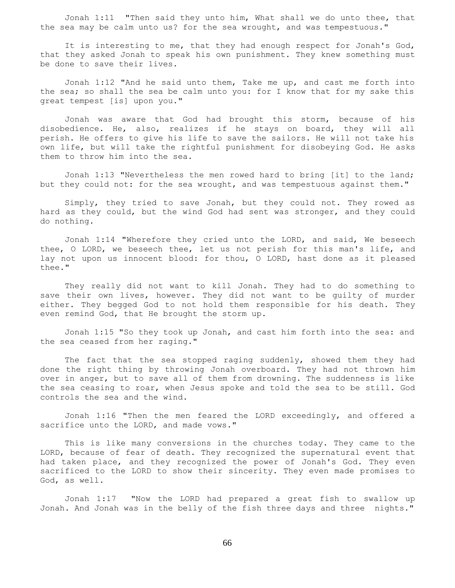Jonah 1:11 "Then said they unto him, What shall we do unto thee, that the sea may be calm unto us? for the sea wrought, and was tempestuous."

 It is interesting to me, that they had enough respect for Jonah's God, that they asked Jonah to speak his own punishment. They knew something must be done to save their lives.

 Jonah 1:12 "And he said unto them, Take me up, and cast me forth into the sea; so shall the sea be calm unto you: for I know that for my sake this great tempest [is] upon you."

 Jonah was aware that God had brought this storm, because of his disobedience. He, also, realizes if he stays on board, they will all perish. He offers to give his life to save the sailors. He will not take his own life, but will take the rightful punishment for disobeying God. He asks them to throw him into the sea.

 Jonah 1:13 "Nevertheless the men rowed hard to bring [it] to the land; but they could not: for the sea wrought, and was tempestuous against them."

 Simply, they tried to save Jonah, but they could not. They rowed as hard as they could, but the wind God had sent was stronger, and they could do nothing.

 Jonah 1:14 "Wherefore they cried unto the LORD, and said, We beseech thee, O LORD, we beseech thee, let us not perish for this man's life, and lay not upon us innocent blood: for thou, O LORD, hast done as it pleased thee."

 They really did not want to kill Jonah. They had to do something to save their own lives, however. They did not want to be guilty of murder either. They begged God to not hold them responsible for his death. They even remind God, that He brought the storm up.

 Jonah 1:15 "So they took up Jonah, and cast him forth into the sea: and the sea ceased from her raging."

 The fact that the sea stopped raging suddenly, showed them they had done the right thing by throwing Jonah overboard. They had not thrown him over in anger, but to save all of them from drowning. The suddenness is like the sea ceasing to roar, when Jesus spoke and told the sea to be still. God controls the sea and the wind.

 Jonah 1:16 "Then the men feared the LORD exceedingly, and offered a sacrifice unto the LORD, and made vows."

 This is like many conversions in the churches today. They came to the LORD, because of fear of death. They recognized the supernatural event that had taken place, and they recognized the power of Jonah's God. They even sacrificed to the LORD to show their sincerity. They even made promises to God, as well.

 Jonah 1:17 "Now the LORD had prepared a great fish to swallow up Jonah. And Jonah was in the belly of the fish three days and three nights."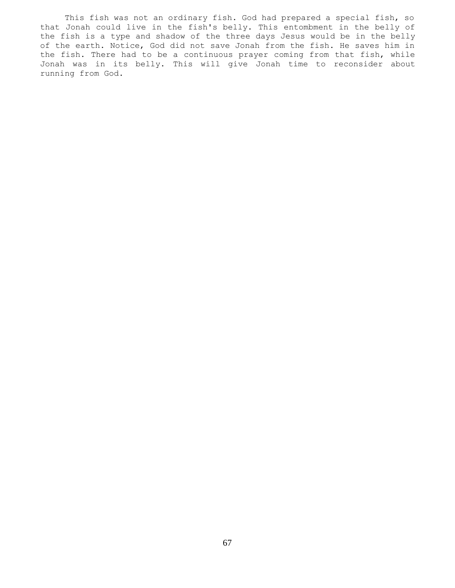This fish was not an ordinary fish. God had prepared a special fish, so that Jonah could live in the fish's belly. This entombment in the belly of the fish is a type and shadow of the three days Jesus would be in the belly of the earth. Notice, God did not save Jonah from the fish. He saves him in the fish. There had to be a continuous prayer coming from that fish, while Jonah was in its belly. This will give Jonah time to reconsider about running from God.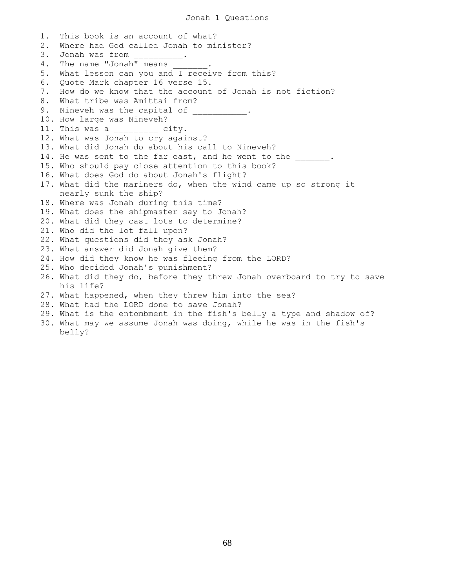1. This book is an account of what? 2. Where had God called Jonah to minister? 3. Jonah was from 4. The name "Jonah" means 5. What lesson can you and I receive from this? 6. Quote Mark chapter 16 verse 15. 7. How do we know that the account of Jonah is not fiction? 8. What tribe was Amittai from? 9. Nineveh was the capital of  $\hspace{1cm}$ . 10. How large was Nineveh? 11. This was a \_\_\_\_\_\_\_\_\_ city. 12. What was Jonah to cry against? 13. What did Jonah do about his call to Nineveh? 14. He was sent to the far east, and he went to the  $\cdots$ 15. Who should pay close attention to this book? 16. What does God do about Jonah's flight? 17. What did the mariners do, when the wind came up so strong it nearly sunk the ship? 18. Where was Jonah during this time? 19. What does the shipmaster say to Jonah? 20. What did they cast lots to determine? 21. Who did the lot fall upon? 22. What questions did they ask Jonah? 23. What answer did Jonah give them? 24. How did they know he was fleeing from the LORD? 25. Who decided Jonah's punishment? 26. What did they do, before they threw Jonah overboard to try to save his life? 27. What happened, when they threw him into the sea? 28. What had the LORD done to save Jonah? 29. What is the entombment in the fish's belly a type and shadow of? 30. What may we assume Jonah was doing, while he was in the fish's

belly?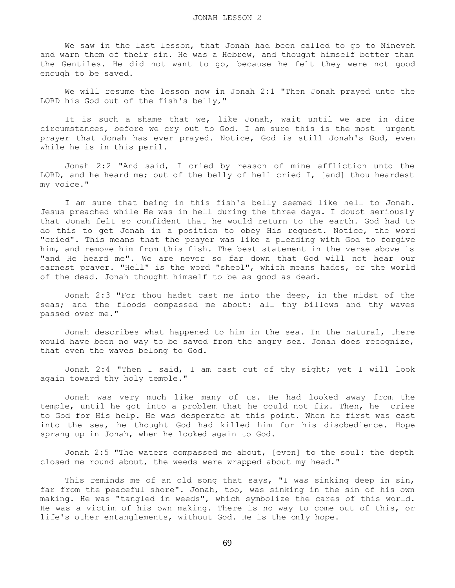We saw in the last lesson, that Jonah had been called to go to Nineveh and warn them of their sin. He was a Hebrew, and thought himself better than the Gentiles. He did not want to go, because he felt they were not good enough to be saved.

 We will resume the lesson now in Jonah 2:1 "Then Jonah prayed unto the LORD his God out of the fish's belly,"

 It is such a shame that we, like Jonah, wait until we are in dire circumstances, before we cry out to God. I am sure this is the most urgent prayer that Jonah has ever prayed. Notice, God is still Jonah's God, even while he is in this peril.

 Jonah 2:2 "And said, I cried by reason of mine affliction unto the LORD, and he heard me; out of the belly of hell cried I, [and] thou heardest my voice."

 I am sure that being in this fish's belly seemed like hell to Jonah. Jesus preached while He was in hell during the three days. I doubt seriously that Jonah felt so confident that he would return to the earth. God had to do this to get Jonah in a position to obey His request. Notice, the word "cried". This means that the prayer was like a pleading with God to forgive him, and remove him from this fish. The best statement in the verse above is "and He heard me". We are never so far down that God will not hear our earnest prayer. "Hell" is the word "sheol", which means hades, or the world of the dead. Jonah thought himself to be as good as dead.

 Jonah 2:3 "For thou hadst cast me into the deep, in the midst of the seas; and the floods compassed me about: all thy billows and thy waves passed over me."

 Jonah describes what happened to him in the sea. In the natural, there would have been no way to be saved from the angry sea. Jonah does recognize, that even the waves belong to God.

 Jonah 2:4 "Then I said, I am cast out of thy sight; yet I will look again toward thy holy temple."

 Jonah was very much like many of us. He had looked away from the temple, until he got into a problem that he could not fix. Then, he cries to God for His help. He was desperate at this point. When he first was cast into the sea, he thought God had killed him for his disobedience. Hope sprang up in Jonah, when he looked again to God.

 Jonah 2:5 "The waters compassed me about, [even] to the soul: the depth closed me round about, the weeds were wrapped about my head."

This reminds me of an old song that says, "I was sinking deep in sin, far from the peaceful shore". Jonah, too, was sinking in the sin of his own making. He was "tangled in weeds", which symbolize the cares of this world. He was a victim of his own making. There is no way to come out of this, or life's other entanglements, without God. He is the only hope.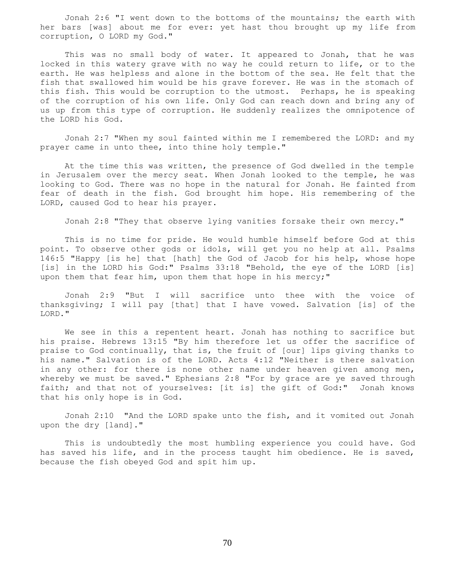Jonah 2:6 "I went down to the bottoms of the mountains; the earth with her bars [was] about me for ever: yet hast thou brought up my life from corruption, O LORD my God."

 This was no small body of water. It appeared to Jonah, that he was locked in this watery grave with no way he could return to life, or to the earth. He was helpless and alone in the bottom of the sea. He felt that the fish that swallowed him would be his grave forever. He was in the stomach of this fish. This would be corruption to the utmost. Perhaps, he is speaking of the corruption of his own life. Only God can reach down and bring any of us up from this type of corruption. He suddenly realizes the omnipotence of the LORD his God.

 Jonah 2:7 "When my soul fainted within me I remembered the LORD: and my prayer came in unto thee, into thine holy temple."

 At the time this was written, the presence of God dwelled in the temple in Jerusalem over the mercy seat. When Jonah looked to the temple, he was looking to God. There was no hope in the natural for Jonah. He fainted from fear of death in the fish. God brought him hope. His remembering of the LORD, caused God to hear his prayer.

Jonah 2:8 "They that observe lying vanities forsake their own mercy."

 This is no time for pride. He would humble himself before God at this point. To observe other gods or idols, will get you no help at all. Psalms 146:5 "Happy [is he] that [hath] the God of Jacob for his help, whose hope [is] in the LORD his God:" Psalms 33:18 "Behold, the eye of the LORD [is] upon them that fear him, upon them that hope in his mercy;"

 Jonah 2:9 "But I will sacrifice unto thee with the voice of thanksgiving; I will pay [that] that I have vowed. Salvation [is] of the LORD."

 We see in this a repentent heart. Jonah has nothing to sacrifice but his praise. Hebrews 13:15 "By him therefore let us offer the sacrifice of praise to God continually, that is, the fruit of [our] lips giving thanks to his name." Salvation is of the LORD. Acts 4:12 "Neither is there salvation in any other: for there is none other name under heaven given among men, whereby we must be saved." Ephesians 2:8 "For by grace are ye saved through faith; and that not of yourselves: [it is] the gift of God:" Jonah knows that his only hope is in God.

 Jonah 2:10 "And the LORD spake unto the fish, and it vomited out Jonah upon the dry [land]."

 This is undoubtedly the most humbling experience you could have. God has saved his life, and in the process taught him obedience. He is saved, because the fish obeyed God and spit him up.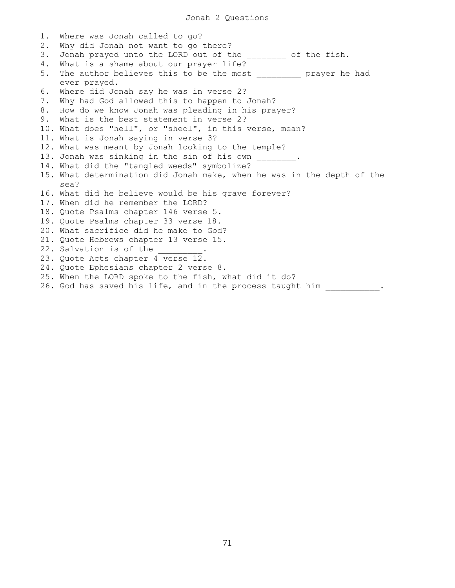Jonah 2 Questions

1. Where was Jonah called to go? 2. Why did Jonah not want to go there? 3. Jonah prayed unto the LORD out of the \_\_\_\_\_\_\_\_ of the fish. 4. What is a shame about our prayer life? 5. The author believes this to be the most **prayer** he had ever prayed. 6. Where did Jonah say he was in verse 2? 7. Why had God allowed this to happen to Jonah? 8. How do we know Jonah was pleading in his prayer? 9. What is the best statement in verse 2? 10. What does "hell", or "sheol", in this verse, mean? 11. What is Jonah saying in verse 3? 12. What was meant by Jonah looking to the temple? 13. Jonah was sinking in the sin of his own 14. What did the "tangled weeds" symbolize? 15. What determination did Jonah make, when he was in the depth of the sea? 16. What did he believe would be his grave forever? 17. When did he remember the LORD? 18. Quote Psalms chapter 146 verse 5. 19. Quote Psalms chapter 33 verse 18. 20. What sacrifice did he make to God? 21. Quote Hebrews chapter 13 verse 15. 22. Salvation is of the 23. Quote Acts chapter 4 verse 12. 24. Quote Ephesians chapter 2 verse 8. 25. When the LORD spoke to the fish, what did it do? 26. God has saved his life, and in the process taught him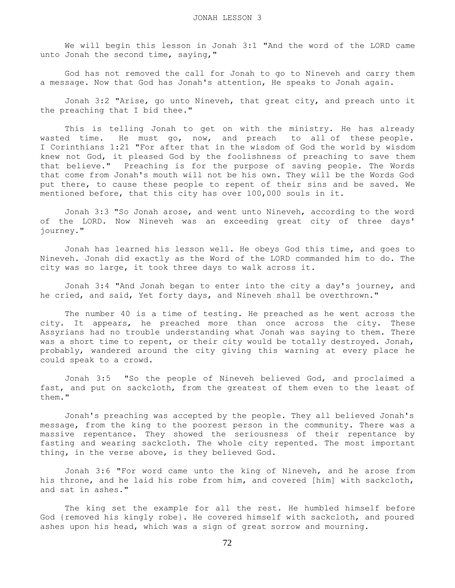We will begin this lesson in Jonah 3:1 "And the word of the LORD came unto Jonah the second time, saying,"

 God has not removed the call for Jonah to go to Nineveh and carry them a message. Now that God has Jonah's attention, He speaks to Jonah again.

 Jonah 3:2 "Arise, go unto Nineveh, that great city, and preach unto it the preaching that I bid thee."

 This is telling Jonah to get on with the ministry. He has already wasted time. He must go, now, and preach to all of these people. I Corinthians 1:21 "For after that in the wisdom of God the world by wisdom knew not God, it pleased God by the foolishness of preaching to save them that believe." Preaching is for the purpose of saving people. The Words that come from Jonah's mouth will not be his own. They will be the Words God put there, to cause these people to repent of their sins and be saved. We mentioned before, that this city has over 100,000 souls in it.

 Jonah 3:3 "So Jonah arose, and went unto Nineveh, according to the word of the LORD. Now Nineveh was an exceeding great city of three days' journey."

 Jonah has learned his lesson well. He obeys God this time, and goes to Nineveh. Jonah did exactly as the Word of the LORD commanded him to do. The city was so large, it took three days to walk across it.

 Jonah 3:4 "And Jonah began to enter into the city a day's journey, and he cried, and said, Yet forty days, and Nineveh shall be overthrown."

 The number 40 is a time of testing. He preached as he went across the city. It appears, he preached more than once across the city. These Assyrians had no trouble understanding what Jonah was saying to them. There was a short time to repent, or their city would be totally destroyed. Jonah, probably, wandered around the city giving this warning at every place he could speak to a crowd.

 Jonah 3:5 "So the people of Nineveh believed God, and proclaimed a fast, and put on sackcloth, from the greatest of them even to the least of them."

 Jonah's preaching was accepted by the people. They all believed Jonah's message, from the king to the poorest person in the community. There was a massive repentance. They showed the seriousness of their repentance by fasting and wearing sackcloth. The whole city repented. The most important thing, in the verse above, is they believed God.

 Jonah 3:6 "For word came unto the king of Nineveh, and he arose from his throne, and he laid his robe from him, and covered [him] with sackcloth, and sat in ashes."

 The king set the example for all the rest. He humbled himself before God {removed his kingly robe}. He covered himself with sackcloth, and poured ashes upon his head, which was a sign of great sorrow and mourning.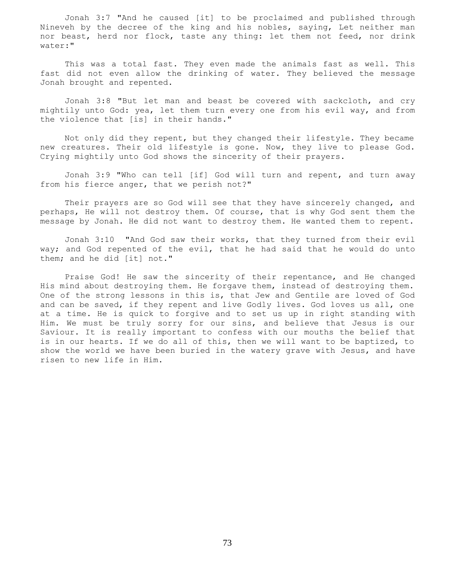Jonah 3:7 "And he caused [it] to be proclaimed and published through Nineveh by the decree of the king and his nobles, saying, Let neither man nor beast, herd nor flock, taste any thing: let them not feed, nor drink water:"

 This was a total fast. They even made the animals fast as well. This fast did not even allow the drinking of water. They believed the message Jonah brought and repented.

 Jonah 3:8 "But let man and beast be covered with sackcloth, and cry mightily unto God: yea, let them turn every one from his evil way, and from the violence that [is] in their hands."

 Not only did they repent, but they changed their lifestyle. They became new creatures. Their old lifestyle is gone. Now, they live to please God. Crying mightily unto God shows the sincerity of their prayers.

 Jonah 3:9 "Who can tell [if] God will turn and repent, and turn away from his fierce anger, that we perish not?"

 Their prayers are so God will see that they have sincerely changed, and perhaps, He will not destroy them. Of course, that is why God sent them the message by Jonah. He did not want to destroy them. He wanted them to repent.

 Jonah 3:10 "And God saw their works, that they turned from their evil way; and God repented of the evil, that he had said that he would do unto them; and he did [it] not."

 Praise God! He saw the sincerity of their repentance, and He changed His mind about destroying them. He forgave them, instead of destroying them. One of the strong lessons in this is, that Jew and Gentile are loved of God and can be saved, if they repent and live Godly lives. God loves us all, one at a time. He is quick to forgive and to set us up in right standing with Him. We must be truly sorry for our sins, and believe that Jesus is our Saviour. It is really important to confess with our mouths the belief that is in our hearts. If we do all of this, then we will want to be baptized, to show the world we have been buried in the watery grave with Jesus, and have risen to new life in Him.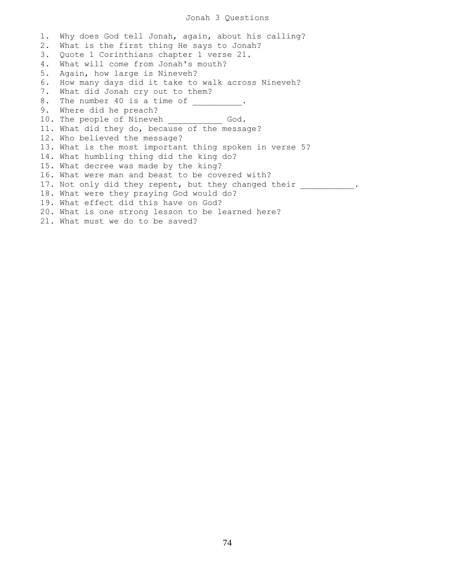## Jonah 3 Questions

1. Why does God tell Jonah, again, about his calling? 2. What is the first thing He says to Jonah? 3. Quote 1 Corinthians chapter 1 verse 21. 4. What will come from Jonah's mouth? 5. Again, how large is Nineveh? 6. How many days did it take to walk across Nineveh? 7. What did Jonah cry out to them? 8. The number 40 is a time of \_\_\_\_\_\_\_\_\_. 9. Where did he preach? 10. The people of Nineveh \_\_\_\_\_\_\_\_\_\_\_ God. 11. What did they do, because of the message? 12. Who believed the message? 13. What is the most important thing spoken in verse 5? 14. What humbling thing did the king do? 15. What decree was made by the king? 16. What were man and beast to be covered with? 17. Not only did they repent, but they changed their . 18. What were they praying God would do? 19. What effect did this have on God? 20. What is one strong lesson to be learned here? 21. What must we do to be saved?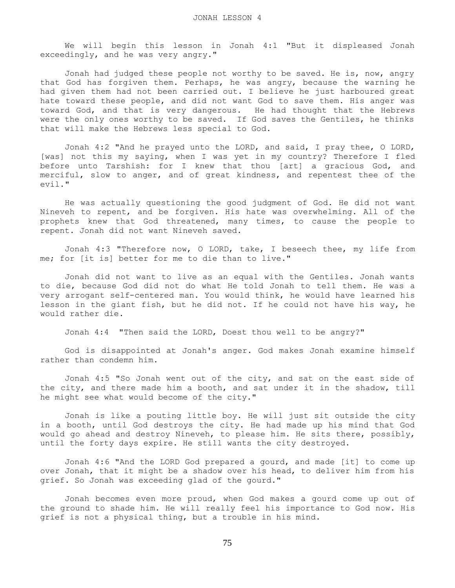We will begin this lesson in Jonah 4:1 "But it displeased Jonah exceedingly, and he was very angry."

 Jonah had judged these people not worthy to be saved. He is, now, angry that God has forgiven them. Perhaps, he was angry, because the warning he had given them had not been carried out. I believe he just harboured great hate toward these people, and did not want God to save them. His anger was toward God, and that is very dangerous. He had thought that the Hebrews were the only ones worthy to be saved. If God saves the Gentiles, he thinks that will make the Hebrews less special to God.

 Jonah 4:2 "And he prayed unto the LORD, and said, I pray thee, O LORD, [was] not this my saying, when I was yet in my country? Therefore I fled before unto Tarshish: for I knew that thou [art] a gracious God, and merciful, slow to anger, and of great kindness, and repentest thee of the evil."

 He was actually questioning the good judgment of God. He did not want Nineveh to repent, and be forgiven. His hate was overwhelming. All of the prophets knew that God threatened, many times, to cause the people to repent. Jonah did not want Nineveh saved.

 Jonah 4:3 "Therefore now, O LORD, take, I beseech thee, my life from me; for [it is] better for me to die than to live."

 Jonah did not want to live as an equal with the Gentiles. Jonah wants to die, because God did not do what He told Jonah to tell them. He was a very arrogant self-centered man. You would think, he would have learned his lesson in the giant fish, but he did not. If he could not have his way, he would rather die.

Jonah 4:4 "Then said the LORD, Doest thou well to be angry?"

 God is disappointed at Jonah's anger. God makes Jonah examine himself rather than condemn him.

 Jonah 4:5 "So Jonah went out of the city, and sat on the east side of the city, and there made him a booth, and sat under it in the shadow, till he might see what would become of the city."

 Jonah is like a pouting little boy. He will just sit outside the city in a booth, until God destroys the city. He had made up his mind that God would go ahead and destroy Nineveh, to please him. He sits there, possibly, until the forty days expire. He still wants the city destroyed.

 Jonah 4:6 "And the LORD God prepared a gourd, and made [it] to come up over Jonah, that it might be a shadow over his head, to deliver him from his grief. So Jonah was exceeding glad of the gourd."

 Jonah becomes even more proud, when God makes a gourd come up out of the ground to shade him. He will really feel his importance to God now. His grief is not a physical thing, but a trouble in his mind.

75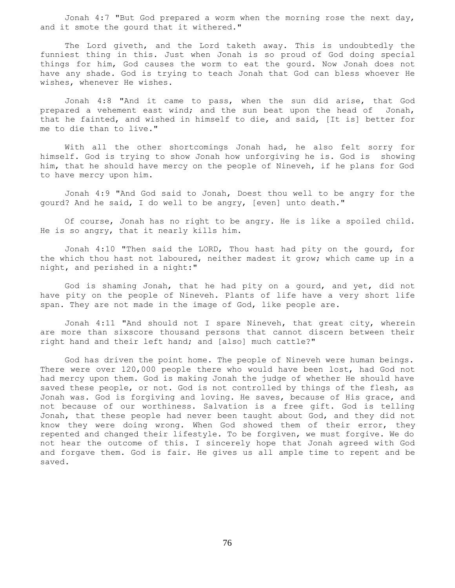Jonah 4:7 "But God prepared a worm when the morning rose the next day, and it smote the gourd that it withered."

 The Lord giveth, and the Lord taketh away. This is undoubtedly the funniest thing in this. Just when Jonah is so proud of God doing special things for him, God causes the worm to eat the gourd. Now Jonah does not have any shade. God is trying to teach Jonah that God can bless whoever He wishes, whenever He wishes.

 Jonah 4:8 "And it came to pass, when the sun did arise, that God prepared a vehement east wind; and the sun beat upon the head of Jonah, that he fainted, and wished in himself to die, and said, [It is] better for me to die than to live."

 With all the other shortcomings Jonah had, he also felt sorry for himself. God is trying to show Jonah how unforgiving he is. God is showing him, that he should have mercy on the people of Nineveh, if he plans for God to have mercy upon him.

 Jonah 4:9 "And God said to Jonah, Doest thou well to be angry for the gourd? And he said, I do well to be angry, [even] unto death."

 Of course, Jonah has no right to be angry. He is like a spoiled child. He is so angry, that it nearly kills him.

 Jonah 4:10 "Then said the LORD, Thou hast had pity on the gourd, for the which thou hast not laboured, neither madest it grow; which came up in a night, and perished in a night:"

 God is shaming Jonah, that he had pity on a gourd, and yet, did not have pity on the people of Nineveh. Plants of life have a very short life span. They are not made in the image of God, like people are.

 Jonah 4:11 "And should not I spare Nineveh, that great city, wherein are more than sixscore thousand persons that cannot discern between their right hand and their left hand; and [also] much cattle?"

 God has driven the point home. The people of Nineveh were human beings. There were over 120,000 people there who would have been lost, had God not had mercy upon them. God is making Jonah the judge of whether He should have saved these people, or not. God is not controlled by things of the flesh, as Jonah was. God is forgiving and loving. He saves, because of His grace, and not because of our worthiness. Salvation is a free gift. God is telling Jonah, that these people had never been taught about God, and they did not know they were doing wrong. When God showed them of their error, they repented and changed their lifestyle. To be forgiven, we must forgive. We do not hear the outcome of this. I sincerely hope that Jonah agreed with God and forgave them. God is fair. He gives us all ample time to repent and be saved.

76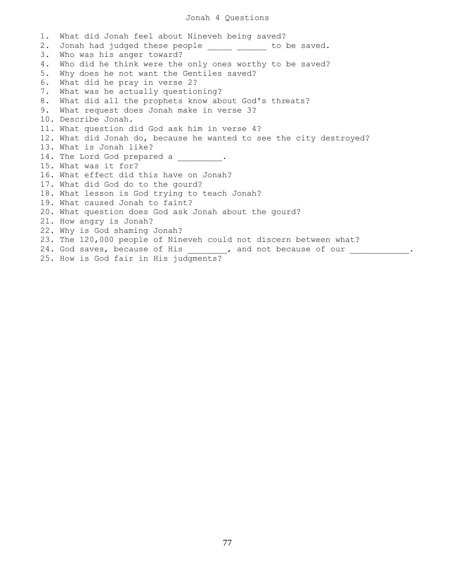## Jonah 4 Questions

1. What did Jonah feel about Nineveh being saved? 2. Jonah had judged these people \_\_\_\_\_ \_\_\_\_\_ to be saved. 3. Who was his anger toward? 4. Who did he think were the only ones worthy to be saved? 5. Why does he not want the Gentiles saved? 6. What did he pray in verse 2? 7. What was he actually questioning? 8. What did all the prophets know about God's threats? 9. What request does Jonah make in verse 3? 10. Describe Jonah. 11. What question did God ask him in verse 4? 12. What did Jonah do, because he wanted to see the city destroyed? 13. What is Jonah like? 14. The Lord God prepared a \_\_\_\_\_\_\_\_. 15. What was it for? 16. What effect did this have on Jonah? 17. What did God do to the gourd? 18. What lesson is God trying to teach Jonah? 19. What caused Jonah to faint? 20. What question does God ask Jonah about the gourd? 21. How angry is Jonah? 22. Why is God shaming Jonah? 23. The 120,000 people of Nineveh could not discern between what? 24. God saves, because of His [10], and not because of our  $\cdots$ 25. How is God fair in His judgments?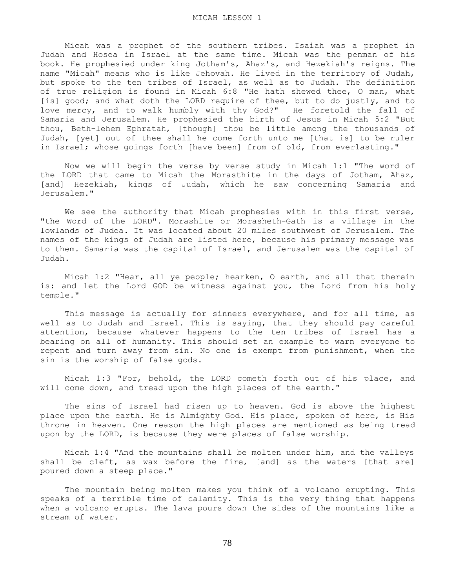Micah was a prophet of the southern tribes. Isaiah was a prophet in Judah and Hosea in Israel at the same time. Micah was the penman of his book. He prophesied under king Jotham's, Ahaz's, and Hezekiah's reigns. The name "Micah" means who is like Jehovah. He lived in the territory of Judah, but spoke to the ten tribes of Israel, as well as to Judah. The definition of true religion is found in Micah 6:8 "He hath shewed thee, O man, what [is] good; and what doth the LORD require of thee, but to do justly, and to love mercy, and to walk humbly with thy God?" He foretold the fall of Samaria and Jerusalem. He prophesied the birth of Jesus in Micah 5:2 "But thou, Beth-lehem Ephratah, [though] thou be little among the thousands of Judah, [yet] out of thee shall he come forth unto me [that is] to be ruler in Israel; whose goings forth [have been] from of old, from everlasting."

 Now we will begin the verse by verse study in Micah 1:1 "The word of the LORD that came to Micah the Morasthite in the days of Jotham, Ahaz, [and] Hezekiah, kings of Judah, which he saw concerning Samaria and Jerusalem."

 We see the authority that Micah prophesies with in this first verse, "the Word of the LORD". Morashite or Morasheth-Gath is a village in the lowlands of Judea. It was located about 20 miles southwest of Jerusalem. The names of the kings of Judah are listed here, because his primary message was to them. Samaria was the capital of Israel, and Jerusalem was the capital of Judah.

 Micah 1:2 "Hear, all ye people; hearken, O earth, and all that therein is: and let the Lord GOD be witness against you, the Lord from his holy temple."

This message is actually for sinners everywhere, and for all time, as well as to Judah and Israel. This is saying, that they should pay careful attention, because whatever happens to the ten tribes of Israel has a bearing on all of humanity. This should set an example to warn everyone to repent and turn away from sin. No one is exempt from punishment, when the sin is the worship of false gods.

 Micah 1:3 "For, behold, the LORD cometh forth out of his place, and will come down, and tread upon the high places of the earth."

 The sins of Israel had risen up to heaven. God is above the highest place upon the earth. He is Almighty God. His place, spoken of here, is His throne in heaven. One reason the high places are mentioned as being tread upon by the LORD, is because they were places of false worship.

 Micah 1:4 "And the mountains shall be molten under him, and the valleys shall be cleft, as wax before the fire, [and] as the waters [that are] poured down a steep place."

 The mountain being molten makes you think of a volcano erupting. This speaks of a terrible time of calamity. This is the very thing that happens when a volcano erupts. The lava pours down the sides of the mountains like a stream of water.

78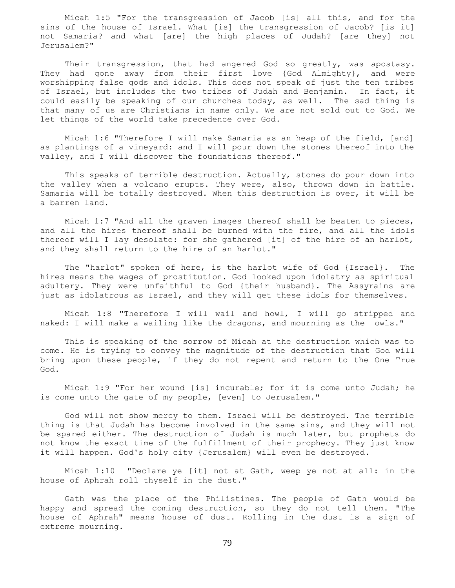Micah 1:5 "For the transgression of Jacob [is] all this, and for the sins of the house of Israel. What [is] the transgression of Jacob? [is it] not Samaria? and what [are] the high places of Judah? [are they] not Jerusalem?"

Their transgression, that had angered God so greatly, was apostasy. They had gone away from their first love {God Almighty}, and were worshipping false gods and idols. This does not speak of just the ten tribes of Israel, but includes the two tribes of Judah and Benjamin. In fact, it could easily be speaking of our churches today, as well. The sad thing is that many of us are Christians in name only. We are not sold out to God. We let things of the world take precedence over God.

 Micah 1:6 "Therefore I will make Samaria as an heap of the field, [and] as plantings of a vineyard: and I will pour down the stones thereof into the valley, and I will discover the foundations thereof."

 This speaks of terrible destruction. Actually, stones do pour down into the valley when a volcano erupts. They were, also, thrown down in battle. Samaria will be totally destroyed. When this destruction is over, it will be a barren land.

 Micah 1:7 "And all the graven images thereof shall be beaten to pieces, and all the hires thereof shall be burned with the fire, and all the idols thereof will I lay desolate: for she gathered [it] of the hire of an harlot, and they shall return to the hire of an harlot."

 The "harlot" spoken of here, is the harlot wife of God {Israel}. The hires means the wages of prostitution. God looked upon idolatry as spiritual adultery. They were unfaithful to God {their husband}. The Assyrains are just as idolatrous as Israel, and they will get these idols for themselves.

 Micah 1:8 "Therefore I will wail and howl, I will go stripped and naked: I will make a wailing like the dragons, and mourning as the owls."

 This is speaking of the sorrow of Micah at the destruction which was to come. He is trying to convey the magnitude of the destruction that God will bring upon these people, if they do not repent and return to the One True God.

 Micah 1:9 "For her wound [is] incurable; for it is come unto Judah; he is come unto the gate of my people, [even] to Jerusalem."

 God will not show mercy to them. Israel will be destroyed. The terrible thing is that Judah has become involved in the same sins, and they will not be spared either. The destruction of Judah is much later, but prophets do not know the exact time of the fulfillment of their prophecy. They just know it will happen. God's holy city {Jerusalem} will even be destroyed.

 Micah 1:10 "Declare ye [it] not at Gath, weep ye not at all: in the house of Aphrah roll thyself in the dust."

 Gath was the place of the Philistines. The people of Gath would be happy and spread the coming destruction, so they do not tell them. "The house of Aphrah" means house of dust. Rolling in the dust is a sign of extreme mourning.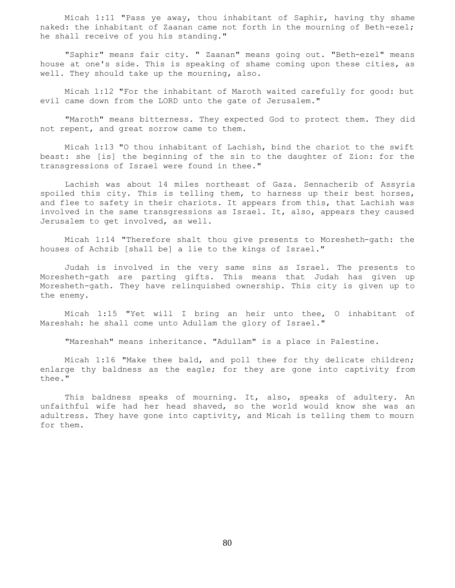Micah 1:11 "Pass ye away, thou inhabitant of Saphir, having thy shame naked: the inhabitant of Zaanan came not forth in the mourning of Beth-ezel; he shall receive of you his standing."

 "Saphir" means fair city. " Zaanan" means going out. "Beth-ezel" means house at one's side. This is speaking of shame coming upon these cities, as well. They should take up the mourning, also.

 Micah 1:12 "For the inhabitant of Maroth waited carefully for good: but evil came down from the LORD unto the gate of Jerusalem."

 "Maroth" means bitterness. They expected God to protect them. They did not repent, and great sorrow came to them.

 Micah 1:13 "O thou inhabitant of Lachish, bind the chariot to the swift beast: she [is] the beginning of the sin to the daughter of Zion: for the transgressions of Israel were found in thee."

 Lachish was about 14 miles northeast of Gaza. Sennacherib of Assyria spoiled this city. This is telling them, to harness up their best horses, and flee to safety in their chariots. It appears from this, that Lachish was involved in the same transgressions as Israel. It, also, appears they caused Jerusalem to get involved, as well.

 Micah 1:14 "Therefore shalt thou give presents to Moresheth-gath: the houses of Achzib [shall be] a lie to the kings of Israel."

 Judah is involved in the very same sins as Israel. The presents to Moresheth-gath are parting gifts. This means that Judah has given up Moresheth-gath. They have relinquished ownership. This city is given up to the enemy.

 Micah 1:15 "Yet will I bring an heir unto thee, O inhabitant of Mareshah: he shall come unto Adullam the glory of Israel."

"Mareshah" means inheritance. "Adullam" is a place in Palestine.

 Micah 1:16 "Make thee bald, and poll thee for thy delicate children; enlarge thy baldness as the eagle; for they are gone into captivity from thee."

 This baldness speaks of mourning. It, also, speaks of adultery. An unfaithful wife had her head shaved, so the world would know she was an adultress. They have gone into captivity, and Micah is telling them to mourn for them.

80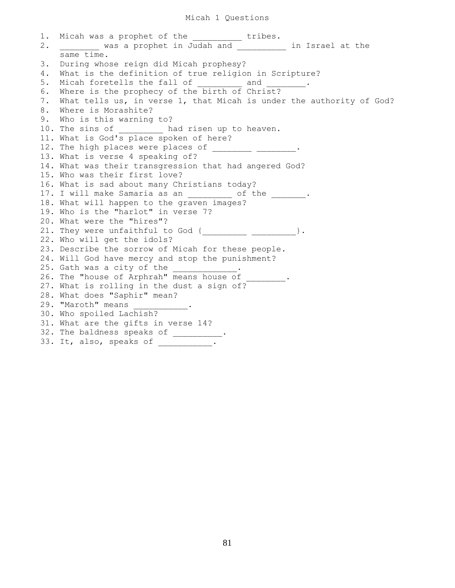## Micah 1 Questions

1. Micah was a prophet of the \_\_\_\_\_\_\_\_\_\_ tribes. 2. Was a prophet in Judah and \_\_\_\_\_\_\_\_ in Israel at the same time. 3. During whose reign did Micah prophesy? 4. What is the definition of true religion in Scripture? 5. Micah foretells the fall of \_\_\_\_\_\_\_\_\_\_ and \_ 6. Where is the prophecy of the birth of Christ? 7. What tells us, in verse 1, that Micah is under the authority of God? 8. Where is Morashite? 9. Who is this warning to? 10. The sins of \_\_\_\_\_\_\_\_\_ had risen up to heaven. 11. What is God's place spoken of here? 12. The high places were places of \_\_\_\_\_\_\_\_\_\_ \_\_ 13. What is verse 4 speaking of? 14. What was their transgression that had angered God? 15. Who was their first love? 16. What is sad about many Christians today? 17. I will make Samaria as an \_\_\_\_\_\_\_\_\_ of the \_\_\_\_\_\_\_. 18. What will happen to the graven images? 19. Who is the "harlot" in verse 7? 20. What were the "hires"? 21. They were unfaithful to God { \_\_\_\_\_\_\_\_\_ \_\_\_\_\_\_\_\_\_\_\_\_}. 22. Who will get the idols? 23. Describe the sorrow of Micah for these people. 24. Will God have mercy and stop the punishment? 25. Gath was a city of the 26. The "house of Arphrah" means house of 27. What is rolling in the dust a sign of? 28. What does "Saphir" mean? 29. "Maroth" means 30. Who spoiled Lachish? 31. What are the gifts in verse 14? 32. The baldness speaks of \_\_\_\_\_\_\_\_\_\_. 33. It, also, speaks of \_\_\_\_\_\_\_\_\_\_.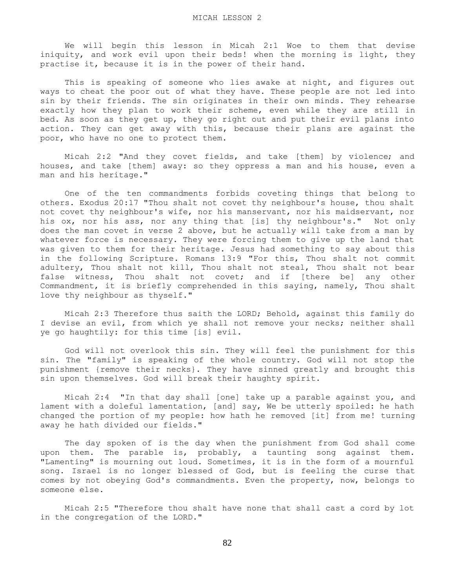We will begin this lesson in Micah 2:1 Woe to them that devise iniquity, and work evil upon their beds! when the morning is light, they practise it, because it is in the power of their hand.

 This is speaking of someone who lies awake at night, and figures out ways to cheat the poor out of what they have. These people are not led into sin by their friends. The sin originates in their own minds. They rehearse exactly how they plan to work their scheme, even while they are still in bed. As soon as they get up, they go right out and put their evil plans into action. They can get away with this, because their plans are against the poor, who have no one to protect them.

 Micah 2:2 "And they covet fields, and take [them] by violence; and houses, and take [them] away: so they oppress a man and his house, even a man and his heritage."

 One of the ten commandments forbids coveting things that belong to others. Exodus 20:17 "Thou shalt not covet thy neighbour's house, thou shalt not covet thy neighbour's wife, nor his manservant, nor his maidservant, nor his ox, nor his ass, nor any thing that [is] thy neighbour's." Not only does the man covet in verse 2 above, but he actually will take from a man by whatever force is necessary. They were forcing them to give up the land that was given to them for their heritage. Jesus had something to say about this in the following Scripture. Romans 13:9 "For this, Thou shalt not commit adultery, Thou shalt not kill, Thou shalt not steal, Thou shalt not bear false witness, Thou shalt not covet; and if [there be] any other Commandment, it is briefly comprehended in this saying, namely, Thou shalt love thy neighbour as thyself."

 Micah 2:3 Therefore thus saith the LORD; Behold, against this family do I devise an evil, from which ye shall not remove your necks; neither shall ye go haughtily: for this time [is] evil.

 God will not overlook this sin. They will feel the punishment for this sin. The "family" is speaking of the whole country. God will not stop the punishment {remove their necks}. They have sinned greatly and brought this sin upon themselves. God will break their haughty spirit.

 Micah 2:4 "In that day shall [one] take up a parable against you, and lament with a doleful lamentation, [and] say, We be utterly spoiled: he hath changed the portion of my people: how hath he removed [it] from me! turning away he hath divided our fields."

 The day spoken of is the day when the punishment from God shall come upon them. The parable is, probably, a taunting song against them. "Lamenting" is mourning out loud. Sometimes, it is in the form of a mournful song. Israel is no longer blessed of God, but is feeling the curse that comes by not obeying God's commandments. Even the property, now, belongs to someone else.

 Micah 2:5 "Therefore thou shalt have none that shall cast a cord by lot in the congregation of the LORD."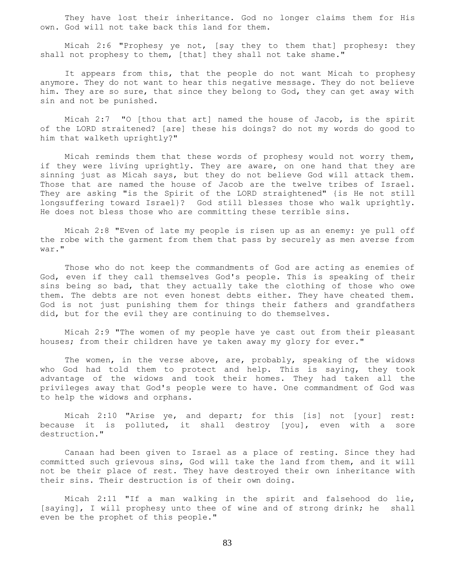They have lost their inheritance. God no longer claims them for His own. God will not take back this land for them.

 Micah 2:6 "Prophesy ye not, [say they to them that] prophesy: they shall not prophesy to them, [that] they shall not take shame."

 It appears from this, that the people do not want Micah to prophesy anymore. They do not want to hear this negative message. They do not believe him. They are so sure, that since they belong to God, they can get away with sin and not be punished.

 Micah 2:7 "O [thou that art] named the house of Jacob, is the spirit of the LORD straitened? [are] these his doings? do not my words do good to him that walketh uprightly?"

 Micah reminds them that these words of prophesy would not worry them, if they were living uprightly. They are aware, on one hand that they are sinning just as Micah says, but they do not believe God will attack them. Those that are named the house of Jacob are the twelve tribes of Israel. They are asking "is the Spirit of the LORD straightened" {is He not still longsuffering toward Israel}? God still blesses those who walk uprightly. He does not bless those who are committing these terrible sins.

 Micah 2:8 "Even of late my people is risen up as an enemy: ye pull off the robe with the garment from them that pass by securely as men averse from war."

 Those who do not keep the commandments of God are acting as enemies of God, even if they call themselves God's people. This is speaking of their sins being so bad, that they actually take the clothing of those who owe them. The debts are not even honest debts either. They have cheated them. God is not just punishing them for things their fathers and grandfathers did, but for the evil they are continuing to do themselves.

 Micah 2:9 "The women of my people have ye cast out from their pleasant houses; from their children have ye taken away my glory for ever."

The women, in the verse above, are, probably, speaking of the widows who God had told them to protect and help. This is saying, they took advantage of the widows and took their homes. They had taken all the privileges away that God's people were to have. One commandment of God was to help the widows and orphans.

 Micah 2:10 "Arise ye, and depart; for this [is] not [your] rest: because it is polluted, it shall destroy [you], even with a sore destruction."

 Canaan had been given to Israel as a place of resting. Since they had committed such grievous sins, God will take the land from them, and it will not be their place of rest. They have destroyed their own inheritance with their sins. Their destruction is of their own doing.

 Micah 2:11 "If a man walking in the spirit and falsehood do lie, [saying], I will prophesy unto thee of wine and of strong drink; he shall even be the prophet of this people."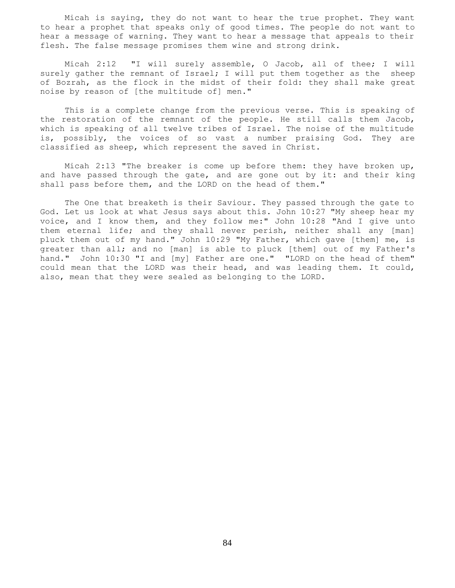Micah is saying, they do not want to hear the true prophet. They want to hear a prophet that speaks only of good times. The people do not want to hear a message of warning. They want to hear a message that appeals to their flesh. The false message promises them wine and strong drink.

 Micah 2:12 "I will surely assemble, O Jacob, all of thee; I will surely gather the remnant of Israel; I will put them together as the sheep of Bozrah, as the flock in the midst of their fold: they shall make great noise by reason of [the multitude of] men."

 This is a complete change from the previous verse. This is speaking of the restoration of the remnant of the people. He still calls them Jacob, which is speaking of all twelve tribes of Israel. The noise of the multitude is, possibly, the voices of so vast a number praising God. They are classified as sheep, which represent the saved in Christ.

 Micah 2:13 "The breaker is come up before them: they have broken up, and have passed through the gate, and are gone out by it: and their king shall pass before them, and the LORD on the head of them."

 The One that breaketh is their Saviour. They passed through the gate to God. Let us look at what Jesus says about this. John 10:27 "My sheep hear my voice, and I know them, and they follow me:" John 10:28 "And I give unto them eternal life; and they shall never perish, neither shall any [man] pluck them out of my hand." John 10:29 "My Father, which gave [them] me, is greater than all; and no [man] is able to pluck [them] out of my Father's hand." John 10:30 "I and [my] Father are one." "LORD on the head of them" could mean that the LORD was their head, and was leading them. It could, also, mean that they were sealed as belonging to the LORD.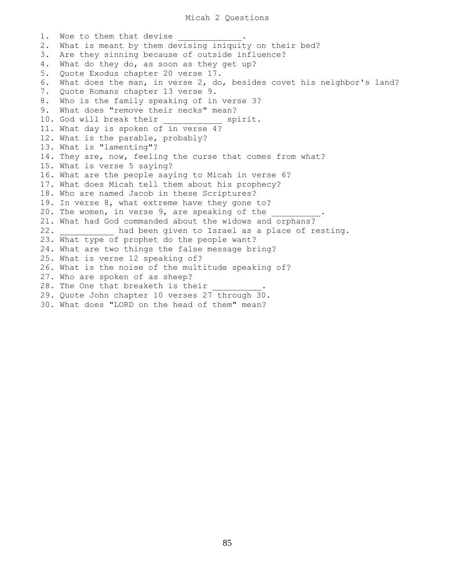1. Woe to them that devise 2. What is meant by them devising iniquity on their bed? 3. Are they sinning because of outside influence? 4. What do they do, as soon as they get up? 5. Quote Exodus chapter 20 verse 17. 6. What does the man, in verse 2, do, besides covet his neighbor's land? 7. Quote Romans chapter 13 verse 9. 8. Who is the family speaking of in verse 3? 9. What does "remove their necks" mean? 10. God will break their \_\_\_\_\_\_\_\_\_\_\_\_ spirit. 11. What day is spoken of in verse 4? 12. What is the parable, probably? 13. What is "lamenting"? 14. They are, now, feeling the curse that comes from what? 15. What is verse 5 saying? 16. What are the people saying to Micah in verse 6? 17. What does Micah tell them about his prophecy? 18. Who are named Jacob in these Scriptures? 19. In verse 8, what extreme have they gone to? 20. The women, in verse 9, are speaking of the 21. What had God commanded about the widows and orphans? 22. \_\_\_\_\_\_\_\_\_\_\_ had been given to Israel as a place of resting. 23. What type of prophet do the people want? 24. What are two things the false message bring? 25. What is verse 12 speaking of? 26. What is the noise of the multitude speaking of? 27. Who are spoken of as sheep? 28. The One that breaketh is their 29. Quote John chapter 10 verses 27 through 30. 30. What does "LORD on the head of them" mean?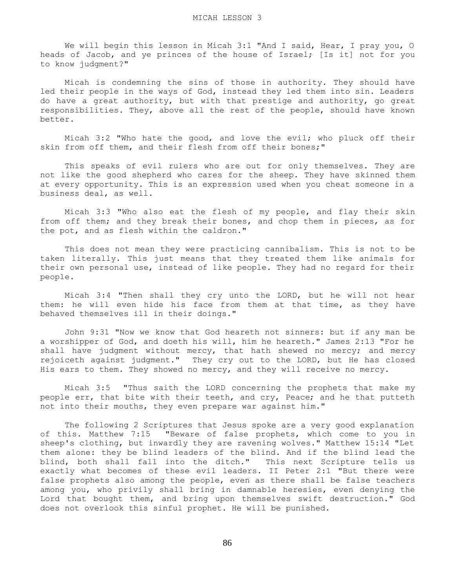We will begin this lesson in Micah 3:1 "And I said, Hear, I pray you, O heads of Jacob, and ye princes of the house of Israel; [Is it] not for you to know judgment?"

 Micah is condemning the sins of those in authority. They should have led their people in the ways of God, instead they led them into sin. Leaders do have a great authority, but with that prestige and authority, go great responsibilities. They, above all the rest of the people, should have known better.

 Micah 3:2 "Who hate the good, and love the evil; who pluck off their skin from off them, and their flesh from off their bones;"

 This speaks of evil rulers who are out for only themselves. They are not like the good shepherd who cares for the sheep. They have skinned them at every opportunity. This is an expression used when you cheat someone in a business deal, as well.

 Micah 3:3 "Who also eat the flesh of my people, and flay their skin from off them; and they break their bones, and chop them in pieces, as for the pot, and as flesh within the caldron."

 This does not mean they were practicing cannibalism. This is not to be taken literally. This just means that they treated them like animals for their own personal use, instead of like people. They had no regard for their people.

 Micah 3:4 "Then shall they cry unto the LORD, but he will not hear them: he will even hide his face from them at that time, as they have behaved themselves ill in their doings."

 John 9:31 "Now we know that God heareth not sinners: but if any man be a worshipper of God, and doeth his will, him he heareth." James 2:13 "For he shall have judgment without mercy, that hath shewed no mercy; and mercy rejoiceth against judgment." They cry out to the LORD, but He has closed His ears to them. They showed no mercy, and they will receive no mercy.

 Micah 3:5 "Thus saith the LORD concerning the prophets that make my people err, that bite with their teeth, and cry, Peace; and he that putteth not into their mouths, they even prepare war against him."

 The following 2 Scriptures that Jesus spoke are a very good explanation of this. Matthew 7:15 "Beware of false prophets, which come to you in sheep's clothing, but inwardly they are ravening wolves." Matthew 15:14 "Let them alone: they be blind leaders of the blind. And if the blind lead the blind, both shall fall into the ditch." This next Scripture tells us exactly what becomes of these evil leaders. II Peter 2:1 "But there were false prophets also among the people, even as there shall be false teachers among you, who privily shall bring in damnable heresies, even denying the Lord that bought them, and bring upon themselves swift destruction." God does not overlook this sinful prophet. He will be punished.

86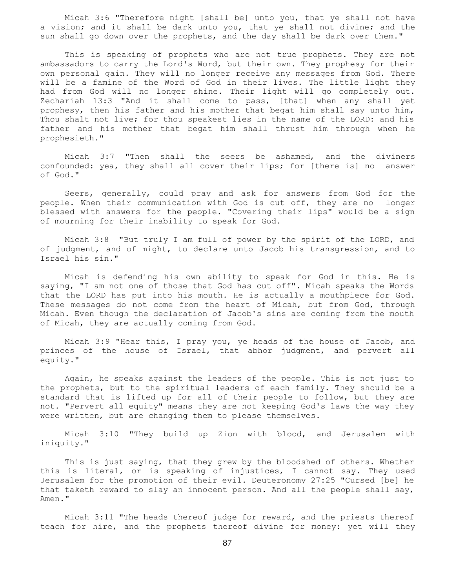Micah 3:6 "Therefore night [shall be] unto you, that ye shall not have a vision; and it shall be dark unto you, that ye shall not divine; and the sun shall go down over the prophets, and the day shall be dark over them."

 This is speaking of prophets who are not true prophets. They are not ambassadors to carry the Lord's Word, but their own. They prophesy for their own personal gain. They will no longer receive any messages from God. There will be a famine of the Word of God in their lives. The little light they had from God will no longer shine. Their light will go completely out. Zechariah 13:3 "And it shall come to pass, [that] when any shall yet prophesy, then his father and his mother that begat him shall say unto him, Thou shalt not live; for thou speakest lies in the name of the LORD: and his father and his mother that begat him shall thrust him through when he prophesieth."

 Micah 3:7 "Then shall the seers be ashamed, and the diviners confounded: yea, they shall all cover their lips; for [there is] no answer of God."

 Seers, generally, could pray and ask for answers from God for the people. When their communication with God is cut off, they are no longer blessed with answers for the people. "Covering their lips" would be a sign of mourning for their inability to speak for God.

 Micah 3:8 "But truly I am full of power by the spirit of the LORD, and of judgment, and of might, to declare unto Jacob his transgression, and to Israel his sin."

 Micah is defending his own ability to speak for God in this. He is saying, "I am not one of those that God has cut off". Micah speaks the Words that the LORD has put into his mouth. He is actually a mouthpiece for God. These messages do not come from the heart of Micah, but from God, through Micah. Even though the declaration of Jacob's sins are coming from the mouth of Micah, they are actually coming from God.

 Micah 3:9 "Hear this, I pray you, ye heads of the house of Jacob, and princes of the house of Israel, that abhor judgment, and pervert all equity."

 Again, he speaks against the leaders of the people. This is not just to the prophets, but to the spiritual leaders of each family. They should be a standard that is lifted up for all of their people to follow, but they are not. "Pervert all equity" means they are not keeping God's laws the way they were written, but are changing them to please themselves.

 Micah 3:10 "They build up Zion with blood, and Jerusalem with iniquity."

This is just saying, that they grew by the bloodshed of others. Whether this is literal, or is speaking of injustices, I cannot say. They used Jerusalem for the promotion of their evil. Deuteronomy 27:25 "Cursed [be] he that taketh reward to slay an innocent person. And all the people shall say, Amen."

 Micah 3:11 "The heads thereof judge for reward, and the priests thereof teach for hire, and the prophets thereof divine for money: yet will they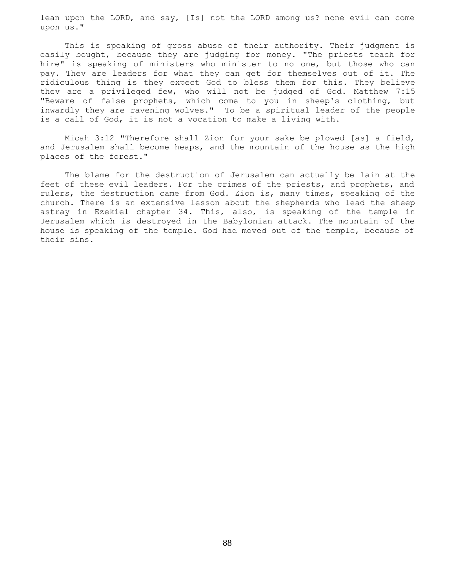lean upon the LORD, and say, [Is] not the LORD among us? none evil can come upon us."

 This is speaking of gross abuse of their authority. Their judgment is easily bought, because they are judging for money. "The priests teach for hire" is speaking of ministers who minister to no one, but those who can pay. They are leaders for what they can get for themselves out of it. The ridiculous thing is they expect God to bless them for this. They believe they are a privileged few, who will not be judged of God. Matthew 7:15 "Beware of false prophets, which come to you in sheep's clothing, but inwardly they are ravening wolves." To be a spiritual leader of the people is a call of God, it is not a vocation to make a living with.

 Micah 3:12 "Therefore shall Zion for your sake be plowed [as] a field, and Jerusalem shall become heaps, and the mountain of the house as the high places of the forest."

 The blame for the destruction of Jerusalem can actually be lain at the feet of these evil leaders. For the crimes of the priests, and prophets, and rulers, the destruction came from God. Zion is, many times, speaking of the church. There is an extensive lesson about the shepherds who lead the sheep astray in Ezekiel chapter 34. This, also, is speaking of the temple in Jerusalem which is destroyed in the Babylonian attack. The mountain of the house is speaking of the temple. God had moved out of the temple, because of their sins.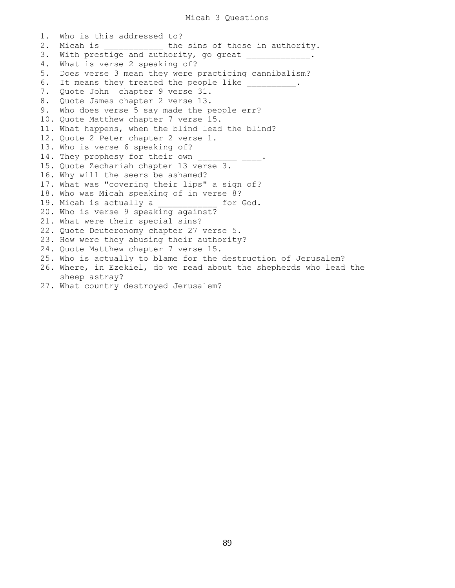1. Who is this addressed to? 2. Micah is  $\qquad \qquad$  the sins of those in authority. 3. With prestige and authority, go great 4. What is verse 2 speaking of? 5. Does verse 3 mean they were practicing cannibalism? 6. It means they treated the people like  $\cdots$ . 7. Quote John chapter 9 verse 31. 8. Quote James chapter 2 verse 13. 9. Who does verse 5 say made the people err? 10. Quote Matthew chapter 7 verse 15. 11. What happens, when the blind lead the blind? 12. Quote 2 Peter chapter 2 verse 1. 13. Who is verse 6 speaking of? 14. They prophesy for their own 15. Quote Zechariah chapter 13 verse 3. 16. Why will the seers be ashamed? 17. What was "covering their lips" a sign of? 18. Who was Micah speaking of in verse 8? 19. Micah is actually a \_\_\_\_\_\_\_\_\_\_\_\_ for God. 20. Who is verse 9 speaking against? 21. What were their special sins? 22. Quote Deuteronomy chapter 27 verse 5. 23. How were they abusing their authority? 24. Quote Matthew chapter 7 verse 15. 25. Who is actually to blame for the destruction of Jerusalem? 26. Where, in Ezekiel, do we read about the shepherds who lead the sheep astray?

27. What country destroyed Jerusalem?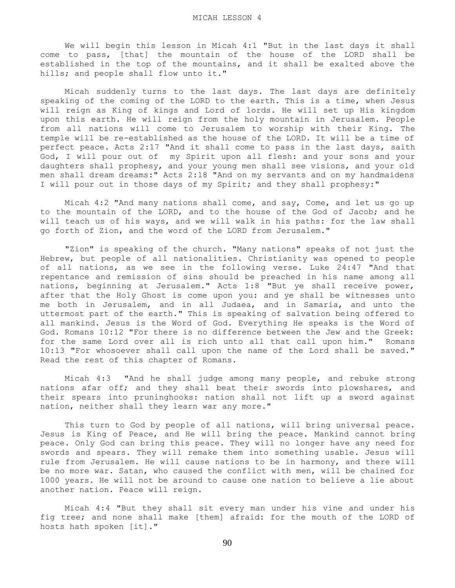We will begin this lesson in Micah 4:1 "But in the last days it shall come to pass, [that] the mountain of the house of the LORD shall be established in the top of the mountains, and it shall be exalted above the hills; and people shall flow unto it."

 Micah suddenly turns to the last days. The last days are definitely speaking of the coming of the LORD to the earth. This is a time, when Jesus will reign as King of kings and Lord of lords. He will set up His kingdom upon this earth. He will reign from the holy mountain in Jerusalem. People from all nations will come to Jerusalem to worship with their King. The temple will be re-established as the house of the LORD. It will be a time of perfect peace. Acts 2:17 "And it shall come to pass in the last days, saith God, I will pour out of my Spirit upon all flesh: and your sons and your daughters shall prophesy, and your young men shall see visions, and your old men shall dream dreams:" Acts 2:18 "And on my servants and on my handmaidens I will pour out in those days of my Spirit; and they shall prophesy:"

 Micah 4:2 "And many nations shall come, and say, Come, and let us go up to the mountain of the LORD, and to the house of the God of Jacob; and he will teach us of his ways, and we will walk in his paths: for the law shall go forth of Zion, and the word of the LORD from Jerusalem."

 "Zion" is speaking of the church. "Many nations" speaks of not just the Hebrew, but people of all nationalities. Christianity was opened to people of all nations, as we see in the following verse. Luke 24:47 "And that repentance and remission of sins should be preached in his name among all nations, beginning at Jerusalem." Acts 1:8 "But ye shall receive power, after that the Holy Ghost is come upon you: and ye shall be witnesses unto me both in Jerusalem, and in all Judaea, and in Samaria, and unto the uttermost part of the earth." This is speaking of salvation being offered to all mankind. Jesus is the Word of God. Everything He speaks is the Word of God. Romans 10:12 "For there is no difference between the Jew and the Greek: for the same Lord over all is rich unto all that call upon him." Romans 10:13 "For whosoever shall call upon the name of the Lord shall be saved." Read the rest of this chapter of Romans.

 Micah 4:3 "And he shall judge among many people, and rebuke strong nations afar off; and they shall beat their swords into plowshares, and their spears into pruninghooks: nation shall not lift up a sword against nation, neither shall they learn war any more."

 This turn to God by people of all nations, will bring universal peace. Jesus is King of Peace, and He will bring the peace. Mankind cannot bring peace. Only God can bring this peace. They will no longer have any need for swords and spears. They will remake them into something usable. Jesus will rule from Jerusalem. He will cause nations to be in harmony, and there will be no more war. Satan, who caused the conflict with men, will be chained for 1000 years. He will not be around to cause one nation to believe a lie about another nation. Peace will reign.

 Micah 4:4 "But they shall sit every man under his vine and under his fig tree; and none shall make [them] afraid: for the mouth of the LORD of hosts hath spoken [it]."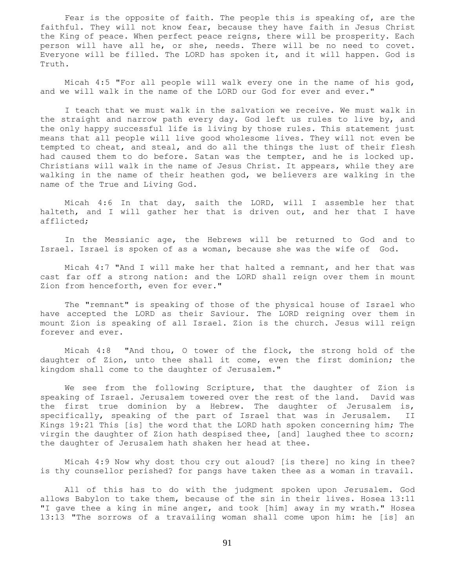Fear is the opposite of faith. The people this is speaking of, are the faithful. They will not know fear, because they have faith in Jesus Christ the King of peace. When perfect peace reigns, there will be prosperity. Each person will have all he, or she, needs. There will be no need to covet. Everyone will be filled. The LORD has spoken it, and it will happen. God is Truth.

 Micah 4:5 "For all people will walk every one in the name of his god, and we will walk in the name of the LORD our God for ever and ever."

 I teach that we must walk in the salvation we receive. We must walk in the straight and narrow path every day. God left us rules to live by, and the only happy successful life is living by those rules. This statement just means that all people will live good wholesome lives. They will not even be tempted to cheat, and steal, and do all the things the lust of their flesh had caused them to do before. Satan was the tempter, and he is locked up. Christians will walk in the name of Jesus Christ. It appears, while they are walking in the name of their heathen god, we believers are walking in the name of the True and Living God.

 Micah 4:6 In that day, saith the LORD, will I assemble her that halteth, and I will gather her that is driven out, and her that I have afflicted;

 In the Messianic age, the Hebrews will be returned to God and to Israel. Israel is spoken of as a woman, because she was the wife of God.

 Micah 4:7 "And I will make her that halted a remnant, and her that was cast far off a strong nation: and the LORD shall reign over them in mount Zion from henceforth, even for ever."

 The "remnant" is speaking of those of the physical house of Israel who have accepted the LORD as their Saviour. The LORD reigning over them in mount Zion is speaking of all Israel. Zion is the church. Jesus will reign forever and ever.

 Micah 4:8 "And thou, O tower of the flock, the strong hold of the daughter of Zion, unto thee shall it come, even the first dominion; the kingdom shall come to the daughter of Jerusalem."

 We see from the following Scripture, that the daughter of Zion is speaking of Israel. Jerusalem towered over the rest of the land. David was the first true dominion by a Hebrew. The daughter of Jerusalem is, specifically, speaking of the part of Israel that was in Jerusalem. II Kings 19:21 This [is] the word that the LORD hath spoken concerning him; The virgin the daughter of Zion hath despised thee, [and] laughed thee to scorn; the daughter of Jerusalem hath shaken her head at thee.

 Micah 4:9 Now why dost thou cry out aloud? [is there] no king in thee? is thy counsellor perished? for pangs have taken thee as a woman in travail.

 All of this has to do with the judgment spoken upon Jerusalem. God allows Babylon to take them, because of the sin in their lives. Hosea 13:11 "I gave thee a king in mine anger, and took [him] away in my wrath." Hosea 13:13 "The sorrows of a travailing woman shall come upon him: he [is] an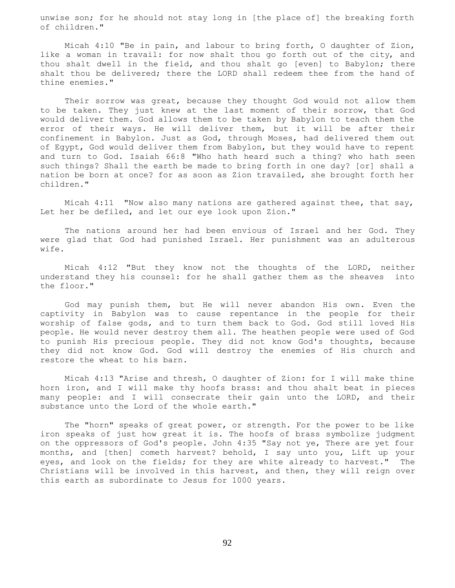unwise son; for he should not stay long in [the place of] the breaking forth of children."

 Micah 4:10 "Be in pain, and labour to bring forth, O daughter of Zion, like a woman in travail: for now shalt thou go forth out of the city, and thou shalt dwell in the field, and thou shalt go [even] to Babylon; there shalt thou be delivered; there the LORD shall redeem thee from the hand of thine enemies."

 Their sorrow was great, because they thought God would not allow them to be taken. They just knew at the last moment of their sorrow, that God would deliver them. God allows them to be taken by Babylon to teach them the error of their ways. He will deliver them, but it will be after their confinement in Babylon. Just as God, through Moses, had delivered them out of Egypt, God would deliver them from Babylon, but they would have to repent and turn to God. Isaiah 66:8 "Who hath heard such a thing? who hath seen such things? Shall the earth be made to bring forth in one day? [or] shall a nation be born at once? for as soon as Zion travailed, she brought forth her children."

Micah  $4:11$  "Now also many nations are gathered against thee, that say, Let her be defiled, and let our eye look upon Zion."

 The nations around her had been envious of Israel and her God. They were glad that God had punished Israel. Her punishment was an adulterous wife.

 Micah 4:12 "But they know not the thoughts of the LORD, neither understand they his counsel: for he shall gather them as the sheaves into the floor."

 God may punish them, but He will never abandon His own. Even the captivity in Babylon was to cause repentance in the people for their worship of false gods, and to turn them back to God. God still loved His people. He would never destroy them all. The heathen people were used of God to punish His precious people. They did not know God's thoughts, because they did not know God. God will destroy the enemies of His church and restore the wheat to his barn.

 Micah 4:13 "Arise and thresh, O daughter of Zion: for I will make thine horn iron, and I will make thy hoofs brass: and thou shalt beat in pieces many people: and I will consecrate their gain unto the LORD, and their substance unto the Lord of the whole earth."

 The "horn" speaks of great power, or strength. For the power to be like iron speaks of just how great it is. The hoofs of brass symbolize judgment on the oppressors of God's people. John 4:35 "Say not ye, There are yet four months, and [then] cometh harvest? behold, I say unto you, Lift up your eyes, and look on the fields; for they are white already to harvest." The Christians will be involved in this harvest, and then, they will reign over this earth as subordinate to Jesus for 1000 years.

92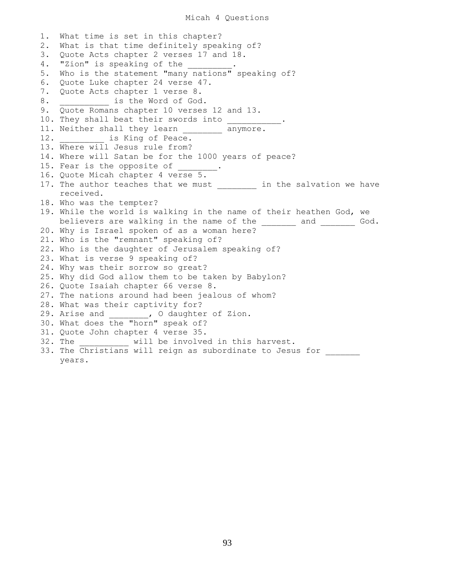1. What time is set in this chapter? 2. What is that time definitely speaking of? 3. Quote Acts chapter 2 verses 17 and 18. 4. "Zion" is speaking of the \_\_\_\_\_ 5. Who is the statement "many nations" speaking of? 6. Quote Luke chapter 24 verse 47. 7. Quote Acts chapter 1 verse 8.<br>8. is the Word of God \_\_\_\_\_\_\_\_\_\_\_\_\_\_ is the Word of God. 9. Quote Romans chapter 10 verses 12 and 13. 10. They shall beat their swords into 11. Neither shall they learn \_\_\_\_\_\_\_\_ anymore. 12. **is King of Peace.** 13. Where will Jesus rule from? 14. Where will Satan be for the 1000 years of peace? 15. Fear is the opposite of 16. Quote Micah chapter 4 verse 5. 17. The author teaches that we must in the salvation we have received. 18. Who was the tempter? 19. While the world is walking in the name of their heathen God, we believers are walking in the name of the \_\_\_\_\_\_\_ and \_\_\_\_\_\_\_ God. 20. Why is Israel spoken of as a woman here? 21. Who is the "remnant" speaking of? 22. Who is the daughter of Jerusalem speaking of? 23. What is verse 9 speaking of? 24. Why was their sorrow so great? 25. Why did God allow them to be taken by Babylon? 26. Quote Isaiah chapter 66 verse 8. 27. The nations around had been jealous of whom? 28. What was their captivity for? 29. Arise and **, O** daughter of Zion. 30. What does the "horn" speak of? 31. Quote John chapter 4 verse 35. 32. The \_\_\_\_\_\_\_\_\_\_ will be involved in this harvest. 33. The Christians will reign as subordinate to Jesus for

years.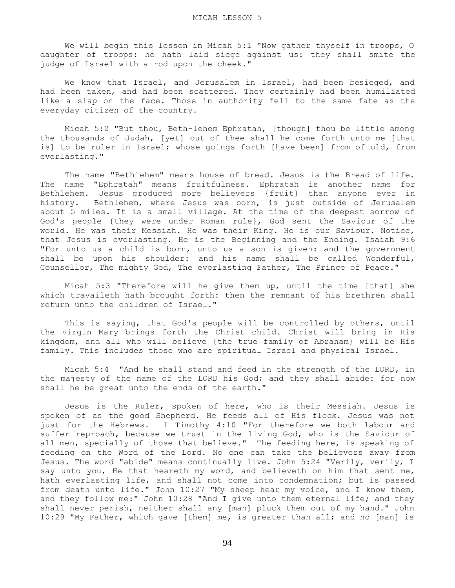We will begin this lesson in Micah 5:1 "Now gather thyself in troops, O daughter of troops: he hath laid siege against us: they shall smite the judge of Israel with a rod upon the cheek."

 We know that Israel, and Jerusalem in Israel, had been besieged, and had been taken, and had been scattered. They certainly had been humiliated like a slap on the face. Those in authority fell to the same fate as the everyday citizen of the country.

 Micah 5:2 "But thou, Beth-lehem Ephratah, [though] thou be little among the thousands of Judah, [yet] out of thee shall he come forth unto me [that is] to be ruler in Israel; whose goings forth [have been] from of old, from everlasting."

 The name "Bethlehem" means house of bread. Jesus is the Bread of life. The name "Ephratah" means fruitfulness. Ephratah is another name for Bethlehem. Jesus produced more believers {fruit} than anyone ever in history. Bethlehem, where Jesus was born, is just outside of Jerusalem about 5 miles. It is a small village. At the time of the deepest sorrow of God's people {they were under Roman rule}, God sent the Saviour of the world. He was their Messiah. He was their King. He is our Saviour. Notice, that Jesus is everlasting. He is the Beginning and the Ending. Isaiah 9:6 "For unto us a child is born, unto us a son is given: and the government shall be upon his shoulder: and his name shall be called Wonderful, Counsellor, The mighty God, The everlasting Father, The Prince of Peace."

 Micah 5:3 "Therefore will he give them up, until the time [that] she which travaileth hath brought forth: then the remnant of his brethren shall return unto the children of Israel."

 This is saying, that God's people will be controlled by others, until the virgin Mary brings forth the Christ child. Christ will bring in His kingdom, and all who will believe {the true family of Abraham} will be His family. This includes those who are spiritual Israel and physical Israel.

 Micah 5:4 "And he shall stand and feed in the strength of the LORD, in the majesty of the name of the LORD his God; and they shall abide: for now shall he be great unto the ends of the earth."

 Jesus is the Ruler, spoken of here, who is their Messiah. Jesus is spoken of as the good Shepherd. He feeds all of His flock. Jesus was not just for the Hebrews. I Timothy 4:10 "For therefore we both labour and suffer reproach, because we trust in the living God, who is the Saviour of all men, specially of those that believe." The feeding here, is speaking of feeding on the Word of the Lord. No one can take the believers away from Jesus. The word "abide" means continually live. John 5:24 "Verily, verily, I say unto you, He that heareth my word, and believeth on him that sent me, hath everlasting life, and shall not come into condemnation; but is passed from death unto life." John 10:27 "My sheep hear my voice, and I know them, and they follow me:" John 10:28 "And I give unto them eternal life; and they shall never perish, neither shall any [man] pluck them out of my hand." John 10:29 "My Father, which gave [them] me, is greater than all; and no [man] is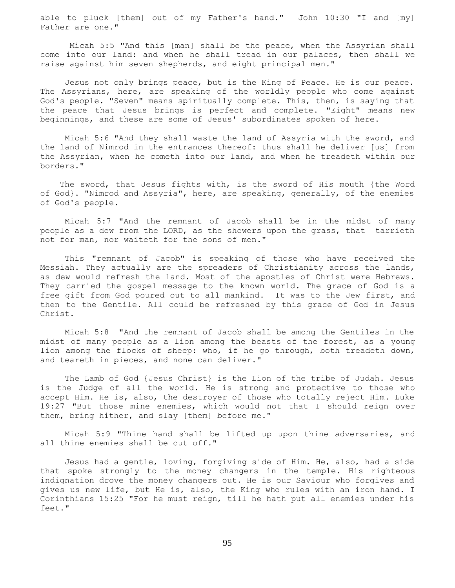able to pluck [them] out of my Father's hand." John 10:30 "I and [my] Father are one."

 Micah 5:5 "And this [man] shall be the peace, when the Assyrian shall come into our land: and when he shall tread in our palaces, then shall we raise against him seven shepherds, and eight principal men."

 Jesus not only brings peace, but is the King of Peace. He is our peace. The Assyrians, here, are speaking of the worldly people who come against God's people. "Seven" means spiritually complete. This, then, is saying that the peace that Jesus brings is perfect and complete. "Eight" means new beginnings, and these are some of Jesus' subordinates spoken of here.

 Micah 5:6 "And they shall waste the land of Assyria with the sword, and the land of Nimrod in the entrances thereof: thus shall he deliver [us] from the Assyrian, when he cometh into our land, and when he treadeth within our borders."

 The sword, that Jesus fights with, is the sword of His mouth {the Word of God}. "Nimrod and Assyria", here, are speaking, generally, of the enemies of God's people.

 Micah 5:7 "And the remnant of Jacob shall be in the midst of many people as a dew from the LORD, as the showers upon the grass, that tarrieth not for man, nor waiteth for the sons of men."

 This "remnant of Jacob" is speaking of those who have received the Messiah. They actually are the spreaders of Christianity across the lands, as dew would refresh the land. Most of the apostles of Christ were Hebrews. They carried the gospel message to the known world. The grace of God is a free gift from God poured out to all mankind. It was to the Jew first, and then to the Gentile. All could be refreshed by this grace of God in Jesus Christ.

 Micah 5:8 "And the remnant of Jacob shall be among the Gentiles in the midst of many people as a lion among the beasts of the forest, as a young lion among the flocks of sheep: who, if he go through, both treadeth down, and teareth in pieces, and none can deliver."

 The Lamb of God {Jesus Christ} is the Lion of the tribe of Judah. Jesus is the Judge of all the world. He is strong and protective to those who accept Him. He is, also, the destroyer of those who totally reject Him. Luke 19:27 "But those mine enemies, which would not that I should reign over them, bring hither, and slay [them] before me."

 Micah 5:9 "Thine hand shall be lifted up upon thine adversaries, and all thine enemies shall be cut off."

 Jesus had a gentle, loving, forgiving side of Him. He, also, had a side that spoke strongly to the money changers in the temple. His righteous indignation drove the money changers out. He is our Saviour who forgives and gives us new life, but He is, also, the King who rules with an iron hand. I Corinthians 15:25 "For he must reign, till he hath put all enemies under his feet."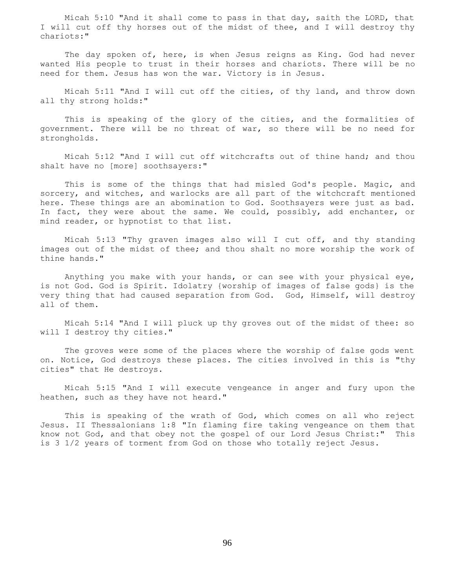Micah 5:10 "And it shall come to pass in that day, saith the LORD, that I will cut off thy horses out of the midst of thee, and I will destroy thy chariots:"

 The day spoken of, here, is when Jesus reigns as King. God had never wanted His people to trust in their horses and chariots. There will be no need for them. Jesus has won the war. Victory is in Jesus.

 Micah 5:11 "And I will cut off the cities, of thy land, and throw down all thy strong holds:"

 This is speaking of the glory of the cities, and the formalities of government. There will be no threat of war, so there will be no need for strongholds.

 Micah 5:12 "And I will cut off witchcrafts out of thine hand; and thou shalt have no [more] soothsayers:"

 This is some of the things that had misled God's people. Magic, and sorcery, and witches, and warlocks are all part of the witchcraft mentioned here. These things are an abomination to God. Soothsayers were just as bad. In fact, they were about the same. We could, possibly, add enchanter, or mind reader, or hypnotist to that list.

 Micah 5:13 "Thy graven images also will I cut off, and thy standing images out of the midst of thee; and thou shalt no more worship the work of thine hands."

 Anything you make with your hands, or can see with your physical eye, is not God. God is Spirit. Idolatry {worship of images of false gods} is the very thing that had caused separation from God. God, Himself, will destroy all of them.

 Micah 5:14 "And I will pluck up thy groves out of the midst of thee: so will I destroy thy cities."

 The groves were some of the places where the worship of false gods went on. Notice, God destroys these places. The cities involved in this is "thy cities" that He destroys.

 Micah 5:15 "And I will execute vengeance in anger and fury upon the heathen, such as they have not heard."

 This is speaking of the wrath of God, which comes on all who reject Jesus. II Thessalonians 1:8 "In flaming fire taking vengeance on them that know not God, and that obey not the gospel of our Lord Jesus Christ:" This is 3 1/2 years of torment from God on those who totally reject Jesus.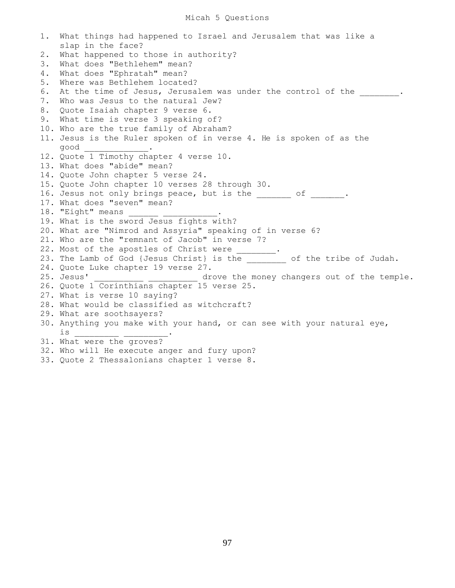## Micah 5 Questions

1. What things had happened to Israel and Jerusalem that was like a slap in the face? 2. What happened to those in authority? 3. What does "Bethlehem" mean? 4. What does "Ephratah" mean? 5. Where was Bethlehem located? 6. At the time of Jesus, Jerusalem was under the control of the  $\cdots$ 7. Who was Jesus to the natural Jew? 8. Quote Isaiah chapter 9 verse 6. 9. What time is verse 3 speaking of? 10. Who are the true family of Abraham? 11. Jesus is the Ruler spoken of in verse 4. He is spoken of as the good \_\_\_\_\_\_\_\_\_\_\_\_\_. 12. Quote 1 Timothy chapter 4 verse 10. 13. What does "abide" mean? 14. Quote John chapter 5 verse 24. 15. Quote John chapter 10 verses 28 through 30. 16. Jesus not only brings peace, but is the \_\_\_\_\_\_\_ of \_\_\_\_\_\_. 17. What does "seven" mean? 18. "Eight" means 19. What is the sword Jesus fights with? 20. What are "Nimrod and Assyria" speaking of in verse 6? 21. Who are the "remnant of Jacob" in verse 7? 22. Most of the apostles of Christ were 23. The Lamb of God {Jesus Christ} is the  $\qquad$  of the tribe of Judah. 24. Quote Luke chapter 19 verse 27. 25. Jesus' **Example 25.** drove the money changers out of the temple. 26. Quote 1 Corinthians chapter 15 verse 25. 27. What is verse 10 saying? 28. What would be classified as witchcraft? 29. What are soothsayers? 30. Anything you make with your hand, or can see with your natural eye, is is \_\_\_\_\_\_\_\_\_ \_\_\_\_\_\_\_\_\_. 31. What were the groves? 32. Who will He execute anger and fury upon?

33. Quote 2 Thessalonians chapter 1 verse 8.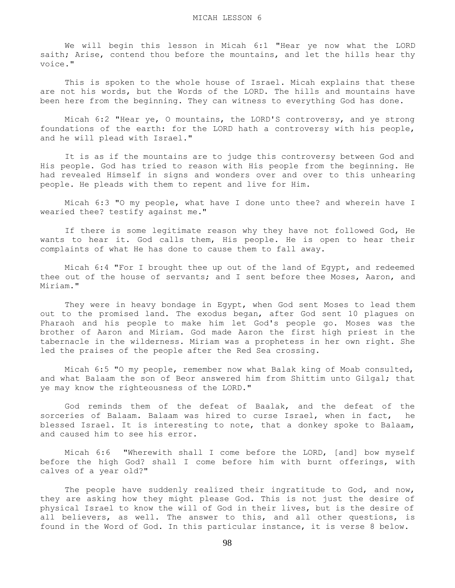We will begin this lesson in Micah 6:1 "Hear ye now what the LORD saith; Arise, contend thou before the mountains, and let the hills hear thy voice."

 This is spoken to the whole house of Israel. Micah explains that these are not his words, but the Words of the LORD. The hills and mountains have been here from the beginning. They can witness to everything God has done.

 Micah 6:2 "Hear ye, O mountains, the LORD'S controversy, and ye strong foundations of the earth: for the LORD hath a controversy with his people, and he will plead with Israel."

 It is as if the mountains are to judge this controversy between God and His people. God has tried to reason with His people from the beginning. He had revealed Himself in signs and wonders over and over to this unhearing people. He pleads with them to repent and live for Him.

 Micah 6:3 "O my people, what have I done unto thee? and wherein have I wearied thee? testify against me."

 If there is some legitimate reason why they have not followed God, He wants to hear it. God calls them, His people. He is open to hear their complaints of what He has done to cause them to fall away.

 Micah 6:4 "For I brought thee up out of the land of Egypt, and redeemed thee out of the house of servants; and I sent before thee Moses, Aaron, and Miriam."

 They were in heavy bondage in Egypt, when God sent Moses to lead them out to the promised land. The exodus began, after God sent 10 plagues on Pharaoh and his people to make him let God's people go. Moses was the brother of Aaron and Miriam. God made Aaron the first high priest in the tabernacle in the wilderness. Miriam was a prophetess in her own right. She led the praises of the people after the Red Sea crossing.

 Micah 6:5 "O my people, remember now what Balak king of Moab consulted, and what Balaam the son of Beor answered him from Shittim unto Gilgal; that ye may know the righteousness of the LORD."

 God reminds them of the defeat of Baalak, and the defeat of the sorceries of Balaam. Balaam was hired to curse Israel, when in fact, he blessed Israel. It is interesting to note, that a donkey spoke to Balaam, and caused him to see his error.

 Micah 6:6 "Wherewith shall I come before the LORD, [and] bow myself before the high God? shall I come before him with burnt offerings, with calves of a year old?"

The people have suddenly realized their ingratitude to God, and now, they are asking how they might please God. This is not just the desire of physical Israel to know the will of God in their lives, but is the desire of all believers, as well. The answer to this, and all other questions, is found in the Word of God. In this particular instance, it is verse 8 below.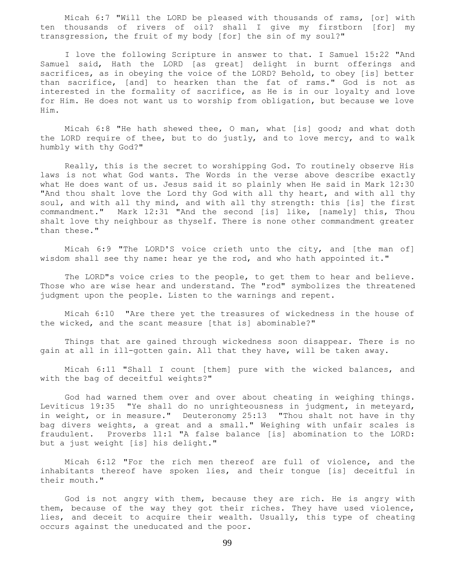Micah 6:7 "Will the LORD be pleased with thousands of rams, [or] with ten thousands of rivers of oil? shall I give my firstborn [for] my transgression, the fruit of my body [for] the sin of my soul?"

 I love the following Scripture in answer to that. I Samuel 15:22 "And Samuel said, Hath the LORD [as great] delight in burnt offerings and sacrifices, as in obeying the voice of the LORD? Behold, to obey [is] better than sacrifice, [and] to hearken than the fat of rams." God is not as interested in the formality of sacrifice, as He is in our loyalty and love for Him. He does not want us to worship from obligation, but because we love Him.

 Micah 6:8 "He hath shewed thee, O man, what [is] good; and what doth the LORD require of thee, but to do justly, and to love mercy, and to walk humbly with thy God?"

 Really, this is the secret to worshipping God. To routinely observe His laws is not what God wants. The Words in the verse above describe exactly what He does want of us. Jesus said it so plainly when He said in Mark 12:30 "And thou shalt love the Lord thy God with all thy heart, and with all thy soul, and with all thy mind, and with all thy strength: this [is] the first commandment." Mark 12:31 "And the second [is] like, [namely] this, Thou shalt love thy neighbour as thyself. There is none other commandment greater than these."

 Micah 6:9 "The LORD'S voice crieth unto the city, and [the man of] wisdom shall see thy name: hear ye the rod, and who hath appointed it."

 The LORD"s voice cries to the people, to get them to hear and believe. Those who are wise hear and understand. The "rod" symbolizes the threatened judgment upon the people. Listen to the warnings and repent.

 Micah 6:10 "Are there yet the treasures of wickedness in the house of the wicked, and the scant measure [that is] abominable?"

 Things that are gained through wickedness soon disappear. There is no gain at all in ill-gotten gain. All that they have, will be taken away.

 Micah 6:11 "Shall I count [them] pure with the wicked balances, and with the bag of deceitful weights?"

 God had warned them over and over about cheating in weighing things. Leviticus 19:35 "Ye shall do no unrighteousness in judgment, in meteyard, in weight, or in measure." Deuteronomy 25:13 "Thou shalt not have in thy bag divers weights, a great and a small." Weighing with unfair scales is fraudulent. Proverbs 11:1 "A false balance [is] abomination to the LORD: but a just weight [is] his delight."

 Micah 6:12 "For the rich men thereof are full of violence, and the inhabitants thereof have spoken lies, and their tongue [is] deceitful in their mouth."

 God is not angry with them, because they are rich. He is angry with them, because of the way they got their riches. They have used violence, lies, and deceit to acquire their wealth. Usually, this type of cheating occurs against the uneducated and the poor.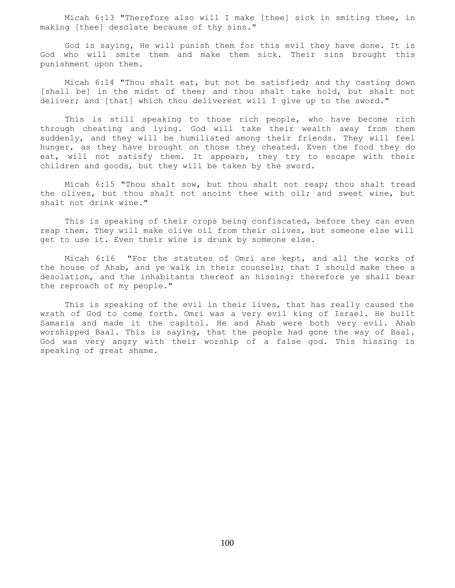Micah 6:13 "Therefore also will I make [thee] sick in smiting thee, in making [thee] desolate because of thy sins."

 God is saying, He will punish them for this evil they have done. It is God who will smite them and make them sick. Their sins brought this punishment upon them.

 Micah 6:14 "Thou shalt eat, but not be satisfied; and thy casting down [shall be] in the midst of thee; and thou shalt take hold, but shalt not deliver; and [that] which thou deliverest will I give up to the sword."

 This is still speaking to those rich people, who have become rich through cheating and lying. God will take their wealth away from them suddenly, and they will be humiliated among their friends. They will feel hunger, as they have brought on those they cheated. Even the food they do eat, will not satisfy them. It appears, they try to escape with their children and goods, but they will be taken by the sword.

 Micah 6:15 "Thou shalt sow, but thou shalt not reap; thou shalt tread the olives, but thou shalt not anoint thee with oil; and sweet wine, but shalt not drink wine."

 This is speaking of their crops being confiscated, before they can even reap them. They will make olive oil from their olives, but someone else will get to use it. Even their wine is drunk by someone else.

 Micah 6:16 "For the statutes of Omri are kept, and all the works of the house of Ahab, and ye walk in their counsels; that I should make thee a desolation, and the inhabitants thereof an hissing: therefore ye shall bear the reproach of my people."

 This is speaking of the evil in their lives, that has really caused the wrath of God to come forth. Omri was a very evil king of Israel. He built Samaria and made it the capitol. He and Ahab were both very evil. Ahab worshipped Baal. This is saying, that the people had gone the way of Baal. God was very angry with their worship of a false god. This hissing is speaking of great shame.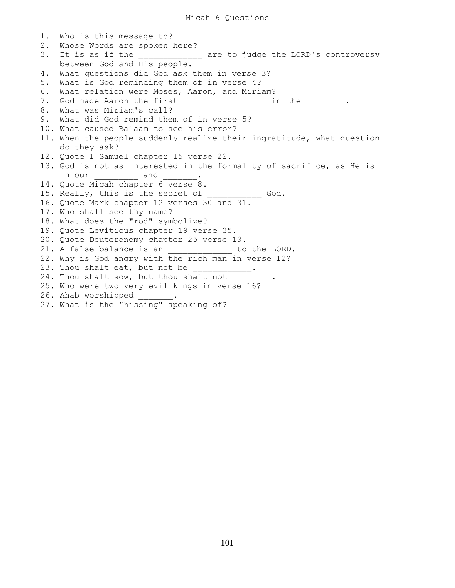1. Who is this message to? 2. Whose Words are spoken here? 3. It is as if the \_\_\_\_\_\_\_\_\_\_\_\_\_\_ are to judge the LORD's controversy between God and His people. 4. What questions did God ask them in verse 3? 5. What is God reminding them of in verse 4? 6. What relation were Moses, Aaron, and Miriam? 7. God made Aaron the first \_\_\_\_\_\_\_\_\_ \_\_\_\_\_\_\_\_ in the \_\_\_\_\_\_\_\_. 8. What was Miriam's call? 9. What did God remind them of in verse 5? 10. What caused Balaam to see his error? 11. When the people suddenly realize their ingratitude, what question do they ask? 12. Quote 1 Samuel chapter 15 verse 22. 13. God is not as interested in the formality of sacrifice, as He is in our and 14. Quote Micah chapter 6 verse 8. 15. Really, this is the secret of \_\_\_\_\_\_\_\_\_\_\_\_ God. 16. Quote Mark chapter 12 verses 30 and 31. 17. Who shall see thy name? 18. What does the "rod" symbolize? 19. Quote Leviticus chapter 19 verse 35. 20. Quote Deuteronomy chapter 25 verse 13. 21. A false balance is an  $\qquad \qquad$  to the LORD. 22. Why is God angry with the rich man in verse 12? 23. Thou shalt eat, but not be 24. Thou shalt sow, but thou shalt not 25. Who were two very evil kings in verse 16? 26. Ahab worshipped 27. What is the "hissing" speaking of?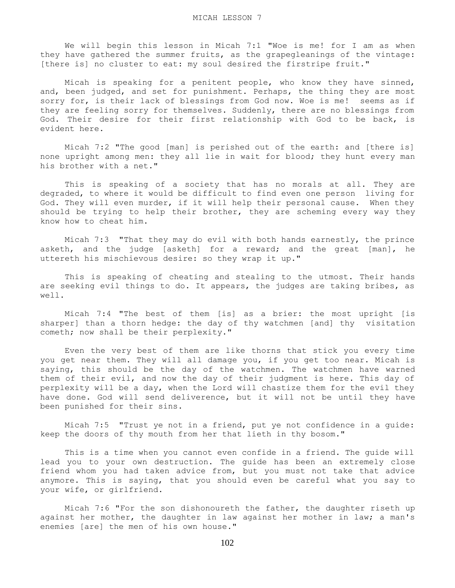We will begin this lesson in Micah 7:1 "Woe is me! for I am as when they have gathered the summer fruits, as the grapegleanings of the vintage: [there is] no cluster to eat: my soul desired the firstripe fruit."

 Micah is speaking for a penitent people, who know they have sinned, and, been judged, and set for punishment. Perhaps, the thing they are most sorry for, is their lack of blessings from God now. Woe is me! seems as if they are feeling sorry for themselves. Suddenly, there are no blessings from God. Their desire for their first relationship with God to be back, is evident here.

 Micah 7:2 "The good [man] is perished out of the earth: and [there is] none upright among men: they all lie in wait for blood; they hunt every man his brother with a net."

 This is speaking of a society that has no morals at all. They are degraded, to where it would be difficult to find even one person living for God. They will even murder, if it will help their personal cause. When they should be trying to help their brother, they are scheming every way they know how to cheat him.

 Micah 7:3 "That they may do evil with both hands earnestly, the prince asketh, and the judge [asketh] for a reward; and the great [man], he uttereth his mischievous desire: so they wrap it up."

 This is speaking of cheating and stealing to the utmost. Their hands are seeking evil things to do. It appears, the judges are taking bribes, as well.

 Micah 7:4 "The best of them [is] as a brier: the most upright [is sharper] than a thorn hedge: the day of thy watchmen [and] thy visitation cometh; now shall be their perplexity."

 Even the very best of them are like thorns that stick you every time you get near them. They will all damage you, if you get too near. Micah is saying, this should be the day of the watchmen. The watchmen have warned them of their evil, and now the day of their judgment is here. This day of perplexity will be a day, when the Lord will chastize them for the evil they have done. God will send deliverence, but it will not be until they have been punished for their sins.

 Micah 7:5 "Trust ye not in a friend, put ye not confidence in a guide: keep the doors of thy mouth from her that lieth in thy bosom."

 This is a time when you cannot even confide in a friend. The guide will lead you to your own destruction. The guide has been an extremely close friend whom you had taken advice from, but you must not take that advice anymore. This is saying, that you should even be careful what you say to your wife, or girlfriend.

 Micah 7:6 "For the son dishonoureth the father, the daughter riseth up against her mother, the daughter in law against her mother in law; a man's enemies [are] the men of his own house."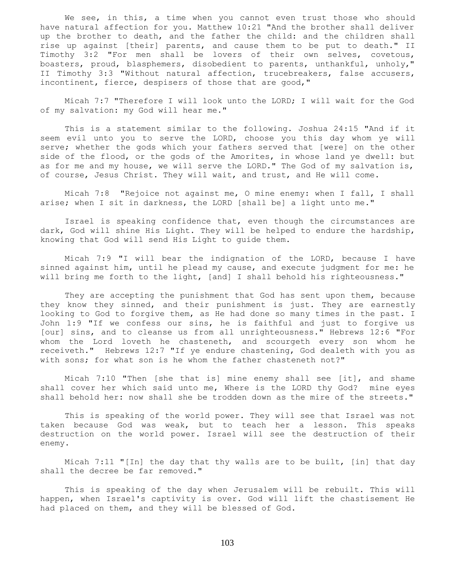We see, in this, a time when you cannot even trust those who should have natural affection for you. Matthew 10:21 "And the brother shall deliver up the brother to death, and the father the child: and the children shall rise up against [their] parents, and cause them to be put to death." II Timothy 3:2 "For men shall be lovers of their own selves, covetous, boasters, proud, blasphemers, disobedient to parents, unthankful, unholy," II Timothy 3:3 "Without natural affection, trucebreakers, false accusers, incontinent, fierce, despisers of those that are good,"

 Micah 7:7 "Therefore I will look unto the LORD; I will wait for the God of my salvation: my God will hear me."

 This is a statement similar to the following. Joshua 24:15 "And if it seem evil unto you to serve the LORD, choose you this day whom ye will serve; whether the gods which your fathers served that [were] on the other side of the flood, or the gods of the Amorites, in whose land ye dwell: but as for me and my house, we will serve the LORD." The God of my salvation is, of course, Jesus Christ. They will wait, and trust, and He will come.

 Micah 7:8 "Rejoice not against me, O mine enemy: when I fall, I shall arise; when I sit in darkness, the LORD [shall be] a light unto me."

 Israel is speaking confidence that, even though the circumstances are dark, God will shine His Light. They will be helped to endure the hardship, knowing that God will send His Light to guide them.

 Micah 7:9 "I will bear the indignation of the LORD, because I have sinned against him, until he plead my cause, and execute judgment for me: he will bring me forth to the light, [and] I shall behold his righteousness."

 They are accepting the punishment that God has sent upon them, because they know they sinned, and their punishment is just. They are earnestly looking to God to forgive them, as He had done so many times in the past. I John 1:9 "If we confess our sins, he is faithful and just to forgive us [our] sins, and to cleanse us from all unrighteousness." Hebrews 12:6 "For whom the Lord loveth he chasteneth, and scourgeth every son whom he receiveth." Hebrews 12:7 "If ye endure chastening, God dealeth with you as with sons; for what son is he whom the father chasteneth not?"

 Micah 7:10 "Then [she that is] mine enemy shall see [it], and shame shall cover her which said unto me, Where is the LORD thy God? mine eyes shall behold her: now shall she be trodden down as the mire of the streets."

 This is speaking of the world power. They will see that Israel was not taken because God was weak, but to teach her a lesson. This speaks destruction on the world power. Israel will see the destruction of their enemy.

 Micah 7:11 "[In] the day that thy walls are to be built, [in] that day shall the decree be far removed."

 This is speaking of the day when Jerusalem will be rebuilt. This will happen, when Israel's captivity is over. God will lift the chastisement He had placed on them, and they will be blessed of God.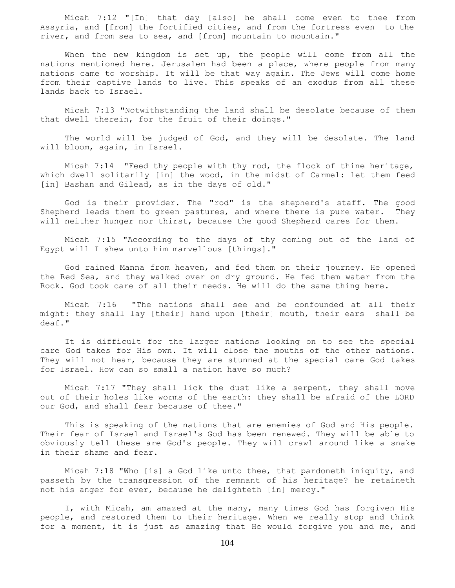Micah 7:12 "[In] that day [also] he shall come even to thee from Assyria, and [from] the fortified cities, and from the fortress even to the river, and from sea to sea, and [from] mountain to mountain."

 When the new kingdom is set up, the people will come from all the nations mentioned here. Jerusalem had been a place, where people from many nations came to worship. It will be that way again. The Jews will come home from their captive lands to live. This speaks of an exodus from all these lands back to Israel.

 Micah 7:13 "Notwithstanding the land shall be desolate because of them that dwell therein, for the fruit of their doings."

 The world will be judged of God, and they will be desolate. The land will bloom, again, in Israel.

 Micah 7:14 "Feed thy people with thy rod, the flock of thine heritage, which dwell solitarily [in] the wood, in the midst of Carmel: let them feed [in] Bashan and Gilead, as in the days of old."

 God is their provider. The "rod" is the shepherd's staff. The good Shepherd leads them to green pastures, and where there is pure water. They will neither hunger nor thirst, because the good Shepherd cares for them.

 Micah 7:15 "According to the days of thy coming out of the land of Egypt will I shew unto him marvellous [things]."

 God rained Manna from heaven, and fed them on their journey. He opened the Red Sea, and they walked over on dry ground. He fed them water from the Rock. God took care of all their needs. He will do the same thing here.

 Micah 7:16 "The nations shall see and be confounded at all their might: they shall lay [their] hand upon [their] mouth, their ears shall be deaf."

 It is difficult for the larger nations looking on to see the special care God takes for His own. It will close the mouths of the other nations. They will not hear, because they are stunned at the special care God takes for Israel. How can so small a nation have so much?

 Micah 7:17 "They shall lick the dust like a serpent, they shall move out of their holes like worms of the earth: they shall be afraid of the LORD our God, and shall fear because of thee."

 This is speaking of the nations that are enemies of God and His people. Their fear of Israel and Israel's God has been renewed. They will be able to obviously tell these are God's people. They will crawl around like a snake in their shame and fear.

 Micah 7:18 "Who [is] a God like unto thee, that pardoneth iniquity, and passeth by the transgression of the remnant of his heritage? he retaineth not his anger for ever, because he delighteth [in] mercy."

 I, with Micah, am amazed at the many, many times God has forgiven His people, and restored them to their heritage. When we really stop and think for a moment, it is just as amazing that He would forgive you and me, and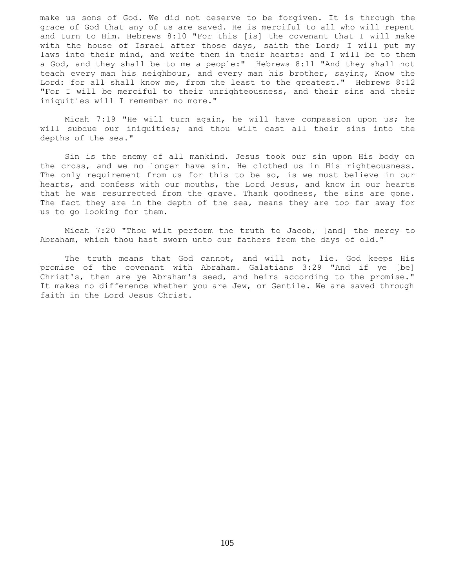make us sons of God. We did not deserve to be forgiven. It is through the grace of God that any of us are saved. He is merciful to all who will repent and turn to Him. Hebrews 8:10 "For this [is] the covenant that I will make with the house of Israel after those days, saith the Lord; I will put my laws into their mind, and write them in their hearts: and I will be to them a God, and they shall be to me a people:" Hebrews 8:11 "And they shall not teach every man his neighbour, and every man his brother, saying, Know the Lord: for all shall know me, from the least to the greatest." Hebrews 8:12 "For I will be merciful to their unrighteousness, and their sins and their iniquities will I remember no more."

 Micah 7:19 "He will turn again, he will have compassion upon us; he will subdue our iniquities; and thou wilt cast all their sins into the depths of the sea."

 Sin is the enemy of all mankind. Jesus took our sin upon His body on the cross, and we no longer have sin. He clothed us in His righteousness. The only requirement from us for this to be so, is we must believe in our hearts, and confess with our mouths, the Lord Jesus, and know in our hearts that he was resurrected from the grave. Thank goodness, the sins are gone. The fact they are in the depth of the sea, means they are too far away for us to go looking for them.

 Micah 7:20 "Thou wilt perform the truth to Jacob, [and] the mercy to Abraham, which thou hast sworn unto our fathers from the days of old."

 The truth means that God cannot, and will not, lie. God keeps His promise of the covenant with Abraham. Galatians 3:29 "And if ye [be] Christ's, then are ye Abraham's seed, and heirs according to the promise." It makes no difference whether you are Jew, or Gentile. We are saved through faith in the Lord Jesus Christ.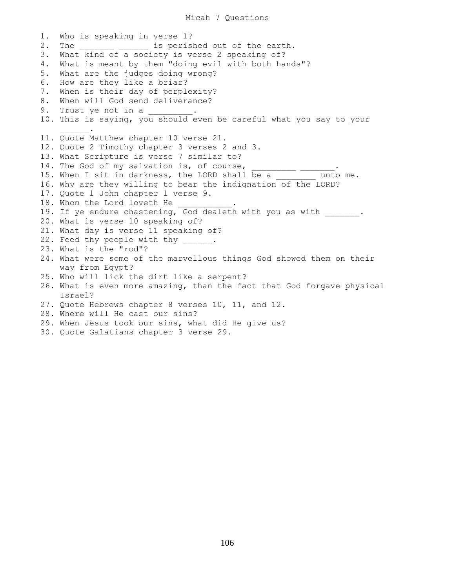1. Who is speaking in verse 1? 2. The  $\qquad \qquad$  is perished out of the earth. 3. What kind of a society is verse 2 speaking of? 4. What is meant by them "doing evil with both hands"? 5. What are the judges doing wrong? 6. How are they like a briar? 7. When is their day of perplexity? 8. When will God send deliverance? 9. Trust ye not in a 10. This is saying, you should even be careful what you say to your  $\mathcal{L}=\mathcal{L}^{\mathcal{L}}$ 11. Quote Matthew chapter 10 verse 21. 12. Quote 2 Timothy chapter 3 verses 2 and 3. 13. What Scripture is verse 7 similar to? 14. The God of my salvation is, of course, we have conservative control. 15. When I sit in darkness, the LORD shall be a \_\_\_\_\_\_\_\_ unto me. 16. Why are they willing to bear the indignation of the LORD? 17. Quote 1 John chapter 1 verse 9. 18. Whom the Lord loveth He 19. If ye endure chastening, God dealeth with you as with . 20. What is verse 10 speaking of? 21. What day is verse 11 speaking of? 22. Feed thy people with thy . 23. What is the "rod"? 24. What were some of the marvellous things God showed them on their way from Egypt? 25. Who will lick the dirt like a serpent? 26. What is even more amazing, than the fact that God forgave physical Israel? 27. Quote Hebrews chapter 8 verses 10, 11, and 12. 28. Where will He cast our sins? 29. When Jesus took our sins, what did He give us? 30. Quote Galatians chapter 3 verse 29.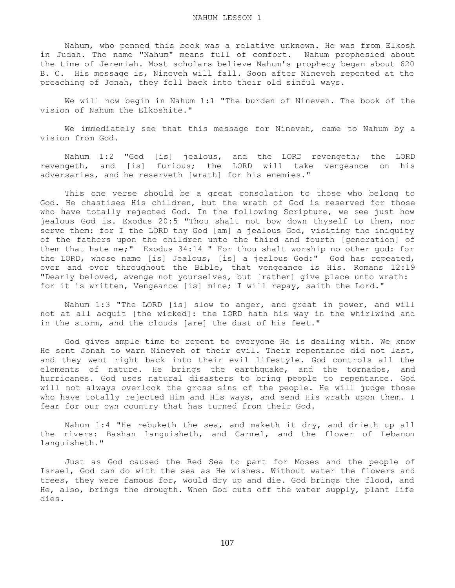Nahum, who penned this book was a relative unknown. He was from Elkosh in Judah. The name "Nahum" means full of comfort. Nahum prophesied about the time of Jeremiah. Most scholars believe Nahum's prophecy began about 620 B. C. His message is, Nineveh will fall. Soon after Nineveh repented at the preaching of Jonah, they fell back into their old sinful ways.

 We will now begin in Nahum 1:1 "The burden of Nineveh. The book of the vision of Nahum the Elkoshite."

 We immediately see that this message for Nineveh, came to Nahum by a vision from God.

 Nahum 1:2 "God [is] jealous, and the LORD revengeth; the LORD revengeth, and [is] furious; the LORD will take vengeance on his adversaries, and he reserveth [wrath] for his enemies."

 This one verse should be a great consolation to those who belong to God. He chastises His children, but the wrath of God is reserved for those who have totally rejected God. In the following Scripture, we see just how jealous God is. Exodus 20:5 "Thou shalt not bow down thyself to them, nor serve them: for I the LORD thy God [am] a jealous God, visiting the iniquity of the fathers upon the children unto the third and fourth [generation] of them that hate me;" Exodus 34:14 " For thou shalt worship no other god: for the LORD, whose name [is] Jealous, [is] a jealous God:" God has repeated, over and over throughout the Bible, that vengeance is His. Romans 12:19 "Dearly beloved, avenge not yourselves, but [rather] give place unto wrath: for it is written, Vengeance [is] mine; I will repay, saith the Lord."

 Nahum 1:3 "The LORD [is] slow to anger, and great in power, and will not at all acquit [the wicked]: the LORD hath his way in the whirlwind and in the storm, and the clouds [are] the dust of his feet."

 God gives ample time to repent to everyone He is dealing with. We know He sent Jonah to warn Nineveh of their evil. Their repentance did not last, and they went right back into their evil lifestyle. God controls all the elements of nature. He brings the earthquake, and the tornados, and hurricanes. God uses natural disasters to bring people to repentance. God will not always overlook the gross sins of the people. He will judge those who have totally rejected Him and His ways, and send His wrath upon them. I fear for our own country that has turned from their God.

 Nahum 1:4 "He rebuketh the sea, and maketh it dry, and drieth up all the rivers: Bashan languisheth, and Carmel, and the flower of Lebanon languisheth."

 Just as God caused the Red Sea to part for Moses and the people of Israel, God can do with the sea as He wishes. Without water the flowers and trees, they were famous for, would dry up and die. God brings the flood, and He, also, brings the drougth. When God cuts off the water supply, plant life dies.

107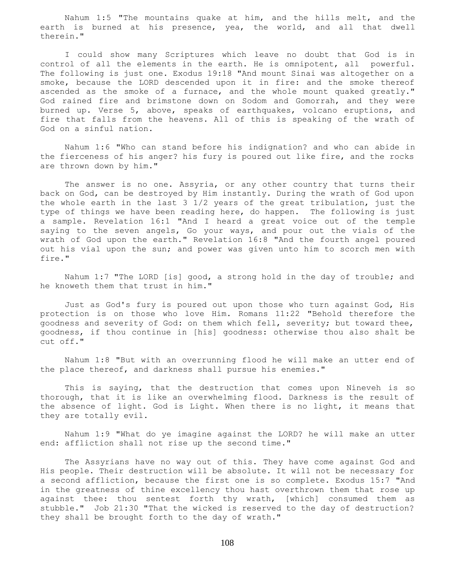Nahum 1:5 "The mountains quake at him, and the hills melt, and the earth is burned at his presence, yea, the world, and all that dwell therein."

 I could show many Scriptures which leave no doubt that God is in control of all the elements in the earth. He is omnipotent, all powerful. The following is just one. Exodus 19:18 "And mount Sinai was altogether on a smoke, because the LORD descended upon it in fire: and the smoke thereof ascended as the smoke of a furnace, and the whole mount quaked greatly." God rained fire and brimstone down on Sodom and Gomorrah, and they were burned up. Verse 5, above, speaks of earthquakes, volcano eruptions, and fire that falls from the heavens. All of this is speaking of the wrath of God on a sinful nation.

 Nahum 1:6 "Who can stand before his indignation? and who can abide in the fierceness of his anger? his fury is poured out like fire, and the rocks are thrown down by him."

 The answer is no one. Assyria, or any other country that turns their back on God, can be destroyed by Him instantly. During the wrath of God upon the whole earth in the last 3 1/2 years of the great tribulation, just the type of things we have been reading here, do happen. The following is just a sample. Revelation 16:1 "And I heard a great voice out of the temple saying to the seven angels, Go your ways, and pour out the vials of the wrath of God upon the earth." Revelation 16:8 "And the fourth angel poured out his vial upon the sun; and power was given unto him to scorch men with fire."

 Nahum 1:7 "The LORD [is] good, a strong hold in the day of trouble; and he knoweth them that trust in him."

 Just as God's fury is poured out upon those who turn against God, His protection is on those who love Him. Romans 11:22 "Behold therefore the goodness and severity of God: on them which fell, severity; but toward thee, goodness, if thou continue in [his] goodness: otherwise thou also shalt be cut off."

 Nahum 1:8 "But with an overrunning flood he will make an utter end of the place thereof, and darkness shall pursue his enemies."

 This is saying, that the destruction that comes upon Nineveh is so thorough, that it is like an overwhelming flood. Darkness is the result of the absence of light. God is Light. When there is no light, it means that they are totally evil.

 Nahum 1:9 "What do ye imagine against the LORD? he will make an utter end: affliction shall not rise up the second time."

 The Assyrians have no way out of this. They have come against God and His people. Their destruction will be absolute. It will not be necessary for a second affliction, because the first one is so complete. Exodus 15:7 "And in the greatness of thine excellency thou hast overthrown them that rose up against thee: thou sentest forth thy wrath, [which] consumed them as stubble." Job 21:30 "That the wicked is reserved to the day of destruction? they shall be brought forth to the day of wrath."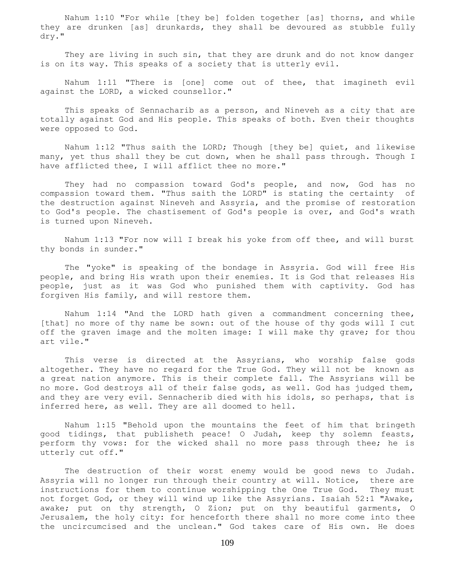Nahum 1:10 "For while [they be] folden together [as] thorns, and while they are drunken [as] drunkards, they shall be devoured as stubble fully dry."

 They are living in such sin, that they are drunk and do not know danger is on its way. This speaks of a society that is utterly evil.

 Nahum 1:11 "There is [one] come out of thee, that imagineth evil against the LORD, a wicked counsellor."

 This speaks of Sennacharib as a person, and Nineveh as a city that are totally against God and His people. This speaks of both. Even their thoughts were opposed to God.

 Nahum 1:12 "Thus saith the LORD; Though [they be] quiet, and likewise many, yet thus shall they be cut down, when he shall pass through. Though I have afflicted thee, I will afflict thee no more."

 They had no compassion toward God's people, and now, God has no compassion toward them. "Thus saith the LORD" is stating the certainty of the destruction against Nineveh and Assyria, and the promise of restoration to God's people. The chastisement of God's people is over, and God's wrath is turned upon Nineveh.

 Nahum 1:13 "For now will I break his yoke from off thee, and will burst thy bonds in sunder."

 The "yoke" is speaking of the bondage in Assyria. God will free His people, and bring His wrath upon their enemies. It is God that releases His people, just as it was God who punished them with captivity. God has forgiven His family, and will restore them.

 Nahum 1:14 "And the LORD hath given a commandment concerning thee, [that] no more of thy name be sown: out of the house of thy gods will I cut off the graven image and the molten image: I will make thy grave; for thou art vile."

 This verse is directed at the Assyrians, who worship false gods altogether. They have no regard for the True God. They will not be known as a great nation anymore. This is their complete fall. The Assyrians will be no more. God destroys all of their false gods, as well. God has judged them, and they are very evil. Sennacherib died with his idols, so perhaps, that is inferred here, as well. They are all doomed to hell.

 Nahum 1:15 "Behold upon the mountains the feet of him that bringeth good tidings, that publisheth peace! O Judah, keep thy solemn feasts, perform thy vows: for the wicked shall no more pass through thee; he is utterly cut off."

 The destruction of their worst enemy would be good news to Judah. Assyria will no longer run through their country at will. Notice, there are instructions for them to continue worshipping the One True God. They must not forget God, or they will wind up like the Assyrians. Isaiah 52:1 "Awake, awake; put on thy strength, O Zion; put on thy beautiful garments, O Jerusalem, the holy city: for henceforth there shall no more come into thee the uncircumcised and the unclean." God takes care of His own. He does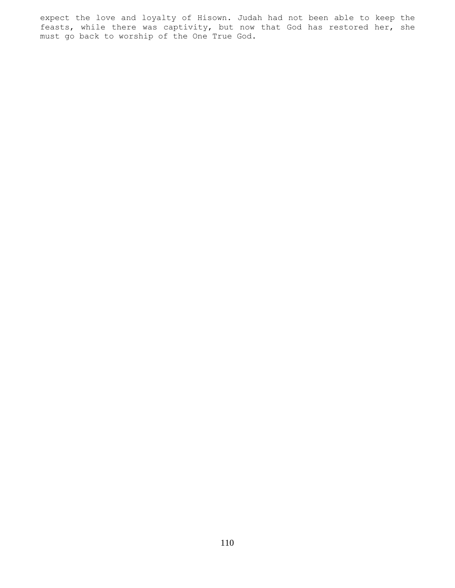expect the love and loyalty of Hisown. Judah had not been able to keep the feasts, while there was captivity, but now that God has restored her, she must go back to worship of the One True God.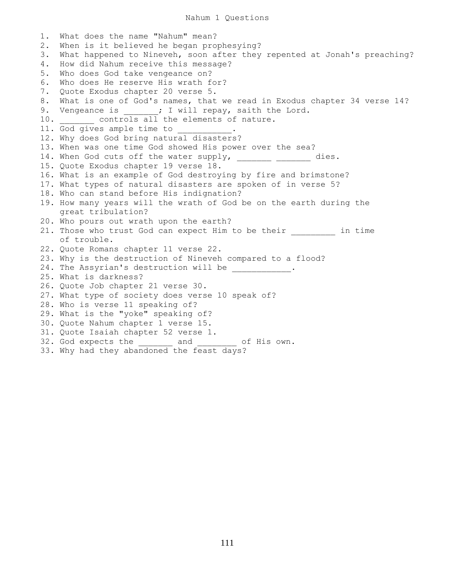1. What does the name "Nahum" mean? 2. When is it believed he began prophesying? 3. What happened to Nineveh, soon after they repented at Jonah's preaching? 4. How did Nahum receive this message? 5. Who does God take vengeance on? 6. Who does He reserve His wrath for? 7. Quote Exodus chapter 20 verse 5. 8. What is one of God's names, that we read in Exodus chapter 34 verse 14? 9. Vengeance is  $\qquad \qquad ;$  I will repay, saith the Lord. 10. controls all the elements of nature. 11. God gives ample time to 12. Why does God bring natural disasters? 13. When was one time God showed His power over the sea? 14. When God cuts off the water supply, \_\_\_\_\_\_\_ \_\_\_\_\_\_\_ dies. 15. Quote Exodus chapter 19 verse 18. 16. What is an example of God destroying by fire and brimstone? 17. What types of natural disasters are spoken of in verse 5? 18. Who can stand before His indignation? 19. How many years will the wrath of God be on the earth during the great tribulation? 20. Who pours out wrath upon the earth? 21. Those who trust God can expect Him to be their in time of trouble. 22. Quote Romans chapter 11 verse 22. 23. Why is the destruction of Nineveh compared to a flood? 24. The Assyrian's destruction will be \_\_\_\_\_\_\_\_\_\_\_. 25. What is darkness? 26. Quote Job chapter 21 verse 30. 27. What type of society does verse 10 speak of? 28. Who is verse 11 speaking of? 29. What is the "yoke" speaking of? 30. Quote Nahum chapter 1 verse 15. 31. Quote Isaiah chapter 52 verse 1. 32. God expects the \_\_\_\_\_\_\_ and \_\_\_\_\_\_\_\_ of His own. 33. Why had they abandoned the feast days?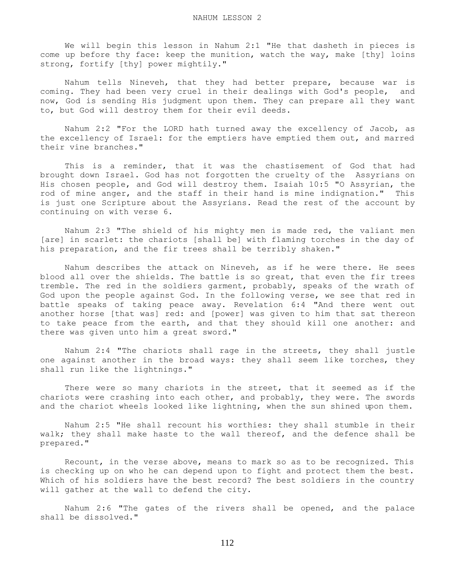We will begin this lesson in Nahum 2:1 "He that dasheth in pieces is come up before thy face: keep the munition, watch the way, make [thy] loins strong, fortify [thy] power mightily."

 Nahum tells Nineveh, that they had better prepare, because war is coming. They had been very cruel in their dealings with God's people, and now, God is sending His judgment upon them. They can prepare all they want to, but God will destroy them for their evil deeds.

 Nahum 2:2 "For the LORD hath turned away the excellency of Jacob, as the excellency of Israel: for the emptiers have emptied them out, and marred their vine branches."

 This is a reminder, that it was the chastisement of God that had brought down Israel. God has not forgotten the cruelty of the Assyrians on His chosen people, and God will destroy them. Isaiah 10:5 "O Assyrian, the rod of mine anger, and the staff in their hand is mine indignation." This is just one Scripture about the Assyrians. Read the rest of the account by continuing on with verse 6.

 Nahum 2:3 "The shield of his mighty men is made red, the valiant men [are] in scarlet: the chariots [shall be] with flaming torches in the day of his preparation, and the fir trees shall be terribly shaken."

 Nahum describes the attack on Nineveh, as if he were there. He sees blood all over the shields. The battle is so great, that even the fir trees tremble. The red in the soldiers garment, probably, speaks of the wrath of God upon the people against God. In the following verse, we see that red in battle speaks of taking peace away. Revelation 6:4 "And there went out another horse [that was] red: and [power] was given to him that sat thereon to take peace from the earth, and that they should kill one another: and there was given unto him a great sword."

 Nahum 2:4 "The chariots shall rage in the streets, they shall justle one against another in the broad ways: they shall seem like torches, they shall run like the lightnings."

There were so many chariots in the street, that it seemed as if the chariots were crashing into each other, and probably, they were. The swords and the chariot wheels looked like lightning, when the sun shined upon them.

 Nahum 2:5 "He shall recount his worthies: they shall stumble in their walk; they shall make haste to the wall thereof, and the defence shall be prepared."

 Recount, in the verse above, means to mark so as to be recognized. This is checking up on who he can depend upon to fight and protect them the best. Which of his soldiers have the best record? The best soldiers in the country will gather at the wall to defend the city.

 Nahum 2:6 "The gates of the rivers shall be opened, and the palace shall be dissolved."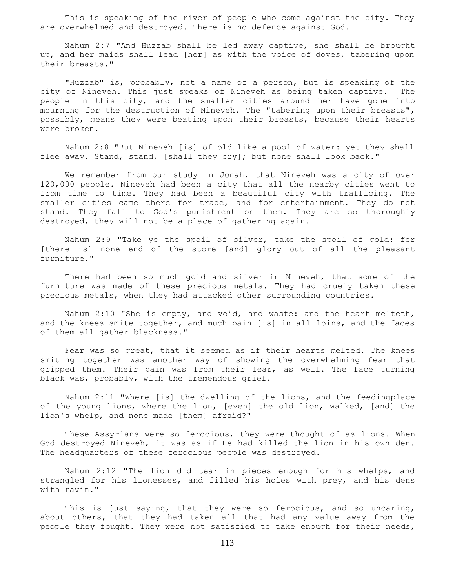This is speaking of the river of people who come against the city. They are overwhelmed and destroyed. There is no defence against God.

 Nahum 2:7 "And Huzzab shall be led away captive, she shall be brought up, and her maids shall lead [her] as with the voice of doves, tabering upon their breasts."

 "Huzzab" is, probably, not a name of a person, but is speaking of the city of Nineveh. This just speaks of Nineveh as being taken captive. The people in this city, and the smaller cities around her have gone into mourning for the destruction of Nineveh. The "tabering upon their breasts", possibly, means they were beating upon their breasts, because their hearts were broken.

 Nahum 2:8 "But Nineveh [is] of old like a pool of water: yet they shall flee away. Stand, stand, [shall they cry]; but none shall look back."

 We remember from our study in Jonah, that Nineveh was a city of over 120,000 people. Nineveh had been a city that all the nearby cities went to from time to time. They had been a beautiful city with trafficing. The smaller cities came there for trade, and for entertainment. They do not stand. They fall to God's punishment on them. They are so thoroughly destroyed, they will not be a place of gathering again.

 Nahum 2:9 "Take ye the spoil of silver, take the spoil of gold: for [there is] none end of the store [and] glory out of all the pleasant furniture."

 There had been so much gold and silver in Nineveh, that some of the furniture was made of these precious metals. They had cruely taken these precious metals, when they had attacked other surrounding countries.

 Nahum 2:10 "She is empty, and void, and waste: and the heart melteth, and the knees smite together, and much pain [is] in all loins, and the faces of them all gather blackness."

 Fear was so great, that it seemed as if their hearts melted. The knees smiting together was another way of showing the overwhelming fear that gripped them. Their pain was from their fear, as well. The face turning black was, probably, with the tremendous grief.

 Nahum 2:11 "Where [is] the dwelling of the lions, and the feedingplace of the young lions, where the lion, [even] the old lion, walked, [and] the lion's whelp, and none made [them] afraid?"

 These Assyrians were so ferocious, they were thought of as lions. When God destroyed Nineveh, it was as if He had killed the lion in his own den. The headquarters of these ferocious people was destroyed.

 Nahum 2:12 "The lion did tear in pieces enough for his whelps, and strangled for his lionesses, and filled his holes with prey, and his dens with ravin."

 This is just saying, that they were so ferocious, and so uncaring, about others, that they had taken all that had any value away from the people they fought. They were not satisfied to take enough for their needs,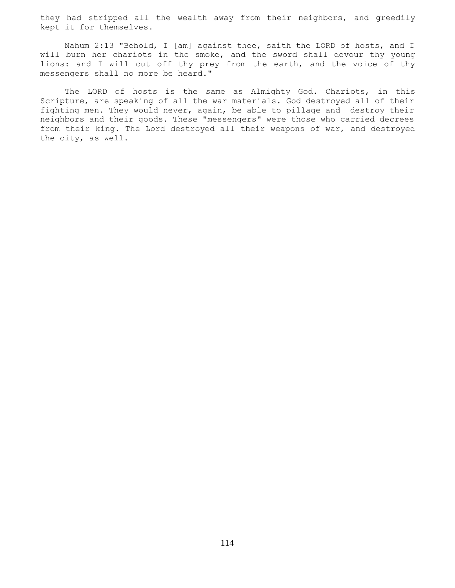they had stripped all the wealth away from their neighbors, and greedily kept it for themselves.

 Nahum 2:13 "Behold, I [am] against thee, saith the LORD of hosts, and I will burn her chariots in the smoke, and the sword shall devour thy young lions: and I will cut off thy prey from the earth, and the voice of thy messengers shall no more be heard."

 The LORD of hosts is the same as Almighty God. Chariots, in this Scripture, are speaking of all the war materials. God destroyed all of their fighting men. They would never, again, be able to pillage and destroy their neighbors and their goods. These "messengers" were those who carried decrees from their king. The Lord destroyed all their weapons of war, and destroyed the city, as well.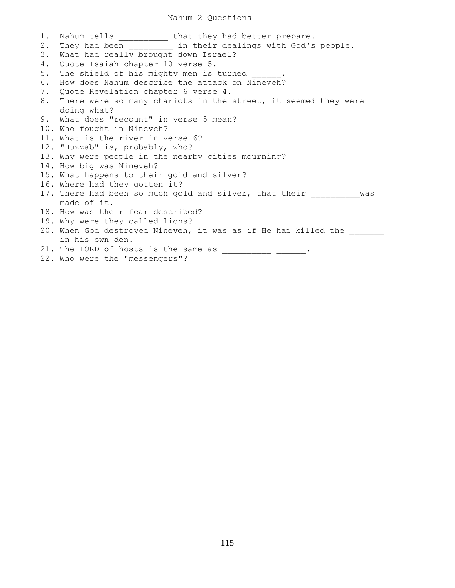## Nahum 2 Questions

1. Nahum tells \_\_\_\_\_\_\_\_\_\_ that they had better prepare. 2. They had been \_\_\_\_\_\_\_\_\_ in their dealings with God's people. 3. What had really brought down Israel? 4. Quote Isaiah chapter 10 verse 5. 5. The shield of his mighty men is turned 6. How does Nahum describe the attack on Nineveh? 7. Quote Revelation chapter 6 verse 4. 8. There were so many chariots in the street, it seemed they were doing what? 9. What does "recount" in verse 5 mean? 10. Who fought in Nineveh? 11. What is the river in verse 6? 12. "Huzzab" is, probably, who? 13. Why were people in the nearby cities mourning? 14. How big was Nineveh? 15. What happens to their gold and silver? 16. Where had they gotten it? 17. There had been so much gold and silver, that their \_\_\_\_\_\_\_\_\_ was made of it. 18. How was their fear described? 19. Why were they called lions? 20. When God destroyed Nineveh, it was as if He had killed the in his own den. 21. The LORD of hosts is the same as  $\frac{1}{\sqrt{1-\frac{1}{n}}}\frac{1}{\sqrt{1-\frac{1}{n}}}}$ .

22. Who were the "messengers"?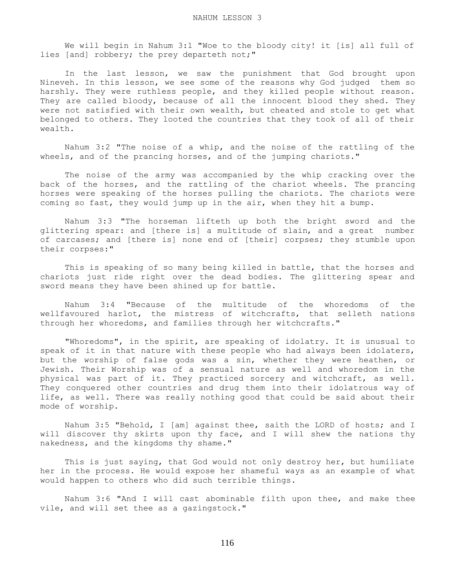We will begin in Nahum 3:1 "Woe to the bloody city! it [is] all full of lies [and] robbery; the prey departeth not;"

 In the last lesson, we saw the punishment that God brought upon Nineveh. In this lesson, we see some of the reasons why God judged them so harshly. They were ruthless people, and they killed people without reason. They are called bloody, because of all the innocent blood they shed. They were not satisfied with their own wealth, but cheated and stole to get what belonged to others. They looted the countries that they took of all of their wealth.

 Nahum 3:2 "The noise of a whip, and the noise of the rattling of the wheels, and of the prancing horses, and of the jumping chariots."

 The noise of the army was accompanied by the whip cracking over the back of the horses, and the rattling of the chariot wheels. The prancing horses were speaking of the horses pulling the chariots. The chariots were coming so fast, they would jump up in the air, when they hit a bump.

 Nahum 3:3 "The horseman lifteth up both the bright sword and the glittering spear: and [there is] a multitude of slain, and a great number of carcases; and [there is] none end of [their] corpses; they stumble upon their corpses:"

 This is speaking of so many being killed in battle, that the horses and chariots just ride right over the dead bodies. The glittering spear and sword means they have been shined up for battle.

 Nahum 3:4 "Because of the multitude of the whoredoms of the wellfavoured harlot, the mistress of witchcrafts, that selleth nations through her whoredoms, and families through her witchcrafts."

 "Whoredoms", in the spirit, are speaking of idolatry. It is unusual to speak of it in that nature with these people who had always been idolaters, but the worship of false gods was a sin, whether they were heathen, or Jewish. Their Worship was of a sensual nature as well and whoredom in the physical was part of it. They practiced sorcery and witchcraft, as well. They conquered other countries and drug them into their idolatrous way of life, as well. There was really nothing good that could be said about their mode of worship.

 Nahum 3:5 "Behold, I [am] against thee, saith the LORD of hosts; and I will discover thy skirts upon thy face, and I will shew the nations thy nakedness, and the kingdoms thy shame."

 This is just saying, that God would not only destroy her, but humiliate her in the process. He would expose her shameful ways as an example of what would happen to others who did such terrible things.

 Nahum 3:6 "And I will cast abominable filth upon thee, and make thee vile, and will set thee as a gazingstock."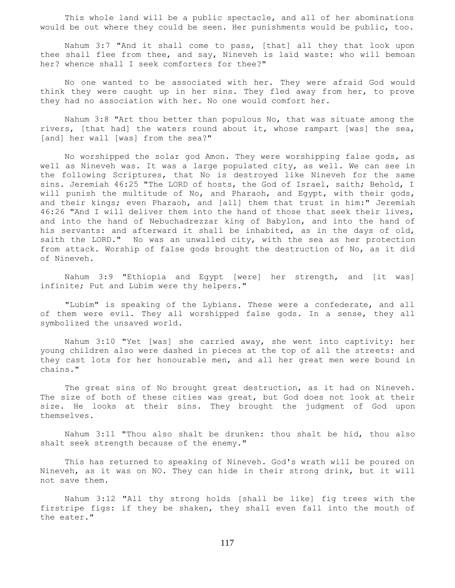This whole land will be a public spectacle, and all of her abominations would be out where they could be seen. Her punishments would be public, too.

 Nahum 3:7 "And it shall come to pass, [that] all they that look upon thee shall flee from thee, and say, Nineveh is laid waste: who will bemoan her? whence shall I seek comforters for thee?"

 No one wanted to be associated with her. They were afraid God would think they were caught up in her sins. They fled away from her, to prove they had no association with her. No one would comfort her.

 Nahum 3:8 "Art thou better than populous No, that was situate among the rivers, [that had] the waters round about it, whose rampart [was] the sea, [and] her wall [was] from the sea?"

 No worshipped the solar god Amon. They were worshipping false gods, as well as Nineveh was. It was a large populated city, as well. We can see in the following Scriptures, that No is destroyed like Nineveh for the same sins. Jeremiah 46:25 "The LORD of hosts, the God of Israel, saith; Behold, I will punish the multitude of No, and Pharaoh, and Egypt, with their gods, and their kings; even Pharaoh, and [all] them that trust in him:" Jeremiah 46:26 "And I will deliver them into the hand of those that seek their lives, and into the hand of Nebuchadrezzar king of Babylon, and into the hand of his servants: and afterward it shall be inhabited, as in the days of old, saith the LORD." No was an unwalled city, with the sea as her protection from attack. Worship of false gods brought the destruction of No, as it did of Nineveh.

 Nahum 3:9 "Ethiopia and Egypt [were] her strength, and [it was] infinite; Put and Lubim were thy helpers."

 "Lubim" is speaking of the Lybians. These were a confederate, and all of them were evil. They all worshipped false gods. In a sense, they all symbolized the unsaved world.

 Nahum 3:10 "Yet [was] she carried away, she went into captivity: her young children also were dashed in pieces at the top of all the streets: and they cast lots for her honourable men, and all her great men were bound in chains."

 The great sins of No brought great destruction, as it had on Nineveh. The size of both of these cities was great, but God does not look at their size. He looks at their sins. They brought the judgment of God upon themselves.

 Nahum 3:11 "Thou also shalt be drunken: thou shalt be hid, thou also shalt seek strength because of the enemy."

 This has returned to speaking of Nineveh. God's wrath will be poured on Nineveh, as it was on NO. They can hide in their strong drink, but it will not save them.

 Nahum 3:12 "All thy strong holds [shall be like] fig trees with the firstripe figs: if they be shaken, they shall even fall into the mouth of the eater."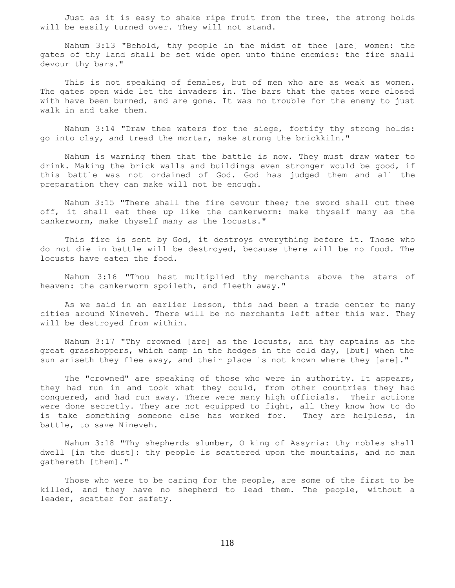Just as it is easy to shake ripe fruit from the tree, the strong holds will be easily turned over. They will not stand.

 Nahum 3:13 "Behold, thy people in the midst of thee [are] women: the gates of thy land shall be set wide open unto thine enemies: the fire shall devour thy bars."

 This is not speaking of females, but of men who are as weak as women. The gates open wide let the invaders in. The bars that the gates were closed with have been burned, and are gone. It was no trouble for the enemy to just walk in and take them.

 Nahum 3:14 "Draw thee waters for the siege, fortify thy strong holds: go into clay, and tread the mortar, make strong the brickkiln."

 Nahum is warning them that the battle is now. They must draw water to drink. Making the brick walls and buildings even stronger would be good, if this battle was not ordained of God. God has judged them and all the preparation they can make will not be enough.

 Nahum 3:15 "There shall the fire devour thee; the sword shall cut thee off, it shall eat thee up like the cankerworm: make thyself many as the cankerworm, make thyself many as the locusts."

 This fire is sent by God, it destroys everything before it. Those who do not die in battle will be destroyed, because there will be no food. The locusts have eaten the food.

 Nahum 3:16 "Thou hast multiplied thy merchants above the stars of heaven: the cankerworm spoileth, and fleeth away."

 As we said in an earlier lesson, this had been a trade center to many cities around Nineveh. There will be no merchants left after this war. They will be destroyed from within.

 Nahum 3:17 "Thy crowned [are] as the locusts, and thy captains as the great grasshoppers, which camp in the hedges in the cold day, [but] when the sun ariseth they flee away, and their place is not known where they [are]."

 The "crowned" are speaking of those who were in authority. It appears, they had run in and took what they could, from other countries they had conquered, and had run away. There were many high officials. Their actions were done secretly. They are not equipped to fight, all they know how to do is take something someone else has worked for. They are helpless, in battle, to save Nineveh.

 Nahum 3:18 "Thy shepherds slumber, O king of Assyria: thy nobles shall dwell [in the dust]: thy people is scattered upon the mountains, and no man gathereth [them]."

 Those who were to be caring for the people, are some of the first to be killed, and they have no shepherd to lead them. The people, without a leader, scatter for safety.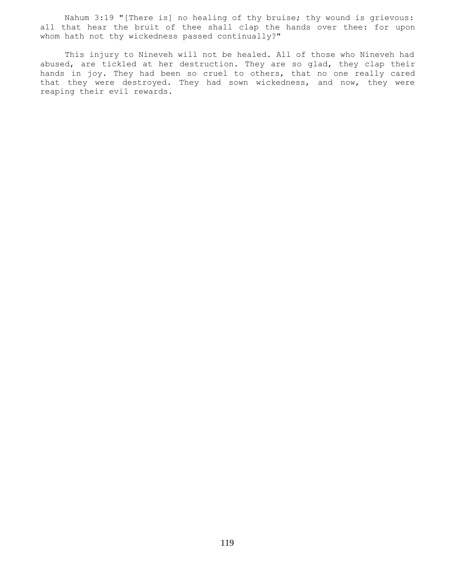Nahum 3:19 "[There is] no healing of thy bruise; thy wound is grievous: all that hear the bruit of thee shall clap the hands over thee: for upon whom hath not thy wickedness passed continually?"

 This injury to Nineveh will not be healed. All of those who Nineveh had abused, are tickled at her destruction. They are so glad, they clap their hands in joy. They had been so cruel to others, that no one really cared that they were destroyed. They had sown wickedness, and now, they were reaping their evil rewards.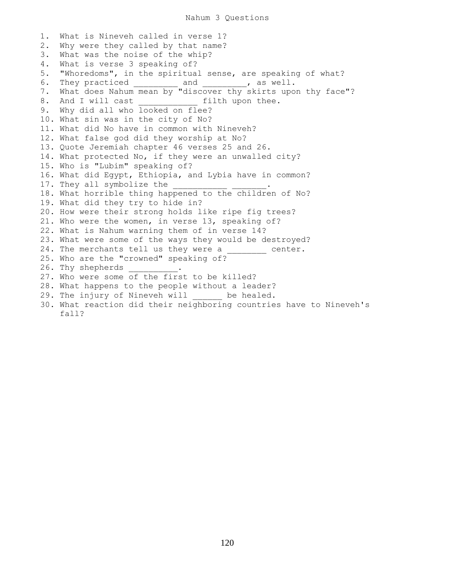1. What is Nineveh called in verse 1? 2. Why were they called by that name? 3. What was the noise of the whip? 4. What is verse 3 speaking of? 5. "Whoredoms", in the spiritual sense, are speaking of what? 6. They practiced \_\_\_\_\_\_\_\_\_ and \_\_\_\_\_\_\_\_\_, as well. 7. What does Nahum mean by "discover thy skirts upon thy face"? 8. And I will cast \_\_\_\_\_\_\_\_\_\_\_\_ filth upon thee. 9. Why did all who looked on flee? 10. What sin was in the city of No? 11. What did No have in common with Nineveh? 12. What false god did they worship at No? 13. Quote Jeremiah chapter 46 verses 25 and 26. 14. What protected No, if they were an unwalled city? 15. Who is "Lubim" speaking of? 16. What did Egypt, Ethiopia, and Lybia have in common? 17. They all symbolize the 18. What horrible thing happened to the children of No? 19. What did they try to hide in? 20. How were their strong holds like ripe fig trees? 21. Who were the women, in verse 13, speaking of? 22. What is Nahum warning them of in verse 14? 23. What were some of the ways they would be destroyed? 24. The merchants tell us they were a \_\_\_\_\_\_\_\_ center. 25. Who are the "crowned" speaking of? 26. Thy shepherds 27. Who were some of the first to be killed? 28. What happens to the people without a leader? 29. The injury of Nineveh will be healed. 30. What reaction did their neighboring countries have to Nineveh's fall?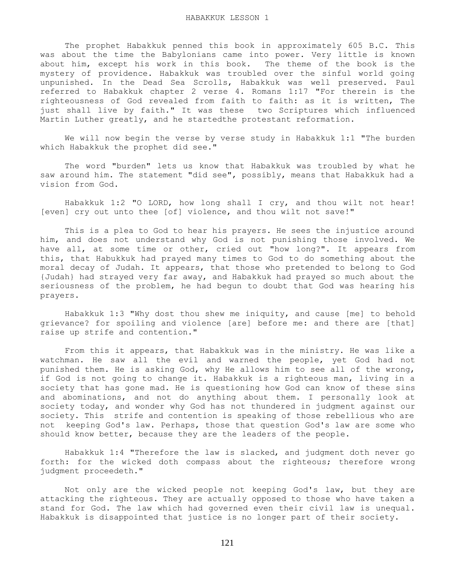The prophet Habakkuk penned this book in approximately 605 B.C. This was about the time the Babylonians came into power. Very little is known about him, except his work in this book. The theme of the book is the mystery of providence. Habakkuk was troubled over the sinful world going unpunished. In the Dead Sea Scrolls, Habakkuk was well preserved. Paul referred to Habakkuk chapter 2 verse 4. Romans 1:17 "For therein is the righteousness of God revealed from faith to faith: as it is written, The just shall live by faith." It was these two Scriptures which influenced Martin Luther greatly, and he startedthe protestant reformation.

 We will now begin the verse by verse study in Habakkuk 1:1 "The burden which Habakkuk the prophet did see."

 The word "burden" lets us know that Habakkuk was troubled by what he saw around him. The statement "did see", possibly, means that Habakkuk had a vision from God.

 Habakkuk 1:2 "O LORD, how long shall I cry, and thou wilt not hear! [even] cry out unto thee [of] violence, and thou wilt not save!"

 This is a plea to God to hear his prayers. He sees the injustice around him, and does not understand why God is not punishing those involved. We have all, at some time or other, cried out "how long?". It appears from this, that Habukkuk had prayed many times to God to do something about the moral decay of Judah. It appears, that those who pretended to belong to God {Judah} had strayed very far away, and Habakkuk had prayed so much about the seriousness of the problem, he had begun to doubt that God was hearing his prayers.

 Habakkuk 1:3 "Why dost thou shew me iniquity, and cause [me] to behold grievance? for spoiling and violence [are] before me: and there are [that] raise up strife and contention."

 From this it appears, that Habakkuk was in the ministry. He was like a watchman. He saw all the evil and warned the people, yet God had not punished them. He is asking God, why He allows him to see all of the wrong, if God is not going to change it. Habakkuk is a righteous man, living in a society that has gone mad. He is questioning how God can know of these sins and abominations, and not do anything about them. I personally look at society today, and wonder why God has not thundered in judgment against our society. This strife and contention is speaking of those rebellious who are not keeping God's law. Perhaps, those that question God's law are some who should know better, because they are the leaders of the people.

 Habakkuk 1:4 "Therefore the law is slacked, and judgment doth never go forth: for the wicked doth compass about the righteous; therefore wrong judgment proceedeth."

 Not only are the wicked people not keeping God's law, but they are attacking the righteous. They are actually opposed to those who have taken a stand for God. The law which had governed even their civil law is unequal. Habakkuk is disappointed that justice is no longer part of their society.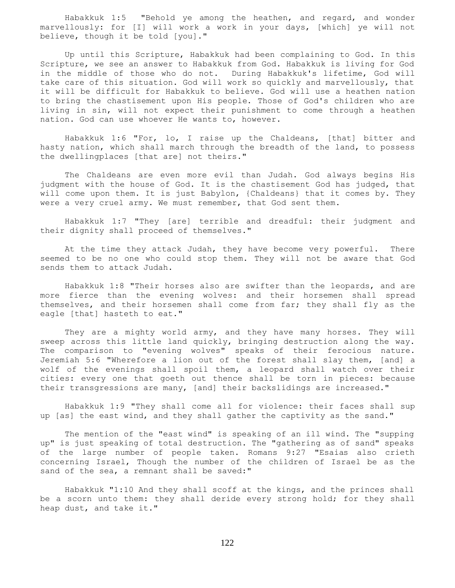Habakkuk 1:5 "Behold ye among the heathen, and regard, and wonder marvellously: for [I] will work a work in your days, [which] ye will not believe, though it be told [you]."

 Up until this Scripture, Habakkuk had been complaining to God. In this Scripture, we see an answer to Habakkuk from God. Habakkuk is living for God in the middle of those who do not. During Habakkuk's lifetime, God will take care of this situation. God will work so quickly and marvellously, that it will be difficult for Habakkuk to believe. God will use a heathen nation to bring the chastisement upon His people. Those of God's children who are living in sin, will not expect their punishment to come through a heathen nation. God can use whoever He wants to, however.

 Habakkuk 1:6 "For, lo, I raise up the Chaldeans, [that] bitter and hasty nation, which shall march through the breadth of the land, to possess the dwellingplaces [that are] not theirs."

 The Chaldeans are even more evil than Judah. God always begins His judgment with the house of God. It is the chastisement God has judged, that will come upon them. It is just Babylon, {Chaldeans} that it comes by. They were a very cruel army. We must remember, that God sent them.

 Habakkuk 1:7 "They [are] terrible and dreadful: their judgment and their dignity shall proceed of themselves."

 At the time they attack Judah, they have become very powerful. There seemed to be no one who could stop them. They will not be aware that God sends them to attack Judah.

 Habakkuk 1:8 "Their horses also are swifter than the leopards, and are more fierce than the evening wolves: and their horsemen shall spread themselves, and their horsemen shall come from far; they shall fly as the eagle [that] hasteth to eat."

 They are a mighty world army, and they have many horses. They will sweep across this little land quickly, bringing destruction along the way. The comparison to "evening wolves" speaks of their ferocious nature. Jeremiah 5:6 "Wherefore a lion out of the forest shall slay them, [and] a wolf of the evenings shall spoil them, a leopard shall watch over their cities: every one that goeth out thence shall be torn in pieces: because their transgressions are many, [and] their backslidings are increased."

 Habakkuk 1:9 "They shall come all for violence: their faces shall sup up [as] the east wind, and they shall gather the captivity as the sand."

 The mention of the "east wind" is speaking of an ill wind. The "supping up" is just speaking of total destruction. The "gathering as of sand" speaks of the large number of people taken. Romans 9:27 "Esaias also crieth concerning Israel, Though the number of the children of Israel be as the sand of the sea, a remnant shall be saved:"

 Habakkuk "1:10 And they shall scoff at the kings, and the princes shall be a scorn unto them: they shall deride every strong hold; for they shall heap dust, and take it."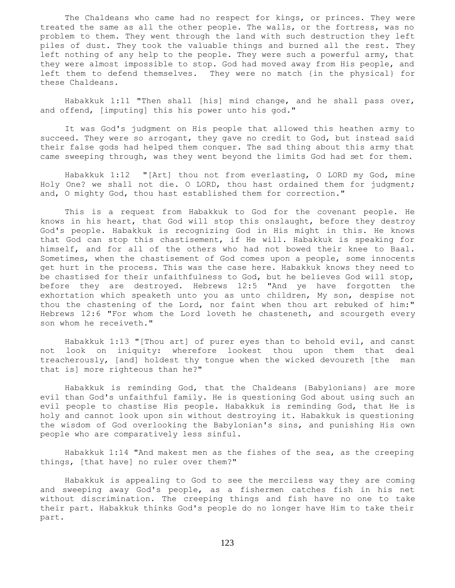The Chaldeans who came had no respect for kings, or princes. They were treated the same as all the other people. The walls, or the fortress, was no problem to them. They went through the land with such destruction they left piles of dust. They took the valuable things and burned all the rest. They left nothing of any help to the people. They were such a powerful army, that they were almost impossible to stop. God had moved away from His people, and left them to defend themselves. They were no match {in the physical} for these Chaldeans.

 Habakkuk 1:11 "Then shall [his] mind change, and he shall pass over, and offend, [imputing] this his power unto his god."

 It was God's judgment on His people that allowed this heathen army to succeed. They were so arrogant, they gave no credit to God, but instead said their false gods had helped them conquer. The sad thing about this army that came sweeping through, was they went beyond the limits God had set for them.

 Habakkuk 1:12 "[Art] thou not from everlasting, O LORD my God, mine Holy One? we shall not die. O LORD, thou hast ordained them for judgment; and, O mighty God, thou hast established them for correction."

 This is a request from Habakkuk to God for the covenant people. He knows in his heart, that God will stop this onslaught, before they destroy God's people. Habakkuk is recognizing God in His might in this. He knows that God can stop this chastisement, if He will. Habakkuk is speaking for himself, and for all of the others who had not bowed their knee to Baal. Sometimes, when the chastisement of God comes upon a people, some innocents get hurt in the process. This was the case here. Habakkuk knows they need to be chastised for their unfaithfulness to God, but he believes God will stop, before they are destroyed. Hebrews 12:5 "And ye have forgotten the exhortation which speaketh unto you as unto children, My son, despise not thou the chastening of the Lord, nor faint when thou art rebuked of him:" Hebrews 12:6 "For whom the Lord loveth he chasteneth, and scourgeth every son whom he receiveth."

 Habakkuk 1:13 "[Thou art] of purer eyes than to behold evil, and canst not look on iniquity: wherefore lookest thou upon them that deal treacherously, [and] holdest thy tongue when the wicked devoureth [the man that is] more righteous than he?"

 Habakkuk is reminding God, that the Chaldeans {Babylonians} are more evil than God's unfaithful family. He is questioning God about using such an evil people to chastise His people. Habakkuk is reminding God, that He is holy and cannot look upon sin without destroying it. Habakkuk is questioning the wisdom of God overlooking the Babylonian's sins, and punishing His own people who are comparatively less sinful.

 Habakkuk 1:14 "And makest men as the fishes of the sea, as the creeping things, [that have] no ruler over them?"

 Habakkuk is appealing to God to see the merciless way they are coming and sweeping away God's people, as a fishermen catches fish in his net without discrimination. The creeping things and fish have no one to take their part. Habakkuk thinks God's people do no longer have Him to take their part.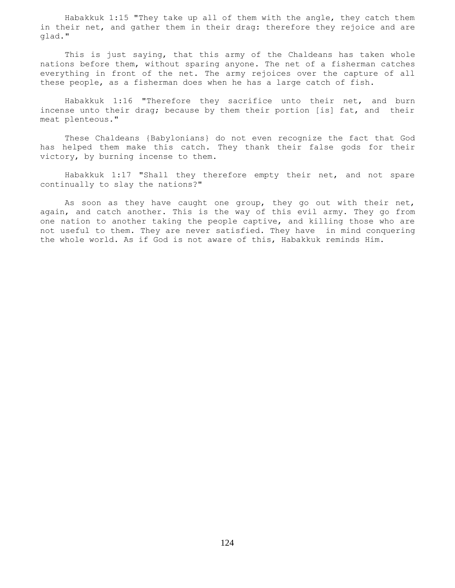Habakkuk 1:15 "They take up all of them with the angle, they catch them in their net, and gather them in their drag: therefore they rejoice and are glad."

 This is just saying, that this army of the Chaldeans has taken whole nations before them, without sparing anyone. The net of a fisherman catches everything in front of the net. The army rejoices over the capture of all these people, as a fisherman does when he has a large catch of fish.

 Habakkuk 1:16 "Therefore they sacrifice unto their net, and burn incense unto their drag; because by them their portion [is] fat, and their meat plenteous."

 These Chaldeans {Babylonians} do not even recognize the fact that God has helped them make this catch. They thank their false gods for their victory, by burning incense to them.

 Habakkuk 1:17 "Shall they therefore empty their net, and not spare continually to slay the nations?"

 As soon as they have caught one group, they go out with their net, again, and catch another. This is the way of this evil army. They go from one nation to another taking the people captive, and killing those who are not useful to them. They are never satisfied. They have in mind conquering the whole world. As if God is not aware of this, Habakkuk reminds Him.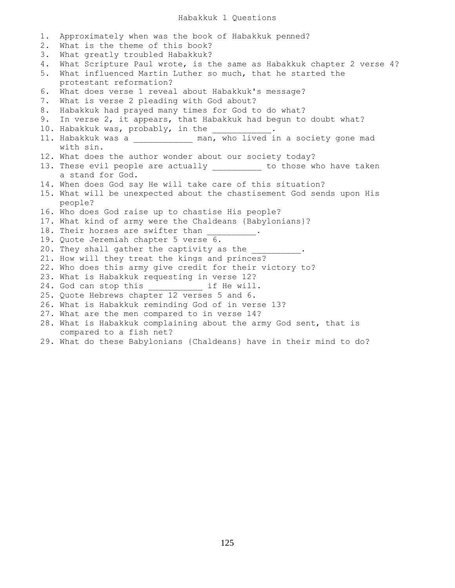1. Approximately when was the book of Habakkuk penned? 2. What is the theme of this book? 3. What greatly troubled Habakkuk? 4. What Scripture Paul wrote, is the same as Habakkuk chapter 2 verse 4? 5. What influenced Martin Luther so much, that he started the protestant reformation? 6. What does verse 1 reveal about Habakkuk's message? 7. What is verse 2 pleading with God about? 8. Habakkuk had prayed many times for God to do what? 9. In verse 2, it appears, that Habakkuk had begun to doubt what? 10. Habakkuk was, probably, in the 11. Habakkuk was a \_\_\_\_\_\_\_\_\_\_\_\_ man, who lived in a society gone mad with sin. 12. What does the author wonder about our society today? 13. These evil people are actually \_\_\_\_\_\_\_\_\_ to those who have taken a stand for God. 14. When does God say He will take care of this situation? 15. What will be unexpected about the chastisement God sends upon His people? 16. Who does God raise up to chastise His people? 17. What kind of army were the Chaldeans {Babylonians}? 18. Their horses are swifter than 19. Quote Jeremiah chapter 5 verse 6. 20. They shall gather the captivity as the 21. How will they treat the kings and princes? 22. Who does this army give credit for their victory to? 23. What is Habakkuk requesting in verse 12? 24. God can stop this \_\_\_\_\_\_\_\_\_\_\_\_\_\_ if He will. 25. Quote Hebrews chapter 12 verses 5 and 6. 26. What is Habakkuk reminding God of in verse 13? 27. What are the men compared to in verse 14? 28. What is Habakkuk complaining about the army God sent, that is compared to a fish net?

29. What do these Babylonians {Chaldeans} have in their mind to do?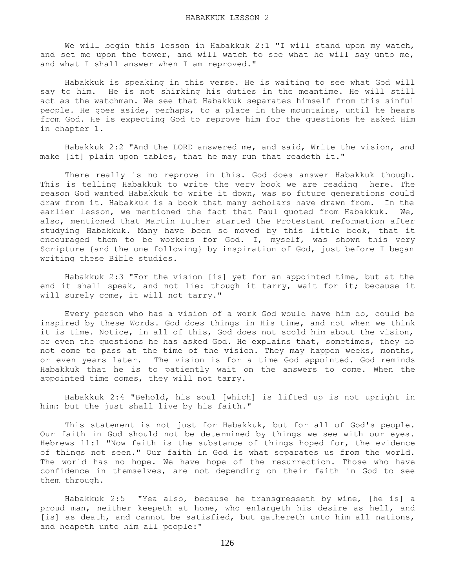We will begin this lesson in Habakkuk 2:1 "I will stand upon my watch, and set me upon the tower, and will watch to see what he will say unto me, and what I shall answer when I am reproved."

 Habakkuk is speaking in this verse. He is waiting to see what God will say to him. He is not shirking his duties in the meantime. He will still act as the watchman. We see that Habakkuk separates himself from this sinful people. He goes aside, perhaps, to a place in the mountains, until he hears from God. He is expecting God to reprove him for the questions he asked Him in chapter 1.

 Habakkuk 2:2 "And the LORD answered me, and said, Write the vision, and make [it] plain upon tables, that he may run that readeth it."

 There really is no reprove in this. God does answer Habakkuk though. This is telling Habakkuk to write the very book we are reading here. The reason God wanted Habakkuk to write it down, was so future generations could draw from it. Habakkuk is a book that many scholars have drawn from. In the earlier lesson, we mentioned the fact that Paul quoted from Habakkuk. We, also, mentioned that Martin Luther started the Protestant reformation after studying Habakkuk. Many have been so moved by this little book, that it encouraged them to be workers for God. I, myself, was shown this very Scripture {and the one following} by inspiration of God, just before I began writing these Bible studies.

 Habakkuk 2:3 "For the vision [is] yet for an appointed time, but at the end it shall speak, and not lie: though it tarry, wait for it; because it will surely come, it will not tarry."

 Every person who has a vision of a work God would have him do, could be inspired by these Words. God does things in His time, and not when we think it is time. Notice, in all of this, God does not scold him about the vision, or even the questions he has asked God. He explains that, sometimes, they do not come to pass at the time of the vision. They may happen weeks, months, or even years later. The vision is for a time God appointed. God reminds Habakkuk that he is to patiently wait on the answers to come. When the appointed time comes, they will not tarry.

 Habakkuk 2:4 "Behold, his soul [which] is lifted up is not upright in him: but the just shall live by his faith."

 This statement is not just for Habakkuk, but for all of God's people. Our faith in God should not be determined by things we see with our eyes. Hebrews 11:1 "Now faith is the substance of things hoped for, the evidence of things not seen." Our faith in God is what separates us from the world. The world has no hope. We have hope of the resurrection. Those who have confidence in themselves, are not depending on their faith in God to see them through.

 Habakkuk 2:5 "Yea also, because he transgresseth by wine, [he is] a proud man, neither keepeth at home, who enlargeth his desire as hell, and [is] as death, and cannot be satisfied, but gathereth unto him all nations, and heapeth unto him all people:"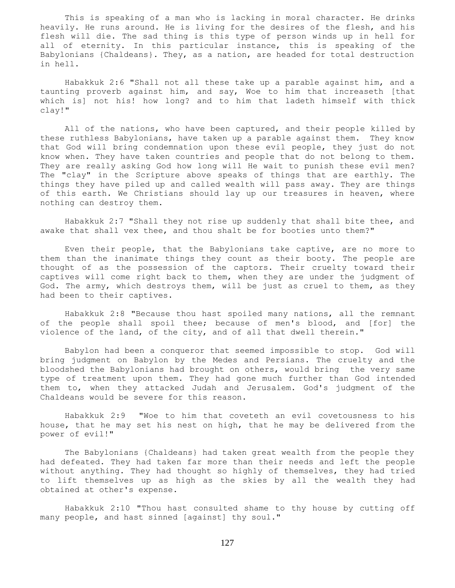This is speaking of a man who is lacking in moral character. He drinks heavily. He runs around. He is living for the desires of the flesh, and his flesh will die. The sad thing is this type of person winds up in hell for all of eternity. In this particular instance, this is speaking of the Babylonians {Chaldeans}. They, as a nation, are headed for total destruction in hell.

 Habakkuk 2:6 "Shall not all these take up a parable against him, and a taunting proverb against him, and say, Woe to him that increaseth [that which is] not his! how long? and to him that ladeth himself with thick clay!"

 All of the nations, who have been captured, and their people killed by these ruthless Babylonians, have taken up a parable against them. They know that God will bring condemnation upon these evil people, they just do not know when. They have taken countries and people that do not belong to them. They are really asking God how long will He wait to punish these evil men? The "clay" in the Scripture above speaks of things that are earthly. The things they have piled up and called wealth will pass away. They are things of this earth. We Christians should lay up our treasures in heaven, where nothing can destroy them.

 Habakkuk 2:7 "Shall they not rise up suddenly that shall bite thee, and awake that shall vex thee, and thou shalt be for booties unto them?"

 Even their people, that the Babylonians take captive, are no more to them than the inanimate things they count as their booty. The people are thought of as the possession of the captors. Their cruelty toward their captives will come right back to them, when they are under the judgment of God. The army, which destroys them, will be just as cruel to them, as they had been to their captives.

 Habakkuk 2:8 "Because thou hast spoiled many nations, all the remnant of the people shall spoil thee; because of men's blood, and [for] the violence of the land, of the city, and of all that dwell therein."

 Babylon had been a conqueror that seemed impossible to stop. God will bring judgment on Babylon by the Medes and Persians. The cruelty and the bloodshed the Babylonians had brought on others, would bring the very same type of treatment upon them. They had gone much further than God intended them to, when they attacked Judah and Jerusalem. God's judgment of the Chaldeans would be severe for this reason.

 Habakkuk 2:9 "Woe to him that coveteth an evil covetousness to his house, that he may set his nest on high, that he may be delivered from the power of evil!"

 The Babylonians {Chaldeans} had taken great wealth from the people they had defeated. They had taken far more than their needs and left the people without anything. They had thought so highly of themselves, they had tried to lift themselves up as high as the skies by all the wealth they had obtained at other's expense.

 Habakkuk 2:10 "Thou hast consulted shame to thy house by cutting off many people, and hast sinned [against] thy soul."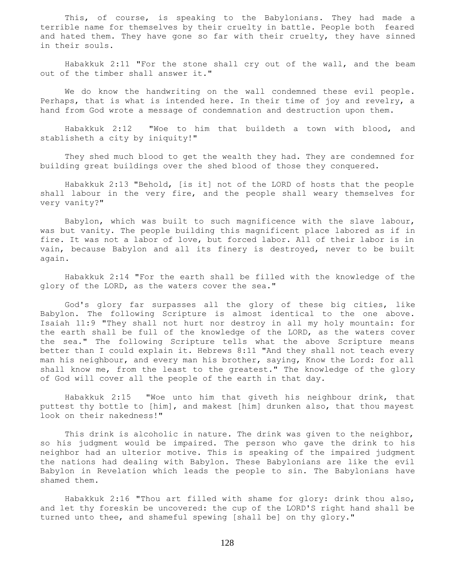This, of course, is speaking to the Babylonians. They had made a terrible name for themselves by their cruelty in battle. People both feared and hated them. They have gone so far with their cruelty, they have sinned in their souls.

 Habakkuk 2:11 "For the stone shall cry out of the wall, and the beam out of the timber shall answer it."

 We do know the handwriting on the wall condemned these evil people. Perhaps, that is what is intended here. In their time of joy and revelry, a hand from God wrote a message of condemnation and destruction upon them.

 Habakkuk 2:12 "Woe to him that buildeth a town with blood, and stablisheth a city by iniquity!"

 They shed much blood to get the wealth they had. They are condemned for building great buildings over the shed blood of those they conquered.

 Habakkuk 2:13 "Behold, [is it] not of the LORD of hosts that the people shall labour in the very fire, and the people shall weary themselves for very vanity?"

 Babylon, which was built to such magnificence with the slave labour, was but vanity. The people building this magnificent place labored as if in fire. It was not a labor of love, but forced labor. All of their labor is in vain, because Babylon and all its finery is destroyed, never to be built again.

 Habakkuk 2:14 "For the earth shall be filled with the knowledge of the glory of the LORD, as the waters cover the sea."

 God's glory far surpasses all the glory of these big cities, like Babylon. The following Scripture is almost identical to the one above. Isaiah 11:9 "They shall not hurt nor destroy in all my holy mountain: for the earth shall be full of the knowledge of the LORD, as the waters cover the sea." The following Scripture tells what the above Scripture means better than I could explain it. Hebrews 8:11 "And they shall not teach every man his neighbour, and every man his brother, saying, Know the Lord: for all shall know me, from the least to the greatest." The knowledge of the glory of God will cover all the people of the earth in that day.

 Habakkuk 2:15 "Woe unto him that giveth his neighbour drink, that puttest thy bottle to [him], and makest [him] drunken also, that thou mayest look on their nakedness!"

 This drink is alcoholic in nature. The drink was given to the neighbor, so his judgment would be impaired. The person who gave the drink to his neighbor had an ulterior motive. This is speaking of the impaired judgment the nations had dealing with Babylon. These Babylonians are like the evil Babylon in Revelation which leads the people to sin. The Babylonians have shamed them.

 Habakkuk 2:16 "Thou art filled with shame for glory: drink thou also, and let thy foreskin be uncovered: the cup of the LORD'S right hand shall be turned unto thee, and shameful spewing [shall be] on thy glory."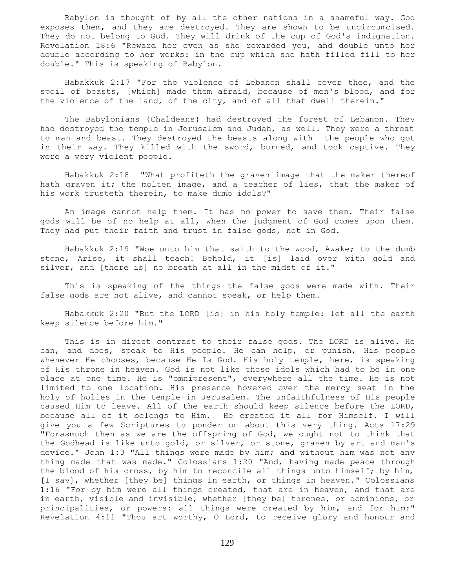Babylon is thought of by all the other nations in a shameful way. God exposes them, and they are destroyed. They are shown to be uncircumcised. They do not belong to God. They will drink of the cup of God's indignation. Revelation 18:6 "Reward her even as she rewarded you, and double unto her double according to her works: in the cup which she hath filled fill to her double." This is speaking of Babylon.

 Habakkuk 2:17 "For the violence of Lebanon shall cover thee, and the spoil of beasts, [which] made them afraid, because of men's blood, and for the violence of the land, of the city, and of all that dwell therein."

 The Babylonians {Chaldeans} had destroyed the forest of Lebanon. They had destroyed the temple in Jerusalem and Judah, as well. They were a threat to man and beast. They destroyed the beasts along with the people who got in their way. They killed with the sword, burned, and took captive. They were a very violent people.

 Habakkuk 2:18 "What profiteth the graven image that the maker thereof hath graven it; the molten image, and a teacher of lies, that the maker of his work trusteth therein, to make dumb idols?"

 An image cannot help them. It has no power to save them. Their false gods will be of no help at all, when the judgment of God comes upon them. They had put their faith and trust in false gods, not in God.

 Habakkuk 2:19 "Woe unto him that saith to the wood, Awake; to the dumb stone, Arise, it shall teach! Behold, it [is] laid over with gold and silver, and [there is] no breath at all in the midst of it."

 This is speaking of the things the false gods were made with. Their false gods are not alive, and cannot speak, or help them.

 Habakkuk 2:20 "But the LORD [is] in his holy temple: let all the earth keep silence before him."

 This is in direct contrast to their false gods. The LORD is alive. He can, and does, speak to His people. He can help, or punish, His people whenever He chooses, because He Is God. His holy temple, here, is speaking of His throne in heaven. God is not like those idols which had to be in one place at one time. He is "omnipresent", everywhere all the time. He is not limited to one location. His presence hovered over the mercy seat in the holy of holies in the temple in Jerusalem. The unfaithfulness of His people caused Him to leave. All of the earth should keep silence before the LORD, because all of it belongs to Him. He created it all for Himself. I will give you a few Scriptures to ponder on about this very thing. Acts 17:29 "Forasmuch then as we are the offspring of God, we ought not to think that the Godhead is like unto gold, or silver, or stone, graven by art and man's device." John 1:3 "All things were made by him; and without him was not any thing made that was made." Colossians 1:20 "And, having made peace through the blood of his cross, by him to reconcile all things unto himself; by him, [I say], whether [they be] things in earth, or things in heaven." Colossians 1:16 "For by him were all things created, that are in heaven, and that are in earth, visible and invisible, whether [they be] thrones, or dominions, or principalities, or powers: all things were created by him, and for him:" Revelation 4:11 "Thou art worthy, O Lord, to receive glory and honour and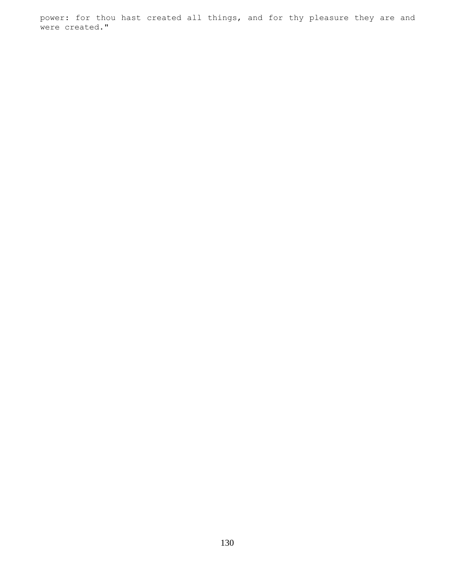power: for thou hast created all things, and for thy pleasure they are and were created."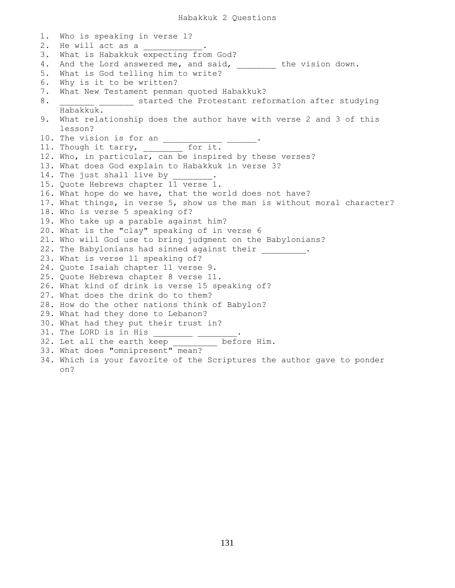1. Who is speaking in verse 1? 2. He will act as a 3. What is Habakkuk expecting from God? 4. And the Lord answered me, and said, \_\_\_\_\_\_\_\_ the vision down. 5. What is God telling him to write? 6. Why is it to be written? 7. What New Testament penman quoted Habakkuk? 8. **\_\_\_\_\_\_\_\_\_\_\_\_\_\_\_** started the Protestant reformation after studying **Habakkuk.** 9. What relationship does the author have with verse 2 and 3 of this lesson? 10. The vision is for an \_\_\_\_\_\_\_\_\_\_\_\_\_\_\_\_\_\_\_\_\_\_. 11. Though it tarry, for it. 12. Who, in particular, can be inspired by these verses? 13. What does God explain to Habakkuk in verse 3? 14. The just shall live by 15. Quote Hebrews chapter 11 verse 1. 16. What hope do we have, that the world does not have? 17. What things, in verse 5, show us the man is without moral character? 18. Who is verse 5 speaking of? 19. Who take up a parable against him? 20. What is the "clay" speaking of in verse 6 21. Who will God use to bring judgment on the Babylonians? 22. The Babylonians had sinned against their \_\_\_\_\_\_\_. 23. What is verse 11 speaking of? 24. Quote Isaiah chapter 11 verse 9. 25. Quote Hebrews chapter 8 verse 11. 26. What kind of drink is verse 15 speaking of? 27. What does the drink do to them? 28. How do the other nations think of Babylon? 29. What had they done to Lebanon? 30. What had they put their trust in? 31. The LORD is in His \_\_\_\_\_\_\_\_\_\_\_\_\_\_. 32. Let all the earth keep \_\_\_\_\_\_\_\_\_ before Him. 33. What does "omnipresent" mean? 34. Which is your favorite of the Scriptures the author gave to ponder on?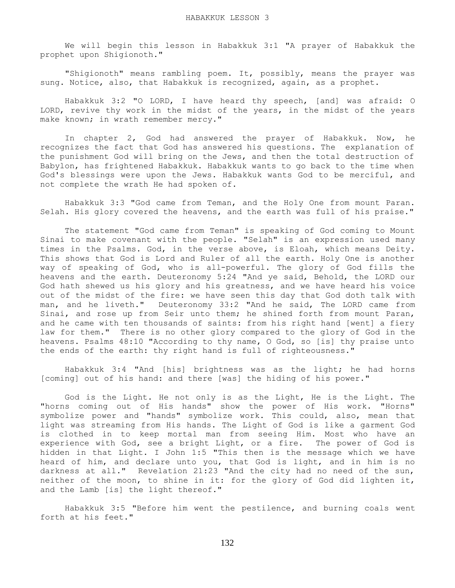We will begin this lesson in Habakkuk 3:1 "A prayer of Habakkuk the prophet upon Shigionoth."

 "Shigionoth" means rambling poem. It, possibly, means the prayer was sung. Notice, also, that Habakkuk is recognized, again, as a prophet.

 Habakkuk 3:2 "O LORD, I have heard thy speech, [and] was afraid: O LORD, revive thy work in the midst of the years, in the midst of the years make known; in wrath remember mercy."

 In chapter 2, God had answered the prayer of Habakkuk. Now, he recognizes the fact that God has answered his questions. The explanation of the punishment God will bring on the Jews, and then the total destruction of Babylon, has frightened Habakkuk. Habakkuk wants to go back to the time when God's blessings were upon the Jews. Habakkuk wants God to be merciful, and not complete the wrath He had spoken of.

 Habakkuk 3:3 "God came from Teman, and the Holy One from mount Paran. Selah. His glory covered the heavens, and the earth was full of his praise."

 The statement "God came from Teman" is speaking of God coming to Mount Sinai to make covenant with the people. "Selah" is an expression used many times in the Psalms. God, in the verse above, is Eloah, which means Deity. This shows that God is Lord and Ruler of all the earth. Holy One is another way of speaking of God, who is all-powerful. The glory of God fills the heavens and the earth. Deuteronomy 5:24 "And ye said, Behold, the LORD our God hath shewed us his glory and his greatness, and we have heard his voice out of the midst of the fire: we have seen this day that God doth talk with man, and he liveth." Deuteronomy 33:2 "And he said, The LORD came from Sinai, and rose up from Seir unto them; he shined forth from mount Paran, and he came with ten thousands of saints: from his right hand [went] a fiery law for them." There is no other glory compared to the glory of God in the heavens. Psalms 48:10 "According to thy name, O God, so [is] thy praise unto the ends of the earth: thy right hand is full of righteousness."

 Habakkuk 3:4 "And [his] brightness was as the light; he had horns [coming] out of his hand: and there [was] the hiding of his power."

 God is the Light. He not only is as the Light, He is the Light. The "horns coming out of His hands" show the power of His work. "Horns" symbolize power and "hands" symbolize work. This could, also, mean that light was streaming from His hands. The Light of God is like a garment God is clothed in to keep mortal man from seeing Him. Most who have an experience with God, see a bright Light, or a fire. The power of God is hidden in that Light. I John 1:5 "This then is the message which we have heard of him, and declare unto you, that God is light, and in him is no darkness at all." Revelation 21:23 "And the city had no need of the sun, neither of the moon, to shine in it: for the glory of God did lighten it, and the Lamb [is] the light thereof."

 Habakkuk 3:5 "Before him went the pestilence, and burning coals went forth at his feet."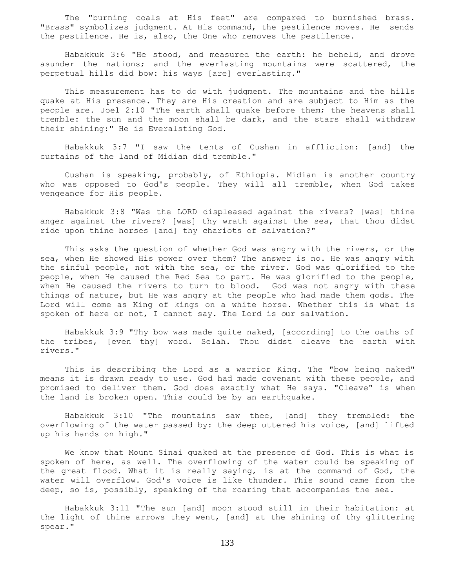The "burning coals at His feet" are compared to burnished brass. "Brass" symbolizes judgment. At His command, the pestilence moves. He sends the pestilence. He is, also, the One who removes the pestilence.

 Habakkuk 3:6 "He stood, and measured the earth: he beheld, and drove asunder the nations; and the everlasting mountains were scattered, the perpetual hills did bow: his ways [are] everlasting."

 This measurement has to do with judgment. The mountains and the hills quake at His presence. They are His creation and are subject to Him as the people are. Joel 2:10 "The earth shall quake before them; the heavens shall tremble: the sun and the moon shall be dark, and the stars shall withdraw their shining:" He is Everalsting God.

 Habakkuk 3:7 "I saw the tents of Cushan in affliction: [and] the curtains of the land of Midian did tremble."

 Cushan is speaking, probably, of Ethiopia. Midian is another country who was opposed to God's people. They will all tremble, when God takes vengeance for His people.

 Habakkuk 3:8 "Was the LORD displeased against the rivers? [was] thine anger against the rivers? [was] thy wrath against the sea, that thou didst ride upon thine horses [and] thy chariots of salvation?"

 This asks the question of whether God was angry with the rivers, or the sea, when He showed His power over them? The answer is no. He was angry with the sinful people, not with the sea, or the river. God was glorified to the people, when He caused the Red Sea to part. He was glorified to the people, when He caused the rivers to turn to blood. God was not angry with these things of nature, but He was angry at the people who had made them gods. The Lord will come as King of kings on a white horse. Whether this is what is spoken of here or not, I cannot say. The Lord is our salvation.

 Habakkuk 3:9 "Thy bow was made quite naked, [according] to the oaths of the tribes, [even thy] word. Selah. Thou didst cleave the earth with rivers."

 This is describing the Lord as a warrior King. The "bow being naked" means it is drawn ready to use. God had made covenant with these people, and promised to deliver them. God does exactly what He says. "Cleave" is when the land is broken open. This could be by an earthquake.

 Habakkuk 3:10 "The mountains saw thee, [and] they trembled: the overflowing of the water passed by: the deep uttered his voice, [and] lifted up his hands on high."

 We know that Mount Sinai quaked at the presence of God. This is what is spoken of here, as well. The overflowing of the water could be speaking of the great flood. What it is really saying, is at the command of God, the water will overflow. God's voice is like thunder. This sound came from the deep, so is, possibly, speaking of the roaring that accompanies the sea.

 Habakkuk 3:11 "The sun [and] moon stood still in their habitation: at the light of thine arrows they went, [and] at the shining of thy glittering spear."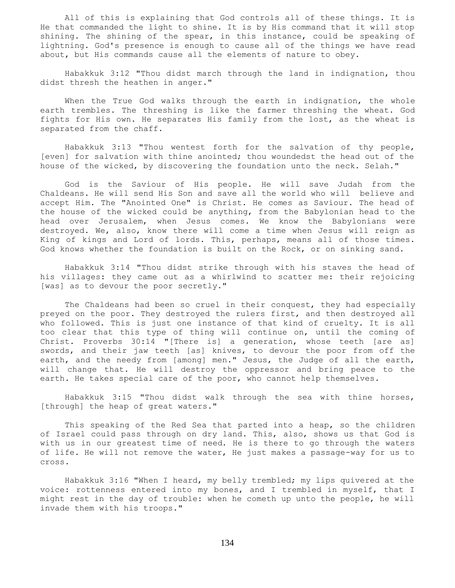All of this is explaining that God controls all of these things. It is He that commanded the light to shine. It is by His command that it will stop shining. The shining of the spear, in this instance, could be speaking of lightning. God's presence is enough to cause all of the things we have read about, but His commands cause all the elements of nature to obey.

 Habakkuk 3:12 "Thou didst march through the land in indignation, thou didst thresh the heathen in anger."

 When the True God walks through the earth in indignation, the whole earth trembles. The threshing is like the farmer threshing the wheat. God fights for His own. He separates His family from the lost, as the wheat is separated from the chaff.

 Habakkuk 3:13 "Thou wentest forth for the salvation of thy people, [even] for salvation with thine anointed; thou woundedst the head out of the house of the wicked, by discovering the foundation unto the neck. Selah."

 God is the Saviour of His people. He will save Judah from the Chaldeans. He will send His Son and save all the world who will believe and accept Him. The "Anointed One" is Christ. He comes as Saviour. The head of the house of the wicked could be anything, from the Babylonian head to the head over Jerusalem, when Jesus comes. We know the Babylonians were destroyed. We, also, know there will come a time when Jesus will reign as King of kings and Lord of lords. This, perhaps, means all of those times. God knows whether the foundation is built on the Rock, or on sinking sand.

 Habakkuk 3:14 "Thou didst strike through with his staves the head of his villages: they came out as a whirlwind to scatter me: their rejoicing [was] as to devour the poor secretly."

 The Chaldeans had been so cruel in their conquest, they had especially preyed on the poor. They destroyed the rulers first, and then destroyed all who followed. This is just one instance of that kind of cruelty. It is all too clear that this type of thing will continue on, until the coming of Christ. Proverbs 30:14 "[There is] a generation, whose teeth [are as] swords, and their jaw teeth [as] knives, to devour the poor from off the earth, and the needy from [among] men." Jesus, the Judge of all the earth, will change that. He will destroy the oppressor and bring peace to the earth. He takes special care of the poor, who cannot help themselves.

 Habakkuk 3:15 "Thou didst walk through the sea with thine horses, [through] the heap of great waters."

 This speaking of the Red Sea that parted into a heap, so the children of Israel could pass through on dry land. This, also, shows us that God is with us in our greatest time of need. He is there to go through the waters of life. He will not remove the water, He just makes a passage-way for us to cross.

 Habakkuk 3:16 "When I heard, my belly trembled; my lips quivered at the voice: rottenness entered into my bones, and I trembled in myself, that I might rest in the day of trouble: when he cometh up unto the people, he will invade them with his troops."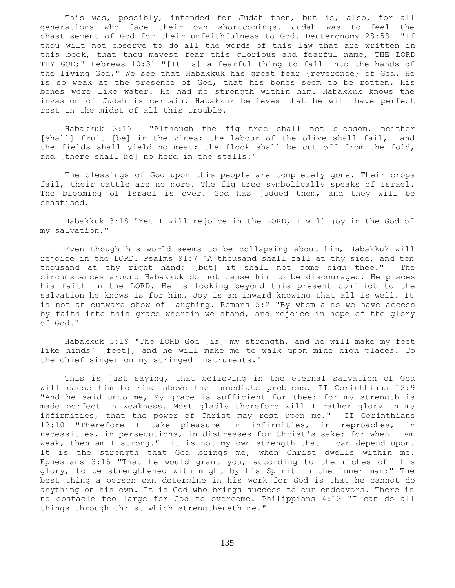This was, possibly, intended for Judah then, but is, also, for all generations who face their own shortcomings. Judah was to feel the chastisement of God for their unfaithfulness to God. Deuteronomy 28:58 "If thou wilt not observe to do all the words of this law that are written in this book, that thou mayest fear this glorious and fearful name, THE LORD THY GOD;" Hebrews 10:31 "[It is] a fearful thing to fall into the hands of the living God." We see that Habakkuk has great fear {reverence} of God. He is so weak at the presence of God, that his bones seem to be rotten. His bones were like water. He had no strength within him. Habakkuk knows the invasion of Judah is certain. Habakkuk believes that he will have perfect rest in the midst of all this trouble.

 Habakkuk 3:17 "Although the fig tree shall not blossom, neither [shall] fruit [be] in the vines; the labour of the olive shall fail, and the fields shall yield no meat; the flock shall be cut off from the fold, and [there shall be] no herd in the stalls:"

 The blessings of God upon this people are completely gone. Their crops fail, their cattle are no more. The fig tree symbolically speaks of Israel. The blooming of Israel is over. God has judged them, and they will be chastised.

 Habakkuk 3:18 "Yet I will rejoice in the LORD, I will joy in the God of my salvation."

 Even though his world seems to be collapsing about him, Habakkuk will rejoice in the LORD. Psalms 91:7 "A thousand shall fall at thy side, and ten thousand at thy right hand; [but] it shall not come nigh thee." The circumstances around Habakkuk do not cause him to be discouraged. He places his faith in the LORD. He is looking beyond this present conflict to the salvation he knows is for him. Joy is an inward knowing that all is well. It is not an outward show of laughing. Romans 5:2 "By whom also we have access by faith into this grace wherein we stand, and rejoice in hope of the glory of God."

 Habakkuk 3:19 "The LORD God [is] my strength, and he will make my feet like hinds' [feet], and he will make me to walk upon mine high places. To the chief singer on my stringed instruments."

 This is just saying, that believing in the eternal salvation of God will cause him to rise above the immediate problems. II Corinthians 12:9 "And he said unto me, My grace is sufficient for thee: for my strength is made perfect in weakness. Most gladly therefore will I rather glory in my infirmities, that the power of Christ may rest upon me." II Corinthians 12:10 "Therefore I take pleasure in infirmities, in reproaches, in necessities, in persecutions, in distresses for Christ's sake: for when I am weak, then am I strong." It is not my own strength that I can depend upon. It is the strength that God brings me, when Christ dwells within me. Ephesians 3:16 "That he would grant you, according to the riches of his glory, to be strengthened with might by his Spirit in the inner man;" The best thing a person can determine in his work for God is that he cannot do anything on his own. It is God who brings success to our endeavors. There is no obstacle too large for God to overcome. Philippians 4:13 "I can do all things through Christ which strengtheneth me."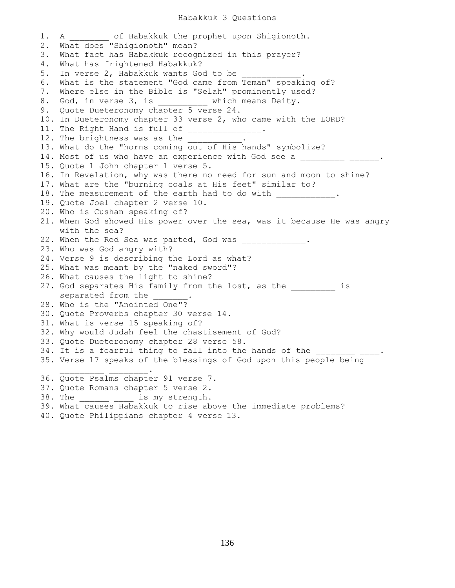1. A cf Habakkuk the prophet upon Shigionoth. 2. What does "Shigionoth" mean? 3. What fact has Habakkuk recognized in this prayer? 4. What has frightened Habakkuk? 5. In verse 2, Habakkuk wants God to be 6. What is the statement "God came from Teman" speaking of? 7. Where else in the Bible is "Selah" prominently used? 8. God, in verse 3, is \_\_\_\_\_\_\_\_ which means Deity. 9. Quote Dueteronomy chapter 5 verse 24. 10. In Dueteronomy chapter 33 verse 2, who came with the LORD? 11. The Right Hand is full of \_\_\_\_\_\_\_\_\_\_\_\_\_\_. 12. The brightness was as the 13. What do the "horns coming out of His hands" symbolize? 14. Most of us who have an experience with God see a 15. Quote 1 John chapter 1 verse 5. 16. In Revelation, why was there no need for sun and moon to shine? 17. What are the "burning coals at His feet" similar to? 18. The measurement of the earth had to do with \_\_\_\_\_\_\_\_\_\_\_\_\_. 19. Quote Joel chapter 2 verse 10. 20. Who is Cushan speaking of? 21. When God showed His power over the sea, was it because He was angry with the sea? 22. When the Red Sea was parted, God was 23. Who was God angry with? 24. Verse 9 is describing the Lord as what? 25. What was meant by the "naked sword"? 26. What causes the light to shine? 27. God separates His family from the lost, as the the is separated from the 28. Who is the "Anointed One"? 30. Quote Proverbs chapter 30 verse 14. 31. What is verse 15 speaking of? 32. Why would Judah feel the chastisement of God? 33. Quote Dueteronomy chapter 28 verse 58. 34. It is a fearful thing to fall into the hands of the 35. Verse 17 speaks of the blessings of God upon this people being  $\mathcal{L}=\mathcal{L}=\mathcal{L}=\mathcal{L}=\mathcal{L}=\mathcal{L}=\mathcal{L}=\mathcal{L}=\mathcal{L}=\mathcal{L}=\mathcal{L}=\mathcal{L}=\mathcal{L}=\mathcal{L}=\mathcal{L}=\mathcal{L}=\mathcal{L}=\mathcal{L}=\mathcal{L}=\mathcal{L}=\mathcal{L}=\mathcal{L}=\mathcal{L}=\mathcal{L}=\mathcal{L}=\mathcal{L}=\mathcal{L}=\mathcal{L}=\mathcal{L}=\mathcal{L}=\mathcal{L}=\mathcal{L}=\mathcal{L}=\mathcal{L}=\mathcal{L}=\mathcal{L}=\mathcal{$ 36. Quote Psalms chapter 91 verse 7. 37. Quote Romans chapter 5 verse 2. 38. The \_\_\_\_\_\_ \_\_\_\_ is my strength. 39. What causes Habakkuk to rise above the immediate problems? 40. Quote Philippians chapter 4 verse 13.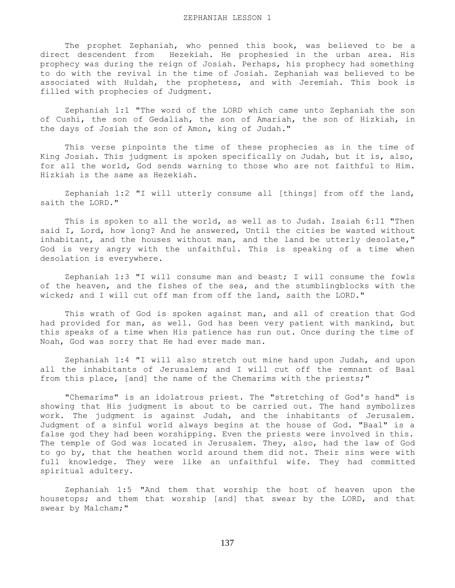## ZEPHANIAH LESSON 1

 The prophet Zephaniah, who penned this book, was believed to be a direct descendent from Hezekiah. He prophesied in the urban area. His prophecy was during the reign of Josiah. Perhaps, his prophecy had something to do with the revival in the time of Josiah. Zephaniah was believed to be associated with Huldah, the prophetess, and with Jeremiah. This book is filled with prophecies of Judgment.

 Zephaniah 1:1 "The word of the LORD which came unto Zephaniah the son of Cushi, the son of Gedaliah, the son of Amariah, the son of Hizkiah, in the days of Josiah the son of Amon, king of Judah."

 This verse pinpoints the time of these prophecies as in the time of King Josiah. This judgment is spoken specifically on Judah, but it is, also, for all the world, God sends warning to those who are not faithful to Him. Hizkiah is the same as Hezekiah.

 Zephaniah 1:2 "I will utterly consume all [things] from off the land, saith the LORD."

 This is spoken to all the world, as well as to Judah. Isaiah 6:11 "Then said I, Lord, how long? And he answered, Until the cities be wasted without inhabitant, and the houses without man, and the land be utterly desolate," God is very angry with the unfaithful. This is speaking of a time when desolation is everywhere.

 Zephaniah 1:3 "I will consume man and beast; I will consume the fowls of the heaven, and the fishes of the sea, and the stumblingblocks with the wicked; and I will cut off man from off the land, saith the LORD."

 This wrath of God is spoken against man, and all of creation that God had provided for man, as well. God has been very patient with mankind, but this speaks of a time when His patience has run out. Once during the time of Noah, God was sorry that He had ever made man.

 Zephaniah 1:4 "I will also stretch out mine hand upon Judah, and upon all the inhabitants of Jerusalem; and I will cut off the remnant of Baal from this place, [and] the name of the Chemarims with the priests;"

 "Chemarims" is an idolatrous priest. The "stretching of God's hand" is showing that His judgment is about to be carried out. The hand symbolizes work. The judgment is against Judah, and the inhabitants of Jerusalem. Judgment of a sinful world always begins at the house of God. "Baal" is a false god they had been worshipping. Even the priests were involved in this. The temple of God was located in Jerusalem. They, also, had the law of God to go by, that the heathen world around them did not. Their sins were with full knowledge. They were like an unfaithful wife. They had committed spiritual adultery.

 Zephaniah 1:5 "And them that worship the host of heaven upon the housetops; and them that worship [and] that swear by the LORD, and that swear by Malcham;"

137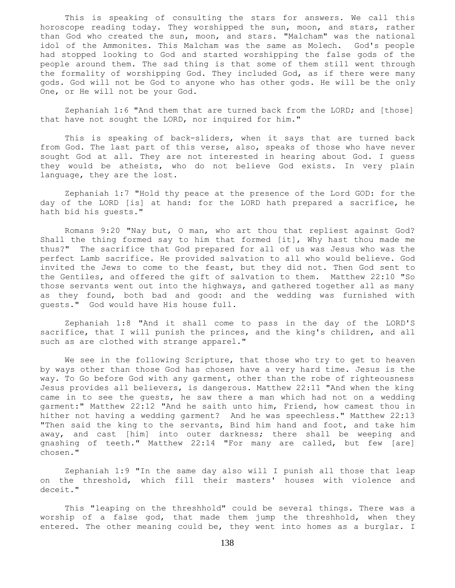This is speaking of consulting the stars for answers. We call this horoscope reading today. They worshipped the sun, moon, and stars, rather than God who created the sun, moon, and stars. "Malcham" was the national idol of the Ammonites. This Malcham was the same as Molech. God's people had stopped looking to God and started worshipping the false gods of the people around them. The sad thing is that some of them still went through the formality of worshipping God. They included God, as if there were many gods. God will not be God to anyone who has other gods. He will be the only One, or He will not be your God.

 Zephaniah 1:6 "And them that are turned back from the LORD; and [those] that have not sought the LORD, nor inquired for him."

 This is speaking of back-sliders, when it says that are turned back from God. The last part of this verse, also, speaks of those who have never sought God at all. They are not interested in hearing about God. I guess they would be atheists, who do not believe God exists. In very plain language, they are the lost.

 Zephaniah 1:7 "Hold thy peace at the presence of the Lord GOD: for the day of the LORD [is] at hand: for the LORD hath prepared a sacrifice, he hath bid his guests."

 Romans 9:20 "Nay but, O man, who art thou that repliest against God? Shall the thing formed say to him that formed [it], Why hast thou made me thus?" The sacrifice that God prepared for all of us was Jesus who was the perfect Lamb sacrifice. He provided salvation to all who would believe. God invited the Jews to come to the feast, but they did not. Then God sent to the Gentiles, and offered the gift of salvation to them. Matthew 22:10 "So those servants went out into the highways, and gathered together all as many as they found, both bad and good: and the wedding was furnished with guests." God would have His house full.

 Zephaniah 1:8 "And it shall come to pass in the day of the LORD'S sacrifice, that I will punish the princes, and the king's children, and all such as are clothed with strange apparel."

We see in the following Scripture, that those who try to get to heaven by ways other than those God has chosen have a very hard time. Jesus is the way. To Go before God with any garment, other than the robe of righteousness Jesus provides all believers, is dangerous. Matthew 22:11 "And when the king came in to see the guests, he saw there a man which had not on a wedding garment:" Matthew 22:12 "And he saith unto him, Friend, how camest thou in hither not having a wedding garment? And he was speechless." Matthew 22:13 "Then said the king to the servants, Bind him hand and foot, and take him away, and cast [him] into outer darkness; there shall be weeping and gnashing of teeth." Matthew 22:14 "For many are called, but few [are] chosen."

 Zephaniah 1:9 "In the same day also will I punish all those that leap on the threshold, which fill their masters' houses with violence and deceit."

 This "leaping on the threshhold" could be several things. There was a worship of a false god, that made them jump the threshhold, when they entered. The other meaning could be, they went into homes as a burglar. I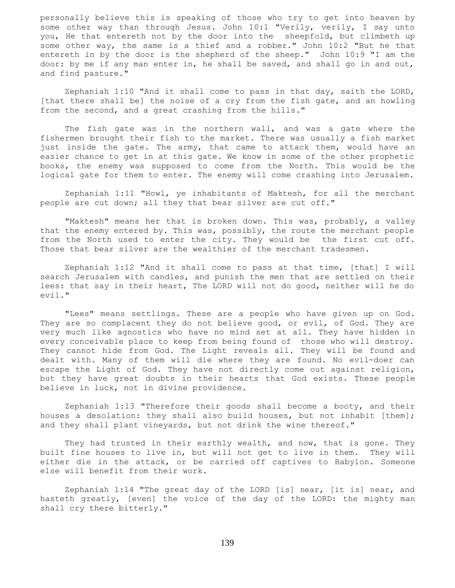personally believe this is speaking of those who try to get into heaven by some other way than through Jesus. John 10:1 "Verily, verily, I say unto you, He that entereth not by the door into the sheepfold, but climbeth up some other way, the same is a thief and a robber." John 10:2 "But he that entereth in by the door is the shepherd of the sheep." John 10:9 "I am the door: by me if any man enter in, he shall be saved, and shall go in and out, and find pasture."

 Zephaniah 1:10 "And it shall come to pass in that day, saith the LORD, [that there shall be] the noise of a cry from the fish gate, and an howling from the second, and a great crashing from the hills."

 The fish gate was in the northern wall, and was a gate where the fishermen brought their fish to the market. There was usually a fish market just inside the gate. The army, that came to attack them, would have an easier chance to get in at this gate. We know in some of the other prophetic books, the enemy was supposed to come from the North. This would be the logical gate for them to enter. The enemy will come crashing into Jerusalem.

 Zephaniah 1:11 "Howl, ye inhabitants of Maktesh, for all the merchant people are cut down; all they that bear silver are cut off."

 "Maktesh" means her that is broken down. This was, probably, a valley that the enemy entered by. This was, possibly, the route the merchant people from the North used to enter the city. They would be the first cut off. Those that bear silver are the wealthier of the merchant tradesmen.

 Zephaniah 1:12 "And it shall come to pass at that time, [that] I will search Jerusalem with candles, and punish the men that are settled on their lees: that say in their heart, The LORD will not do good, neither will he do evil."

 "Lees" means settlings. These are a people who have given up on God. They are so complacent they do not believe good, or evil, of God. They are very much like agnostics who have no mind set at all. They have hidden in every conceivable place to keep from being found of those who will destroy. They cannot hide from God. The Light reveals all. They will be found and dealt with. Many of them will die where they are found. No evil-doer can escape the Light of God. They have not directly come out against religion, but they have great doubts in their hearts that God exists. These people believe in luck, not in divine providence.

 Zephaniah 1:13 "Therefore their goods shall become a booty, and their houses a desolation: they shall also build houses, but not inhabit [them]; and they shall plant vineyards, but not drink the wine thereof."

They had trusted in their earthly wealth, and now, that is gone. They built fine houses to live in, but will not get to live in them. They will either die in the attack, or be carried off captives to Babylon. Someone else will benefit from their work.

 Zephaniah 1:14 "The great day of the LORD [is] near, [it is] near, and hasteth greatly, [even] the voice of the day of the LORD: the mighty man shall cry there bitterly."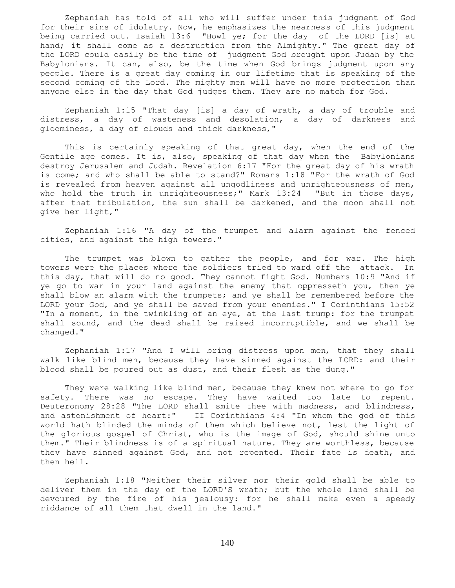Zephaniah has told of all who will suffer under this judgment of God for their sins of idolatry. Now, he emphasizes the nearness of this judgment being carried out. Isaiah 13:6 "Howl ye; for the day of the LORD [is] at hand; it shall come as a destruction from the Almighty." The great day of the LORD could easily be the time of judgment God brought upon Judah by the Babylonians. It can, also, be the time when God brings judgment upon any people. There is a great day coming in our lifetime that is speaking of the second coming of the Lord. The mighty men will have no more protection than anyone else in the day that God judges them. They are no match for God.

 Zephaniah 1:15 "That day [is] a day of wrath, a day of trouble and distress, a day of wasteness and desolation, a day of darkness and gloominess, a day of clouds and thick darkness,"

 This is certainly speaking of that great day, when the end of the Gentile age comes. It is, also, speaking of that day when the Babylonians destroy Jerusalem and Judah. Revelation 6:17 "For the great day of his wrath is come; and who shall be able to stand?" Romans 1:18 "For the wrath of God is revealed from heaven against all ungodliness and unrighteousness of men, who hold the truth in unrighteousness;" Mark 13:24 "But in those days, after that tribulation, the sun shall be darkened, and the moon shall not give her light,"

 Zephaniah 1:16 "A day of the trumpet and alarm against the fenced cities, and against the high towers."

 The trumpet was blown to gather the people, and for war. The high towers were the places where the soldiers tried to ward off the attack. In this day, that will do no good. They cannot fight God. Numbers 10:9 "And if ye go to war in your land against the enemy that oppresseth you, then ye shall blow an alarm with the trumpets; and ye shall be remembered before the LORD your God, and ye shall be saved from your enemies." I Corinthians 15:52 "In a moment, in the twinkling of an eye, at the last trump: for the trumpet shall sound, and the dead shall be raised incorruptible, and we shall be changed."

 Zephaniah 1:17 "And I will bring distress upon men, that they shall walk like blind men, because they have sinned against the LORD: and their blood shall be poured out as dust, and their flesh as the dung."

 They were walking like blind men, because they knew not where to go for safety. There was no escape. They have waited too late to repent. Deuteronomy 28:28 "The LORD shall smite thee with madness, and blindness, and astonishment of heart:" II Corinthians 4:4 "In whom the god of this world hath blinded the minds of them which believe not, lest the light of the glorious gospel of Christ, who is the image of God, should shine unto them." Their blindness is of a spiritual nature. They are worthless, because they have sinned against God, and not repented. Their fate is death, and then hell.

 Zephaniah 1:18 "Neither their silver nor their gold shall be able to deliver them in the day of the LORD'S wrath; but the whole land shall be devoured by the fire of his jealousy: for he shall make even a speedy riddance of all them that dwell in the land."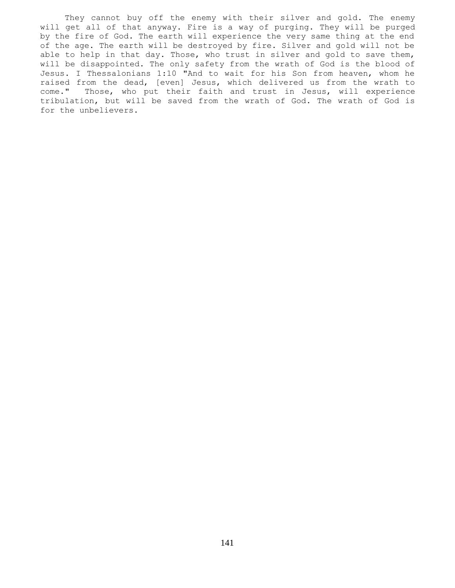They cannot buy off the enemy with their silver and gold. The enemy will get all of that anyway. Fire is a way of purging. They will be purged by the fire of God. The earth will experience the very same thing at the end of the age. The earth will be destroyed by fire. Silver and gold will not be able to help in that day. Those, who trust in silver and gold to save them, will be disappointed. The only safety from the wrath of God is the blood of Jesus. I Thessalonians 1:10 "And to wait for his Son from heaven, whom he raised from the dead, [even] Jesus, which delivered us from the wrath to come." Those, who put their faith and trust in Jesus, will experience tribulation, but will be saved from the wrath of God. The wrath of God is for the unbelievers.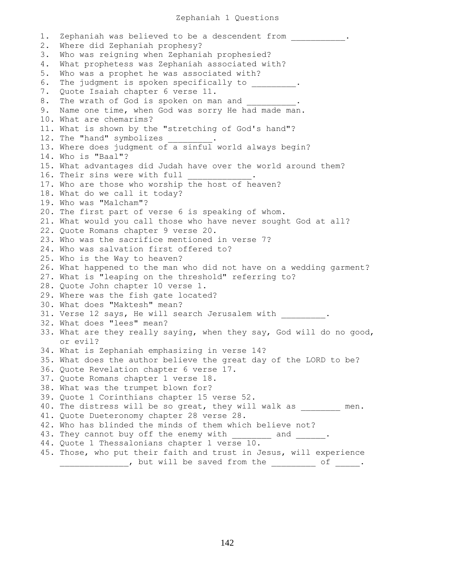## Zephaniah 1 Questions

1. Zephaniah was believed to be a descendent from  $\qquad \qquad$ . 2. Where did Zephaniah prophesy? 3. Who was reigning when Zephaniah prophesied? 4. What prophetess was Zephaniah associated with? 5. Who was a prophet he was associated with? 6. The judgment is spoken specifically to  $\hspace{1cm}$  . 7. Quote Isaiah chapter 6 verse 11. 8. The wrath of God is spoken on man and 9. Name one time, when God was sorry He had made man. 10. What are chemarims? 11. What is shown by the "stretching of God's hand"? 12. The "hand" symbolizes 13. Where does judgment of a sinful world always begin? 14. Who is "Baal"? 15. What advantages did Judah have over the world around them? 16. Their sins were with full 17. Who are those who worship the host of heaven? 18. What do we call it today? 19. Who was "Malcham"? 20. The first part of verse 6 is speaking of whom. 21. What would you call those who have never sought God at all? 22. Quote Romans chapter 9 verse 20. 23. Who was the sacrifice mentioned in verse 7? 24. Who was salvation first offered to? 25. Who is the Way to heaven? 26. What happened to the man who did not have on a wedding garment? 27. What is "leaping on the threshold" referring to? 28. Quote John chapter 10 verse 1. 29. Where was the fish gate located? 30. What does "Maktesh" mean? 31. Verse 12 says, He will search Jerusalem with \_\_\_\_\_\_\_\_. 32. What does "lees" mean? 33. What are they really saying, when they say, God will do no good, or evil? 34. What is Zephaniah emphasizing in verse 14? 35. What does the author believe the great day of the LORD to be? 36. Quote Revelation chapter 6 verse 17. 37. Quote Romans chapter 1 verse 18. 38. What was the trumpet blown for? 39. Quote 1 Corinthians chapter 15 verse 52. 40. The distress will be so great, they will walk as  $\qquad \qquad$  men. 41. Quote Dueteronomy chapter 28 verse 28. 42. Who has blinded the minds of them which believe not? 43. They cannot buy off the enemy with \_\_\_\_\_\_\_\_ and \_\_\_\_\_. 44. Quote 1 Thessalonians chapter 1 verse 10. 45. Those, who put their faith and trust in Jesus, will experience \_\_\_\_\_\_\_\_\_\_\_\_\_\_\_, but will be saved from the \_\_\_\_\_\_\_\_\_\_ of \_\_\_\_\_.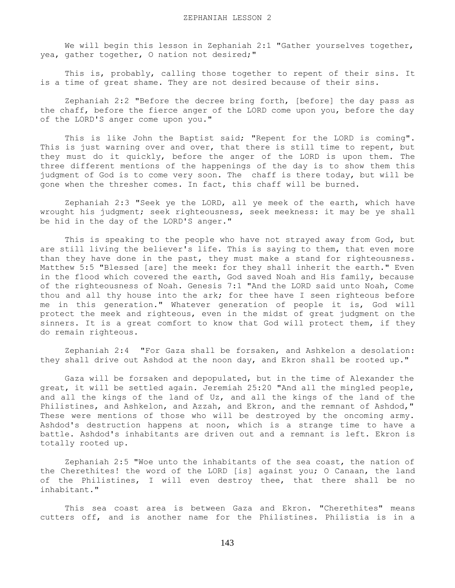We will begin this lesson in Zephaniah 2:1 "Gather yourselves together, yea, gather together, O nation not desired;"

This is, probably, calling those together to repent of their sins. It is a time of great shame. They are not desired because of their sins.

 Zephaniah 2:2 "Before the decree bring forth, [before] the day pass as the chaff, before the fierce anger of the LORD come upon you, before the day of the LORD'S anger come upon you."

 This is like John the Baptist said; "Repent for the LORD is coming". This is just warning over and over, that there is still time to repent, but they must do it quickly, before the anger of the LORD is upon them. The three different mentions of the happenings of the day is to show them this judgment of God is to come very soon. The chaff is there today, but will be gone when the thresher comes. In fact, this chaff will be burned.

 Zephaniah 2:3 "Seek ye the LORD, all ye meek of the earth, which have wrought his judgment; seek righteousness, seek meekness: it may be ye shall be hid in the day of the LORD'S anger."

 This is speaking to the people who have not strayed away from God, but are still living the believer's life. This is saying to them, that even more than they have done in the past, they must make a stand for righteousness. Matthew 5:5 "Blessed [are] the meek: for they shall inherit the earth." Even in the flood which covered the earth, God saved Noah and His family, because of the righteousness of Noah. Genesis 7:1 "And the LORD said unto Noah, Come thou and all thy house into the ark; for thee have I seen righteous before me in this generation." Whatever generation of people it is, God will protect the meek and righteous, even in the midst of great judgment on the sinners. It is a great comfort to know that God will protect them, if they do remain righteous.

 Zephaniah 2:4 "For Gaza shall be forsaken, and Ashkelon a desolation: they shall drive out Ashdod at the noon day, and Ekron shall be rooted up."

 Gaza will be forsaken and depopulated, but in the time of Alexander the great, it will be settled again. Jeremiah 25:20 "And all the mingled people, and all the kings of the land of Uz, and all the kings of the land of the Philistines, and Ashkelon, and Azzah, and Ekron, and the remnant of Ashdod," These were mentions of those who will be destroyed by the oncoming army. Ashdod's destruction happens at noon, which is a strange time to have a battle. Ashdod's inhabitants are driven out and a remnant is left. Ekron is totally rooted up.

 Zephaniah 2:5 "Woe unto the inhabitants of the sea coast, the nation of the Cherethites! the word of the LORD [is] against you; O Canaan, the land of the Philistines, I will even destroy thee, that there shall be no inhabitant."

 This sea coast area is between Gaza and Ekron. "Cherethites" means cutters off, and is another name for the Philistines. Philistia is in a

143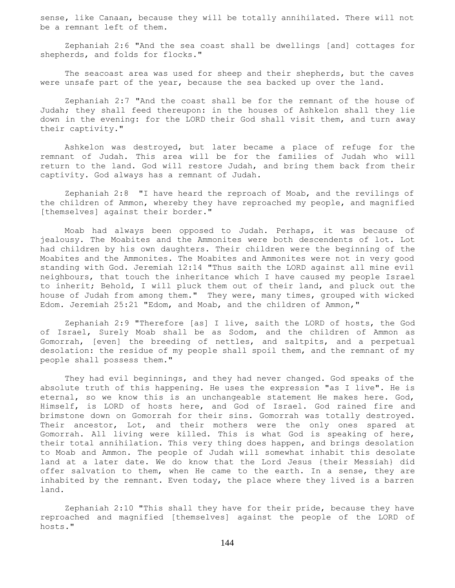sense, like Canaan, because they will be totally annihilated. There will not be a remnant left of them.

 Zephaniah 2:6 "And the sea coast shall be dwellings [and] cottages for shepherds, and folds for flocks."

 The seacoast area was used for sheep and their shepherds, but the caves were unsafe part of the year, because the sea backed up over the land.

 Zephaniah 2:7 "And the coast shall be for the remnant of the house of Judah; they shall feed thereupon: in the houses of Ashkelon shall they lie down in the evening: for the LORD their God shall visit them, and turn away their captivity."

 Ashkelon was destroyed, but later became a place of refuge for the remnant of Judah. This area will be for the families of Judah who will return to the land. God will restore Judah, and bring them back from their captivity. God always has a remnant of Judah.

 Zephaniah 2:8 "I have heard the reproach of Moab, and the revilings of the children of Ammon, whereby they have reproached my people, and magnified [themselves] against their border."

 Moab had always been opposed to Judah. Perhaps, it was because of jealousy. The Moabites and the Ammonites were both descendents of lot. Lot had children by his own daughters. Their children were the beginning of the Moabites and the Ammonites. The Moabites and Ammonites were not in very good standing with God. Jeremiah 12:14 "Thus saith the LORD against all mine evil neighbours, that touch the inheritance which I have caused my people Israel to inherit; Behold, I will pluck them out of their land, and pluck out the house of Judah from among them." They were, many times, grouped with wicked Edom. Jeremiah 25:21 "Edom, and Moab, and the children of Ammon,"

 Zephaniah 2:9 "Therefore [as] I live, saith the LORD of hosts, the God of Israel, Surely Moab shall be as Sodom, and the children of Ammon as Gomorrah, [even] the breeding of nettles, and saltpits, and a perpetual desolation: the residue of my people shall spoil them, and the remnant of my people shall possess them."

 They had evil beginnings, and they had never changed. God speaks of the absolute truth of this happening. He uses the expression "as I live". He is eternal, so we know this is an unchangeable statement He makes here. God, Himself, is LORD of hosts here, and God of Israel. God rained fire and brimstone down on Gomorrah for their sins. Gomorrah was totally destroyed. Their ancestor, Lot, and their mothers were the only ones spared at Gomorrah. All living were killed. This is what God is speaking of here, their total annihilation. This very thing does happen, and brings desolation to Moab and Ammon. The people of Judah will somewhat inhabit this desolate land at a later date. We do know that the Lord Jesus {their Messiah} did offer salvation to them, when He came to the earth. In a sense, they are inhabited by the remnant. Even today, the place where they lived is a barren land.

 Zephaniah 2:10 "This shall they have for their pride, because they have reproached and magnified [themselves] against the people of the LORD of hosts."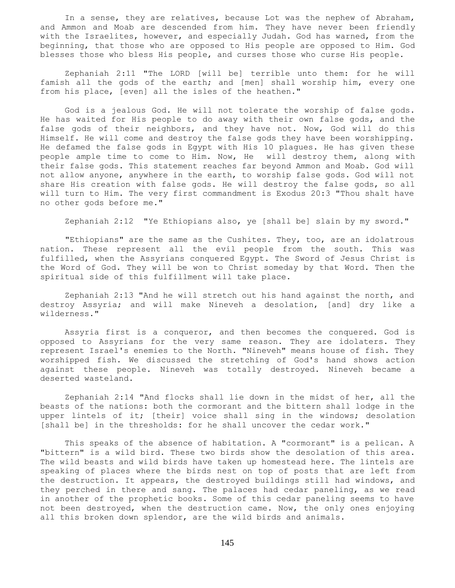In a sense, they are relatives, because Lot was the nephew of Abraham, and Ammon and Moab are descended from him. They have never been friendly with the Israelites, however, and especially Judah. God has warned, from the beginning, that those who are opposed to His people are opposed to Him. God blesses those who bless His people, and curses those who curse His people.

 Zephaniah 2:11 "The LORD [will be] terrible unto them: for he will famish all the gods of the earth; and [men] shall worship him, every one from his place, [even] all the isles of the heathen."

 God is a jealous God. He will not tolerate the worship of false gods. He has waited for His people to do away with their own false gods, and the false gods of their neighbors, and they have not. Now, God will do this Himself. He will come and destroy the false gods they have been worshipping. He defamed the false gods in Egypt with His 10 plagues. He has given these people ample time to come to Him. Now, He will destroy them, along with their false gods. This statement reaches far beyond Ammon and Moab. God will not allow anyone, anywhere in the earth, to worship false gods. God will not share His creation with false gods. He will destroy the false gods, so all will turn to Him. The very first commandment is Exodus 20:3 "Thou shalt have no other gods before me."

Zephaniah 2:12 "Ye Ethiopians also, ye [shall be] slain by my sword."

 "Ethiopians" are the same as the Cushites. They, too, are an idolatrous nation. These represent all the evil people from the south. This was fulfilled, when the Assyrians conquered Egypt. The Sword of Jesus Christ is the Word of God. They will be won to Christ someday by that Word. Then the spiritual side of this fulfillment will take place.

 Zephaniah 2:13 "And he will stretch out his hand against the north, and destroy Assyria; and will make Nineveh a desolation, [and] dry like a wilderness."

 Assyria first is a conqueror, and then becomes the conquered. God is opposed to Assyrians for the very same reason. They are idolaters. They represent Israel's enemies to the North. "Nineveh" means house of fish. They worshipped fish. We discussed the stretching of God's hand shows action against these people. Nineveh was totally destroyed. Nineveh became a deserted wasteland.

 Zephaniah 2:14 "And flocks shall lie down in the midst of her, all the beasts of the nations: both the cormorant and the bittern shall lodge in the upper lintels of it; [their] voice shall sing in the windows; desolation [shall be] in the thresholds: for he shall uncover the cedar work."

 This speaks of the absence of habitation. A "cormorant" is a pelican. A "bittern" is a wild bird. These two birds show the desolation of this area. The wild beasts and wild birds have taken up homestead here. The lintels are speaking of places where the birds nest on top of posts that are left from the destruction. It appears, the destroyed buildings still had windows, and they perched in there and sang. The palaces had cedar paneling, as we read in another of the prophetic books. Some of this cedar paneling seems to have not been destroyed, when the destruction came. Now, the only ones enjoying all this broken down splendor, are the wild birds and animals.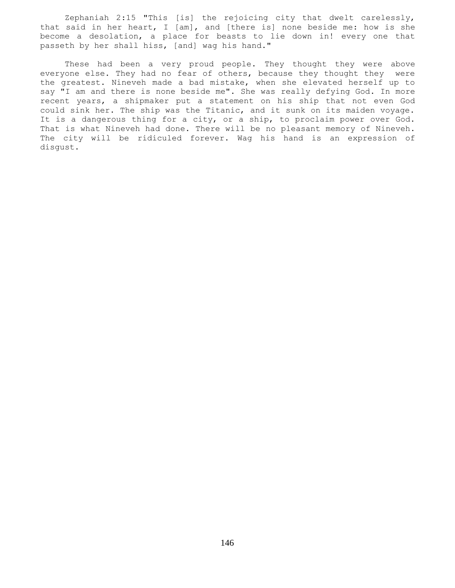Zephaniah 2:15 "This [is] the rejoicing city that dwelt carelessly, that said in her heart, I [am], and [there is] none beside me: how is she become a desolation, a place for beasts to lie down in! every one that passeth by her shall hiss, [and] wag his hand."

 These had been a very proud people. They thought they were above everyone else. They had no fear of others, because they thought they were the greatest. Nineveh made a bad mistake, when she elevated herself up to say "I am and there is none beside me". She was really defying God. In more recent years, a shipmaker put a statement on his ship that not even God could sink her. The ship was the Titanic, and it sunk on its maiden voyage. It is a dangerous thing for a city, or a ship, to proclaim power over God. That is what Nineveh had done. There will be no pleasant memory of Nineveh. The city will be ridiculed forever. Wag his hand is an expression of disgust.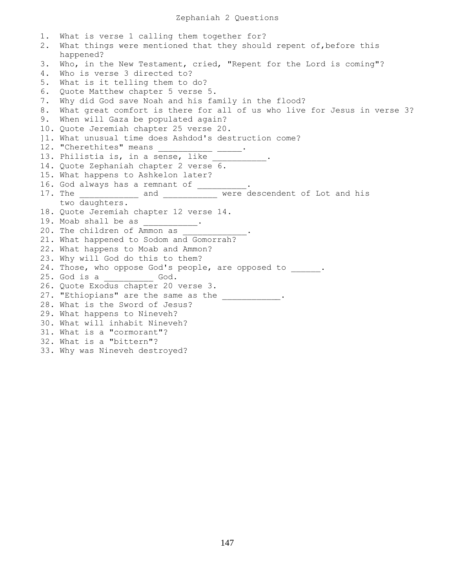1. What is verse 1 calling them together for? 2. What things were mentioned that they should repent of,before this happened? 3. Who, in the New Testament, cried, "Repent for the Lord is coming"? 4. Who is verse 3 directed to? 5. What is it telling them to do? 6. Quote Matthew chapter 5 verse 5. 7. Why did God save Noah and his family in the flood? 8. What great comfort is there for all of us who live for Jesus in verse 3? 9. When will Gaza be populated again? 10. Quote Jeremiah chapter 25 verse 20. ]1. What unusual time does Ashdod's destruction come? 12. "Cherethites" means 13. Philistia is, in a sense, like 14. Quote Zephaniah chapter 2 verse 6. 15. What happens to Ashkelon later? 16. God always has a remnant of \_\_\_\_\_\_\_ 17. The \_\_\_\_\_\_\_\_\_\_\_\_\_ and \_\_\_\_\_\_\_\_\_\_\_\_ were descendent of Lot and his two daughters. 18. Quote Jeremiah chapter 12 verse 14. 19. Moab shall be as 20. The children of Ammon as 21. What happened to Sodom and Gomorrah? 22. What happens to Moab and Ammon? 23. Why will God do this to them? 24. Those, who oppose God's people, are opposed to \_\_\_\_\_\_. 25. God is a \_\_\_\_\_\_\_\_\_\_ God. 26. Quote Exodus chapter 20 verse 3. 27. "Ethiopians" are the same as the \_\_\_\_\_\_\_\_\_\_\_\_. 28. What is the Sword of Jesus? 29. What happens to Nineveh? 30. What will inhabit Nineveh? 31. What is a "cormorant"? 32. What is a "bittern"? 33. Why was Nineveh destroyed?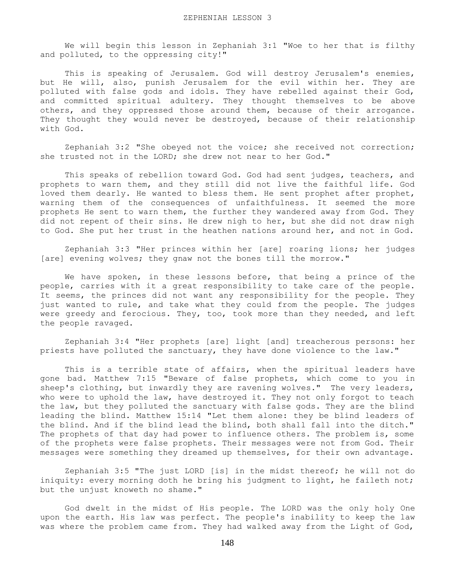We will begin this lesson in Zephaniah 3:1 "Woe to her that is filthy and polluted, to the oppressing city!"

 This is speaking of Jerusalem. God will destroy Jerusalem's enemies, but He will, also, punish Jerusalem for the evil within her. They are polluted with false gods and idols. They have rebelled against their God, and committed spiritual adultery. They thought themselves to be above others, and they oppressed those around them, because of their arrogance. They thought they would never be destroyed, because of their relationship with God.

 Zephaniah 3:2 "She obeyed not the voice; she received not correction; she trusted not in the LORD; she drew not near to her God."

 This speaks of rebellion toward God. God had sent judges, teachers, and prophets to warn them, and they still did not live the faithful life. God loved them dearly. He wanted to bless them. He sent prophet after prophet, warning them of the consequences of unfaithfulness. It seemed the more prophets He sent to warn them, the further they wandered away from God. They did not repent of their sins. He drew nigh to her, but she did not draw nigh to God. She put her trust in the heathen nations around her, and not in God.

 Zephaniah 3:3 "Her princes within her [are] roaring lions; her judges [are] evening wolves; they gnaw not the bones till the morrow."

 We have spoken, in these lessons before, that being a prince of the people, carries with it a great responsibility to take care of the people. It seems, the princes did not want any responsibility for the people. They just wanted to rule, and take what they could from the people. The judges were greedy and ferocious. They, too, took more than they needed, and left the people ravaged.

 Zephaniah 3:4 "Her prophets [are] light [and] treacherous persons: her priests have polluted the sanctuary, they have done violence to the law."

 This is a terrible state of affairs, when the spiritual leaders have gone bad. Matthew 7:15 "Beware of false prophets, which come to you in sheep's clothing, but inwardly they are ravening wolves." The very leaders, who were to uphold the law, have destroyed it. They not only forgot to teach the law, but they polluted the sanctuary with false gods. They are the blind leading the blind. Matthew 15:14 "Let them alone: they be blind leaders of the blind. And if the blind lead the blind, both shall fall into the ditch." The prophets of that day had power to influence others. The problem is, some of the prophets were false prophets. Their messages were not from God. Their messages were something they dreamed up themselves, for their own advantage.

 Zephaniah 3:5 "The just LORD [is] in the midst thereof; he will not do iniquity: every morning doth he bring his judgment to light, he faileth not; but the unjust knoweth no shame."

 God dwelt in the midst of His people. The LORD was the only holy One upon the earth. His law was perfect. The people's inability to keep the law was where the problem came from. They had walked away from the Light of God,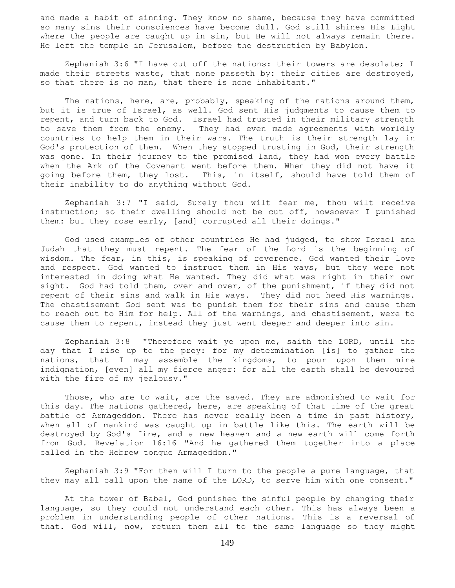and made a habit of sinning. They know no shame, because they have committed so many sins their consciences have become dull. God still shines His Light where the people are caught up in sin, but He will not always remain there. He left the temple in Jerusalem, before the destruction by Babylon.

 Zephaniah 3:6 "I have cut off the nations: their towers are desolate; I made their streets waste, that none passeth by: their cities are destroyed, so that there is no man, that there is none inhabitant."

The nations, here, are, probably, speaking of the nations around them, but it is true of Israel, as well. God sent His judgments to cause them to repent, and turn back to God. Israel had trusted in their military strength to save them from the enemy. They had even made agreements with worldly countries to help them in their wars. The truth is their strength lay in God's protection of them. When they stopped trusting in God, their strength was gone. In their journey to the promised land, they had won every battle when the Ark of the Covenant went before them. When they did not have it going before them, they lost. This, in itself, should have told them of their inability to do anything without God.

 Zephaniah 3:7 "I said, Surely thou wilt fear me, thou wilt receive instruction; so their dwelling should not be cut off, howsoever I punished them: but they rose early, [and] corrupted all their doings."

 God used examples of other countries He had judged, to show Israel and Judah that they must repent. The fear of the Lord is the beginning of wisdom. The fear, in this, is speaking of reverence. God wanted their love and respect. God wanted to instruct them in His ways, but they were not interested in doing what He wanted. They did what was right in their own sight. God had told them, over and over, of the punishment, if they did not repent of their sins and walk in His ways. They did not heed His warnings. The chastisement God sent was to punish them for their sins and cause them to reach out to Him for help. All of the warnings, and chastisement, were to cause them to repent, instead they just went deeper and deeper into sin.

 Zephaniah 3:8 "Therefore wait ye upon me, saith the LORD, until the day that I rise up to the prey: for my determination [is] to gather the nations, that I may assemble the kingdoms, to pour upon them mine indignation, [even] all my fierce anger: for all the earth shall be devoured with the fire of my jealousy."

 Those, who are to wait, are the saved. They are admonished to wait for this day. The nations gathered, here, are speaking of that time of the great battle of Armageddon. There has never really been a time in past history, when all of mankind was caught up in battle like this. The earth will be destroyed by God's fire, and a new heaven and a new earth will come forth from God. Revelation 16:16 "And he gathered them together into a place called in the Hebrew tongue Armageddon."

 Zephaniah 3:9 "For then will I turn to the people a pure language, that they may all call upon the name of the LORD, to serve him with one consent."

 At the tower of Babel, God punished the sinful people by changing their language, so they could not understand each other. This has always been a problem in understanding people of other nations. This is a reversal of that. God will, now, return them all to the same language so they might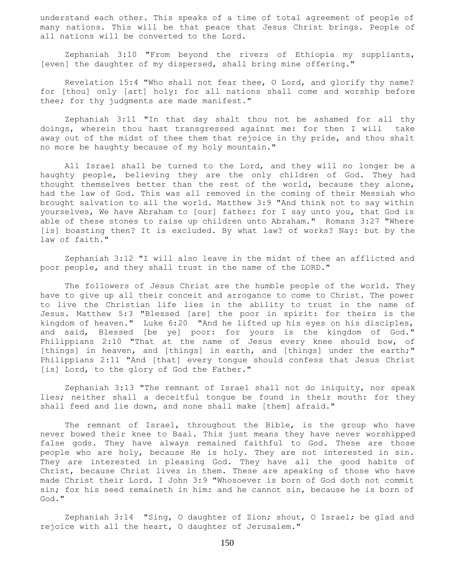understand each other. This speaks of a time of total agreement of people of many nations. This will be that peace that Jesus Christ brings. People of all nations will be converted to the Lord.

 Zephaniah 3:10 "From beyond the rivers of Ethiopia my suppliants, [even] the daughter of my dispersed, shall bring mine offering."

 Revelation 15:4 "Who shall not fear thee, O Lord, and glorify thy name? for [thou] only [art] holy: for all nations shall come and worship before thee; for thy judgments are made manifest."

 Zephaniah 3:11 "In that day shalt thou not be ashamed for all thy doings, wherein thou hast transgressed against me: for then I will take away out of the midst of thee them that rejoice in thy pride, and thou shalt no more be haughty because of my holy mountain."

 All Israel shall be turned to the Lord, and they will no longer be a haughty people, believing they are the only children of God. They had thought themselves better than the rest of the world, because they alone, had the law of God. This was all removed in the coming of their Messiah who brought salvation to all the world. Matthew 3:9 "And think not to say within yourselves, We have Abraham to [our] father: for I say unto you, that God is able of these stones to raise up children unto Abraham." Romans 3:27 "Where [is] boasting then? It is excluded. By what law? of works? Nay: but by the law of faith."

 Zephaniah 3:12 "I will also leave in the midst of thee an afflicted and poor people, and they shall trust in the name of the LORD."

 The followers of Jesus Christ are the humble people of the world. They have to give up all their conceit and arrogance to come to Christ. The power to live the Christian life lies in the ability to trust in the name of Jesus. Matthew 5:3 "Blessed [are] the poor in spirit: for theirs is the kingdom of heaven." Luke 6:20 "And he lifted up his eyes on his disciples, and said, Blessed [be ye] poor: for yours is the kingdom of God." Philippians 2:10 "That at the name of Jesus every knee should bow, of [things] in heaven, and [things] in earth, and [things] under the earth;" Philippians 2:11 "And [that] every tongue should confess that Jesus Christ [is] Lord, to the glory of God the Father."

 Zephaniah 3:13 "The remnant of Israel shall not do iniquity, nor speak lies; neither shall a deceitful tongue be found in their mouth: for they shall feed and lie down, and none shall make [them] afraid."

 The remnant of Israel, throughout the Bible, is the group who have never bowed their knee to Baal. This just means they have never worshipped false gods. They have always remained faithful to God. These are those people who are holy, because He is holy. They are not interested in sin. They are interested in pleasing God. They have all the good habits of Christ, because Christ lives in them. These are speaking of those who have made Christ their Lord. I John 3:9 "Whosoever is born of God doth not commit sin; for his seed remaineth in him: and he cannot sin, because he is born of God."

 Zephaniah 3:14 "Sing, O daughter of Zion; shout, O Israel; be glad and rejoice with all the heart, O daughter of Jerusalem."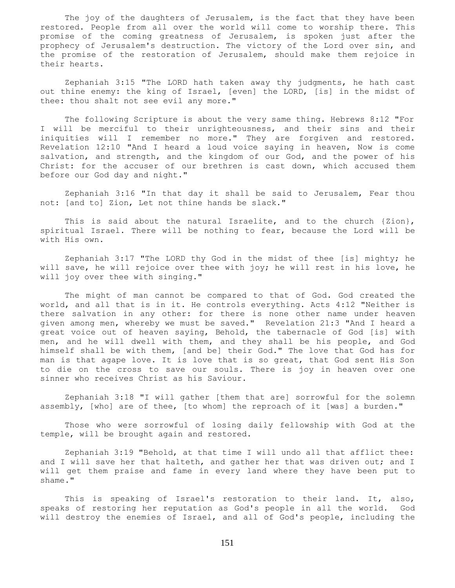The joy of the daughters of Jerusalem, is the fact that they have been restored. People from all over the world will come to worship there. This promise of the coming greatness of Jerusalem, is spoken just after the prophecy of Jerusalem's destruction. The victory of the Lord over sin, and the promise of the restoration of Jerusalem, should make them rejoice in their hearts.

 Zephaniah 3:15 "The LORD hath taken away thy judgments, he hath cast out thine enemy: the king of Israel, [even] the LORD, [is] in the midst of thee: thou shalt not see evil any more."

 The following Scripture is about the very same thing. Hebrews 8:12 "For I will be merciful to their unrighteousness, and their sins and their iniquities will I remember no more." They are forgiven and restored. Revelation 12:10 "And I heard a loud voice saying in heaven, Now is come salvation, and strength, and the kingdom of our God, and the power of his Christ: for the accuser of our brethren is cast down, which accused them before our God day and night."

 Zephaniah 3:16 "In that day it shall be said to Jerusalem, Fear thou not: [and to] Zion, Let not thine hands be slack."

 This is said about the natural Israelite, and to the church {Zion}, spiritual Israel. There will be nothing to fear, because the Lord will be with His own.

 Zephaniah 3:17 "The LORD thy God in the midst of thee [is] mighty; he will save, he will rejoice over thee with joy; he will rest in his love, he will joy over thee with singing."

 The might of man cannot be compared to that of God. God created the world, and all that is in it. He controls everything. Acts 4:12 "Neither is there salvation in any other: for there is none other name under heaven given among men, whereby we must be saved." Revelation 21:3 "And I heard a great voice out of heaven saying, Behold, the tabernacle of God [is] with men, and he will dwell with them, and they shall be his people, and God himself shall be with them, [and be] their God." The love that God has for man is that agape love. It is love that is so great, that God sent His Son to die on the cross to save our souls. There is joy in heaven over one sinner who receives Christ as his Saviour.

 Zephaniah 3:18 "I will gather [them that are] sorrowful for the solemn assembly, [who] are of thee, [to whom] the reproach of it [was] a burden."

 Those who were sorrowful of losing daily fellowship with God at the temple, will be brought again and restored.

 Zephaniah 3:19 "Behold, at that time I will undo all that afflict thee: and I will save her that halteth, and gather her that was driven out; and I will get them praise and fame in every land where they have been put to shame."

 This is speaking of Israel's restoration to their land. It, also, speaks of restoring her reputation as God's people in all the world. God will destroy the enemies of Israel, and all of God's people, including the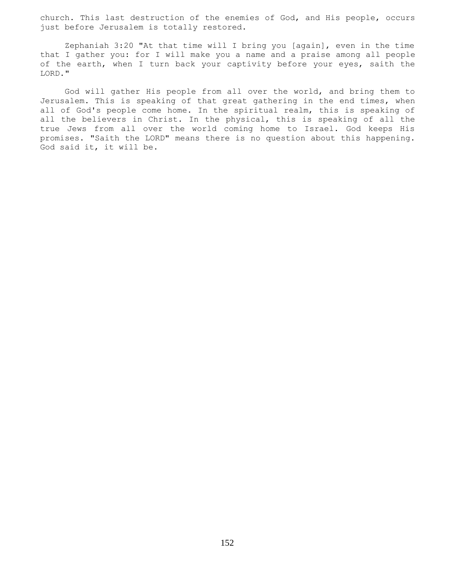church. This last destruction of the enemies of God, and His people, occurs just before Jerusalem is totally restored.

 Zephaniah 3:20 "At that time will I bring you [again], even in the time that I gather you: for I will make you a name and a praise among all people of the earth, when I turn back your captivity before your eyes, saith the LORD."

 God will gather His people from all over the world, and bring them to Jerusalem. This is speaking of that great gathering in the end times, when all of God's people come home. In the spiritual realm, this is speaking of all the believers in Christ. In the physical, this is speaking of all the true Jews from all over the world coming home to Israel. God keeps His promises. "Saith the LORD" means there is no question about this happening. God said it, it will be.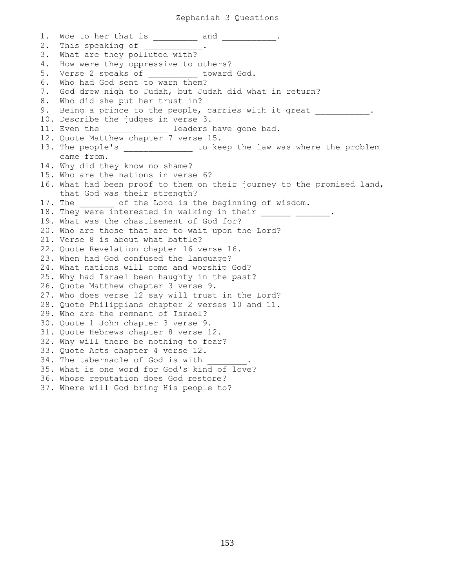1. Woe to her that is \_\_\_\_\_\_\_\_\_ and \_\_\_\_\_\_\_\_\_\_. 2. This speaking of 3. What are they polluted with? 4. How were they oppressive to others? 5. Verse 2 speaks of \_\_\_\_\_\_\_\_\_\_ toward God. 6. Who had God sent to warn them? 7. God drew nigh to Judah, but Judah did what in return? 8. Who did she put her trust in? 9. Being a prince to the people, carries with it great  $\qquad \qquad$ 10. Describe the judges in verse 3. 11. Even the \_\_\_\_\_\_\_\_\_\_\_\_\_\_\_ leaders have gone bad. 12. Quote Matthew chapter 7 verse 15. 13. The people's \_\_\_\_\_\_\_\_\_\_\_\_ to keep the law was where the problem came from. 14. Why did they know no shame? 15. Who are the nations in verse 6? 16. What had been proof to them on their journey to the promised land, that God was their strength? 17. The  $\qquad$  of the Lord is the beginning of wisdom. 18. They were interested in walking in their 19. What was the chastisement of God for? 20. Who are those that are to wait upon the Lord? 21. Verse 8 is about what battle? 22. Quote Revelation chapter 16 verse 16. 23. When had God confused the language? 24. What nations will come and worship God? 25. Why had Israel been haughty in the past? 26. Quote Matthew chapter 3 verse 9. 27. Who does verse 12 say will trust in the Lord? 28. Quote Philippians chapter 2 verses 10 and 11. 29. Who are the remnant of Israel? 30. Quote 1 John chapter 3 verse 9. 31. Quote Hebrews chapter 8 verse 12. 32. Why will there be nothing to fear? 33. Quote Acts chapter 4 verse 12. 34. The tabernacle of God is with 35. What is one word for God's kind of love? 36. Whose reputation does God restore? 37. Where will God bring His people to?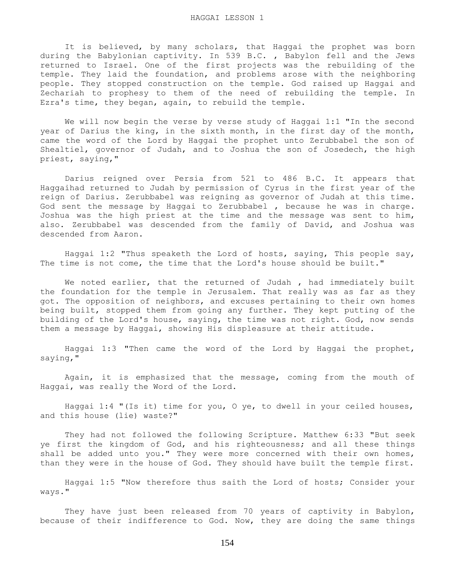It is believed, by many scholars, that Haggai the prophet was born during the Babylonian captivity. In 539 B.C. , Babylon fell and the Jews returned to Israel. One of the first projects was the rebuilding of the temple. They laid the foundation, and problems arose with the neighboring people. They stopped construction on the temple. God raised up Haggai and Zechariah to prophesy to them of the need of rebuilding the temple. In Ezra's time, they began, again, to rebuild the temple.

 We will now begin the verse by verse study of Haggai 1:1 "In the second year of Darius the king, in the sixth month, in the first day of the month, came the word of the Lord by Haggai the prophet unto Zerubbabel the son of Shealtiel, governor of Judah, and to Joshua the son of Josedech, the high priest, saying,"

 Darius reigned over Persia from 521 to 486 B.C. It appears that Haggaihad returned to Judah by permission of Cyrus in the first year of the reign of Darius. Zerubbabel was reigning as governor of Judah at this time. God sent the message by Haggai to Zerubbabel , because he was in charge. Joshua was the high priest at the time and the message was sent to him, also. Zerubbabel was descended from the family of David, and Joshua was descended from Aaron.

 Haggai 1:2 "Thus speaketh the Lord of hosts, saying, This people say, The time is not come, the time that the Lord's house should be built."

We noted earlier, that the returned of Judah , had immediately built the foundation for the temple in Jerusalem. That really was as far as they got. The opposition of neighbors, and excuses pertaining to their own homes being built, stopped them from going any further. They kept putting of the building of the Lord's house, saying, the time was not right. God, now sends them a message by Haggai, showing His displeasure at their attitude.

 Haggai 1:3 "Then came the word of the Lord by Haggai the prophet, saying,"

 Again, it is emphasized that the message, coming from the mouth of Haggai, was really the Word of the Lord.

 Haggai 1:4 "(Is it) time for you, O ye, to dwell in your ceiled houses, and this house (lie) waste?"

 They had not followed the following Scripture. Matthew 6:33 "But seek ye first the kingdom of God, and his righteousness; and all these things shall be added unto you." They were more concerned with their own homes, than they were in the house of God. They should have built the temple first.

 Haggai 1:5 "Now therefore thus saith the Lord of hosts; Consider your ways."

 They have just been released from 70 years of captivity in Babylon, because of their indifference to God. Now, they are doing the same things

154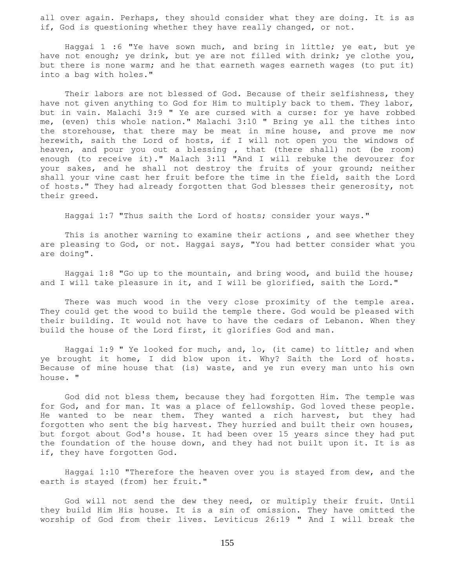all over again. Perhaps, they should consider what they are doing. It is as if, God is questioning whether they have really changed, or not.

 Haggai 1 :6 "Ye have sown much, and bring in little; ye eat, but ye have not enough; ye drink, but ye are not filled with drink; ye clothe you, but there is none warm; and he that earneth wages earneth wages (to put it) into a bag with holes."

 Their labors are not blessed of God. Because of their selfishness, they have not given anything to God for Him to multiply back to them. They labor, but in vain. Malachi 3:9 " Ye are cursed with a curse: for ye have robbed me, (even) this whole nation." Malachi 3:10 " Bring ye all the tithes into the storehouse, that there may be meat in mine house, and prove me now herewith, saith the Lord of hosts, if I will not open you the windows of heaven, and pour you out a blessing , that (there shall) not (be room) enough (to receive it)." Malach 3:11 "And I will rebuke the devourer for your sakes, and he shall not destroy the fruits of your ground; neither shall your vine cast her fruit before the time in the field, saith the Lord of hosts." They had already forgotten that God blesses their generosity, not their greed.

Haggai 1:7 "Thus saith the Lord of hosts; consider your ways."

 This is another warning to examine their actions , and see whether they are pleasing to God, or not. Haggai says, "You had better consider what you are doing".

 Haggai 1:8 "Go up to the mountain, and bring wood, and build the house; and I will take pleasure in it, and I will be glorified, saith the Lord."

There was much wood in the very close proximity of the temple area. They could get the wood to build the temple there. God would be pleased with their building. It would not have to have the cedars of Lebanon. When they build the house of the Lord first, it glorifies God and man.

 Haggai 1:9 " Ye looked for much, and, lo, (it came) to little; and when ye brought it home, I did blow upon it. Why? Saith the Lord of hosts. Because of mine house that (is) waste, and ye run every man unto his own house. "

 God did not bless them, because they had forgotten Him. The temple was for God, and for man. It was a place of fellowship. God loved these people. He wanted to be near them. They wanted a rich harvest, but they had forgotten who sent the big harvest. They hurried and built their own houses, but forgot about God's house. It had been over 15 years since they had put the foundation of the house down, and they had not built upon it. It is as if, they have forgotten God.

 Haggai 1:10 "Therefore the heaven over you is stayed from dew, and the earth is stayed (from) her fruit."

 God will not send the dew they need, or multiply their fruit. Until they build Him His house. It is a sin of omission. They have omitted the worship of God from their lives. Leviticus 26:19 " And I will break the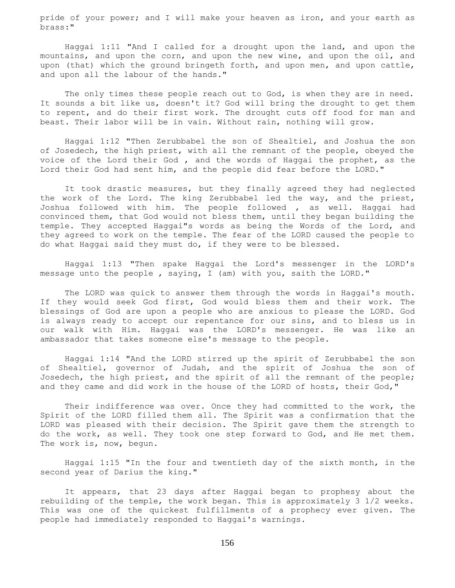pride of your power; and I will make your heaven as iron, and your earth as brass:"

 Haggai 1:11 "And I called for a drought upon the land, and upon the mountains, and upon the corn, and upon the new wine, and upon the oil, and upon (that) which the ground bringeth forth, and upon men, and upon cattle, and upon all the labour of the hands."

The only times these people reach out to God, is when they are in need. It sounds a bit like us, doesn't it? God will bring the drought to get them to repent, and do their first work. The drought cuts off food for man and beast. Their labor will be in vain. Without rain, nothing will grow.

 Haggai 1:12 "Then Zerubbabel the son of Shealtiel, and Joshua the son of Josedech, the high priest, with all the remnant of the people, obeyed the voice of the Lord their God , and the words of Haggai the prophet, as the Lord their God had sent him, and the people did fear before the LORD."

 It took drastic measures, but they finally agreed they had neglected the work of the Lord. The king Zerubbabel led the way, and the priest, Joshua followed with him. The people followed , as well. Haggai had convinced them, that God would not bless them, until they began building the temple. They accepted Haggai"s words as being the Words of the Lord, and they agreed to work on the temple. The fear of the LORD caused the people to do what Haggai said they must do, if they were to be blessed.

 Haggai 1:13 "Then spake Haggai the Lord's messenger in the LORD's message unto the people , saying, I (am) with you, saith the LORD."

 The LORD was quick to answer them through the words in Haggai's mouth. If they would seek God first, God would bless them and their work. The blessings of God are upon a people who are anxious to please the LORD. God is always ready to accept our repentance for our sins, and to bless us in our walk with Him. Haggai was the LORD's messenger. He was like an ambassador that takes someone else's message to the people.

 Haggai 1:14 "And the LORD stirred up the spirit of Zerubbabel the son of Shealtiel, governor of Judah, and the spirit of Joshua the son of Josedech, the high priest, and the spirit of all the remnant of the people; and they came and did work in the house of the LORD of hosts, their God,"

 Their indifference was over. Once they had committed to the work, the Spirit of the LORD filled them all. The Spirit was a confirmation that the LORD was pleased with their decision. The Spirit gave them the strength to do the work, as well. They took one step forward to God, and He met them. The work is, now, begun.

 Haggai 1:15 "In the four and twentieth day of the sixth month, in the second year of Darius the king."

 It appears, that 23 days after Haggai began to prophesy about the rebuilding of the temple, the work began. This is approximately 3 1/2 weeks. This was one of the quickest fulfillments of a prophecy ever given. The people had immediately responded to Haggai's warnings.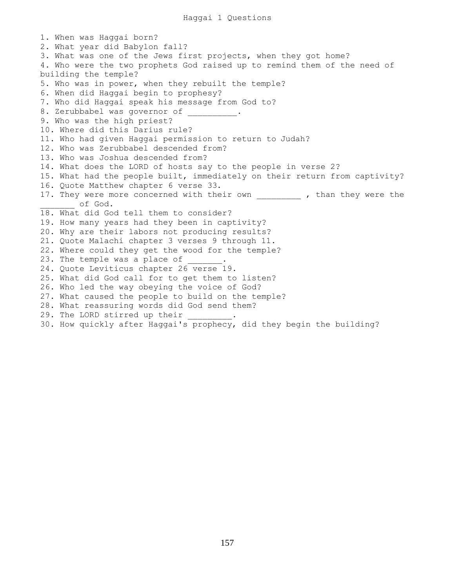1. When was Haggai born? 2. What year did Babylon fall? 3. What was one of the Jews first projects, when they got home? 4. Who were the two prophets God raised up to remind them of the need of building the temple? 5. Who was in power, when they rebuilt the temple? 6. When did Haggai begin to prophesy? 7. Who did Haggai speak his message from God to? 8. Zerubbabel was governor of \_\_\_\_\_\_\_\_\_. 9. Who was the high priest? 10. Where did this Darius rule? 11. Who had given Haggai permission to return to Judah? 12. Who was Zerubbabel descended from? 13. Who was Joshua descended from? 14. What does the LORD of hosts say to the people in verse 2? 15. What had the people built, immediately on their return from captivity? 16. Quote Matthew chapter 6 verse 33. 17. They were more concerned with their own than they were the \_\_\_\_\_\_\_ of God. 18. What did God tell them to consider? 19. How many years had they been in captivity? 20. Why are their labors not producing results? 21. Quote Malachi chapter 3 verses 9 through 11. 22. Where could they get the wood for the temple? 23. The temple was a place of 24. Quote Leviticus chapter 26 verse 19. 25. What did God call for to get them to listen? 26. Who led the way obeying the voice of God? 27. What caused the people to build on the temple? 28. What reassuring words did God send them? 29. The LORD stirred up their 30. How quickly after Haggai's prophecy, did they begin the building?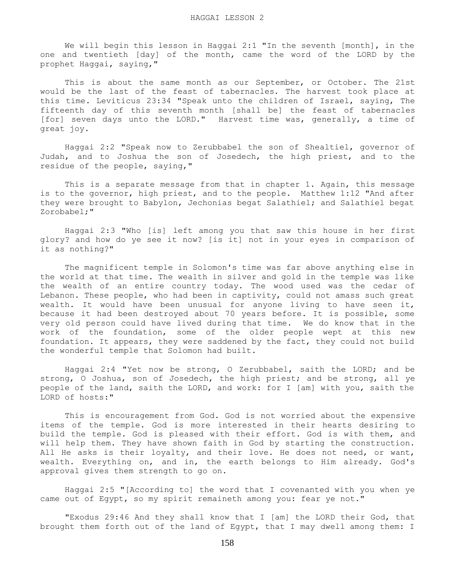We will begin this lesson in Haggai 2:1 "In the seventh [month], in the one and twentieth [day] of the month, came the word of the LORD by the prophet Haggai, saying,"

 This is about the same month as our September, or October. The 21st would be the last of the feast of tabernacles. The harvest took place at this time. Leviticus 23:34 "Speak unto the children of Israel, saying, The fifteenth day of this seventh month [shall be] the feast of tabernacles [for] seven days unto the LORD." Harvest time was, generally, a time of great joy.

 Haggai 2:2 "Speak now to Zerubbabel the son of Shealtiel, governor of Judah, and to Joshua the son of Josedech, the high priest, and to the residue of the people, saying,"

This is a separate message from that in chapter 1. Again, this message is to the governor, high priest, and to the people. Matthew 1:12 "And after they were brought to Babylon, Jechonias begat Salathiel; and Salathiel begat Zorobabel;"

 Haggai 2:3 "Who [is] left among you that saw this house in her first glory? and how do ye see it now? [is it] not in your eyes in comparison of it as nothing?"

 The magnificent temple in Solomon's time was far above anything else in the world at that time. The wealth in silver and gold in the temple was like the wealth of an entire country today. The wood used was the cedar of Lebanon. These people, who had been in captivity, could not amass such great wealth. It would have been unusual for anyone living to have seen it, because it had been destroyed about 70 years before. It is possible, some very old person could have lived during that time. We do know that in the work of the foundation, some of the older people wept at this new foundation. It appears, they were saddened by the fact, they could not build the wonderful temple that Solomon had built.

 Haggai 2:4 "Yet now be strong, O Zerubbabel, saith the LORD; and be strong, O Joshua, son of Josedech, the high priest; and be strong, all ye people of the land, saith the LORD, and work: for I [am] with you, saith the LORD of hosts:"

 This is encouragement from God. God is not worried about the expensive items of the temple. God is more interested in their hearts desiring to build the temple. God is pleased with their effort. God is with them, and will help them. They have shown faith in God by starting the construction. All He asks is their loyalty, and their love. He does not need, or want, wealth. Everything on, and in, the earth belongs to Him already. God's approval gives them strength to go on.

 Haggai 2:5 "[According to] the word that I covenanted with you when ye came out of Egypt, so my spirit remaineth among you: fear ye not."

 "Exodus 29:46 And they shall know that I [am] the LORD their God, that brought them forth out of the land of Egypt, that I may dwell among them: I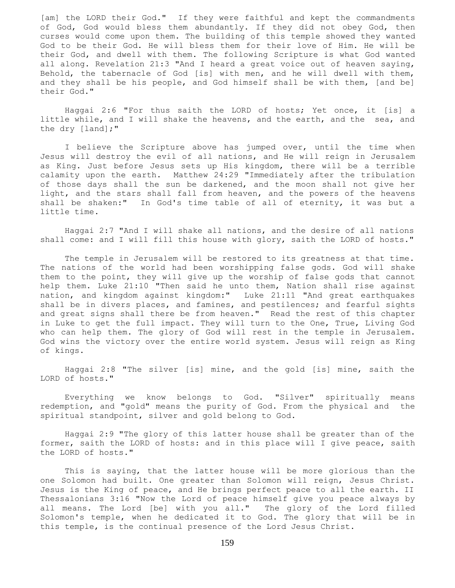[am] the LORD their God." If they were faithful and kept the commandments of God, God would bless them abundantly. If they did not obey God, then curses would come upon them. The building of this temple showed they wanted God to be their God. He will bless them for their love of Him. He will be their God, and dwell with them. The following Scripture is what God wanted all along. Revelation 21:3 "And I heard a great voice out of heaven saying, Behold, the tabernacle of God [is] with men, and he will dwell with them, and they shall be his people, and God himself shall be with them, [and be] their God."

 Haggai 2:6 "For thus saith the LORD of hosts; Yet once, it [is] a little while, and I will shake the heavens, and the earth, and the sea, and the dry [land];"

 I believe the Scripture above has jumped over, until the time when Jesus will destroy the evil of all nations, and He will reign in Jerusalem as King. Just before Jesus sets up His kingdom, there will be a terrible calamity upon the earth. Matthew 24:29 "Immediately after the tribulation of those days shall the sun be darkened, and the moon shall not give her light, and the stars shall fall from heaven, and the powers of the heavens shall be shaken:" In God's time table of all of eternity, it was but a little time.

 Haggai 2:7 "And I will shake all nations, and the desire of all nations shall come: and I will fill this house with glory, saith the LORD of hosts."

 The temple in Jerusalem will be restored to its greatness at that time. The nations of the world had been worshipping false gods. God will shake them to the point, they will give up the worship of false gods that cannot help them. Luke 21:10 "Then said he unto them, Nation shall rise against nation, and kingdom against kingdom:" Luke 21:11 "And great earthquakes shall be in divers places, and famines, and pestilences; and fearful sights and great signs shall there be from heaven." Read the rest of this chapter in Luke to get the full impact. They will turn to the One, True, Living God who can help them. The glory of God will rest in the temple in Jerusalem. God wins the victory over the entire world system. Jesus will reign as King of kings.

 Haggai 2:8 "The silver [is] mine, and the gold [is] mine, saith the LORD of hosts."

 Everything we know belongs to God. "Silver" spiritually means redemption, and "gold" means the purity of God. From the physical and the spiritual standpoint, silver and gold belong to God.

 Haggai 2:9 "The glory of this latter house shall be greater than of the former, saith the LORD of hosts: and in this place will I give peace, saith the LORD of hosts."

 This is saying, that the latter house will be more glorious than the one Solomon had built. One greater than Solomon will reign, Jesus Christ. Jesus is the King of peace, and He brings perfect peace to all the earth. II Thessalonians 3:16 "Now the Lord of peace himself give you peace always by all means. The Lord [be] with you all." The glory of the Lord filled Solomon's temple, when he dedicated it to God. The glory that will be in this temple, is the continual presence of the Lord Jesus Christ.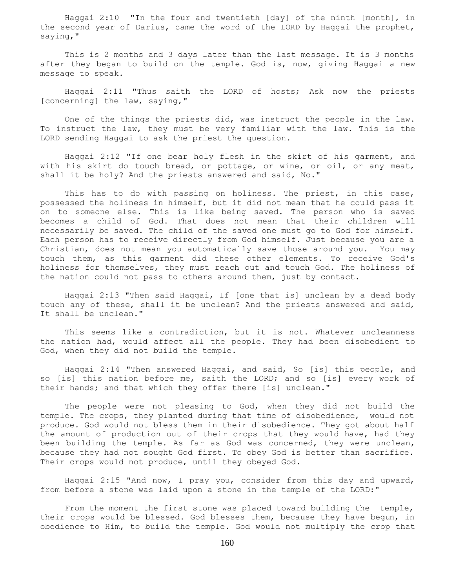Haggai 2:10 "In the four and twentieth [day] of the ninth [month], in the second year of Darius, came the word of the LORD by Haggai the prophet, saying,"

 This is 2 months and 3 days later than the last message. It is 3 months after they began to build on the temple. God is, now, giving Haggai a new message to speak.

 Haggai 2:11 "Thus saith the LORD of hosts; Ask now the priests [concerning] the law, saying,"

 One of the things the priests did, was instruct the people in the law. To instruct the law, they must be very familiar with the law. This is the LORD sending Haggai to ask the priest the question.

 Haggai 2:12 "If one bear holy flesh in the skirt of his garment, and with his skirt do touch bread, or pottage, or wine, or oil, or any meat, shall it be holy? And the priests answered and said, No."

This has to do with passing on holiness. The priest, in this case, possessed the holiness in himself, but it did not mean that he could pass it on to someone else. This is like being saved. The person who is saved becomes a child of God. That does not mean that their children will necessarily be saved. The child of the saved one must go to God for himself. Each person has to receive directly from God himself. Just because you are a Christian, does not mean you automatically save those around you. You may touch them, as this garment did these other elements. To receive God's holiness for themselves, they must reach out and touch God. The holiness of the nation could not pass to others around them, just by contact.

 Haggai 2:13 "Then said Haggai, If [one that is] unclean by a dead body touch any of these, shall it be unclean? And the priests answered and said, It shall be unclean."

 This seems like a contradiction, but it is not. Whatever uncleanness the nation had, would affect all the people. They had been disobedient to God, when they did not build the temple.

 Haggai 2:14 "Then answered Haggai, and said, So [is] this people, and so [is] this nation before me, saith the LORD; and so [is] every work of their hands; and that which they offer there [is] unclean."

 The people were not pleasing to God, when they did not build the temple. The crops, they planted during that time of disobedience, would not produce. God would not bless them in their disobedience. They got about half the amount of production out of their crops that they would have, had they been building the temple. As far as God was concerned, they were unclean, because they had not sought God first. To obey God is better than sacrifice. Their crops would not produce, until they obeyed God.

 Haggai 2:15 "And now, I pray you, consider from this day and upward, from before a stone was laid upon a stone in the temple of the LORD:"

 From the moment the first stone was placed toward building the temple, their crops would be blessed. God blesses them, because they have begun, in obedience to Him, to build the temple. God would not multiply the crop that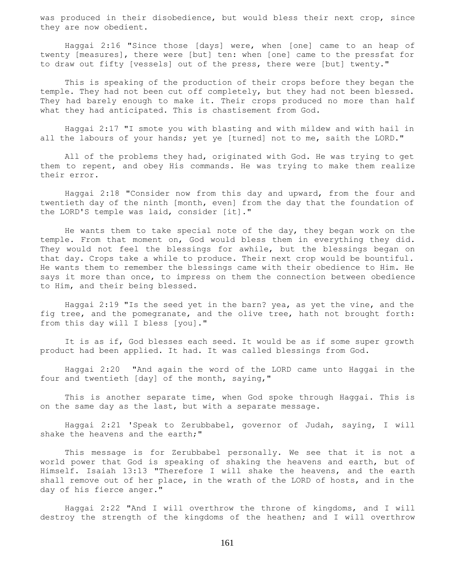was produced in their disobedience, but would bless their next crop, since they are now obedient.

 Haggai 2:16 "Since those [days] were, when [one] came to an heap of twenty [measures], there were [but] ten: when [one] came to the pressfat for to draw out fifty [vessels] out of the press, there were [but] twenty."

 This is speaking of the production of their crops before they began the temple. They had not been cut off completely, but they had not been blessed. They had barely enough to make it. Their crops produced no more than half what they had anticipated. This is chastisement from God.

 Haggai 2:17 "I smote you with blasting and with mildew and with hail in all the labours of your hands; yet ye [turned] not to me, saith the LORD."

 All of the problems they had, originated with God. He was trying to get them to repent, and obey His commands. He was trying to make them realize their error.

 Haggai 2:18 "Consider now from this day and upward, from the four and twentieth day of the ninth [month, even] from the day that the foundation of the LORD'S temple was laid, consider [it]."

 He wants them to take special note of the day, they began work on the temple. From that moment on, God would bless them in everything they did. They would not feel the blessings for awhile, but the blessings began on that day. Crops take a while to produce. Their next crop would be bountiful. He wants them to remember the blessings came with their obedience to Him. He says it more than once, to impress on them the connection between obedience to Him, and their being blessed.

 Haggai 2:19 "Is the seed yet in the barn? yea, as yet the vine, and the fig tree, and the pomegranate, and the olive tree, hath not brought forth: from this day will I bless [you]."

 It is as if, God blesses each seed. It would be as if some super growth product had been applied. It had. It was called blessings from God.

 Haggai 2:20 "And again the word of the LORD came unto Haggai in the four and twentieth [day] of the month, saying,"

 This is another separate time, when God spoke through Haggai. This is on the same day as the last, but with a separate message.

 Haggai 2:21 'Speak to Zerubbabel, governor of Judah, saying, I will shake the heavens and the earth;"

 This message is for Zerubbabel personally. We see that it is not a world power that God is speaking of shaking the heavens and earth, but of Himself. Isaiah 13:13 "Therefore I will shake the heavens, and the earth shall remove out of her place, in the wrath of the LORD of hosts, and in the day of his fierce anger."

 Haggai 2:22 "And I will overthrow the throne of kingdoms, and I will destroy the strength of the kingdoms of the heathen; and I will overthrow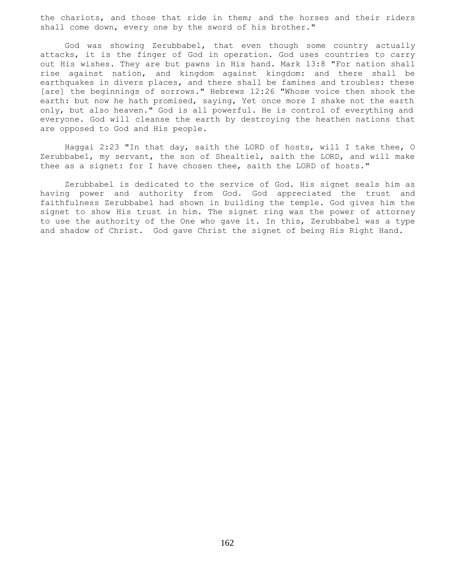the chariots, and those that ride in them; and the horses and their riders shall come down, every one by the sword of his brother."

 God was showing Zerubbabel, that even though some country actually attacks, it is the finger of God in operation. God uses countries to carry out His wishes. They are but pawns in His hand. Mark 13:8 "For nation shall rise against nation, and kingdom against kingdom: and there shall be earthquakes in divers places, and there shall be famines and troubles: these [are] the beginnings of sorrows." Hebrews 12:26 "Whose voice then shook the earth: but now he hath promised, saying, Yet once more I shake not the earth only, but also heaven." God is all powerful. He is control of everything and everyone. God will cleanse the earth by destroying the heathen nations that are opposed to God and His people.

 Haggai 2:23 "In that day, saith the LORD of hosts, will I take thee, O Zerubbabel, my servant, the son of Shealtiel, saith the LORD, and will make thee as a signet: for I have chosen thee, saith the LORD of hosts."

 Zerubbabel is dedicated to the service of God. His signet seals him as having power and authority from God. God appreciated the trust and faithfulness Zerubbabel had shown in building the temple. God gives him the signet to show His trust in him. The signet ring was the power of attorney to use the authority of the One who gave it. In this, Zerubbabel was a type and shadow of Christ. God gave Christ the signet of being His Right Hand.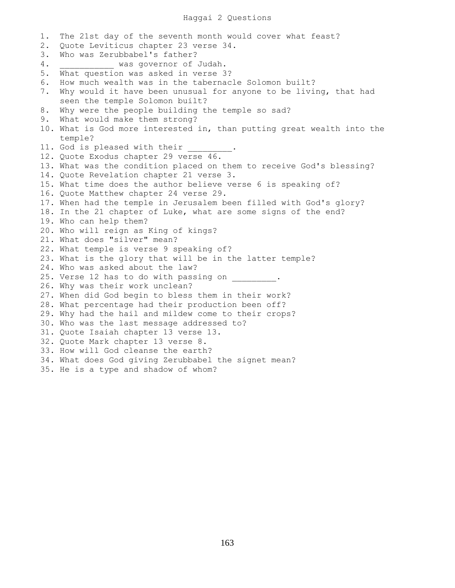1. The 21st day of the seventh month would cover what feast? 2. Quote Leviticus chapter 23 verse 34. 3. Who was Zerubbabel's father? 4. Was governor of Judah. 5. What question was asked in verse 3? 6. How much wealth was in the tabernacle Solomon built? 7. Why would it have been unusual for anyone to be living, that had seen the temple Solomon built? 8. Why were the people building the temple so sad? 9. What would make them strong? 10. What is God more interested in, than putting great wealth into the temple? 11. God is pleased with their 12. Quote Exodus chapter 29 verse 46. 13. What was the condition placed on them to receive God's blessing? 14. Quote Revelation chapter 21 verse 3. 15. What time does the author believe verse 6 is speaking of? 16. Quote Matthew chapter 24 verse 29. 17. When had the temple in Jerusalem been filled with God's glory? 18. In the 21 chapter of Luke, what are some signs of the end? 19. Who can help them? 20. Who will reign as King of kings? 21. What does "silver" mean? 22. What temple is verse 9 speaking of? 23. What is the glory that will be in the latter temple? 24. Who was asked about the law? 25. Verse 12 has to do with passing on  $\qquad \qquad$ 26. Why was their work unclean? 27. When did God begin to bless them in their work? 28. What percentage had their production been off? 29. Why had the hail and mildew come to their crops? 30. Who was the last message addressed to? 31. Quote Isaiah chapter 13 verse 13. 32. Quote Mark chapter 13 verse 8. 33. How will God cleanse the earth? 34. What does God giving Zerubbabel the signet mean? 35. He is a type and shadow of whom?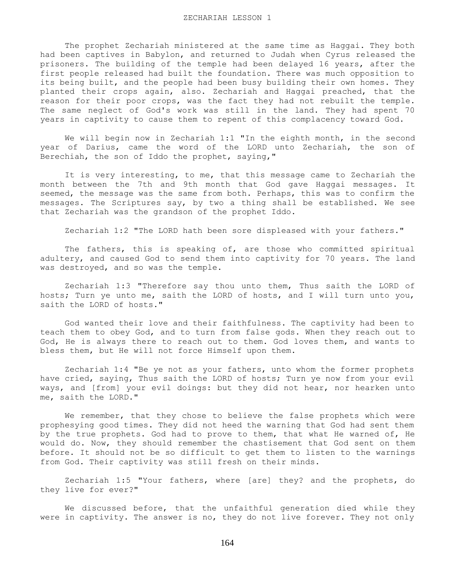The prophet Zechariah ministered at the same time as Haggai. They both had been captives in Babylon, and returned to Judah when Cyrus released the prisoners. The building of the temple had been delayed 16 years, after the first people released had built the foundation. There was much opposition to its being built, and the people had been busy building their own homes. They planted their crops again, also. Zechariah and Haggai preached, that the reason for their poor crops, was the fact they had not rebuilt the temple. The same neglect of God's work was still in the land. They had spent 70 years in captivity to cause them to repent of this complacency toward God.

We will begin now in Zechariah 1:1 "In the eighth month, in the second year of Darius, came the word of the LORD unto Zechariah, the son of Berechiah, the son of Iddo the prophet, saying,"

 It is very interesting, to me, that this message came to Zechariah the month between the 7th and 9th month that God gave Haggai messages. It seemed, the message was the same from both. Perhaps, this was to confirm the messages. The Scriptures say, by two a thing shall be established. We see that Zechariah was the grandson of the prophet Iddo.

Zechariah 1:2 "The LORD hath been sore displeased with your fathers."

 The fathers, this is speaking of, are those who committed spiritual adultery, and caused God to send them into captivity for 70 years. The land was destroyed, and so was the temple.

 Zechariah 1:3 "Therefore say thou unto them, Thus saith the LORD of hosts; Turn ye unto me, saith the LORD of hosts, and I will turn unto you, saith the LORD of hosts."

 God wanted their love and their faithfulness. The captivity had been to teach them to obey God, and to turn from false gods. When they reach out to God, He is always there to reach out to them. God loves them, and wants to bless them, but He will not force Himself upon them.

 Zechariah 1:4 "Be ye not as your fathers, unto whom the former prophets have cried, saying, Thus saith the LORD of hosts; Turn ye now from your evil ways, and [from] your evil doings: but they did not hear, nor hearken unto me, saith the LORD."

We remember, that they chose to believe the false prophets which were prophesying good times. They did not heed the warning that God had sent them by the true prophets. God had to prove to them, that what He warned of, He would do. Now, they should remember the chastisement that God sent on them before. It should not be so difficult to get them to listen to the warnings from God. Their captivity was still fresh on their minds.

 Zechariah 1:5 "Your fathers, where [are] they? and the prophets, do they live for ever?"

 We discussed before, that the unfaithful generation died while they were in captivity. The answer is no, they do not live forever. They not only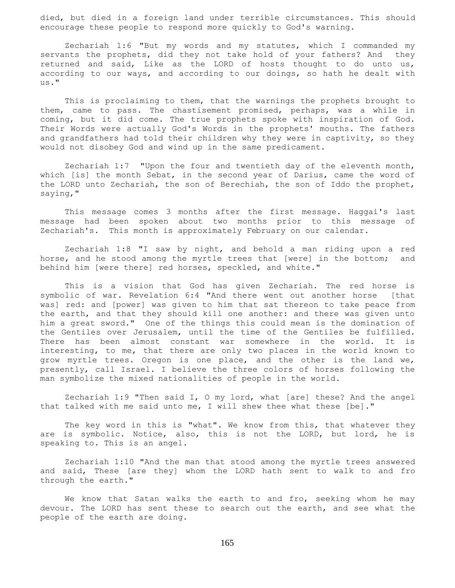died, but died in a foreign land under terrible circumstances. This should encourage these people to respond more quickly to God's warning.

 Zechariah 1:6 "But my words and my statutes, which I commanded my servants the prophets, did they not take hold of your fathers? And they returned and said, Like as the LORD of hosts thought to do unto us, according to our ways, and according to our doings, so hath he dealt with us."

 This is proclaiming to them, that the warnings the prophets brought to them, came to pass. The chastisement promised, perhaps, was a while in coming, but it did come. The true prophets spoke with inspiration of God. Their Words were actually God's Words in the prophets' mouths. The fathers and grandfathers had told their children why they were in captivity, so they would not disobey God and wind up in the same predicament.

 Zechariah 1:7 "Upon the four and twentieth day of the eleventh month, which [is] the month Sebat, in the second year of Darius, came the word of the LORD unto Zechariah, the son of Berechiah, the son of Iddo the prophet, saying,"

 This message comes 3 months after the first message. Haggai's last message had been spoken about two months prior to this message of Zechariah's. This month is approximately February on our calendar.

 Zechariah 1:8 "I saw by night, and behold a man riding upon a red horse, and he stood among the myrtle trees that [were] in the bottom; and behind him [were there] red horses, speckled, and white."

 This is a vision that God has given Zechariah. The red horse is symbolic of war. Revelation 6:4 "And there went out another horse [that was] red: and [power] was given to him that sat thereon to take peace from the earth, and that they should kill one another: and there was given unto him a great sword." One of the things this could mean is the domination of the Gentiles over Jerusalem, until the time of the Gentiles be fulfilled. There has been almost constant war somewhere in the world. It is interesting, to me, that there are only two places in the world known to grow myrtle trees. Oregon is one place, and the other is the land we, presently, call Israel. I believe the three colors of horses following the man symbolize the mixed nationalities of people in the world.

 Zechariah 1:9 "Then said I, O my lord, what [are] these? And the angel that talked with me said unto me, I will shew thee what these [be]."

The key word in this is "what". We know from this, that whatever they are is symbolic. Notice, also, this is not the LORD, but lord, he is speaking to. This is an angel.

 Zechariah 1:10 "And the man that stood among the myrtle trees answered and said, These [are they] whom the LORD hath sent to walk to and fro through the earth."

 We know that Satan walks the earth to and fro, seeking whom he may devour. The LORD has sent these to search out the earth, and see what the people of the earth are doing.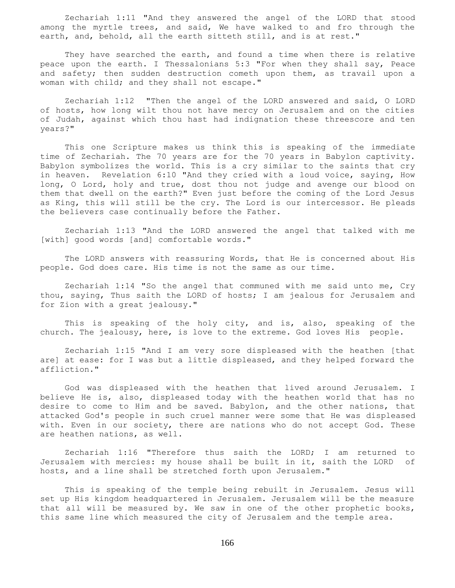Zechariah 1:11 "And they answered the angel of the LORD that stood among the myrtle trees, and said, We have walked to and fro through the earth, and, behold, all the earth sitteth still, and is at rest."

 They have searched the earth, and found a time when there is relative peace upon the earth. I Thessalonians 5:3 "For when they shall say, Peace and safety; then sudden destruction cometh upon them, as travail upon a woman with child; and they shall not escape."

 Zechariah 1:12 "Then the angel of the LORD answered and said, O LORD of hosts, how long wilt thou not have mercy on Jerusalem and on the cities of Judah, against which thou hast had indignation these threescore and ten years?"

 This one Scripture makes us think this is speaking of the immediate time of Zechariah. The 70 years are for the 70 years in Babylon captivity. Babylon symbolizes the world. This is a cry similar to the saints that cry in heaven. Revelation 6:10 "And they cried with a loud voice, saying, How long, O Lord, holy and true, dost thou not judge and avenge our blood on them that dwell on the earth?" Even just before the coming of the Lord Jesus as King, this will still be the cry. The Lord is our intercessor. He pleads the believers case continually before the Father.

 Zechariah 1:13 "And the LORD answered the angel that talked with me [with] good words [and] comfortable words."

 The LORD answers with reassuring Words, that He is concerned about His people. God does care. His time is not the same as our time.

 Zechariah 1:14 "So the angel that communed with me said unto me, Cry thou, saying, Thus saith the LORD of hosts; I am jealous for Jerusalem and for Zion with a great jealousy."

 This is speaking of the holy city, and is, also, speaking of the church. The jealousy, here, is love to the extreme. God loves His people.

 Zechariah 1:15 "And I am very sore displeased with the heathen [that are] at ease: for I was but a little displeased, and they helped forward the affliction."

 God was displeased with the heathen that lived around Jerusalem. I believe He is, also, displeased today with the heathen world that has no desire to come to Him and be saved. Babylon, and the other nations, that attacked God's people in such cruel manner were some that He was displeased with. Even in our society, there are nations who do not accept God. These are heathen nations, as well.

 Zechariah 1:16 "Therefore thus saith the LORD; I am returned to Jerusalem with mercies: my house shall be built in it, saith the LORD of hosts, and a line shall be stretched forth upon Jerusalem."

 This is speaking of the temple being rebuilt in Jerusalem. Jesus will set up His kingdom headquartered in Jerusalem. Jerusalem will be the measure that all will be measured by. We saw in one of the other prophetic books, this same line which measured the city of Jerusalem and the temple area.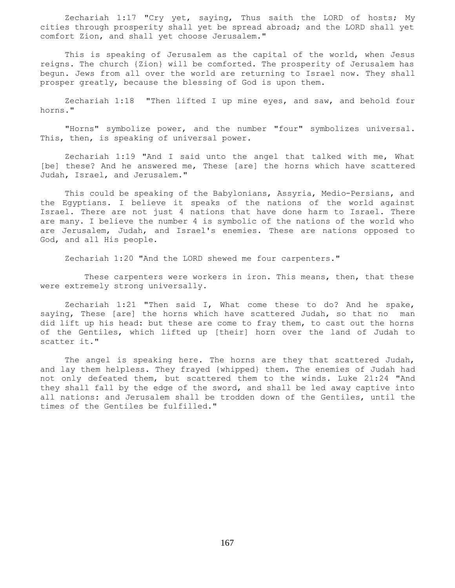Zechariah 1:17 "Cry yet, saying, Thus saith the LORD of hosts; My cities through prosperity shall yet be spread abroad; and the LORD shall yet comfort Zion, and shall yet choose Jerusalem."

 This is speaking of Jerusalem as the capital of the world, when Jesus reigns. The church {Zion} will be comforted. The prosperity of Jerusalem has begun. Jews from all over the world are returning to Israel now. They shall prosper greatly, because the blessing of God is upon them.

 Zechariah 1:18 "Then lifted I up mine eyes, and saw, and behold four horns."

 "Horns" symbolize power, and the number "four" symbolizes universal. This, then, is speaking of universal power.

 Zechariah 1:19 "And I said unto the angel that talked with me, What [be] these? And he answered me, These [are] the horns which have scattered Judah, Israel, and Jerusalem."

 This could be speaking of the Babylonians, Assyria, Medio-Persians, and the Egyptians. I believe it speaks of the nations of the world against Israel. There are not just 4 nations that have done harm to Israel. There are many. I believe the number 4 is symbolic of the nations of the world who are Jerusalem, Judah, and Israel's enemies. These are nations opposed to God, and all His people.

Zechariah 1:20 "And the LORD shewed me four carpenters."

These carpenters were workers in iron. This means, then, that these were extremely strong universally.

 Zechariah 1:21 "Then said I, What come these to do? And he spake, saying, These [are] the horns which have scattered Judah, so that no man did lift up his head: but these are come to fray them, to cast out the horns of the Gentiles, which lifted up [their] horn over the land of Judah to scatter it."

 The angel is speaking here. The horns are they that scattered Judah, and lay them helpless. They frayed {whipped} them. The enemies of Judah had not only defeated them, but scattered them to the winds. Luke 21:24 "And they shall fall by the edge of the sword, and shall be led away captive into all nations: and Jerusalem shall be trodden down of the Gentiles, until the times of the Gentiles be fulfilled."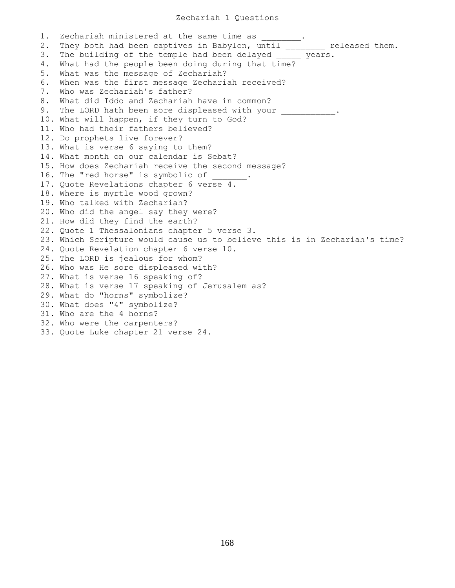1. Zechariah ministered at the same time as \_\_\_\_\_\_\_\_. 2. They both had been captives in Babylon, until \_\_\_\_\_\_\_\_ released them. 3. The building of the temple had been delayed \_\_\_\_\_ years. 4. What had the people been doing during that time? 5. What was the message of Zechariah? 6. When was the first message Zechariah received? 7. Who was Zechariah's father? 8. What did Iddo and Zechariah have in common? 9. The LORD hath been sore displeased with your \_\_\_\_\_\_\_\_\_\_\_. 10. What will happen, if they turn to God? 11. Who had their fathers believed? 12. Do prophets live forever? 13. What is verse 6 saying to them? 14. What month on our calendar is Sebat? 15. How does Zechariah receive the second message? 16. The "red horse" is symbolic of 17. Quote Revelations chapter 6 verse 4. 18. Where is myrtle wood grown? 19. Who talked with Zechariah? 20. Who did the angel say they were? 21. How did they find the earth? 22. Quote 1 Thessalonians chapter 5 verse 3. 23. Which Scripture would cause us to believe this is in Zechariah's time? 24. Quote Revelation chapter 6 verse 10. 25. The LORD is jealous for whom? 26. Who was He sore displeased with? 27. What is verse 16 speaking of? 28. What is verse 17 speaking of Jerusalem as? 29. What do "horns" symbolize? 30. What does "4" symbolize? 31. Who are the 4 horns? 32. Who were the carpenters? 33. Quote Luke chapter 21 verse 24.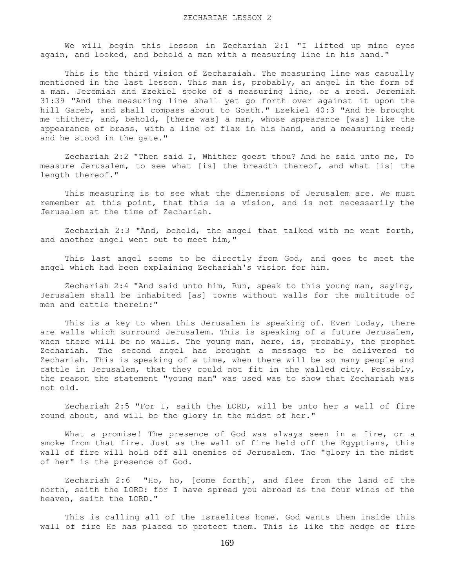We will begin this lesson in Zechariah 2:1 "I lifted up mine eyes again, and looked, and behold a man with a measuring line in his hand."

 This is the third vision of Zecharaiah. The measuring line was casually mentioned in the last lesson. This man is, probably, an angel in the form of a man. Jeremiah and Ezekiel spoke of a measuring line, or a reed. Jeremiah 31:39 "And the measuring line shall yet go forth over against it upon the hill Gareb, and shall compass about to Goath." Ezekiel 40:3 "And he brought me thither, and, behold, [there was] a man, whose appearance [was] like the appearance of brass, with a line of flax in his hand, and a measuring reed; and he stood in the gate."

 Zechariah 2:2 "Then said I, Whither goest thou? And he said unto me, To measure Jerusalem, to see what [is] the breadth thereof, and what [is] the length thereof."

 This measuring is to see what the dimensions of Jerusalem are. We must remember at this point, that this is a vision, and is not necessarily the Jerusalem at the time of Zechariah.

 Zechariah 2:3 "And, behold, the angel that talked with me went forth, and another angel went out to meet him,"

This last angel seems to be directly from God, and goes to meet the angel which had been explaining Zechariah's vision for him.

 Zechariah 2:4 "And said unto him, Run, speak to this young man, saying, Jerusalem shall be inhabited [as] towns without walls for the multitude of men and cattle therein:"

 This is a key to when this Jerusalem is speaking of. Even today, there are walls which surround Jerusalem. This is speaking of a future Jerusalem, when there will be no walls. The young man, here, is, probably, the prophet Zechariah. The second angel has brought a message to be delivered to Zechariah. This is speaking of a time, when there will be so many people and cattle in Jerusalem, that they could not fit in the walled city. Possibly, the reason the statement "young man" was used was to show that Zechariah was not old.

 Zechariah 2:5 "For I, saith the LORD, will be unto her a wall of fire round about, and will be the glory in the midst of her."

What a promise! The presence of God was always seen in a fire, or a smoke from that fire. Just as the wall of fire held off the Egyptians, this wall of fire will hold off all enemies of Jerusalem. The "glory in the midst of her" is the presence of God.

 Zechariah 2:6 "Ho, ho, [come forth], and flee from the land of the north, saith the LORD: for I have spread you abroad as the four winds of the heaven, saith the LORD."

 This is calling all of the Israelites home. God wants them inside this wall of fire He has placed to protect them. This is like the hedge of fire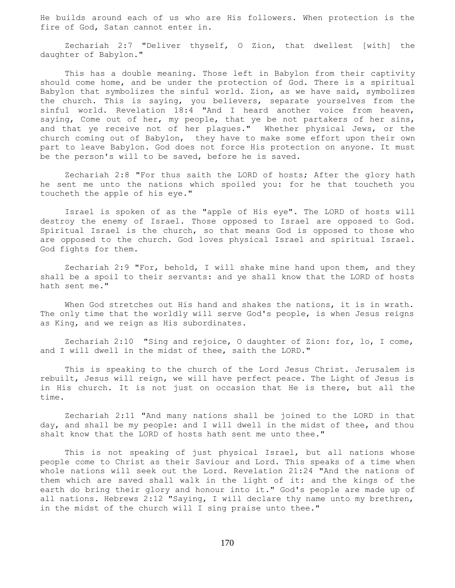He builds around each of us who are His followers. When protection is the fire of God, Satan cannot enter in.

 Zechariah 2:7 "Deliver thyself, O Zion, that dwellest [with] the daughter of Babylon."

 This has a double meaning. Those left in Babylon from their captivity should come home, and be under the protection of God. There is a spiritual Babylon that symbolizes the sinful world. Zion, as we have said, symbolizes the church. This is saying, you believers, separate yourselves from the sinful world. Revelation 18:4 "And I heard another voice from heaven, saying, Come out of her, my people, that ye be not partakers of her sins, and that ye receive not of her plagues." Whether physical Jews, or the church coming out of Babylon, they have to make some effort upon their own part to leave Babylon. God does not force His protection on anyone. It must be the person's will to be saved, before he is saved.

 Zechariah 2:8 "For thus saith the LORD of hosts; After the glory hath he sent me unto the nations which spoiled you: for he that toucheth you toucheth the apple of his eye."

 Israel is spoken of as the "apple of His eye". The LORD of hosts will destroy the enemy of Israel. Those opposed to Israel are opposed to God. Spiritual Israel is the church, so that means God is opposed to those who are opposed to the church. God loves physical Israel and spiritual Israel. God fights for them.

 Zechariah 2:9 "For, behold, I will shake mine hand upon them, and they shall be a spoil to their servants: and ye shall know that the LORD of hosts hath sent me."

 When God stretches out His hand and shakes the nations, it is in wrath. The only time that the worldly will serve God's people, is when Jesus reigns as King, and we reign as His subordinates.

 Zechariah 2:10 "Sing and rejoice, O daughter of Zion: for, lo, I come, and I will dwell in the midst of thee, saith the LORD."

 This is speaking to the church of the Lord Jesus Christ. Jerusalem is rebuilt, Jesus will reign, we will have perfect peace. The Light of Jesus is in His church. It is not just on occasion that He is there, but all the time.

 Zechariah 2:11 "And many nations shall be joined to the LORD in that day, and shall be my people: and I will dwell in the midst of thee, and thou shalt know that the LORD of hosts hath sent me unto thee."

 This is not speaking of just physical Israel, but all nations whose people come to Christ as their Saviour and Lord. This speaks of a time when whole nations will seek out the Lord. Revelation 21:24 "And the nations of them which are saved shall walk in the light of it: and the kings of the earth do bring their glory and honour into it." God's people are made up of all nations. Hebrews 2:12 "Saying, I will declare thy name unto my brethren, in the midst of the church will I sing praise unto thee."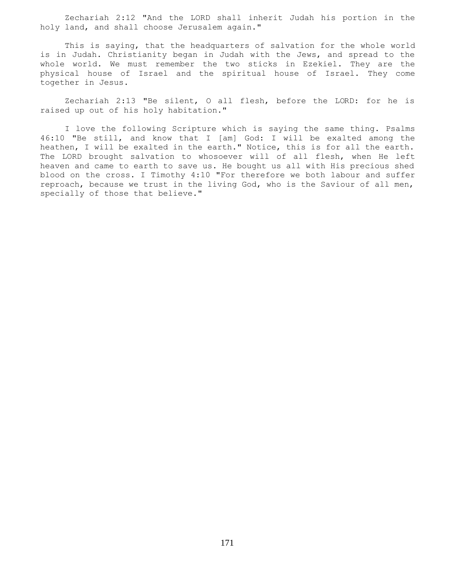Zechariah 2:12 "And the LORD shall inherit Judah his portion in the holy land, and shall choose Jerusalem again."

 This is saying, that the headquarters of salvation for the whole world is in Judah. Christianity began in Judah with the Jews, and spread to the whole world. We must remember the two sticks in Ezekiel. They are the physical house of Israel and the spiritual house of Israel. They come together in Jesus.

 Zechariah 2:13 "Be silent, O all flesh, before the LORD: for he is raised up out of his holy habitation."

 I love the following Scripture which is saying the same thing. Psalms 46:10 "Be still, and know that I [am] God: I will be exalted among the heathen, I will be exalted in the earth." Notice, this is for all the earth. The LORD brought salvation to whosoever will of all flesh, when He left heaven and came to earth to save us. He bought us all with His precious shed blood on the cross. I Timothy 4:10 "For therefore we both labour and suffer reproach, because we trust in the living God, who is the Saviour of all men, specially of those that believe."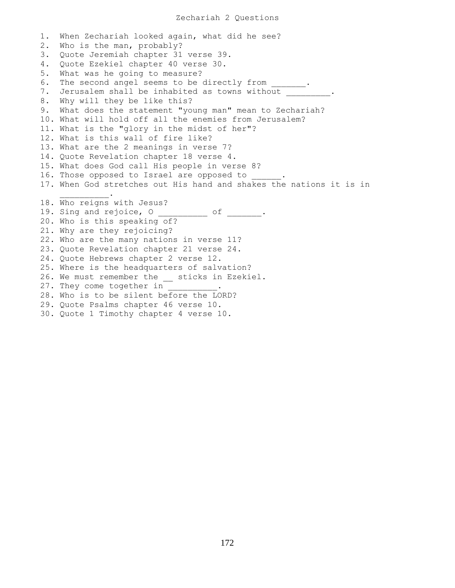1. When Zechariah looked again, what did he see? 2. Who is the man, probably? 3. Quote Jeremiah chapter 31 verse 39. 4. Quote Ezekiel chapter 40 verse 30. 5. What was he going to measure? 6. The second angel seems to be directly from 7. Jerusalem shall be inhabited as towns without 8. Why will they be like this? 9. What does the statement "young man" mean to Zechariah? 10. What will hold off all the enemies from Jerusalem? 11. What is the "glory in the midst of her"? 12. What is this wall of fire like? 13. What are the 2 meanings in verse 7? 14. Quote Revelation chapter 18 verse 4. 15. What does God call His people in verse 8? 16. Those opposed to Israel are opposed to 17. When God stretches out His hand and shakes the nations it is in  $\overline{\phantom{a}}$  ,  $\overline{\phantom{a}}$  ,  $\overline{\phantom{a}}$  ,  $\overline{\phantom{a}}$  ,  $\overline{\phantom{a}}$ 18. Who reigns with Jesus? 19. Sing and rejoice, 0 \_\_\_\_\_\_\_\_\_\_ of \_\_\_\_\_. 20. Who is this speaking of? 21. Why are they rejoicing? 22. Who are the many nations in verse 11? 23. Quote Revelation chapter 21 verse 24. 24. Quote Hebrews chapter 2 verse 12. 25. Where is the headquarters of salvation? 26. We must remember the \_\_ sticks in Ezekiel. 27. They come together in 28. Who is to be silent before the LORD? 29. Quote Psalms chapter 46 verse 10. 30. Quote 1 Timothy chapter 4 verse 10.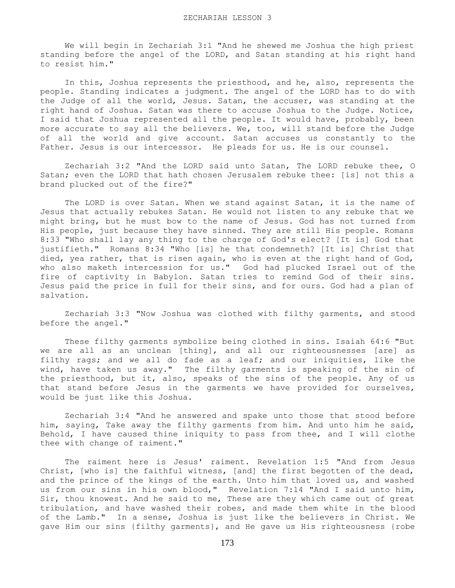We will begin in Zechariah 3:1 "And he shewed me Joshua the high priest standing before the angel of the LORD, and Satan standing at his right hand to resist him."

 In this, Joshua represents the priesthood, and he, also, represents the people. Standing indicates a judgment. The angel of the LORD has to do with the Judge of all the world, Jesus. Satan, the accuser, was standing at the right hand of Joshua. Satan was there to accuse Joshua to the Judge. Notice, I said that Joshua represented all the people. It would have, probably, been more accurate to say all the believers. We, too, will stand before the Judge of all the world and give account. Satan accuses us constantly to the Father. Jesus is our intercessor. He pleads for us. He is our counsel.

 Zechariah 3:2 "And the LORD said unto Satan, The LORD rebuke thee, O Satan; even the LORD that hath chosen Jerusalem rebuke thee: [is] not this a brand plucked out of the fire?"

 The LORD is over Satan. When we stand against Satan, it is the name of Jesus that actually rebukes Satan. He would not listen to any rebuke that we might bring, but he must bow to the name of Jesus. God has not turned from His people, just because they have sinned. They are still His people. Romans 8:33 "Who shall lay any thing to the charge of God's elect? [It is] God that justifieth." Romans 8:34 "Who [is] he that condemneth? [It is] Christ that died, yea rather, that is risen again, who is even at the right hand of God, who also maketh intercession for us." God had plucked Israel out of the fire of captivity in Babylon. Satan tries to remind God of their sins. Jesus paid the price in full for their sins, and for ours. God had a plan of salvation.

 Zechariah 3:3 "Now Joshua was clothed with filthy garments, and stood before the angel."

 These filthy garments symbolize being clothed in sins. Isaiah 64:6 "But we are all as an unclean [thing], and all our righteousnesses [are] as filthy rags; and we all do fade as a leaf; and our iniquities, like the wind, have taken us away." The filthy garments is speaking of the sin of the priesthood, but it, also, speaks of the sins of the people. Any of us that stand before Jesus in the garments we have provided for ourselves, would be just like this Joshua.

 Zechariah 3:4 "And he answered and spake unto those that stood before him, saying, Take away the filthy garments from him. And unto him he said, Behold, I have caused thine iniquity to pass from thee, and I will clothe thee with change of raiment."

 The raiment here is Jesus' raiment. Revelation 1:5 "And from Jesus Christ, [who is] the faithful witness, [and] the first begotten of the dead, and the prince of the kings of the earth. Unto him that loved us, and washed us from our sins in his own blood," Revelation 7:14 "And I said unto him, Sir, thou knowest. And he said to me, These are they which came out of great tribulation, and have washed their robes, and made them white in the blood of the Lamb." In a sense, Joshua is just like the believers in Christ. We gave Him our sins {filthy garments}, and He gave us His righteousness {robe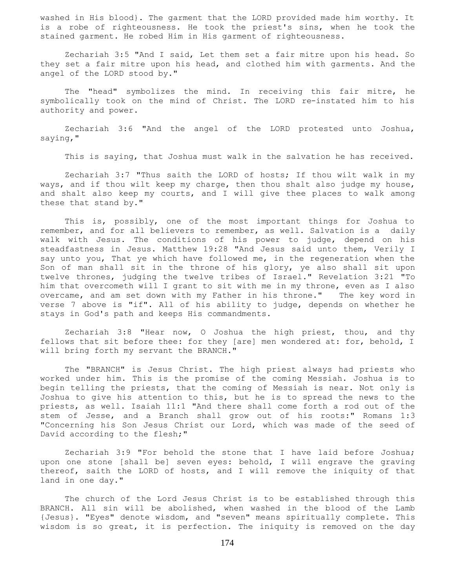washed in His blood}. The garment that the LORD provided made him worthy. It is a robe of righteousness. He took the priest's sins, when he took the stained garment. He robed Him in His garment of righteousness.

 Zechariah 3:5 "And I said, Let them set a fair mitre upon his head. So they set a fair mitre upon his head, and clothed him with garments. And the angel of the LORD stood by."

 The "head" symbolizes the mind. In receiving this fair mitre, he symbolically took on the mind of Christ. The LORD re-instated him to his authority and power.

 Zechariah 3:6 "And the angel of the LORD protested unto Joshua, saying,"

This is saying, that Joshua must walk in the salvation he has received.

 Zechariah 3:7 "Thus saith the LORD of hosts; If thou wilt walk in my ways, and if thou wilt keep my charge, then thou shalt also judge my house, and shalt also keep my courts, and I will give thee places to walk among these that stand by."

 This is, possibly, one of the most important things for Joshua to remember, and for all believers to remember, as well. Salvation is a daily walk with Jesus. The conditions of his power to judge, depend on his steadfastness in Jesus. Matthew 19:28 "And Jesus said unto them, Verily I say unto you, That ye which have followed me, in the regeneration when the Son of man shall sit in the throne of his glory, ye also shall sit upon twelve thrones, judging the twelve tribes of Israel." Revelation 3:21 "To him that overcometh will I grant to sit with me in my throne, even as I also overcame, and am set down with my Father in his throne." The key word in verse 7 above is "if". All of his ability to judge, depends on whether he stays in God's path and keeps His commandments.

 Zechariah 3:8 "Hear now, O Joshua the high priest, thou, and thy fellows that sit before thee: for they [are] men wondered at: for, behold, I will bring forth my servant the BRANCH."

 The "BRANCH" is Jesus Christ. The high priest always had priests who worked under him. This is the promise of the coming Messiah. Joshua is to begin telling the priests, that the coming of Messiah is near. Not only is Joshua to give his attention to this, but he is to spread the news to the priests, as well. Isaiah 11:1 "And there shall come forth a rod out of the stem of Jesse, and a Branch shall grow out of his roots:" Romans 1:3 "Concerning his Son Jesus Christ our Lord, which was made of the seed of David according to the flesh;"

 Zechariah 3:9 "For behold the stone that I have laid before Joshua; upon one stone [shall be] seven eyes: behold, I will engrave the graving thereof, saith the LORD of hosts, and I will remove the iniquity of that land in one day."

 The church of the Lord Jesus Christ is to be established through this BRANCH. All sin will be abolished, when washed in the blood of the Lamb {Jesus}. "Eyes" denote wisdom, and "seven" means spiritually complete. This wisdom is so great, it is perfection. The iniquity is removed on the day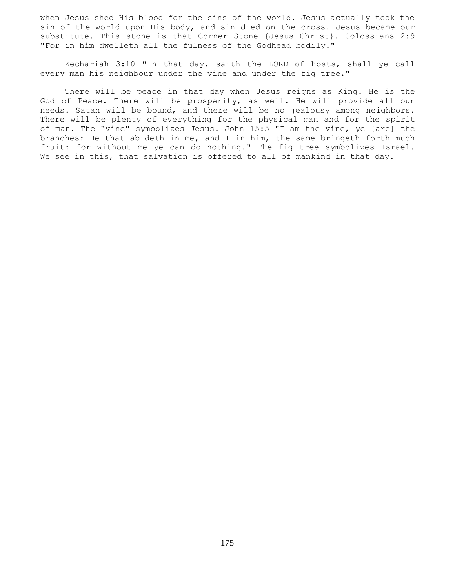when Jesus shed His blood for the sins of the world. Jesus actually took the sin of the world upon His body, and sin died on the cross. Jesus became our substitute. This stone is that Corner Stone {Jesus Christ}. Colossians 2:9 "For in him dwelleth all the fulness of the Godhead bodily."

 Zechariah 3:10 "In that day, saith the LORD of hosts, shall ye call every man his neighbour under the vine and under the fig tree."

 There will be peace in that day when Jesus reigns as King. He is the God of Peace. There will be prosperity, as well. He will provide all our needs. Satan will be bound, and there will be no jealousy among neighbors. There will be plenty of everything for the physical man and for the spirit of man. The "vine" symbolizes Jesus. John 15:5 "I am the vine, ye [are] the branches: He that abideth in me, and I in him, the same bringeth forth much fruit: for without me ye can do nothing." The fig tree symbolizes Israel. We see in this, that salvation is offered to all of mankind in that day.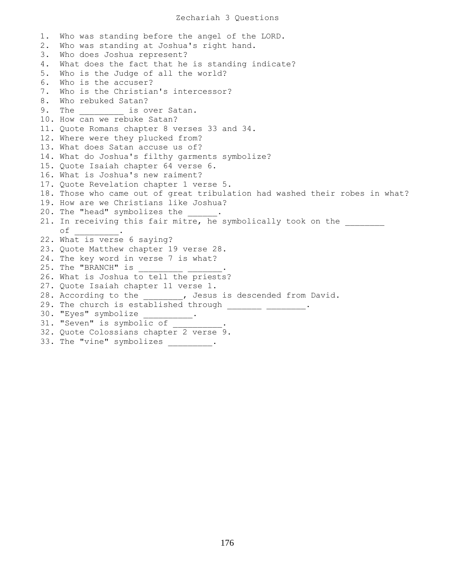## Zechariah 3 Questions

1. Who was standing before the angel of the LORD. 2. Who was standing at Joshua's right hand. 3. Who does Joshua represent? 4. What does the fact that he is standing indicate? 5. Who is the Judge of all the world? 6. Who is the accuser? 7. Who is the Christian's intercessor? 8. Who rebuked Satan? 9. The **is over Satan**. 10. How can we rebuke Satan? 11. Quote Romans chapter 8 verses 33 and 34. 12. Where were they plucked from? 13. What does Satan accuse us of? 14. What do Joshua's filthy garments symbolize? 15. Quote Isaiah chapter 64 verse 6. 16. What is Joshua's new raiment? 17. Quote Revelation chapter 1 verse 5. 18. Those who came out of great tribulation had washed their robes in what? 19. How are we Christians like Joshua? 20. The "head" symbolizes the 21. In receiving this fair mitre, he symbolically took on the of \_\_\_\_\_\_\_\_\_. 22. What is verse 6 saying? 23. Quote Matthew chapter 19 verse 28. 24. The key word in verse 7 is what? 25. The "BRANCH" is 26. What is Joshua to tell the priests? 27. Quote Isaiah chapter 11 verse 1. 28. According to the \_\_\_\_\_\_\_\_, Jesus is descended from David. 29. The church is established through  $\qquad \qquad$ 30. "Eyes" symbolize 31. "Seven" is symbolic of 32. Quote Colossians chapter 2 verse 9. 33. The "vine" symbolizes \_\_\_\_\_\_\_\_.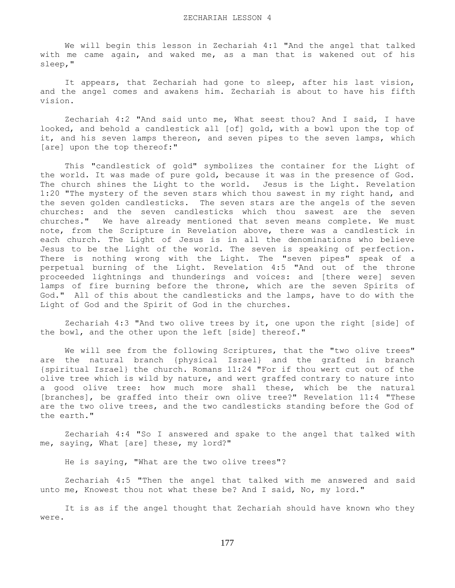We will begin this lesson in Zechariah 4:1 "And the angel that talked with me came again, and waked me, as a man that is wakened out of his sleep,"

 It appears, that Zechariah had gone to sleep, after his last vision, and the angel comes and awakens him. Zechariah is about to have his fifth vision.

 Zechariah 4:2 "And said unto me, What seest thou? And I said, I have looked, and behold a candlestick all [of] gold, with a bowl upon the top of it, and his seven lamps thereon, and seven pipes to the seven lamps, which [are] upon the top thereof:"

 This "candlestick of gold" symbolizes the container for the Light of the world. It was made of pure gold, because it was in the presence of God. The church shines the Light to the world. Jesus is the Light. Revelation 1:20 "The mystery of the seven stars which thou sawest in my right hand, and the seven golden candlesticks. The seven stars are the angels of the seven churches: and the seven candlesticks which thou sawest are the seven churches." We have already mentioned that seven means complete. We must note, from the Scripture in Revelation above, there was a candlestick in each church. The Light of Jesus is in all the denominations who believe Jesus to be the Light of the world. The seven is speaking of perfection. There is nothing wrong with the Light. The "seven pipes" speak of a perpetual burning of the Light. Revelation 4:5 "And out of the throne proceeded lightnings and thunderings and voices: and [there were] seven lamps of fire burning before the throne, which are the seven Spirits of God." All of this about the candlesticks and the lamps, have to do with the Light of God and the Spirit of God in the churches.

 Zechariah 4:3 "And two olive trees by it, one upon the right [side] of the bowl, and the other upon the left [side] thereof."

 We will see from the following Scriptures, that the "two olive trees" are the natural branch {physical Israel} and the grafted in branch {spiritual Israel} the church. Romans 11:24 "For if thou wert cut out of the olive tree which is wild by nature, and wert graffed contrary to nature into a good olive tree: how much more shall these, which be the natural [branches], be graffed into their own olive tree?" Revelation 11:4 "These are the two olive trees, and the two candlesticks standing before the God of the earth."

 Zechariah 4:4 "So I answered and spake to the angel that talked with me, saying, What [are] these, my lord?"

He is saying, "What are the two olive trees"?

 Zechariah 4:5 "Then the angel that talked with me answered and said unto me, Knowest thou not what these be? And I said, No, my lord."

 It is as if the angel thought that Zechariah should have known who they were.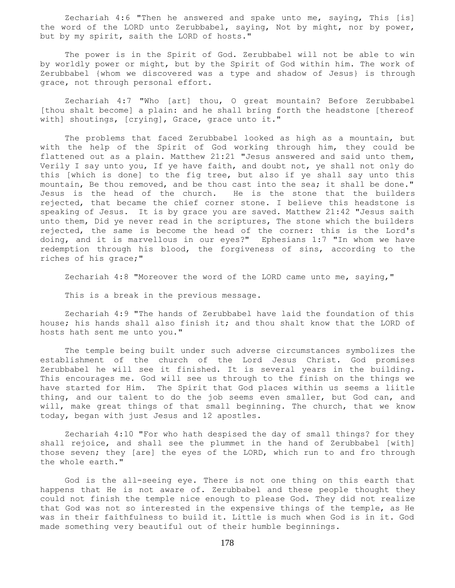Zechariah 4:6 "Then he answered and spake unto me, saying, This [is] the word of the LORD unto Zerubbabel, saying, Not by might, nor by power, but by my spirit, saith the LORD of hosts."

 The power is in the Spirit of God. Zerubbabel will not be able to win by worldly power or might, but by the Spirit of God within him. The work of Zerubbabel {whom we discovered was a type and shadow of Jesus} is through grace, not through personal effort.

 Zechariah 4:7 "Who [art] thou, O great mountain? Before Zerubbabel [thou shalt become] a plain: and he shall bring forth the headstone [thereof with] shoutings, [crying], Grace, grace unto it."

 The problems that faced Zerubbabel looked as high as a mountain, but with the help of the Spirit of God working through him, they could be flattened out as a plain. Matthew 21:21 "Jesus answered and said unto them, Verily I say unto you, If ye have faith, and doubt not, ye shall not only do this [which is done] to the fig tree, but also if ye shall say unto this mountain, Be thou removed, and be thou cast into the sea; it shall be done." Jesus is the head of the church. He is the stone that the builders rejected, that became the chief corner stone. I believe this headstone is speaking of Jesus. It is by grace you are saved. Matthew 21:42 "Jesus saith unto them, Did ye never read in the scriptures, The stone which the builders rejected, the same is become the head of the corner: this is the Lord's doing, and it is marvellous in our eyes?" Ephesians 1:7 "In whom we have redemption through his blood, the forgiveness of sins, according to the riches of his grace;"

Zechariah 4:8 "Moreover the word of the LORD came unto me, saying,"

This is a break in the previous message.

 Zechariah 4:9 "The hands of Zerubbabel have laid the foundation of this house; his hands shall also finish it; and thou shalt know that the LORD of hosts hath sent me unto you."

 The temple being built under such adverse circumstances symbolizes the establishment of the church of the Lord Jesus Christ. God promises Zerubbabel he will see it finished. It is several years in the building. This encourages me. God will see us through to the finish on the things we have started for Him. The Spirit that God places within us seems a liitle thing, and our talent to do the job seems even smaller, but God can, and will, make great things of that small beginning. The church, that we know today, began with just Jesus and 12 apostles.

 Zechariah 4:10 "For who hath despised the day of small things? for they shall rejoice, and shall see the plummet in the hand of Zerubbabel [with] those seven; they [are] the eyes of the LORD, which run to and fro through the whole earth."

 God is the all-seeing eye. There is not one thing on this earth that happens that He is not aware of. Zerubbabel and these people thought they could not finish the temple nice enough to please God. They did not realize that God was not so interested in the expensive things of the temple, as He was in their faithfulness to build it. Little is much when God is in it. God made something very beautiful out of their humble beginnings.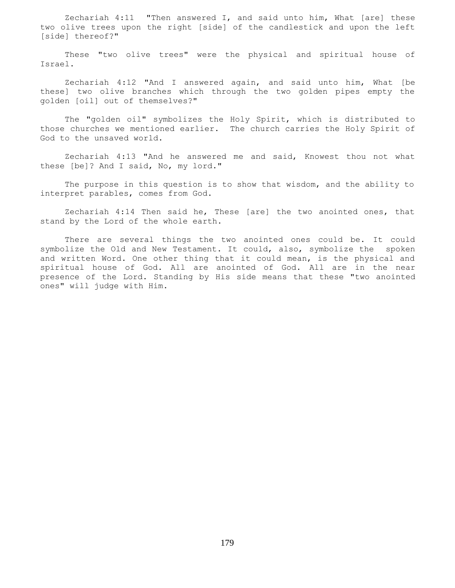Zechariah 4:11 "Then answered I, and said unto him, What [are] these two olive trees upon the right [side] of the candlestick and upon the left [side] thereof?"

 These "two olive trees" were the physical and spiritual house of Israel.

 Zechariah 4:12 "And I answered again, and said unto him, What [be these] two olive branches which through the two golden pipes empty the golden [oil] out of themselves?"

 The "golden oil" symbolizes the Holy Spirit, which is distributed to those churches we mentioned earlier. The church carries the Holy Spirit of God to the unsaved world.

 Zechariah 4:13 "And he answered me and said, Knowest thou not what these [be]? And I said, No, my lord."

 The purpose in this question is to show that wisdom, and the ability to interpret parables, comes from God.

 Zechariah 4:14 Then said he, These [are] the two anointed ones, that stand by the Lord of the whole earth.

 There are several things the two anointed ones could be. It could symbolize the Old and New Testament. It could, also, symbolize the spoken and written Word. One other thing that it could mean, is the physical and spiritual house of God. All are anointed of God. All are in the near presence of the Lord. Standing by His side means that these "two anointed ones" will judge with Him.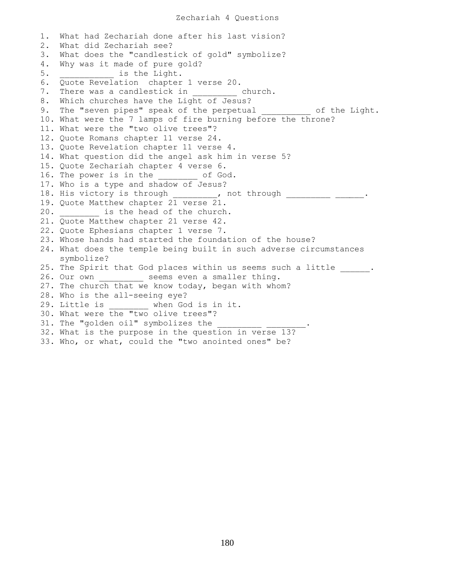1. What had Zechariah done after his last vision? 2. What did Zechariah see? 3. What does the "candlestick of gold" symbolize? 4. Why was it made of pure gold? 5.  $\qquad \qquad$  is the Light. 6. Quote Revelation chapter 1 verse 20. 7. There was a candlestick in  $\qquad \qquad$  church. 8. Which churches have the Light of Jesus? 9. The "seven pipes" speak of the perpetual of the Light. 10. What were the 7 lamps of fire burning before the throne? 11. What were the "two olive trees"? 12. Quote Romans chapter 11 verse 24. 13. Quote Revelation chapter 11 verse 4. 14. What question did the angel ask him in verse 5? 15. Quote Zechariah chapter 4 verse 6. 16. The power is in the of God. 17. Who is a type and shadow of Jesus? 18. His victory is through \_\_\_\_\_\_\_, not through \_\_\_\_\_\_\_\_\_\_ \_\_\_\_\_. 19. Quote Matthew chapter 21 verse 21. 20. **is the head of the church.** 21. Quote Matthew chapter 21 verse 42. 22. Quote Ephesians chapter 1 verse 7. 23. Whose hands had started the foundation of the house? 24. What does the temple being built in such adverse circumstances symbolize? 25. The Spirit that God places within us seems such a little . 26. Our own \_\_\_\_\_\_\_\_\_ seems even a smaller thing. 27. The church that we know today, began with whom? 28. Who is the all-seeing eye? 29. Little is \_\_\_\_\_\_\_\_ when God is in it. 30. What were the "two olive trees"? 31. The "golden oil" symbolizes the 32. What is the purpose in the question in verse 13? 33. Who, or what, could the "two anointed ones" be?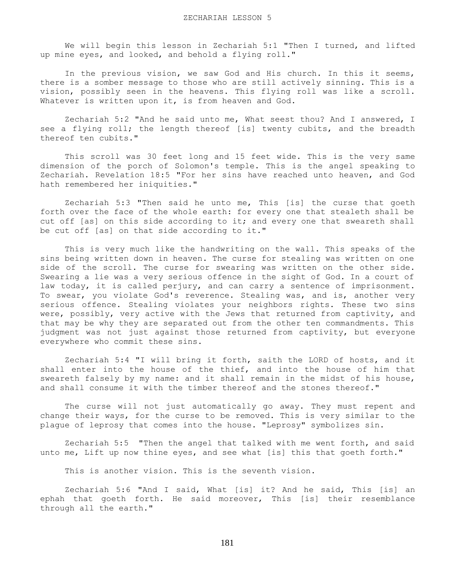We will begin this lesson in Zechariah 5:1 "Then I turned, and lifted up mine eyes, and looked, and behold a flying roll."

 In the previous vision, we saw God and His church. In this it seems, there is a somber message to those who are still actively sinning. This is a vision, possibly seen in the heavens. This flying roll was like a scroll. Whatever is written upon it, is from heaven and God.

 Zechariah 5:2 "And he said unto me, What seest thou? And I answered, I see a flying roll; the length thereof [is] twenty cubits, and the breadth thereof ten cubits."

 This scroll was 30 feet long and 15 feet wide. This is the very same dimension of the porch of Solomon's temple. This is the angel speaking to Zechariah. Revelation 18:5 "For her sins have reached unto heaven, and God hath remembered her iniquities."

 Zechariah 5:3 "Then said he unto me, This [is] the curse that goeth forth over the face of the whole earth: for every one that stealeth shall be cut off [as] on this side according to it; and every one that sweareth shall be cut off [as] on that side according to it."

 This is very much like the handwriting on the wall. This speaks of the sins being written down in heaven. The curse for stealing was written on one side of the scroll. The curse for swearing was written on the other side. Swearing a lie was a very serious offence in the sight of God. In a court of law today, it is called perjury, and can carry a sentence of imprisonment. To swear, you violate God's reverence. Stealing was, and is, another very serious offence. Stealing violates your neighbors rights. These two sins were, possibly, very active with the Jews that returned from captivity, and that may be why they are separated out from the other ten commandments. This judgment was not just against those returned from captivity, but everyone everywhere who commit these sins.

 Zechariah 5:4 "I will bring it forth, saith the LORD of hosts, and it shall enter into the house of the thief, and into the house of him that sweareth falsely by my name: and it shall remain in the midst of his house, and shall consume it with the timber thereof and the stones thereof."

 The curse will not just automatically go away. They must repent and change their ways, for the curse to be removed. This is very similar to the plague of leprosy that comes into the house. "Leprosy" symbolizes sin.

 Zechariah 5:5 "Then the angel that talked with me went forth, and said unto me, Lift up now thine eyes, and see what [is] this that goeth forth."

This is another vision. This is the seventh vision.

 Zechariah 5:6 "And I said, What [is] it? And he said, This [is] an ephah that goeth forth. He said moreover, This [is] their resemblance through all the earth."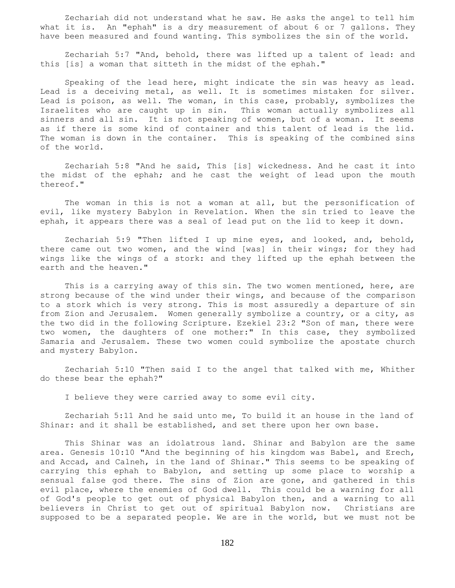Zechariah did not understand what he saw. He asks the angel to tell him what it is. An "ephah" is a dry measurement of about 6 or 7 gallons. They have been measured and found wanting. This symbolizes the sin of the world.

 Zechariah 5:7 "And, behold, there was lifted up a talent of lead: and this [is] a woman that sitteth in the midst of the ephah."

 Speaking of the lead here, might indicate the sin was heavy as lead. Lead is a deceiving metal, as well. It is sometimes mistaken for silver. Lead is poison, as well. The woman, in this case, probably, symbolizes the Israelites who are caught up in sin. This woman actually symbolizes all sinners and all sin. It is not speaking of women, but of a woman. It seems as if there is some kind of container and this talent of lead is the lid. The woman is down in the container. This is speaking of the combined sins of the world.

 Zechariah 5:8 "And he said, This [is] wickedness. And he cast it into the midst of the ephah; and he cast the weight of lead upon the mouth thereof."

The woman in this is not a woman at all, but the personification of evil, like mystery Babylon in Revelation. When the sin tried to leave the ephah, it appears there was a seal of lead put on the lid to keep it down.

 Zechariah 5:9 "Then lifted I up mine eyes, and looked, and, behold, there came out two women, and the wind [was] in their wings; for they had wings like the wings of a stork: and they lifted up the ephah between the earth and the heaven."

This is a carrying away of this sin. The two women mentioned, here, are strong because of the wind under their wings, and because of the comparison to a stork which is very strong. This is most assuredly a departure of sin from Zion and Jerusalem. Women generally symbolize a country, or a city, as the two did in the following Scripture. Ezekiel 23:2 "Son of man, there were two women, the daughters of one mother:" In this case, they symbolized Samaria and Jerusalem. These two women could symbolize the apostate church and mystery Babylon.

 Zechariah 5:10 "Then said I to the angel that talked with me, Whither do these bear the ephah?"

I believe they were carried away to some evil city.

 Zechariah 5:11 And he said unto me, To build it an house in the land of Shinar: and it shall be established, and set there upon her own base.

 This Shinar was an idolatrous land. Shinar and Babylon are the same area. Genesis 10:10 "And the beginning of his kingdom was Babel, and Erech, and Accad, and Calneh, in the land of Shinar." This seems to be speaking of carrying this ephah to Babylon, and setting up some place to worship a sensual false god there. The sins of Zion are gone, and gathered in this evil place, where the enemies of God dwell. This could be a warning for all of God's people to get out of physical Babylon then, and a warning to all believers in Christ to get out of spiritual Babylon now. Christians are supposed to be a separated people. We are in the world, but we must not be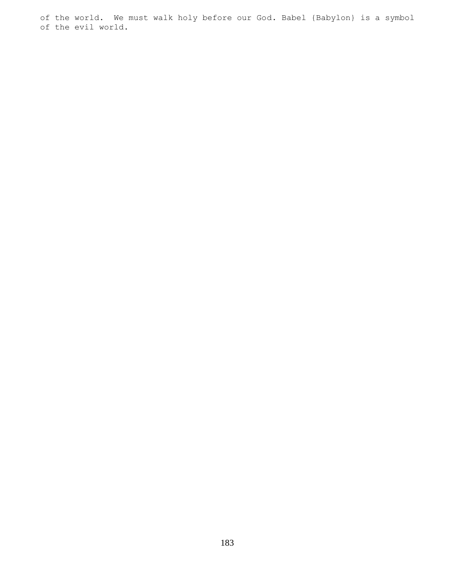of the world. We must walk holy before our God. Babel {Babylon} is a symbol of the evil world.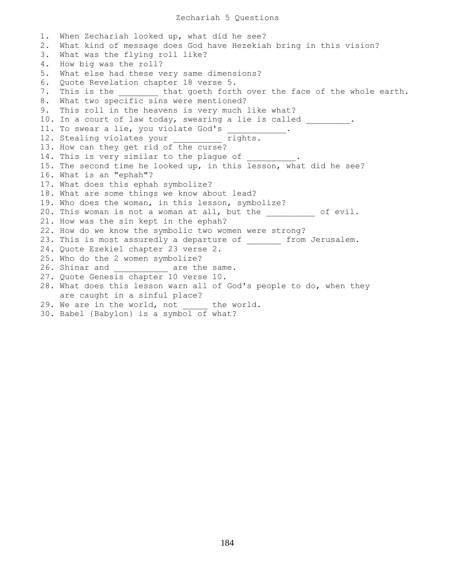1. When Zechariah looked up, what did he see? 2. What kind of message does God have Hezekiah bring in this vision? 3. What was the flying roll like? 4. How big was the roll? 5. What else had these very same dimensions? 6. Quote Revelation chapter 18 verse 5. 7. This is the  $\qquad$  that goeth forth over the face of the whole earth. 8. What two specific sins were mentioned? 9. This roll in the heavens is very much like what? 10. In a court of law today, swearing a lie is called . 11. To swear a lie, you violate God's \_\_\_\_ 12. Stealing violates your tights. 13. How can they get rid of the curse? 14. This is very similar to the plaque of 15. The second time he looked up, in this lesson, what did he see? 16. What is an "ephah"? 17. What does this ephah symbolize? 18. What are some things we know about lead? 19. Who does the woman, in this lesson, symbolize? 20. This woman is not a woman at all, but the \_\_\_\_\_\_\_\_\_\_ of evil. 21. How was the sin kept in the ephah? 22. How do we know the symbolic two women were strong? 23. This is most assuredly a departure of from Jerusalem. 24. Quote Ezekiel chapter 23 verse 2. 25. Who do the 2 women symbolize? 26. Shinar and **the same.** 27. Quote Genesis chapter 10 verse 10. 28. What does this lesson warn all of God's people to do, when they are caught in a sinful place? 29. We are in the world, not the world. 30. Babel {Babylon} is a symbol of what?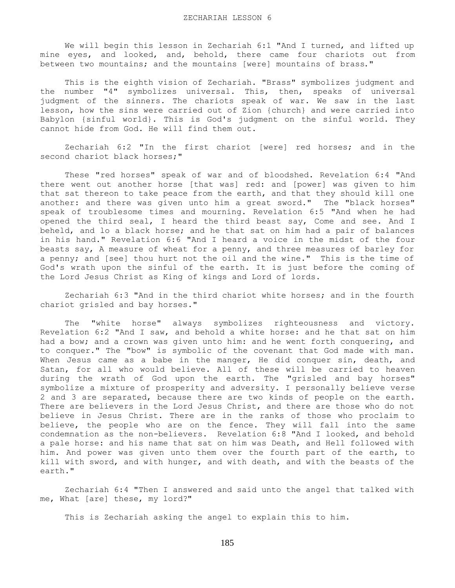We will begin this lesson in Zechariah 6:1 "And I turned, and lifted up mine eyes, and looked, and, behold, there came four chariots out from between two mountains; and the mountains [were] mountains of brass."

 This is the eighth vision of Zechariah. "Brass" symbolizes judgment and the number "4" symbolizes universal. This, then, speaks of universal judgment of the sinners. The chariots speak of war. We saw in the last lesson, how the sins were carried out of Zion {church} and were carried into Babylon {sinful world}. This is God's judgment on the sinful world. They cannot hide from God. He will find them out.

 Zechariah 6:2 "In the first chariot [were] red horses; and in the second chariot black horses;"

 These "red horses" speak of war and of bloodshed. Revelation 6:4 "And there went out another horse [that was] red: and [power] was given to him that sat thereon to take peace from the earth, and that they should kill one another: and there was given unto him a great sword." The "black horses" speak of troublesome times and mourning. Revelation 6:5 "And when he had opened the third seal, I heard the third beast say, Come and see. And I beheld, and lo a black horse; and he that sat on him had a pair of balances in his hand." Revelation 6:6 "And I heard a voice in the midst of the four beasts say, A measure of wheat for a penny, and three measures of barley for a penny; and [see] thou hurt not the oil and the wine." This is the time of God's wrath upon the sinful of the earth. It is just before the coming of the Lord Jesus Christ as King of kings and Lord of lords.

 Zechariah 6:3 "And in the third chariot white horses; and in the fourth chariot grisled and bay horses."

 The "white horse" always symbolizes righteousness and victory. Revelation 6:2 "And I saw, and behold a white horse: and he that sat on him had a bow; and a crown was given unto him: and he went forth conquering, and to conquer." The "bow" is symbolic of the covenant that God made with man. When Jesus came as a babe in the manger, He did conquer sin, death, and Satan, for all who would believe. All of these will be carried to heaven during the wrath of God upon the earth. The "grisled and bay horses" symbolize a mixture of prosperity and adversity. I personally believe verse 2 and 3 are separated, because there are two kinds of people on the earth. There are believers in the Lord Jesus Christ, and there are those who do not believe in Jesus Christ. There are in the ranks of those who proclaim to believe, the people who are on the fence. They will fall into the same condemnation as the non-believers. Revelation 6:8 "And I looked, and behold a pale horse: and his name that sat on him was Death, and Hell followed with him. And power was given unto them over the fourth part of the earth, to kill with sword, and with hunger, and with death, and with the beasts of the earth."

 Zechariah 6:4 "Then I answered and said unto the angel that talked with me, What [are] these, my lord?"

This is Zechariah asking the angel to explain this to him.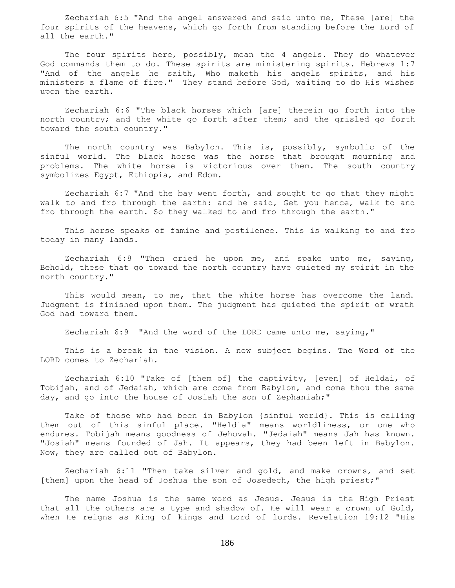Zechariah 6:5 "And the angel answered and said unto me, These [are] the four spirits of the heavens, which go forth from standing before the Lord of all the earth."

The four spirits here, possibly, mean the 4 angels. They do whatever God commands them to do. These spirits are ministering spirits. Hebrews 1:7 "And of the angels he saith, Who maketh his angels spirits, and his ministers a flame of fire." They stand before God, waiting to do His wishes upon the earth.

 Zechariah 6:6 "The black horses which [are] therein go forth into the north country; and the white go forth after them; and the grisled go forth toward the south country."

 The north country was Babylon. This is, possibly, symbolic of the sinful world. The black horse was the horse that brought mourning and problems. The white horse is victorious over them. The south country symbolizes Egypt, Ethiopia, and Edom.

 Zechariah 6:7 "And the bay went forth, and sought to go that they might walk to and fro through the earth: and he said, Get you hence, walk to and fro through the earth. So they walked to and fro through the earth."

 This horse speaks of famine and pestilence. This is walking to and fro today in many lands.

 Zechariah 6:8 "Then cried he upon me, and spake unto me, saying, Behold, these that go toward the north country have quieted my spirit in the north country."

 This would mean, to me, that the white horse has overcome the land. Judgment is finished upon them. The judgment has quieted the spirit of wrath God had toward them.

Zechariah 6:9 "And the word of the LORD came unto me, saying,"

 This is a break in the vision. A new subject begins. The Word of the LORD comes to Zechariah.

 Zechariah 6:10 "Take of [them of] the captivity, [even] of Heldai, of Tobijah, and of Jedaiah, which are come from Babylon, and come thou the same day, and go into the house of Josiah the son of Zephaniah;"

 Take of those who had been in Babylon {sinful world}. This is calling them out of this sinful place. "Heldia" means worldliness, or one who endures. Tobijah means goodness of Jehovah. "Jedaiah" means Jah has known. "Josiah" means founded of Jah. It appears, they had been left in Babylon. Now, they are called out of Babylon.

 Zechariah 6:11 "Then take silver and gold, and make crowns, and set [them] upon the head of Joshua the son of Josedech, the high priest;"

 The name Joshua is the same word as Jesus. Jesus is the High Priest that all the others are a type and shadow of. He will wear a crown of Gold, when He reigns as King of kings and Lord of lords. Revelation 19:12 "His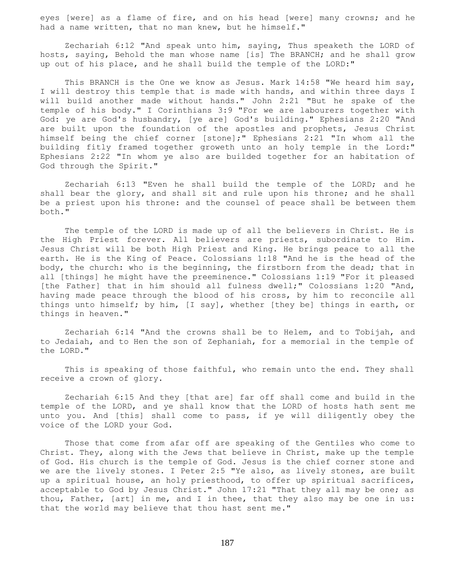eyes [were] as a flame of fire, and on his head [were] many crowns; and he had a name written, that no man knew, but he himself."

 Zechariah 6:12 "And speak unto him, saying, Thus speaketh the LORD of hosts, saying, Behold the man whose name [is] The BRANCH; and he shall grow up out of his place, and he shall build the temple of the LORD:"

This BRANCH is the One we know as Jesus. Mark  $14:58$  "We heard him say, I will destroy this temple that is made with hands, and within three days I will build another made without hands." John 2:21 "But he spake of the temple of his body." I Corinthians 3:9 "For we are labourers together with God: ye are God's husbandry, [ye are] God's building." Ephesians 2:20 "And are built upon the foundation of the apostles and prophets, Jesus Christ himself being the chief corner [stone];" Ephesians 2:21 "In whom all the building fitly framed together groweth unto an holy temple in the Lord:" Ephesians 2:22 "In whom ye also are builded together for an habitation of God through the Spirit."

 Zechariah 6:13 "Even he shall build the temple of the LORD; and he shall bear the glory, and shall sit and rule upon his throne; and he shall be a priest upon his throne: and the counsel of peace shall be between them both."

 The temple of the LORD is made up of all the believers in Christ. He is the High Priest forever. All believers are priests, subordinate to Him. Jesus Christ will be both High Priest and King. He brings peace to all the earth. He is the King of Peace. Colossians 1:18 "And he is the head of the body, the church: who is the beginning, the firstborn from the dead; that in all [things] he might have the preeminence." Colossians 1:19 "For it pleased [the Father] that in him should all fulness dwell;" Colossians 1:20 "And, having made peace through the blood of his cross, by him to reconcile all things unto himself; by him, [I say], whether [they be] things in earth, or things in heaven."

 Zechariah 6:14 "And the crowns shall be to Helem, and to Tobijah, and to Jedaiah, and to Hen the son of Zephaniah, for a memorial in the temple of the LORD."

 This is speaking of those faithful, who remain unto the end. They shall receive a crown of glory.

 Zechariah 6:15 And they [that are] far off shall come and build in the temple of the LORD, and ye shall know that the LORD of hosts hath sent me unto you. And [this] shall come to pass, if ye will diligently obey the voice of the LORD your God.

 Those that come from afar off are speaking of the Gentiles who come to Christ. They, along with the Jews that believe in Christ, make up the temple of God. His church is the temple of God. Jesus is the chief corner stone and we are the lively stones. I Peter 2:5 "Ye also, as lively stones, are built up a spiritual house, an holy priesthood, to offer up spiritual sacrifices, acceptable to God by Jesus Christ." John 17:21 "That they all may be one; as thou, Father, [art] in me, and I in thee, that they also may be one in us: that the world may believe that thou hast sent me."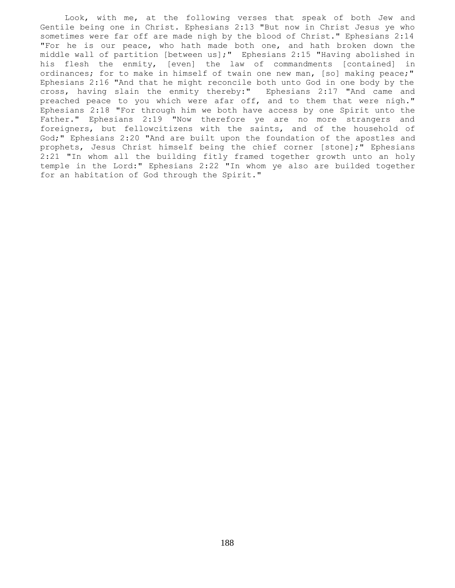Look, with me, at the following verses that speak of both Jew and Gentile being one in Christ. Ephesians 2:13 "But now in Christ Jesus ye who sometimes were far off are made nigh by the blood of Christ." Ephesians 2:14 "For he is our peace, who hath made both one, and hath broken down the middle wall of partition [between us];" Ephesians 2:15 "Having abolished in his flesh the enmity, [even] the law of commandments [contained] in ordinances; for to make in himself of twain one new man, [so] making peace;" Ephesians 2:16 "And that he might reconcile both unto God in one body by the cross, having slain the enmity thereby:" Ephesians 2:17 "And came and preached peace to you which were afar off, and to them that were nigh." Ephesians 2:18 "For through him we both have access by one Spirit unto the Father." Ephesians 2:19 "Now therefore ye are no more strangers and foreigners, but fellowcitizens with the saints, and of the household of God;" Ephesians 2:20 "And are built upon the foundation of the apostles and prophets, Jesus Christ himself being the chief corner [stone];" Ephesians 2:21 "In whom all the building fitly framed together growth unto an holy temple in the Lord:" Ephesians 2:22 "In whom ye also are builded together for an habitation of God through the Spirit."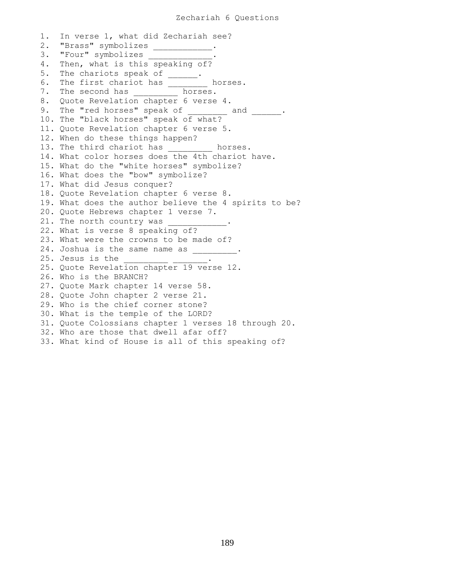1. In verse 1, what did Zechariah see? 2. "Brass" symbolizes \_\_\_\_\_\_\_\_\_\_\_\_. 3. "Four" symbolizes \_\_\_\_\_\_\_\_\_\_\_\_\_ 4. Then, what is this speaking of? 5. The chariots speak of \_\_\_\_\_\_. 6. The first chariot has horses. 7. The second has \_\_\_\_\_\_\_\_\_ horses. 8. Quote Revelation chapter 6 verse 4. 9. The "red horses" speak of \_\_\_\_\_\_\_ and \_\_\_\_\_. 10. The "black horses" speak of what? 11. Quote Revelation chapter 6 verse 5. 12. When do these things happen? 13. The third chariot has \_\_\_\_\_\_\_\_\_\_ horses. 14. What color horses does the 4th chariot have. 15. What do the "white horses" symbolize? 16. What does the "bow" symbolize? 17. What did Jesus conquer? 18. Quote Revelation chapter 6 verse 8. 19. What does the author believe the 4 spirits to be? 20. Quote Hebrews chapter 1 verse 7. 21. The north country was \_\_\_\_\_\_\_ 22. What is verse 8 speaking of? 23. What were the crowns to be made of? 24. Joshua is the same name as \_\_\_\_\_\_\_\_\_. 25. Jesus is the \_\_\_\_\_\_\_\_\_ \_\_\_ 25. Quote Revelation chapter 19 verse 12. 26. Who is the BRANCH? 27. Quote Mark chapter 14 verse 58. 28. Quote John chapter 2 verse 21. 29. Who is the chief corner stone? 30. What is the temple of the LORD? 31. Quote Colossians chapter 1 verses 18 through 20. 32. Who are those that dwell afar off? 33. What kind of House is all of this speaking of?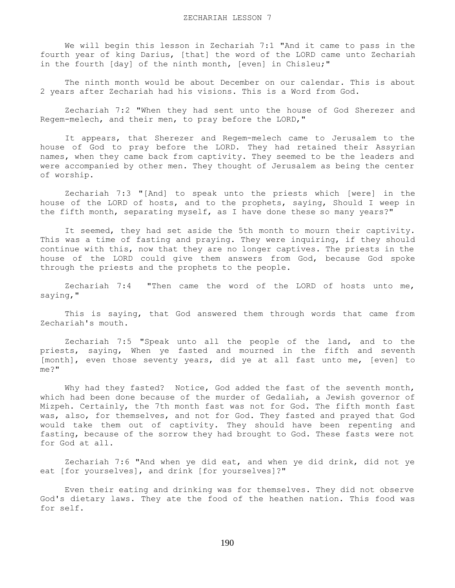We will begin this lesson in Zechariah 7:1 "And it came to pass in the fourth year of king Darius, [that] the word of the LORD came unto Zechariah in the fourth [day] of the ninth month, [even] in Chisleu;"

 The ninth month would be about December on our calendar. This is about 2 years after Zechariah had his visions. This is a Word from God.

 Zechariah 7:2 "When they had sent unto the house of God Sherezer and Regem-melech, and their men, to pray before the LORD,"

 It appears, that Sherezer and Regem-melech came to Jerusalem to the house of God to pray before the LORD. They had retained their Assyrian names, when they came back from captivity. They seemed to be the leaders and were accompanied by other men. They thought of Jerusalem as being the center of worship.

 Zechariah 7:3 "[And] to speak unto the priests which [were] in the house of the LORD of hosts, and to the prophets, saying, Should I weep in the fifth month, separating myself, as I have done these so many years?"

 It seemed, they had set aside the 5th month to mourn their captivity. This was a time of fasting and praying. They were inquiring, if they should continue with this, now that they are no longer captives. The priests in the house of the LORD could give them answers from God, because God spoke through the priests and the prophets to the people.

 Zechariah 7:4 "Then came the word of the LORD of hosts unto me, saying,"

 This is saying, that God answered them through words that came from Zechariah's mouth.

 Zechariah 7:5 "Speak unto all the people of the land, and to the priests, saying, When ye fasted and mourned in the fifth and seventh [month], even those seventy years, did ye at all fast unto me, [even] to me?"

Why had they fasted? Notice, God added the fast of the seventh month, which had been done because of the murder of Gedaliah, a Jewish governor of Mizpeh. Certainly, the 7th month fast was not for God. The fifth month fast was, also, for themselves, and not for God. They fasted and prayed that God would take them out of captivity. They should have been repenting and fasting, because of the sorrow they had brought to God. These fasts were not for God at all.

 Zechariah 7:6 "And when ye did eat, and when ye did drink, did not ye eat [for yourselves], and drink [for yourselves]?"

 Even their eating and drinking was for themselves. They did not observe God's dietary laws. They ate the food of the heathen nation. This food was for self.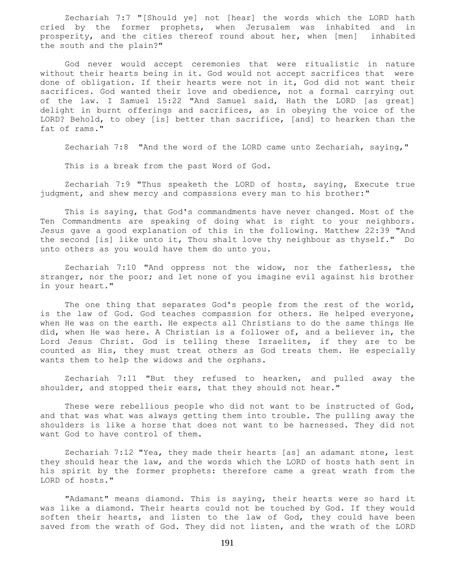Zechariah 7:7 "[Should ye] not [hear] the words which the LORD hath cried by the former prophets, when Jerusalem was inhabited and in prosperity, and the cities thereof round about her, when [men] inhabited the south and the plain?"

 God never would accept ceremonies that were ritualistic in nature without their hearts being in it. God would not accept sacrifices that were done of obligation. If their hearts were not in it, God did not want their sacrifices. God wanted their love and obedience, not a formal carrying out of the law. I Samuel 15:22 "And Samuel said, Hath the LORD [as great] delight in burnt offerings and sacrifices, as in obeying the voice of the LORD? Behold, to obey [is] better than sacrifice, [and] to hearken than the fat of rams."

Zechariah 7:8 "And the word of the LORD came unto Zechariah, saying,"

This is a break from the past Word of God.

 Zechariah 7:9 "Thus speaketh the LORD of hosts, saying, Execute true judgment, and shew mercy and compassions every man to his brother:"

 This is saying, that God's commandments have never changed. Most of the Ten Commandments are speaking of doing what is right to your neighbors. Jesus gave a good explanation of this in the following. Matthew 22:39 "And the second [is] like unto it, Thou shalt love thy neighbour as thyself." Do unto others as you would have them do unto you.

 Zechariah 7:10 "And oppress not the widow, nor the fatherless, the stranger, nor the poor; and let none of you imagine evil against his brother in your heart."

 The one thing that separates God's people from the rest of the world, is the law of God. God teaches compassion for others. He helped everyone, when He was on the earth. He expects all Christians to do the same things He did, when He was here. A Christian is a follower of, and a believer in, the Lord Jesus Christ. God is telling these Israelites, if they are to be counted as His, they must treat others as God treats them. He especially wants them to help the widows and the orphans.

 Zechariah 7:11 "But they refused to hearken, and pulled away the shoulder, and stopped their ears, that they should not hear."

 These were rebellious people who did not want to be instructed of God, and that was what was always getting them into trouble. The pulling away the shoulders is like a horse that does not want to be harnessed. They did not want God to have control of them.

 Zechariah 7:12 "Yea, they made their hearts [as] an adamant stone, lest they should hear the law, and the words which the LORD of hosts hath sent in his spirit by the former prophets: therefore came a great wrath from the LORD of hosts."

 "Adamant" means diamond. This is saying, their hearts were so hard it was like a diamond. Their hearts could not be touched by God. If they would soften their hearts, and listen to the law of God, they could have been saved from the wrath of God. They did not listen, and the wrath of the LORD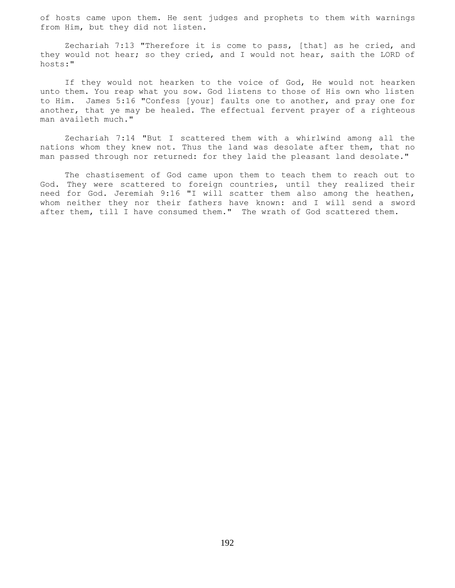of hosts came upon them. He sent judges and prophets to them with warnings from Him, but they did not listen.

 Zechariah 7:13 "Therefore it is come to pass, [that] as he cried, and they would not hear; so they cried, and I would not hear, saith the LORD of hosts:"

 If they would not hearken to the voice of God, He would not hearken unto them. You reap what you sow. God listens to those of His own who listen to Him. James 5:16 "Confess [your] faults one to another, and pray one for another, that ye may be healed. The effectual fervent prayer of a righteous man availeth much."

 Zechariah 7:14 "But I scattered them with a whirlwind among all the nations whom they knew not. Thus the land was desolate after them, that no man passed through nor returned: for they laid the pleasant land desolate."

 The chastisement of God came upon them to teach them to reach out to God. They were scattered to foreign countries, until they realized their need for God. Jeremiah 9:16 "I will scatter them also among the heathen, whom neither they nor their fathers have known: and I will send a sword after them, till I have consumed them." The wrath of God scattered them.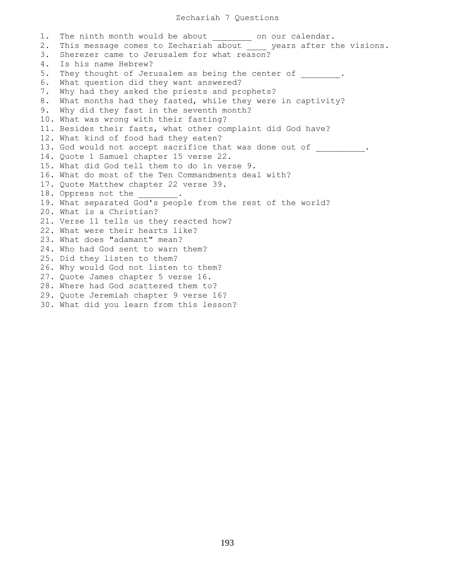1. The ninth month would be about \_\_\_\_\_\_\_\_\_ on our calendar. 2. This message comes to Zechariah about \_\_\_\_\_ years after the visions. 3. Sherezer came to Jerusalem for what reason? 4. Is his name Hebrew? 5. They thought of Jerusalem as being the center of  $\cdot$ 6. What question did they want answered? 7. Why had they asked the priests and prophets? 8. What months had they fasted, while they were in captivity? 9. Why did they fast in the seventh month? 10. What was wrong with their fasting? 11. Besides their fasts, what other complaint did God have? 12. What kind of food had they eaten? 13. God would not accept sacrifice that was done out of . 14. Quote 1 Samuel chapter 15 verse 22. 15. What did God tell them to do in verse 9. 16. What do most of the Ten Commandments deal with? 17. Quote Matthew chapter 22 verse 39. 18. Oppress not the 19. What separated God's people from the rest of the world? 20. What is a Christian? 21. Verse 11 tells us they reacted how? 22. What were their hearts like? 23. What does "adamant" mean? 24. Who had God sent to warn them? 25. Did they listen to them? 26. Why would God not listen to them? 27. Quote James chapter 5 verse 16. 28. Where had God scattered them to? 29. Quote Jeremiah chapter 9 verse 16? 30. What did you learn from this lesson?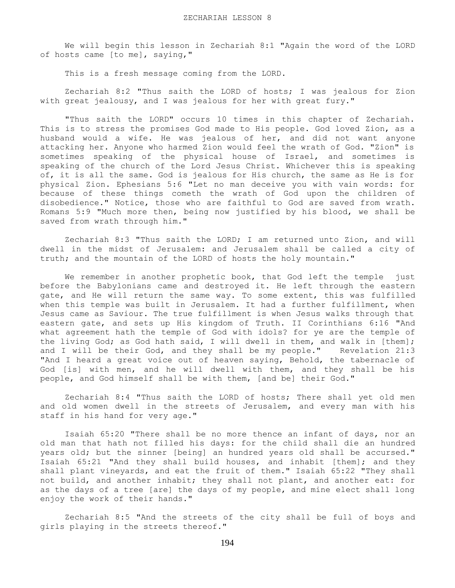We will begin this lesson in Zechariah 8:1 "Again the word of the LORD of hosts came [to me], saying,"

This is a fresh message coming from the LORD.

 Zechariah 8:2 "Thus saith the LORD of hosts; I was jealous for Zion with great jealousy, and I was jealous for her with great fury."

 "Thus saith the LORD" occurs 10 times in this chapter of Zechariah. This is to stress the promises God made to His people. God loved Zion, as a husband would a wife. He was jealous of her, and did not want anyone attacking her. Anyone who harmed Zion would feel the wrath of God. "Zion" is sometimes speaking of the physical house of Israel, and sometimes is speaking of the church of the Lord Jesus Christ. Whichever this is speaking of, it is all the same. God is jealous for His church, the same as He is for physical Zion. Ephesians 5:6 "Let no man deceive you with vain words: for because of these things cometh the wrath of God upon the children of disobedience." Notice, those who are faithful to God are saved from wrath. Romans 5:9 "Much more then, being now justified by his blood, we shall be saved from wrath through him."

 Zechariah 8:3 "Thus saith the LORD; I am returned unto Zion, and will dwell in the midst of Jerusalem: and Jerusalem shall be called a city of truth; and the mountain of the LORD of hosts the holy mountain."

We remember in another prophetic book, that God left the temple just before the Babylonians came and destroyed it. He left through the eastern gate, and He will return the same way. To some extent, this was fulfilled when this temple was built in Jerusalem. It had a further fulfillment, when Jesus came as Saviour. The true fulfillment is when Jesus walks through that eastern gate, and sets up His kingdom of Truth. II Corinthians 6:16 "And what agreement hath the temple of God with idols? for ye are the temple of the living God; as God hath said, I will dwell in them, and walk in [them]; and I will be their God, and they shall be my people." Revelation 21:3 "And I heard a great voice out of heaven saying, Behold, the tabernacle of God [is] with men, and he will dwell with them, and they shall be his people, and God himself shall be with them, [and be] their God."

 Zechariah 8:4 "Thus saith the LORD of hosts; There shall yet old men and old women dwell in the streets of Jerusalem, and every man with his staff in his hand for very age."

 Isaiah 65:20 "There shall be no more thence an infant of days, nor an old man that hath not filled his days: for the child shall die an hundred years old; but the sinner [being] an hundred years old shall be accursed." Isaiah 65:21 "And they shall build houses, and inhabit [them]; and they shall plant vineyards, and eat the fruit of them." Isaiah 65:22 "They shall not build, and another inhabit; they shall not plant, and another eat: for as the days of a tree [are] the days of my people, and mine elect shall long enjoy the work of their hands."

 Zechariah 8:5 "And the streets of the city shall be full of boys and girls playing in the streets thereof."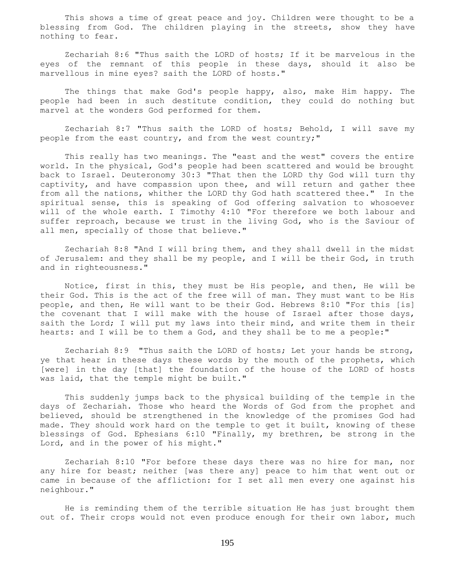This shows a time of great peace and joy. Children were thought to be a blessing from God. The children playing in the streets, show they have nothing to fear.

 Zechariah 8:6 "Thus saith the LORD of hosts; If it be marvelous in the eyes of the remnant of this people in these days, should it also be marvellous in mine eyes? saith the LORD of hosts."

 The things that make God's people happy, also, make Him happy. The people had been in such destitute condition, they could do nothing but marvel at the wonders God performed for them.

 Zechariah 8:7 "Thus saith the LORD of hosts; Behold, I will save my people from the east country, and from the west country;"

 This really has two meanings. The "east and the west" covers the entire world. In the physical, God's people had been scattered and would be brought back to Israel. Deuteronomy 30:3 "That then the LORD thy God will turn thy captivity, and have compassion upon thee, and will return and gather thee from all the nations, whither the LORD thy God hath scattered thee." In the spiritual sense, this is speaking of God offering salvation to whosoever will of the whole earth. I Timothy 4:10 "For therefore we both labour and suffer reproach, because we trust in the living God, who is the Saviour of all men, specially of those that believe."

 Zechariah 8:8 "And I will bring them, and they shall dwell in the midst of Jerusalem: and they shall be my people, and I will be their God, in truth and in righteousness."

 Notice, first in this, they must be His people, and then, He will be their God. This is the act of the free will of man. They must want to be His people, and then, He will want to be their God. Hebrews 8:10 "For this [is] the covenant that I will make with the house of Israel after those days, saith the Lord; I will put my laws into their mind, and write them in their hearts: and I will be to them a God, and they shall be to me a people:"

 Zechariah 8:9 "Thus saith the LORD of hosts; Let your hands be strong, ye that hear in these days these words by the mouth of the prophets, which [were] in the day [that] the foundation of the house of the LORD of hosts was laid, that the temple might be built."

 This suddenly jumps back to the physical building of the temple in the days of Zechariah. Those who heard the Words of God from the prophet and believed, should be strengthened in the knowledge of the promises God had made. They should work hard on the temple to get it built, knowing of these blessings of God. Ephesians 6:10 "Finally, my brethren, be strong in the Lord, and in the power of his might."

 Zechariah 8:10 "For before these days there was no hire for man, nor any hire for beast; neither [was there any] peace to him that went out or came in because of the affliction: for I set all men every one against his neighbour."

 He is reminding them of the terrible situation He has just brought them out of. Their crops would not even produce enough for their own labor, much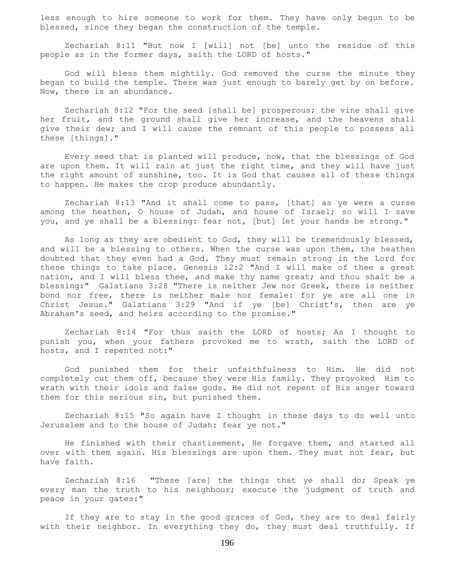less enough to hire someone to work for them. They have only begun to be blessed, since they began the construction of the temple.

 Zechariah 8:11 "But now I [will] not [be] unto the residue of this people as in the former days, saith the LORD of hosts."

 God will bless them mightily. God removed the curse the minute they began to build the temple. There was just enough to barely get by on before. Now, there is an abundance.

 Zechariah 8:12 "For the seed [shall be] prosperous; the vine shall give her fruit, and the ground shall give her increase, and the heavens shall give their dew; and I will cause the remnant of this people to possess all these [things]."

 Every seed that is planted will produce, now, that the blessings of God are upon them. It will rain at just the right time, and they will have just the right amount of sunshine, too. It is God that causes all of these things to happen. He makes the crop produce abundantly.

 Zechariah 8:13 "And it shall come to pass, [that] as ye were a curse among the heathen, O house of Judah, and house of Israel; so will I save you, and ye shall be a blessing: fear not, [but] let your hands be strong."

 As long as they are obedient to God, they will be tremendously blessed, and will be a blessing to others. When the curse was upon them, the heathen doubted that they even had a God. They must remain strong in the Lord for these things to take place. Genesis 12:2 "And I will make of thee a great nation, and I will bless thee, and make thy name great; and thou shalt be a blessing:" Galatians 3:28 "There is neither Jew nor Greek, there is neither bond nor free, there is neither male nor female: for ye are all one in Christ Jesus." Galatians 3:29 "And if ye [be] Christ's, then are ye Abraham's seed, and heirs according to the promise."

 Zechariah 8:14 "For thus saith the LORD of hosts; As I thought to punish you, when your fathers provoked me to wrath, saith the LORD of hosts, and I repented not:"

 God punished them for their unfaithfulness to Him. He did not completely cut them off, because they were His family. They provoked Him to wrath with their idols and false gods. He did not repent of His anger toward them for this serious sin, but punished them.

 Zechariah 8:15 "So again have I thought in these days to do well unto Jerusalem and to the house of Judah: fear ye not."

 He finished with their chastisement, He forgave them, and started all over with them again. His blessings are upon them. They must not fear, but have faith.

 Zechariah 8:16 "These [are] the things that ye shall do; Speak ye every man the truth to his neighbour; execute the judgment of truth and peace in your gates:"

 If they are to stay in the good graces of God, they are to deal fairly with their neighbor. In everything they do, they must deal truthfully. If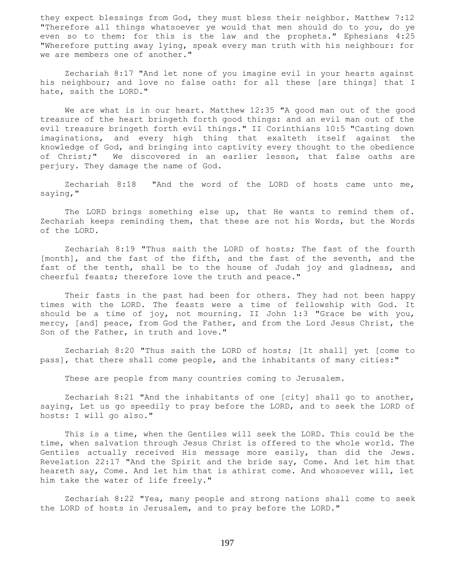they expect blessings from God, they must bless their neighbor. Matthew 7:12 "Therefore all things whatsoever ye would that men should do to you, do ye even so to them: for this is the law and the prophets." Ephesians 4:25 "Wherefore putting away lying, speak every man truth with his neighbour: for we are members one of another."

 Zechariah 8:17 "And let none of you imagine evil in your hearts against his neighbour; and love no false oath: for all these [are things] that I hate, saith the LORD."

 We are what is in our heart. Matthew 12:35 "A good man out of the good treasure of the heart bringeth forth good things: and an evil man out of the evil treasure bringeth forth evil things." II Corinthians 10:5 "Casting down imaginations, and every high thing that exalteth itself against the knowledge of God, and bringing into captivity every thought to the obedience of Christ;" We discovered in an earlier lesson, that false oaths are perjury. They damage the name of God.

 Zechariah 8:18 "And the word of the LORD of hosts came unto me, saying,"

The LORD brings something else up, that He wants to remind them of. Zechariah keeps reminding them, that these are not his Words, but the Words of the LORD.

 Zechariah 8:19 "Thus saith the LORD of hosts; The fast of the fourth [month], and the fast of the fifth, and the fast of the seventh, and the fast of the tenth, shall be to the house of Judah joy and gladness, and cheerful feasts; therefore love the truth and peace."

 Their fasts in the past had been for others. They had not been happy times with the LORD. The feasts were a time of fellowship with God. It should be a time of joy, not mourning. II John 1:3 "Grace be with you, mercy, [and] peace, from God the Father, and from the Lord Jesus Christ, the Son of the Father, in truth and love."

 Zechariah 8:20 "Thus saith the LORD of hosts; [It shall] yet [come to pass], that there shall come people, and the inhabitants of many cities:"

These are people from many countries coming to Jerusalem.

 Zechariah 8:21 "And the inhabitants of one [city] shall go to another, saying, Let us go speedily to pray before the LORD, and to seek the LORD of hosts: I will go also."

 This is a time, when the Gentiles will seek the LORD. This could be the time, when salvation through Jesus Christ is offered to the whole world. The Gentiles actually received His message more easily, than did the Jews. Revelation 22:17 "And the Spirit and the bride say, Come. And let him that heareth say, Come. And let him that is athirst come. And whosoever will, let him take the water of life freely."

 Zechariah 8:22 "Yea, many people and strong nations shall come to seek the LORD of hosts in Jerusalem, and to pray before the LORD."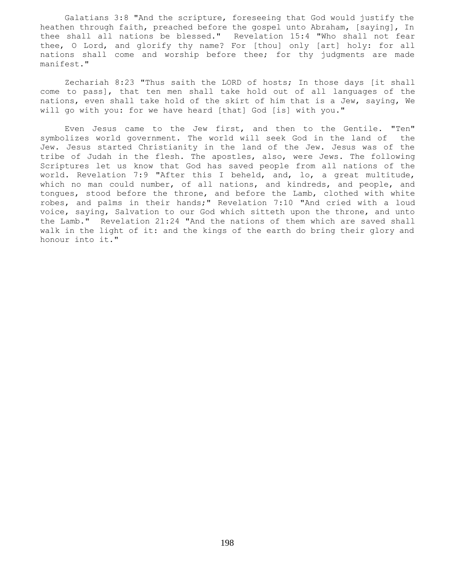Galatians 3:8 "And the scripture, foreseeing that God would justify the heathen through faith, preached before the gospel unto Abraham, [saying], In thee shall all nations be blessed." Revelation 15:4 "Who shall not fear thee, O Lord, and glorify thy name? For [thou] only [art] holy: for all nations shall come and worship before thee; for thy judgments are made manifest."

 Zechariah 8:23 "Thus saith the LORD of hosts; In those days [it shall come to pass], that ten men shall take hold out of all languages of the nations, even shall take hold of the skirt of him that is a Jew, saying, We will go with you: for we have heard [that] God [is] with you."

 Even Jesus came to the Jew first, and then to the Gentile. "Ten" symbolizes world government. The world will seek God in the land of the Jew. Jesus started Christianity in the land of the Jew. Jesus was of the tribe of Judah in the flesh. The apostles, also, were Jews. The following Scriptures let us know that God has saved people from all nations of the world. Revelation 7:9 "After this I beheld, and, lo, a great multitude, which no man could number, of all nations, and kindreds, and people, and tongues, stood before the throne, and before the Lamb, clothed with white robes, and palms in their hands;" Revelation 7:10 "And cried with a loud voice, saying, Salvation to our God which sitteth upon the throne, and unto the Lamb." Revelation 21:24 "And the nations of them which are saved shall walk in the light of it: and the kings of the earth do bring their glory and honour into it."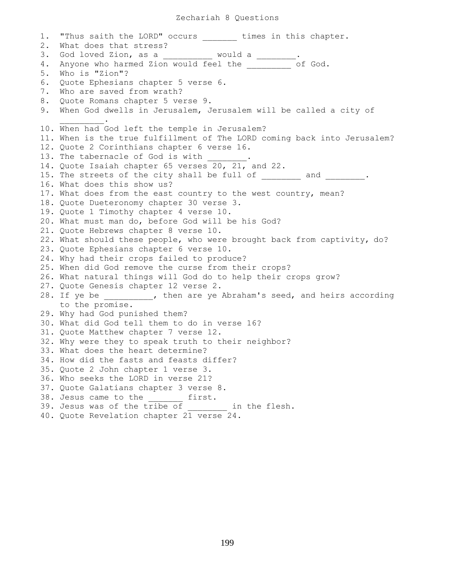## Zechariah 8 Questions

1. "Thus saith the LORD" occurs times in this chapter. 2. What does that stress? 3. God loved Zion, as a \_\_\_\_\_\_\_\_\_\_ would a \_\_\_\_\_\_\_. 4. Anyone who harmed Zion would feel the 1992 of God. 5. Who is "Zion"? 6. Quote Ephesians chapter 5 verse 6. 7. Who are saved from wrath? 8. Quote Romans chapter 5 verse 9. 9. When God dwells in Jerusalem, Jerusalem will be called a city of  $\mathcal{L}=\mathcal{L}^{\mathcal{L}}$ 10. When had God left the temple in Jerusalem? 11. When is the true fulfillment of The LORD coming back into Jerusalem? 12. Quote 2 Corinthians chapter 6 verse 16. 13. The tabernacle of God is with 14. Quote Isaiah chapter 65 verses 20, 21, and 22. 15. The streets of the city shall be full of \_\_\_\_\_\_\_\_ and \_\_\_\_\_\_\_\_. 16. What does this show us? 17. What does from the east country to the west country, mean? 18. Quote Dueteronomy chapter 30 verse 3. 19. Quote 1 Timothy chapter 4 verse 10. 20. What must man do, before God will be his God? 21. Quote Hebrews chapter 8 verse 10. 22. What should these people, who were brought back from captivity, do? 23. Quote Ephesians chapter 6 verse 10. 24. Why had their crops failed to produce? 25. When did God remove the curse from their crops? 26. What natural things will God do to help their crops grow? 27. Quote Genesis chapter 12 verse 2. 28. If ye be \_\_\_\_\_\_\_\_\_\_, then are ye Abraham's seed, and heirs according to the promise. 29. Why had God punished them? 30. What did God tell them to do in verse 16? 31. Quote Matthew chapter 7 verse 12. 32. Why were they to speak truth to their neighbor? 33. What does the heart determine? 34. How did the fasts and feasts differ? 35. Quote 2 John chapter 1 verse 3. 36. Who seeks the LORD in verse 21? 37. Quote Galatians chapter 3 verse 8. 38. Jesus came to the first. 39. Jesus was of the tribe of  $\qquad$  in the flesh. 40. Quote Revelation chapter 21 verse 24.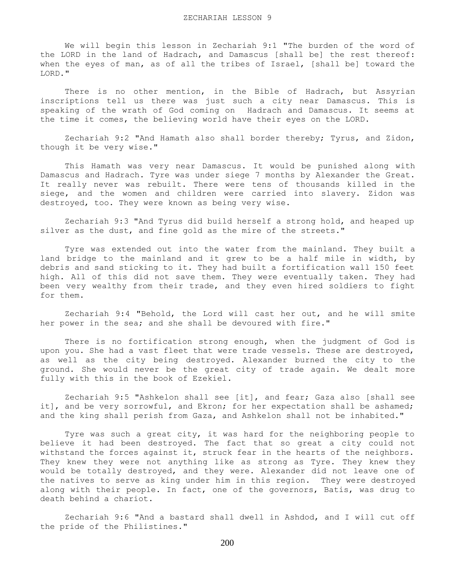We will begin this lesson in Zechariah 9:1 "The burden of the word of the LORD in the land of Hadrach, and Damascus [shall be] the rest thereof: when the eyes of man, as of all the tribes of Israel, [shall be] toward the LORD."

 There is no other mention, in the Bible of Hadrach, but Assyrian inscriptions tell us there was just such a city near Damascus. This is speaking of the wrath of God coming on Hadrach and Damascus. It seems at the time it comes, the believing world have their eyes on the LORD.

 Zechariah 9:2 "And Hamath also shall border thereby; Tyrus, and Zidon, though it be very wise."

 This Hamath was very near Damascus. It would be punished along with Damascus and Hadrach. Tyre was under siege 7 months by Alexander the Great. It really never was rebuilt. There were tens of thousands killed in the siege, and the women and children were carried into slavery. Zidon was destroyed, too. They were known as being very wise.

 Zechariah 9:3 "And Tyrus did build herself a strong hold, and heaped up silver as the dust, and fine gold as the mire of the streets."

 Tyre was extended out into the water from the mainland. They built a land bridge to the mainland and it grew to be a half mile in width, by debris and sand sticking to it. They had built a fortification wall 150 feet high. All of this did not save them. They were eventually taken. They had been very wealthy from their trade, and they even hired soldiers to fight for them.

 Zechariah 9:4 "Behold, the Lord will cast her out, and he will smite her power in the sea; and she shall be devoured with fire."

There is no fortification strong enough, when the judgment of God is upon you. She had a vast fleet that were trade vessels. These are destroyed, as well as the city being destroyed. Alexander burned the city to the ground. She would never be the great city of trade again. We dealt more fully with this in the book of Ezekiel.

 Zechariah 9:5 "Ashkelon shall see [it], and fear; Gaza also [shall see it], and be very sorrowful, and Ekron; for her expectation shall be ashamed; and the king shall perish from Gaza, and Ashkelon shall not be inhabited."

 Tyre was such a great city, it was hard for the neighboring people to believe it had been destroyed. The fact that so great a city could not withstand the forces against it, struck fear in the hearts of the neighbors. They knew they were not anything like as strong as Tyre. They knew they would be totally destroyed, and they were. Alexander did not leave one of the natives to serve as king under him in this region. They were destroyed along with their people. In fact, one of the governors, Batis, was drug to death behind a chariot.

 Zechariah 9:6 "And a bastard shall dwell in Ashdod, and I will cut off the pride of the Philistines."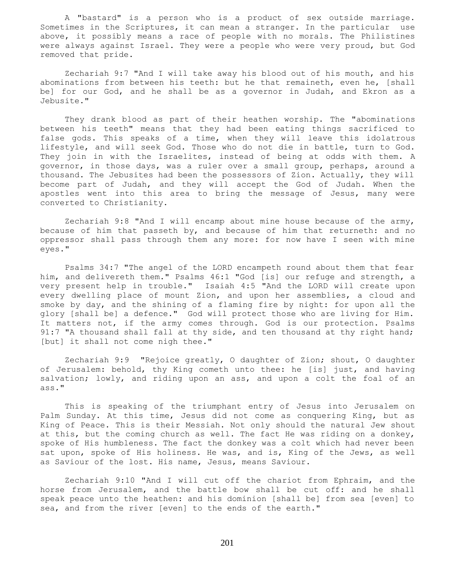A "bastard" is a person who is a product of sex outside marriage. Sometimes in the Scriptures, it can mean a stranger. In the particular use above, it possibly means a race of people with no morals. The Philistines were always against Israel. They were a people who were very proud, but God removed that pride.

 Zechariah 9:7 "And I will take away his blood out of his mouth, and his abominations from between his teeth: but he that remaineth, even he, [shall be] for our God, and he shall be as a governor in Judah, and Ekron as a Jebusite."

 They drank blood as part of their heathen worship. The "abominations between his teeth" means that they had been eating things sacrificed to false gods. This speaks of a time, when they will leave this idolatrous lifestyle, and will seek God. Those who do not die in battle, turn to God. They join in with the Israelites, instead of being at odds with them. A governor, in those days, was a ruler over a small group, perhaps, around a thousand. The Jebusites had been the possessors of Zion. Actually, they will become part of Judah, and they will accept the God of Judah. When the apostles went into this area to bring the message of Jesus, many were converted to Christianity.

 Zechariah 9:8 "And I will encamp about mine house because of the army, because of him that passeth by, and because of him that returneth: and no oppressor shall pass through them any more: for now have I seen with mine eyes."

 Psalms 34:7 "The angel of the LORD encampeth round about them that fear him, and delivereth them." Psalms 46:1 "God [is] our refuge and strength, a very present help in trouble." Isaiah 4:5 "And the LORD will create upon every dwelling place of mount Zion, and upon her assemblies, a cloud and smoke by day, and the shining of a flaming fire by night: for upon all the glory [shall be] a defence." God will protect those who are living for Him. It matters not, if the army comes through. God is our protection. Psalms 91:7 "A thousand shall fall at thy side, and ten thousand at thy right hand; [but] it shall not come nigh thee."

 Zechariah 9:9 "Rejoice greatly, O daughter of Zion; shout, O daughter of Jerusalem: behold, thy King cometh unto thee: he [is] just, and having salvation; lowly, and riding upon an ass, and upon a colt the foal of an ass."

 This is speaking of the triumphant entry of Jesus into Jerusalem on Palm Sunday. At this time, Jesus did not come as conquering King, but as King of Peace. This is their Messiah. Not only should the natural Jew shout at this, but the coming church as well. The fact He was riding on a donkey, spoke of His humbleness. The fact the donkey was a colt which had never been sat upon, spoke of His holiness. He was, and is, King of the Jews, as well as Saviour of the lost. His name, Jesus, means Saviour.

 Zechariah 9:10 "And I will cut off the chariot from Ephraim, and the horse from Jerusalem, and the battle bow shall be cut off: and he shall speak peace unto the heathen: and his dominion [shall be] from sea [even] to sea, and from the river [even] to the ends of the earth."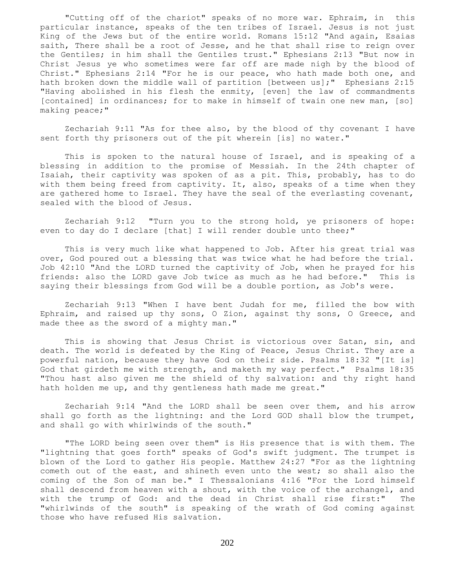"Cutting off of the chariot" speaks of no more war. Ephraim, in this particular instance, speaks of the ten tribes of Israel. Jesus is not just King of the Jews but of the entire world. Romans 15:12 "And again, Esaias saith, There shall be a root of Jesse, and he that shall rise to reign over the Gentiles; in him shall the Gentiles trust." Ephesians 2:13 "But now in Christ Jesus ye who sometimes were far off are made nigh by the blood of Christ." Ephesians 2:14 "For he is our peace, who hath made both one, and hath broken down the middle wall of partition [between us];" Ephesians 2:15 "Having abolished in his flesh the enmity, [even] the law of commandments [contained] in ordinances; for to make in himself of twain one new man, [so] making peace;"

 Zechariah 9:11 "As for thee also, by the blood of thy covenant I have sent forth thy prisoners out of the pit wherein [is] no water."

 This is spoken to the natural house of Israel, and is speaking of a blessing in addition to the promise of Messiah. In the 24th chapter of Isaiah, their captivity was spoken of as a pit. This, probably, has to do with them being freed from captivity. It, also, speaks of a time when they are gathered home to Israel. They have the seal of the everlasting covenant, sealed with the blood of Jesus.

 Zechariah 9:12 "Turn you to the strong hold, ye prisoners of hope: even to day do I declare [that] I will render double unto thee;"

 This is very much like what happened to Job. After his great trial was over, God poured out a blessing that was twice what he had before the trial. Job 42:10 "And the LORD turned the captivity of Job, when he prayed for his friends: also the LORD gave Job twice as much as he had before." This is saying their blessings from God will be a double portion, as Job's were.

 Zechariah 9:13 "When I have bent Judah for me, filled the bow with Ephraim, and raised up thy sons, O Zion, against thy sons, O Greece, and made thee as the sword of a mighty man."

 This is showing that Jesus Christ is victorious over Satan, sin, and death. The world is defeated by the King of Peace, Jesus Christ. They are a powerful nation, because they have God on their side. Psalms 18:32 "[It is] God that girdeth me with strength, and maketh my way perfect." Psalms 18:35 "Thou hast also given me the shield of thy salvation: and thy right hand hath holden me up, and thy gentleness hath made me great."

 Zechariah 9:14 "And the LORD shall be seen over them, and his arrow shall go forth as the lightning: and the Lord GOD shall blow the trumpet, and shall go with whirlwinds of the south."

 "The LORD being seen over them" is His presence that is with them. The "lightning that goes forth" speaks of God's swift judgment. The trumpet is blown of the Lord to gather His people. Matthew 24:27 "For as the lightning cometh out of the east, and shineth even unto the west; so shall also the coming of the Son of man be." I Thessalonians 4:16 "For the Lord himself shall descend from heaven with a shout, with the voice of the archangel, and with the trump of God: and the dead in Christ shall rise first:" The "whirlwinds of the south" is speaking of the wrath of God coming against those who have refused His salvation.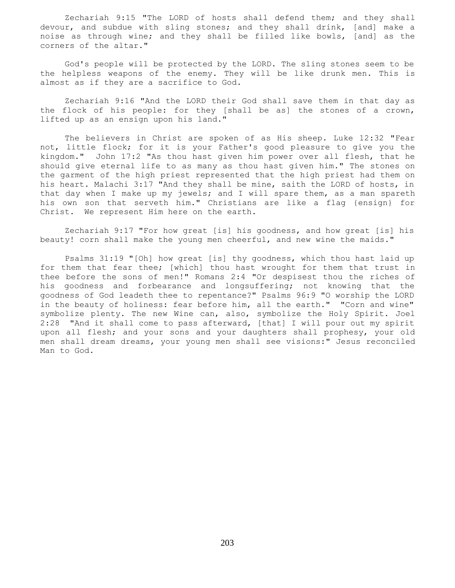Zechariah 9:15 "The LORD of hosts shall defend them; and they shall devour, and subdue with sling stones; and they shall drink, [and] make a noise as through wine; and they shall be filled like bowls, [and] as the corners of the altar."

 God's people will be protected by the LORD. The sling stones seem to be the helpless weapons of the enemy. They will be like drunk men. This is almost as if they are a sacrifice to God.

 Zechariah 9:16 "And the LORD their God shall save them in that day as the flock of his people: for they [shall be as] the stones of a crown, lifted up as an ensign upon his land."

 The believers in Christ are spoken of as His sheep. Luke 12:32 "Fear not, little flock; for it is your Father's good pleasure to give you the kingdom." John 17:2 "As thou hast given him power over all flesh, that he should give eternal life to as many as thou hast given him." The stones on the garment of the high priest represented that the high priest had them on his heart. Malachi 3:17 "And they shall be mine, saith the LORD of hosts, in that day when I make up my jewels; and I will spare them, as a man spareth his own son that serveth him." Christians are like a flag {ensign} for Christ. We represent Him here on the earth.

 Zechariah 9:17 "For how great [is] his goodness, and how great [is] his beauty! corn shall make the young men cheerful, and new wine the maids."

 Psalms 31:19 "[Oh] how great [is] thy goodness, which thou hast laid up for them that fear thee; [which] thou hast wrought for them that trust in thee before the sons of men!" Romans 2:4 "Or despisest thou the riches of his goodness and forbearance and longsuffering; not knowing that the goodness of God leadeth thee to repentance?" Psalms 96:9 "O worship the LORD in the beauty of holiness: fear before him, all the earth." "Corn and wine" symbolize plenty. The new Wine can, also, symbolize the Holy Spirit. Joel 2:28 "And it shall come to pass afterward, [that] I will pour out my spirit upon all flesh; and your sons and your daughters shall prophesy, your old men shall dream dreams, your young men shall see visions:" Jesus reconciled Man to God.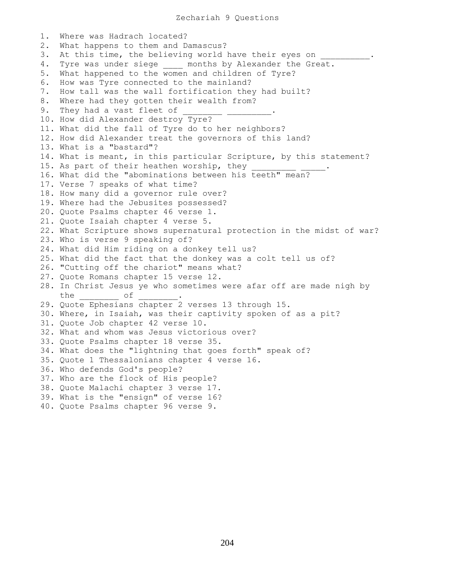Zechariah 9 Questions

1. Where was Hadrach located? 2. What happens to them and Damascus? 3. At this time, the believing world have their eyes on 4. Tyre was under siege \_\_\_\_ months by Alexander the Great. 5. What happened to the women and children of Tyre? 6. How was Tyre connected to the mainland? 7. How tall was the wall fortification they had built? 8. Where had they gotten their wealth from? 9. They had a vast fleet of 10. How did Alexander destroy Tyre? 11. What did the fall of Tyre do to her neighbors? 12. How did Alexander treat the governors of this land? 13. What is a "bastard"? 14. What is meant, in this particular Scripture, by this statement? 15. As part of their heathen worship, they 16. What did the "abominations between his teeth" mean? 17. Verse 7 speaks of what time? 18. How many did a governor rule over? 19. Where had the Jebusites possessed? 20. Quote Psalms chapter 46 verse 1. 21. Quote Isaiah chapter 4 verse 5. 22. What Scripture shows supernatural protection in the midst of war? 23. Who is verse 9 speaking of? 24. What did Him riding on a donkey tell us? 25. What did the fact that the donkey was a colt tell us of? 26. "Cutting off the chariot" means what? 27. Quote Romans chapter 15 verse 12. 28. In Christ Jesus ye who sometimes were afar off are made nigh by the of 29. Quote Ephesians chapter 2 verses 13 through 15. 30. Where, in Isaiah, was their captivity spoken of as a pit? 31. Quote Job chapter 42 verse 10. 32. What and whom was Jesus victorious over? 33. Quote Psalms chapter 18 verse 35. 34. What does the "lightning that goes forth" speak of? 35. Quote 1 Thessalonians chapter 4 verse 16. 36. Who defends God's people? 37. Who are the flock of His people? 38. Quote Malachi chapter 3 verse 17. 39. What is the "ensign" of verse 16? 40. Quote Psalms chapter 96 verse 9.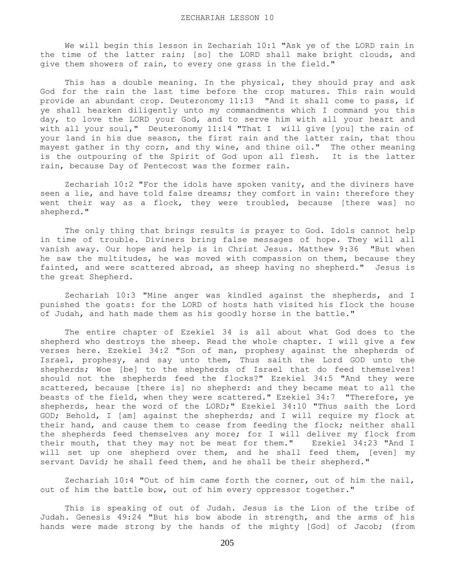We will begin this lesson in Zechariah 10:1 "Ask ye of the LORD rain in the time of the latter rain; [so] the LORD shall make bright clouds, and give them showers of rain, to every one grass in the field."

This has a double meaning. In the physical, they should pray and ask God for the rain the last time before the crop matures. This rain would provide an abundant crop. Deuteronomy 11:13 "And it shall come to pass, if ye shall hearken diligently unto my commandments which I command you this day, to love the LORD your God, and to serve him with all your heart and with all your soul," Deuteronomy 11:14 "That I will give [you] the rain of your land in his due season, the first rain and the latter rain, that thou mayest gather in thy corn, and thy wine, and thine oil." The other meaning is the outpouring of the Spirit of God upon all flesh. It is the latter rain, because Day of Pentecost was the former rain.

 Zechariah 10:2 "For the idols have spoken vanity, and the diviners have seen a lie, and have told false dreams; they comfort in vain: therefore they went their way as a flock, they were troubled, because [there was] no shepherd."

 The only thing that brings results is prayer to God. Idols cannot help in time of trouble. Diviners bring false messages of hope. They will all vanish away. Our hope and help is in Christ Jesus. Matthew 9:36 "But when he saw the multitudes, he was moved with compassion on them, because they fainted, and were scattered abroad, as sheep having no shepherd." Jesus is the great Shepherd.

 Zechariah 10:3 "Mine anger was kindled against the shepherds, and I punished the goats: for the LORD of hosts hath visited his flock the house of Judah, and hath made them as his goodly horse in the battle."

 The entire chapter of Ezekiel 34 is all about what God does to the shepherd who destroys the sheep. Read the whole chapter. I will give a few verses here. Ezekiel 34:2 "Son of man, prophesy against the shepherds of Israel, prophesy, and say unto them, Thus saith the Lord GOD unto the shepherds; Woe [be] to the shepherds of Israel that do feed themselves! should not the shepherds feed the flocks?" Ezekiel 34:5 "And they were scattered, because [there is] no shepherd: and they became meat to all the beasts of the field, when they were scattered." Ezekiel 34:7 "Therefore, ye shepherds, hear the word of the LORD;" Ezekiel 34:10 "Thus saith the Lord GOD; Behold, I [am] against the shepherds; and I will require my flock at their hand, and cause them to cease from feeding the flock; neither shall the shepherds feed themselves any more; for I will deliver my flock from their mouth, that they may not be meat for them." Ezekiel 34:23 "And I will set up one shepherd over them, and he shall feed them, [even] my servant David; he shall feed them, and he shall be their shepherd."

 Zechariah 10:4 "Out of him came forth the corner, out of him the nail, out of him the battle bow, out of him every oppressor together."

 This is speaking of out of Judah. Jesus is the Lion of the tribe of Judah. Genesis 49:24 "But his bow abode in strength, and the arms of his hands were made strong by the hands of the mighty [God] of Jacob; (from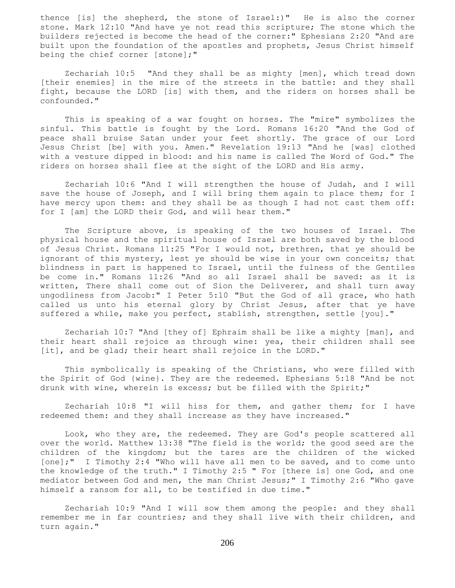thence [is] the shepherd, the stone of Israel:)" He is also the corner stone. Mark 12:10 "And have ye not read this scripture; The stone which the builders rejected is become the head of the corner:" Ephesians 2:20 "And are built upon the foundation of the apostles and prophets, Jesus Christ himself being the chief corner [stone];"

 Zechariah 10:5 "And they shall be as mighty [men], which tread down [their enemies] in the mire of the streets in the battle: and they shall fight, because the LORD [is] with them, and the riders on horses shall be confounded."

 This is speaking of a war fought on horses. The "mire" symbolizes the sinful. This battle is fought by the Lord. Romans 16:20 "And the God of peace shall bruise Satan under your feet shortly. The grace of our Lord Jesus Christ [be] with you. Amen." Revelation 19:13 "And he [was] clothed with a vesture dipped in blood: and his name is called The Word of God." The riders on horses shall flee at the sight of the LORD and His army.

 Zechariah 10:6 "And I will strengthen the house of Judah, and I will save the house of Joseph, and I will bring them again to place them; for I have mercy upon them: and they shall be as though I had not cast them off: for I [am] the LORD their God, and will hear them."

 The Scripture above, is speaking of the two houses of Israel. The physical house and the spiritual house of Israel are both saved by the blood of Jesus Christ. Romans 11:25 "For I would not, brethren, that ye should be ignorant of this mystery, lest ye should be wise in your own conceits; that blindness in part is happened to Israel, until the fulness of the Gentiles be come in." Romans 11:26 "And so all Israel shall be saved: as it is written, There shall come out of Sion the Deliverer, and shall turn away ungodliness from Jacob:" I Peter 5:10 "But the God of all grace, who hath called us unto his eternal glory by Christ Jesus, after that ye have suffered a while, make you perfect, stablish, strengthen, settle [you]."

 Zechariah 10:7 "And [they of] Ephraim shall be like a mighty [man], and their heart shall rejoice as through wine: yea, their children shall see [it], and be glad; their heart shall rejoice in the LORD."

 This symbolically is speaking of the Christians, who were filled with the Spirit of God {wine}. They are the redeemed. Ephesians 5:18 "And be not drunk with wine, wherein is excess; but be filled with the Spirit;"

 Zechariah 10:8 "I will hiss for them, and gather them; for I have redeemed them: and they shall increase as they have increased."

 Look, who they are, the redeemed. They are God's people scattered all over the world. Matthew 13:38 "The field is the world; the good seed are the children of the kingdom; but the tares are the children of the wicked [one];" I Timothy 2:4 "Who will have all men to be saved, and to come unto the knowledge of the truth." I Timothy 2:5 " For [there is] one God, and one mediator between God and men, the man Christ Jesus;" I Timothy 2:6 "Who gave himself a ransom for all, to be testified in due time."

 Zechariah 10:9 "And I will sow them among the people: and they shall remember me in far countries; and they shall live with their children, and turn again."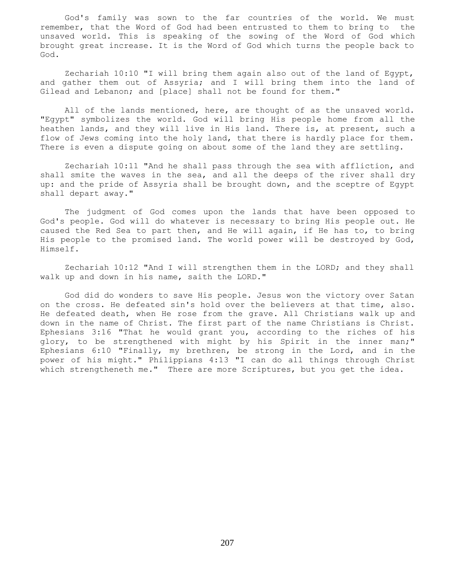God's family was sown to the far countries of the world. We must remember, that the Word of God had been entrusted to them to bring to the unsaved world. This is speaking of the sowing of the Word of God which brought great increase. It is the Word of God which turns the people back to God.

 Zechariah 10:10 "I will bring them again also out of the land of Egypt, and gather them out of Assyria; and I will bring them into the land of Gilead and Lebanon; and [place] shall not be found for them."

 All of the lands mentioned, here, are thought of as the unsaved world. "Egypt" symbolizes the world. God will bring His people home from all the heathen lands, and they will live in His land. There is, at present, such a flow of Jews coming into the holy land, that there is hardly place for them. There is even a dispute going on about some of the land they are settling.

 Zechariah 10:11 "And he shall pass through the sea with affliction, and shall smite the waves in the sea, and all the deeps of the river shall dry up: and the pride of Assyria shall be brought down, and the sceptre of Egypt shall depart away."

 The judgment of God comes upon the lands that have been opposed to God's people. God will do whatever is necessary to bring His people out. He caused the Red Sea to part then, and He will again, if He has to, to bring His people to the promised land. The world power will be destroyed by God, Himself.

 Zechariah 10:12 "And I will strengthen them in the LORD; and they shall walk up and down in his name, saith the LORD."

 God did do wonders to save His people. Jesus won the victory over Satan on the cross. He defeated sin's hold over the believers at that time, also. He defeated death, when He rose from the grave. All Christians walk up and down in the name of Christ. The first part of the name Christians is Christ. Ephesians 3:16 "That he would grant you, according to the riches of his glory, to be strengthened with might by his Spirit in the inner man;" Ephesians 6:10 "Finally, my brethren, be strong in the Lord, and in the power of his might." Philippians 4:13 "I can do all things through Christ which strengtheneth me." There are more Scriptures, but you get the idea.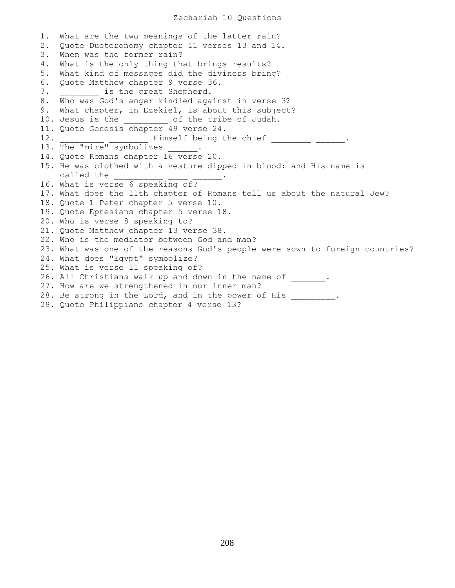Zechariah 10 Questions 1. What are the two meanings of the latter rain? 2. Quote Dueteronomy chapter 11 verses 13 and 14. 3. When was the former rain? 4. What is the only thing that brings results? 5. What kind of messages did the diviners bring? 6. Quote Matthew chapter 9 verse 36. 7. **Example 21 is the great Shepherd.** 8. Who was God's anger kindled against in verse 3? 9. What chapter, in Ezekiel, is about this subject? 10. Jesus is the \_\_\_\_\_\_\_\_\_ of the tribe of Judah. 11. Quote Genesis chapter 49 verse 24. 12. \_\_\_\_\_\_\_\_\_\_\_\_\_\_\_\_\_\_\_\_\_\_ Himself being the chief \_\_\_\_\_\_\_\_ \_\_\_\_\_\_. 13. The "mire" symbolizes \_\_\_\_\_. 14. Quote Romans chapter 16 verse 20. 15. He was clothed with a vesture dipped in blood: and His name is called the \_\_\_\_\_\_\_\_\_\_ \_\_\_\_ \_\_\_\_\_. 16. What is verse 6 speaking of? 17. What does the 11th chapter of Romans tell us about the natural Jew? 18. Quote 1 Peter chapter 5 verse 10. 19. Quote Ephesians chapter 5 verse 18. 20. Who is verse 8 speaking to? 21. Quote Matthew chapter 13 verse 38. 22. Who is the mediator between God and man? 23. What was one of the reasons God's people were sown to foreign countries? 24. What does "Egypt" symbolize? 25. What is verse 11 speaking of? 26. All Christians walk up and down in the name of  $\qquad \qquad$ . 27. How are we strengthened in our inner man? 28. Be strong in the Lord, and in the power of His \_\_\_\_\_\_\_. 29. Quote Philippians chapter 4 verse 13?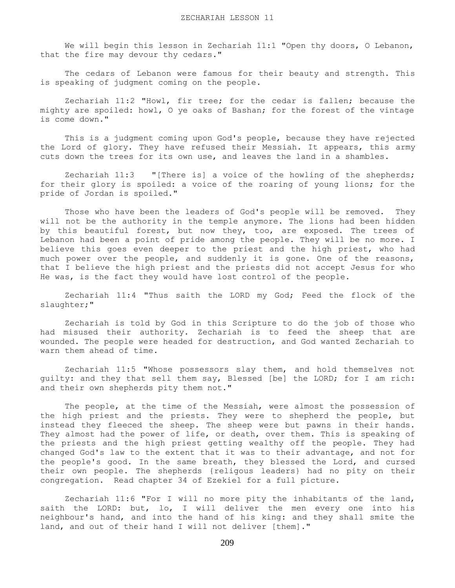We will begin this lesson in Zechariah 11:1 "Open thy doors, O Lebanon, that the fire may devour thy cedars."

 The cedars of Lebanon were famous for their beauty and strength. This is speaking of judgment coming on the people.

 Zechariah 11:2 "Howl, fir tree; for the cedar is fallen; because the mighty are spoiled: howl, O ye oaks of Bashan; for the forest of the vintage is come down."

 This is a judgment coming upon God's people, because they have rejected the Lord of glory. They have refused their Messiah. It appears, this army cuts down the trees for its own use, and leaves the land in a shambles.

 Zechariah 11:3 "[There is] a voice of the howling of the shepherds; for their glory is spoiled: a voice of the roaring of young lions; for the pride of Jordan is spoiled."

Those who have been the leaders of God's people will be removed. They will not be the authority in the temple anymore. The lions had been hidden by this beautiful forest, but now they, too, are exposed. The trees of Lebanon had been a point of pride among the people. They will be no more. I believe this goes even deeper to the priest and the high priest, who had much power over the people, and suddenly it is gone. One of the reasons, that I believe the high priest and the priests did not accept Jesus for who He was, is the fact they would have lost control of the people.

 Zechariah 11:4 "Thus saith the LORD my God; Feed the flock of the slaughter;"

 Zechariah is told by God in this Scripture to do the job of those who had misused their authority. Zechariah is to feed the sheep that are wounded. The people were headed for destruction, and God wanted Zechariah to warn them ahead of time.

 Zechariah 11:5 "Whose possessors slay them, and hold themselves not guilty: and they that sell them say, Blessed [be] the LORD; for I am rich: and their own shepherds pity them not."

 The people, at the time of the Messiah, were almost the possession of the high priest and the priests. They were to shepherd the people, but instead they fleeced the sheep. The sheep were but pawns in their hands. They almost had the power of life, or death, over them. This is speaking of the priests and the high priest getting wealthy off the people. They had changed God's law to the extent that it was to their advantage, and not for the people's good. In the same breath, they blessed the Lord, and cursed their own people. The shepherds {religous leaders} had no pity on their congregation. Read chapter 34 of Ezekiel for a full picture.

 Zechariah 11:6 "For I will no more pity the inhabitants of the land, saith the LORD: but, lo, I will deliver the men every one into his neighbour's hand, and into the hand of his king: and they shall smite the land, and out of their hand I will not deliver [them]."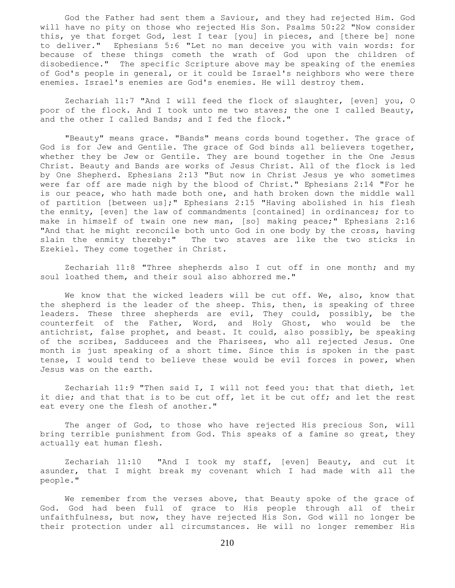God the Father had sent them a Saviour, and they had rejected Him. God will have no pity on those who rejected His Son. Psalms 50:22 "Now consider this, ye that forget God, lest I tear [you] in pieces, and [there be] none to deliver." Ephesians 5:6 "Let no man deceive you with vain words: for because of these things cometh the wrath of God upon the children of disobedience." The specific Scripture above may be speaking of the enemies of God's people in general, or it could be Israel's neighbors who were there enemies. Israel's enemies are God's enemies. He will destroy them.

 Zechariah 11:7 "And I will feed the flock of slaughter, [even] you, O poor of the flock. And I took unto me two staves; the one I called Beauty, and the other I called Bands; and I fed the flock."

 "Beauty" means grace. "Bands" means cords bound together. The grace of God is for Jew and Gentile. The grace of God binds all believers together, whether they be Jew or Gentile. They are bound together in the One Jesus Christ. Beauty and Bands are works of Jesus Christ. All of the flock is led by One Shepherd. Ephesians 2:13 "But now in Christ Jesus ye who sometimes were far off are made nigh by the blood of Christ." Ephesians 2:14 "For he is our peace, who hath made both one, and hath broken down the middle wall of partition [between us];" Ephesians 2:15 "Having abolished in his flesh the enmity, [even] the law of commandments [contained] in ordinances; for to make in himself of twain one new man, [so] making peace;" Ephesians 2:16 "And that he might reconcile both unto God in one body by the cross, having slain the enmity thereby:" The two staves are like the two sticks in Ezekiel. They come together in Christ.

 Zechariah 11:8 "Three shepherds also I cut off in one month; and my soul loathed them, and their soul also abhorred me."

We know that the wicked leaders will be cut off. We, also, know that the shepherd is the leader of the sheep. This, then, is speaking of three leaders. These three shepherds are evil, They could, possibly, be the counterfeit of the Father, Word, and Holy Ghost, who would be the antichrist, false prophet, and beast. It could, also possibly, be speaking of the scribes, Sadducees and the Pharisees, who all rejected Jesus. One month is just speaking of a short time. Since this is spoken in the past tense, I would tend to believe these would be evil forces in power, when Jesus was on the earth.

 Zechariah 11:9 "Then said I, I will not feed you: that that dieth, let it die; and that that is to be cut off, let it be cut off; and let the rest eat every one the flesh of another."

 The anger of God, to those who have rejected His precious Son, will bring terrible punishment from God. This speaks of a famine so great, they actually eat human flesh.

 Zechariah 11:10 "And I took my staff, [even] Beauty, and cut it asunder, that I might break my covenant which I had made with all the people."

We remember from the verses above, that Beauty spoke of the grace of God. God had been full of grace to His people through all of their unfaithfulness, but now, they have rejected His Son. God will no longer be their protection under all circumstances. He will no longer remember His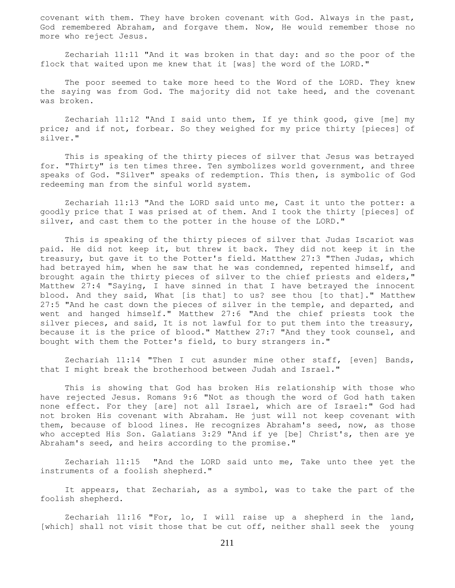covenant with them. They have broken covenant with God. Always in the past, God remembered Abraham, and forgave them. Now, He would remember those no more who reject Jesus.

 Zechariah 11:11 "And it was broken in that day: and so the poor of the flock that waited upon me knew that it [was] the word of the LORD."

 The poor seemed to take more heed to the Word of the LORD. They knew the saying was from God. The majority did not take heed, and the covenant was broken.

 Zechariah 11:12 "And I said unto them, If ye think good, give [me] my price; and if not, forbear. So they weighed for my price thirty [pieces] of silver."

 This is speaking of the thirty pieces of silver that Jesus was betrayed for. "Thirty" is ten times three. Ten symbolizes world government, and three speaks of God. "Silver" speaks of redemption. This then, is symbolic of God redeeming man from the sinful world system.

 Zechariah 11:13 "And the LORD said unto me, Cast it unto the potter: a goodly price that I was prised at of them. And I took the thirty [pieces] of silver, and cast them to the potter in the house of the LORD."

 This is speaking of the thirty pieces of silver that Judas Iscariot was paid. He did not keep it, but threw it back. They did not keep it in the treasury, but gave it to the Potter's field. Matthew 27:3 "Then Judas, which had betrayed him, when he saw that he was condemned, repented himself, and brought again the thirty pieces of silver to the chief priests and elders," Matthew 27:4 "Saying, I have sinned in that I have betrayed the innocent blood. And they said, What [is that] to us? see thou [to that]." Matthew 27:5 "And he cast down the pieces of silver in the temple, and departed, and went and hanged himself." Matthew 27:6 "And the chief priests took the silver pieces, and said, It is not lawful for to put them into the treasury, because it is the price of blood." Matthew 27:7 "And they took counsel, and bought with them the Potter's field, to bury strangers in."

 Zechariah 11:14 "Then I cut asunder mine other staff, [even] Bands, that I might break the brotherhood between Judah and Israel."

 This is showing that God has broken His relationship with those who have rejected Jesus. Romans 9:6 "Not as though the word of God hath taken none effect. For they [are] not all Israel, which are of Israel:" God had not broken His covenant with Abraham. He just will not keep covenant with them, because of blood lines. He recognizes Abraham's seed, now, as those who accepted His Son. Galatians 3:29 "And if ye [be] Christ's, then are ye Abraham's seed, and heirs according to the promise."

 Zechariah 11:15 "And the LORD said unto me, Take unto thee yet the instruments of a foolish shepherd."

 It appears, that Zechariah, as a symbol, was to take the part of the foolish shepherd.

Zechariah 11:16 "For, lo, I will raise up a shepherd in the land, [which] shall not visit those that be cut off, neither shall seek the young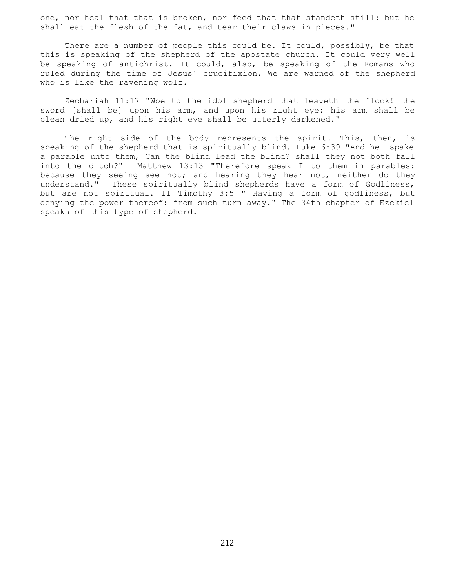one, nor heal that that is broken, nor feed that that standeth still: but he shall eat the flesh of the fat, and tear their claws in pieces."

There are a number of people this could be. It could, possibly, be that this is speaking of the shepherd of the apostate church. It could very well be speaking of antichrist. It could, also, be speaking of the Romans who ruled during the time of Jesus' crucifixion. We are warned of the shepherd who is like the ravening wolf.

 Zechariah 11:17 "Woe to the idol shepherd that leaveth the flock! the sword [shall be] upon his arm, and upon his right eye: his arm shall be clean dried up, and his right eye shall be utterly darkened."

The right side of the body represents the spirit. This, then, is speaking of the shepherd that is spiritually blind. Luke 6:39 "And he spake a parable unto them, Can the blind lead the blind? shall they not both fall into the ditch?" Matthew 13:13 "Therefore speak I to them in parables: because they seeing see not; and hearing they hear not, neither do they understand." These spiritually blind shepherds have a form of Godliness, but are not spiritual. II Timothy 3:5 " Having a form of godliness, but denying the power thereof: from such turn away." The 34th chapter of Ezekiel speaks of this type of shepherd.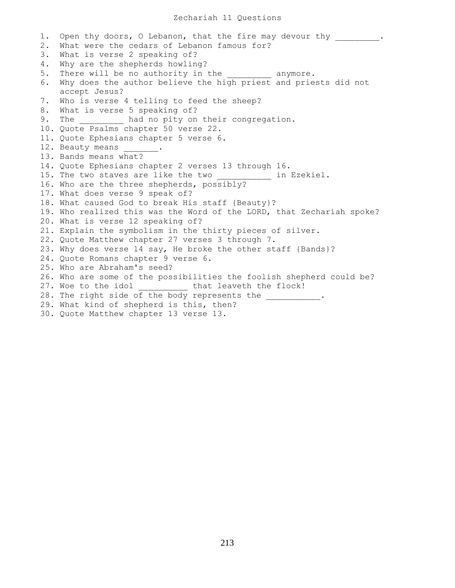1. Open thy doors, O Lebanon, that the fire may devour thy . 2. What were the cedars of Lebanon famous for? 3. What is verse 2 speaking of? 4. Why are the shepherds howling? 5. There will be no authority in the \_\_\_\_\_\_\_\_\_\_ anymore. 6. Why does the author believe the high priest and priests did not accept Jesus? 7. Who is verse 4 telling to feed the sheep? 8. What is verse 5 speaking of? 9. The **had no pity on their congregation**. 10. Quote Psalms chapter 50 verse 22. 11. Quote Ephesians chapter 5 verse 6. 12. Beauty means 13. Bands means what? 14. Quote Ephesians chapter 2 verses 13 through 16. 15. The two staves are like the two \_\_\_\_\_\_\_\_\_\_\_ in Ezekiel. 16. Who are the three shepherds, possibly? 17. What does verse 9 speak of? 18. What caused God to break His staff {Beauty}? 19. Who realized this was the Word of the LORD, that Zechariah spoke? 20. What is verse 12 speaking of? 21. Explain the symbolism in the thirty pieces of silver. 22. Quote Matthew chapter 27 verses 3 through 7. 23. Why does verse 14 say, He broke the other staff {Bands}? 24. Quote Romans chapter 9 verse 6. 25. Who are Abraham's seed? 26. Who are some of the possibilities the foolish shepherd could be? 27. Woe to the idol \_\_\_\_\_\_\_\_\_ that leaveth the flock! 28. The right side of the body represents the \_\_\_\_\_\_\_\_\_\_\_\_. 29. What kind of shepherd is this, then? 30. Quote Matthew chapter 13 verse 13.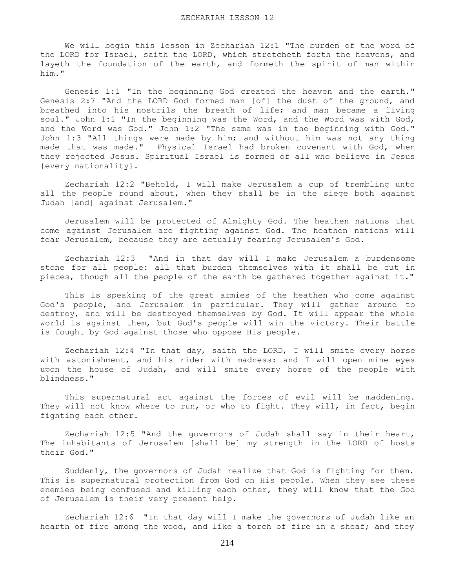We will begin this lesson in Zechariah 12:1 "The burden of the word of the LORD for Israel, saith the LORD, which stretcheth forth the heavens, and layeth the foundation of the earth, and formeth the spirit of man within him."

 Genesis 1:1 "In the beginning God created the heaven and the earth." Genesis 2:7 "And the LORD God formed man [of] the dust of the ground, and breathed into his nostrils the breath of life; and man became a living soul." John 1:1 "In the beginning was the Word, and the Word was with God, and the Word was God." John 1:2 "The same was in the beginning with God." John 1:3 "All things were made by him; and without him was not any thing made that was made." Physical Israel had broken covenant with God, when they rejected Jesus. Spiritual Israel is formed of all who believe in Jesus {every nationality}.

 Zechariah 12:2 "Behold, I will make Jerusalem a cup of trembling unto all the people round about, when they shall be in the siege both against Judah [and] against Jerusalem."

 Jerusalem will be protected of Almighty God. The heathen nations that come against Jerusalem are fighting against God. The heathen nations will fear Jerusalem, because they are actually fearing Jerusalem's God.

 Zechariah 12:3 "And in that day will I make Jerusalem a burdensome stone for all people: all that burden themselves with it shall be cut in pieces, though all the people of the earth be gathered together against it."

 This is speaking of the great armies of the heathen who come against God's people, and Jerusalem in particular. They will gather around to destroy, and will be destroyed themselves by God. It will appear the whole world is against them, but God's people will win the victory. Their battle is fought by God against those who oppose His people.

 Zechariah 12:4 "In that day, saith the LORD, I will smite every horse with astonishment, and his rider with madness: and I will open mine eyes upon the house of Judah, and will smite every horse of the people with blindness."

 This supernatural act against the forces of evil will be maddening. They will not know where to run, or who to fight. They will, in fact, begin fighting each other.

 Zechariah 12:5 "And the governors of Judah shall say in their heart, The inhabitants of Jerusalem [shall be] my strength in the LORD of hosts their God."

 Suddenly, the governors of Judah realize that God is fighting for them. This is supernatural protection from God on His people. When they see these enemies being confused and killing each other, they will know that the God of Jerusalem is their very present help.

 Zechariah 12:6 "In that day will I make the governors of Judah like an hearth of fire among the wood, and like a torch of fire in a sheaf; and they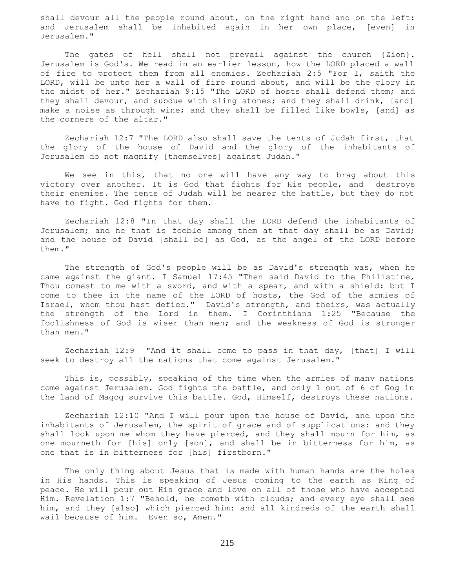shall devour all the people round about, on the right hand and on the left: and Jerusalem shall be inhabited again in her own place, [even] in Jerusalem."

 The gates of hell shall not prevail against the church {Zion}. Jerusalem is God's. We read in an earlier lesson, how the LORD placed a wall of fire to protect them from all enemies. Zechariah 2:5 "For I, saith the LORD, will be unto her a wall of fire round about, and will be the glory in the midst of her." Zechariah 9:15 "The LORD of hosts shall defend them; and they shall devour, and subdue with sling stones; and they shall drink, [and] make a noise as through wine; and they shall be filled like bowls, [and] as the corners of the altar."

 Zechariah 12:7 "The LORD also shall save the tents of Judah first, that the glory of the house of David and the glory of the inhabitants of Jerusalem do not magnify [themselves] against Judah."

 We see in this, that no one will have any way to brag about this victory over another. It is God that fights for His people, and destroys their enemies. The tents of Judah will be nearer the battle, but they do not have to fight. God fights for them.

 Zechariah 12:8 "In that day shall the LORD defend the inhabitants of Jerusalem; and he that is feeble among them at that day shall be as David; and the house of David [shall be] as God, as the angel of the LORD before them."

 The strength of God's people will be as David's strength was, when he came against the giant. I Samuel 17:45 "Then said David to the Philistine, Thou comest to me with a sword, and with a spear, and with a shield: but I come to thee in the name of the LORD of hosts, the God of the armies of Israel, whom thou hast defied." David's strength, and theirs, was actually the strength of the Lord in them. I Corinthians 1:25 "Because the foolishness of God is wiser than men; and the weakness of God is stronger than men."

 Zechariah 12:9 "And it shall come to pass in that day, [that] I will seek to destroy all the nations that come against Jerusalem."

 This is, possibly, speaking of the time when the armies of many nations come against Jerusalem. God fights the battle, and only 1 out of 6 of Gog in the land of Magog survive this battle. God, Himself, destroys these nations.

 Zechariah 12:10 "And I will pour upon the house of David, and upon the inhabitants of Jerusalem, the spirit of grace and of supplications: and they shall look upon me whom they have pierced, and they shall mourn for him, as one mourneth for [his] only [son], and shall be in bitterness for him, as one that is in bitterness for [his] firstborn."

 The only thing about Jesus that is made with human hands are the holes in His hands. This is speaking of Jesus coming to the earth as King of peace. He will pour out His grace and love on all of those who have accepted Him. Revelation 1:7 "Behold, he cometh with clouds; and every eye shall see him, and they [also] which pierced him: and all kindreds of the earth shall wail because of him. Even so, Amen."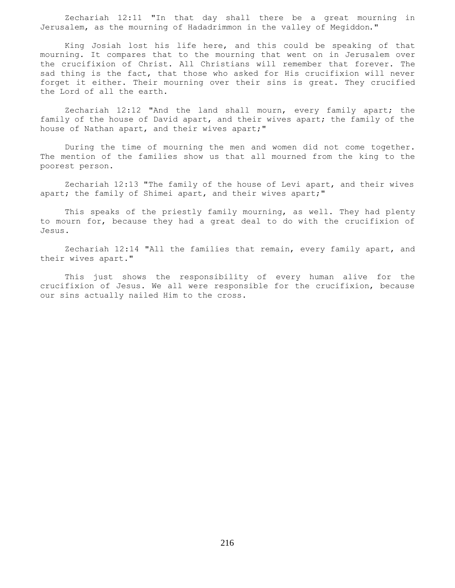Zechariah 12:11 "In that day shall there be a great mourning in Jerusalem, as the mourning of Hadadrimmon in the valley of Megiddon."

 King Josiah lost his life here, and this could be speaking of that mourning. It compares that to the mourning that went on in Jerusalem over the crucifixion of Christ. All Christians will remember that forever. The sad thing is the fact, that those who asked for His crucifixion will never forget it either. Their mourning over their sins is great. They crucified the Lord of all the earth.

 Zechariah 12:12 "And the land shall mourn, every family apart; the family of the house of David apart, and their wives apart; the family of the house of Nathan apart, and their wives apart;"

 During the time of mourning the men and women did not come together. The mention of the families show us that all mourned from the king to the poorest person.

 Zechariah 12:13 "The family of the house of Levi apart, and their wives apart; the family of Shimei apart, and their wives apart;"

 This speaks of the priestly family mourning, as well. They had plenty to mourn for, because they had a great deal to do with the crucifixion of Jesus.

 Zechariah 12:14 "All the families that remain, every family apart, and their wives apart."

 This just shows the responsibility of every human alive for the crucifixion of Jesus. We all were responsible for the crucifixion, because our sins actually nailed Him to the cross.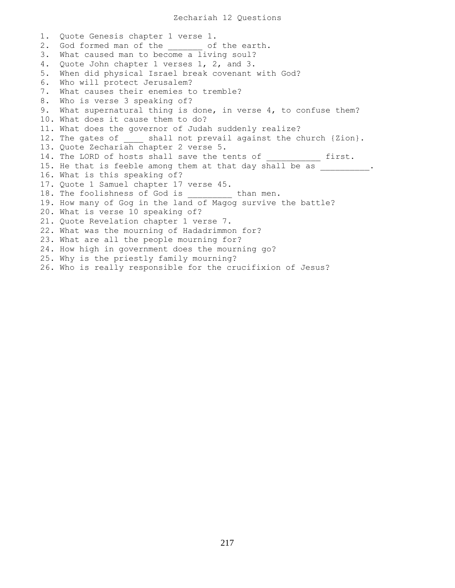1. Quote Genesis chapter 1 verse 1. 2. God formed man of the of the earth. 3. What caused man to become a living soul? 4. Quote John chapter 1 verses 1, 2, and 3. 5. When did physical Israel break covenant with God? 6. Who will protect Jerusalem? 7. What causes their enemies to tremble? 8. Who is verse 3 speaking of? 9. What supernatural thing is done, in verse 4, to confuse them? 10. What does it cause them to do? 11. What does the governor of Judah suddenly realize? 12. The gates of \_\_\_\_ shall not prevail against the church {Zion}. 13. Quote Zechariah chapter 2 verse 5. 14. The LORD of hosts shall save the tents of first. 15. He that is feeble among them at that day shall be as \_\_\_\_\_\_\_\_\_\_. 16. What is this speaking of? 17. Quote 1 Samuel chapter 17 verse 45. 18. The foolishness of God is than men. 19. How many of Gog in the land of Magog survive the battle? 20. What is verse 10 speaking of? 21. Quote Revelation chapter 1 verse 7. 22. What was the mourning of Hadadrimmon for? 23. What are all the people mourning for? 24. How high in government does the mourning go? 25. Why is the priestly family mourning? 26. Who is really responsible for the crucifixion of Jesus?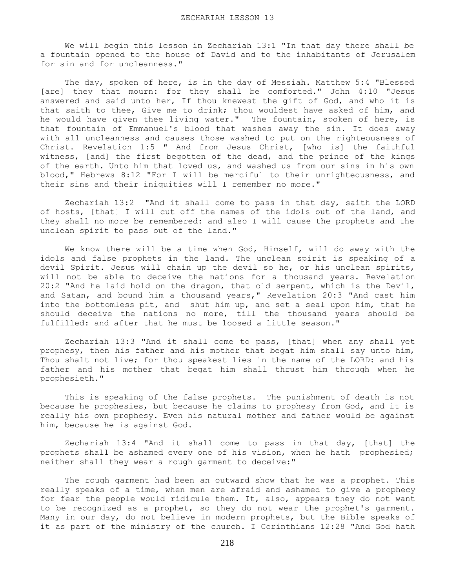We will begin this lesson in Zechariah 13:1 "In that day there shall be a fountain opened to the house of David and to the inhabitants of Jerusalem for sin and for uncleanness."

 The day, spoken of here, is in the day of Messiah. Matthew 5:4 "Blessed [are] they that mourn: for they shall be comforted." John 4:10 "Jesus answered and said unto her, If thou knewest the gift of God, and who it is that saith to thee, Give me to drink; thou wouldest have asked of him, and he would have given thee living water." The fountain, spoken of here, is that fountain of Emmanuel's blood that washes away the sin. It does away with all uncleanness and causes those washed to put on the righteousness of Christ. Revelation 1:5 " And from Jesus Christ, [who is] the faithful witness, [and] the first begotten of the dead, and the prince of the kings of the earth. Unto him that loved us, and washed us from our sins in his own blood," Hebrews 8:12 "For I will be merciful to their unrighteousness, and their sins and their iniquities will I remember no more."

 Zechariah 13:2 "And it shall come to pass in that day, saith the LORD of hosts, [that] I will cut off the names of the idols out of the land, and they shall no more be remembered: and also I will cause the prophets and the unclean spirit to pass out of the land."

 We know there will be a time when God, Himself, will do away with the idols and false prophets in the land. The unclean spirit is speaking of a devil Spirit. Jesus will chain up the devil so he, or his unclean spirits, will not be able to deceive the nations for a thousand years. Revelation 20:2 "And he laid hold on the dragon, that old serpent, which is the Devil, and Satan, and bound him a thousand years," Revelation 20:3 "And cast him into the bottomless pit, and shut him up, and set a seal upon him, that he should deceive the nations no more, till the thousand years should be fulfilled: and after that he must be loosed a little season."

 Zechariah 13:3 "And it shall come to pass, [that] when any shall yet prophesy, then his father and his mother that begat him shall say unto him, Thou shalt not live; for thou speakest lies in the name of the LORD: and his father and his mother that begat him shall thrust him through when he prophesieth."

 This is speaking of the false prophets. The punishment of death is not because he prophesies, but because he claims to prophesy from God, and it is really his own prophesy. Even his natural mother and father would be against him, because he is against God.

 Zechariah 13:4 "And it shall come to pass in that day, [that] the prophets shall be ashamed every one of his vision, when he hath prophesied; neither shall they wear a rough garment to deceive:"

 The rough garment had been an outward show that he was a prophet. This really speaks of a time, when men are afraid and ashamed to give a prophecy for fear the people would ridicule them. It, also, appears they do not want to be recognized as a prophet, so they do not wear the prophet's garment. Many in our day, do not believe in modern prophets, but the Bible speaks of it as part of the ministry of the church. I Corinthians 12:28 "And God hath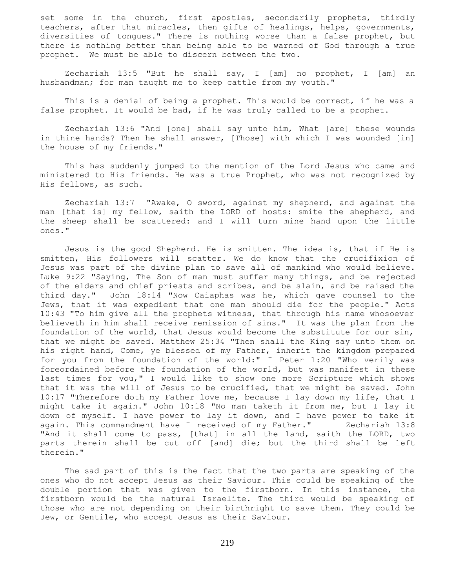set some in the church, first apostles, secondarily prophets, thirdly teachers, after that miracles, then gifts of healings, helps, governments, diversities of tongues." There is nothing worse than a false prophet, but there is nothing better than being able to be warned of God through a true prophet. We must be able to discern between the two.

 Zechariah 13:5 "But he shall say, I [am] no prophet, I [am] an husbandman; for man taught me to keep cattle from my youth."

This is a denial of being a prophet. This would be correct, if he was a false prophet. It would be bad, if he was truly called to be a prophet.

 Zechariah 13:6 "And [one] shall say unto him, What [are] these wounds in thine hands? Then he shall answer, [Those] with which I was wounded [in] the house of my friends."

 This has suddenly jumped to the mention of the Lord Jesus who came and ministered to His friends. He was a true Prophet, who was not recognized by His fellows, as such.

 Zechariah 13:7 "Awake, O sword, against my shepherd, and against the man [that is] my fellow, saith the LORD of hosts: smite the shepherd, and the sheep shall be scattered: and I will turn mine hand upon the little ones."

 Jesus is the good Shepherd. He is smitten. The idea is, that if He is smitten, His followers will scatter. We do know that the crucifixion of Jesus was part of the divine plan to save all of mankind who would believe. Luke 9:22 "Saying, The Son of man must suffer many things, and be rejected of the elders and chief priests and scribes, and be slain, and be raised the third day." John 18:14 "Now Caiaphas was he, which gave counsel to the Jews, that it was expedient that one man should die for the people." Acts 10:43 "To him give all the prophets witness, that through his name whosoever believeth in him shall receive remission of sins." It was the plan from the foundation of the world, that Jesus would become the substitute for our sin, that we might be saved. Matthew 25:34 "Then shall the King say unto them on his right hand, Come, ye blessed of my Father, inherit the kingdom prepared for you from the foundation of the world:" I Peter 1:20 "Who verily was foreordained before the foundation of the world, but was manifest in these last times for you," I would like to show one more Scripture which shows that it was the will of Jesus to be crucified, that we might be saved. John 10:17 "Therefore doth my Father love me, because I lay down my life, that I might take it again." John 10:18 "No man taketh it from me, but I lay it down of myself. I have power to lay it down, and I have power to take it again. This commandment have I received of my Father." Zechariah 13:8 "And it shall come to pass, [that] in all the land, saith the LORD, two parts therein shall be cut off [and] die; but the third shall be left therein."

 The sad part of this is the fact that the two parts are speaking of the ones who do not accept Jesus as their Saviour. This could be speaking of the double portion that was given to the firstborn. In this instance, the firstborn would be the natural Israelite. The third would be speaking of those who are not depending on their birthright to save them. They could be Jew, or Gentile, who accept Jesus as their Saviour.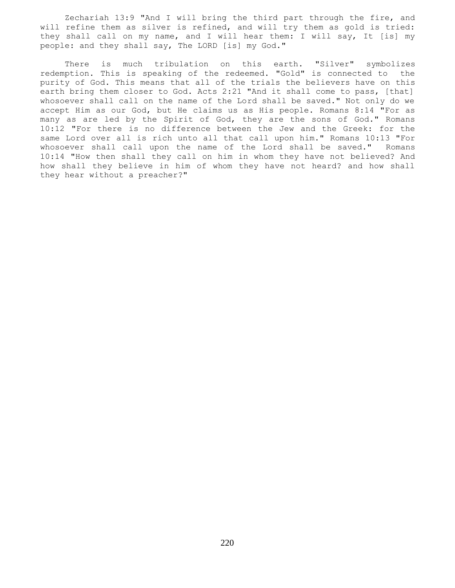Zechariah 13:9 "And I will bring the third part through the fire, and will refine them as silver is refined, and will try them as gold is tried: they shall call on my name, and I will hear them: I will say, It [is] my people: and they shall say, The LORD [is] my God."

 There is much tribulation on this earth. "Silver" symbolizes redemption. This is speaking of the redeemed. "Gold" is connected to the purity of God. This means that all of the trials the believers have on this earth bring them closer to God. Acts 2:21 "And it shall come to pass, [that] whosoever shall call on the name of the Lord shall be saved." Not only do we accept Him as our God, but He claims us as His people. Romans 8:14 "For as many as are led by the Spirit of God, they are the sons of God." Romans 10:12 "For there is no difference between the Jew and the Greek: for the same Lord over all is rich unto all that call upon him." Romans 10:13 "For whosoever shall call upon the name of the Lord shall be saved." Romans 10:14 "How then shall they call on him in whom they have not believed? And how shall they believe in him of whom they have not heard? and how shall they hear without a preacher?"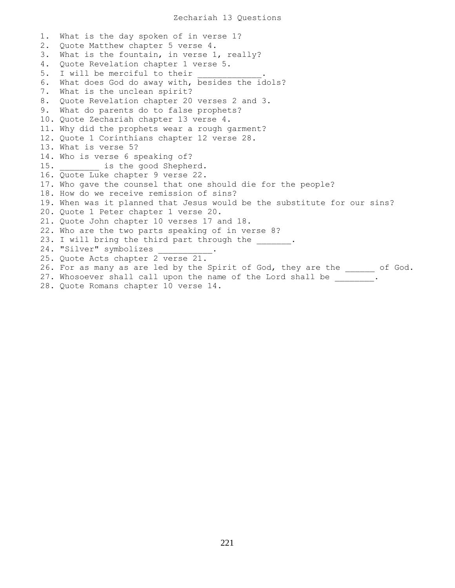1. What is the day spoken of in verse 1? 2. Quote Matthew chapter 5 verse 4. 3. What is the fountain, in verse 1, really? 4. Quote Revelation chapter 1 verse 5. 5. I will be merciful to their 6. What does God do away with, besides the idols? 7. What is the unclean spirit? 8. Quote Revelation chapter 20 verses 2 and 3. 9. What do parents do to false prophets? 10. Quote Zechariah chapter 13 verse 4. 11. Why did the prophets wear a rough garment? 12. Quote 1 Corinthians chapter 12 verse 28. 13. What is verse 5? 14. Who is verse 6 speaking of? 15. **is the good Shepherd.** 16. Quote Luke chapter 9 verse 22. 17. Who gave the counsel that one should die for the people? 18. How do we receive remission of sins? 19. When was it planned that Jesus would be the substitute for our sins? 20. Quote 1 Peter chapter 1 verse 20. 21. Quote John chapter 10 verses 17 and 18. 22. Who are the two parts speaking of in verse 8? 23. I will bring the third part through the  $\cdots$ 24. "Silver" symbolizes 25. Quote Acts chapter 2 verse 21. 26. For as many as are led by the Spirit of God, they are the was nof God. 27. Whosoever shall call upon the name of the Lord shall be \_\_\_\_\_\_\_. 28. Quote Romans chapter 10 verse 14.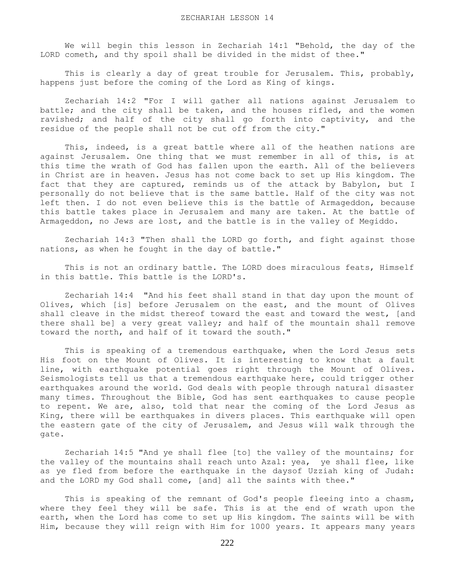We will begin this lesson in Zechariah 14:1 "Behold, the day of the LORD cometh, and thy spoil shall be divided in the midst of thee."

This is clearly a day of great trouble for Jerusalem. This, probably, happens just before the coming of the Lord as King of kings.

 Zechariah 14:2 "For I will gather all nations against Jerusalem to battle; and the city shall be taken, and the houses rifled, and the women ravished; and half of the city shall go forth into captivity, and the residue of the people shall not be cut off from the city."

 This, indeed, is a great battle where all of the heathen nations are against Jerusalem. One thing that we must remember in all of this, is at this time the wrath of God has fallen upon the earth. All of the believers in Christ are in heaven. Jesus has not come back to set up His kingdom. The fact that they are captured, reminds us of the attack by Babylon, but I personally do not believe that is the same battle. Half of the city was not left then. I do not even believe this is the battle of Armageddon, because this battle takes place in Jerusalem and many are taken. At the battle of Armageddon, no Jews are lost, and the battle is in the valley of Megiddo.

 Zechariah 14:3 "Then shall the LORD go forth, and fight against those nations, as when he fought in the day of battle."

This is not an ordinary battle. The LORD does miraculous feats, Himself in this battle. This battle is the LORD's.

 Zechariah 14:4 "And his feet shall stand in that day upon the mount of Olives, which [is] before Jerusalem on the east, and the mount of Olives shall cleave in the midst thereof toward the east and toward the west, [and there shall be] a very great valley; and half of the mountain shall remove toward the north, and half of it toward the south."

 This is speaking of a tremendous earthquake, when the Lord Jesus sets His foot on the Mount of Olives. It is interesting to know that a fault line, with earthquake potential goes right through the Mount of Olives. Seismologists tell us that a tremendous earthquake here, could trigger other earthquakes around the world. God deals with people through natural disaster many times. Throughout the Bible, God has sent earthquakes to cause people to repent. We are, also, told that near the coming of the Lord Jesus as King, there will be earthquakes in divers places. This earthquake will open the eastern gate of the city of Jerusalem, and Jesus will walk through the gate.

 Zechariah 14:5 "And ye shall flee [to] the valley of the mountains; for the valley of the mountains shall reach unto Azal: yea, ye shall flee, like as ye fled from before the earthquake in the daysof Uzziah king of Judah: and the LORD my God shall come, [and] all the saints with thee."

 This is speaking of the remnant of God's people fleeing into a chasm, where they feel they will be safe. This is at the end of wrath upon the earth, when the Lord has come to set up His kingdom. The saints will be with Him, because they will reign with Him for 1000 years. It appears many years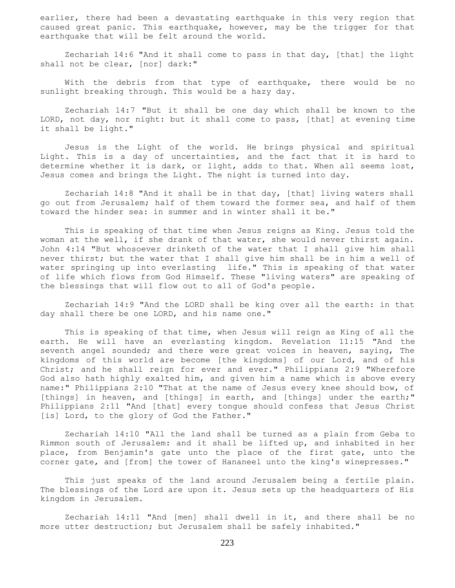earlier, there had been a devastating earthquake in this very region that caused great panic. This earthquake, however, may be the trigger for that earthquake that will be felt around the world.

 Zechariah 14:6 "And it shall come to pass in that day, [that] the light shall not be clear, [nor] dark:"

With the debris from that type of earthquake, there would be no sunlight breaking through. This would be a hazy day.

 Zechariah 14:7 "But it shall be one day which shall be known to the LORD, not day, nor night: but it shall come to pass, [that] at evening time it shall be light."

 Jesus is the Light of the world. He brings physical and spiritual Light. This is a day of uncertainties, and the fact that it is hard to determine whether it is dark, or light, adds to that. When all seems lost, Jesus comes and brings the Light. The night is turned into day.

 Zechariah 14:8 "And it shall be in that day, [that] living waters shall go out from Jerusalem; half of them toward the former sea, and half of them toward the hinder sea: in summer and in winter shall it be."

 This is speaking of that time when Jesus reigns as King. Jesus told the woman at the well, if she drank of that water, she would never thirst again. John 4:14 "But whosoever drinketh of the water that I shall give him shall never thirst; but the water that I shall give him shall be in him a well of water springing up into everlasting life." This is speaking of that water of life which flows from God Himself. These "living waters" are speaking of the blessings that will flow out to all of God's people.

 Zechariah 14:9 "And the LORD shall be king over all the earth: in that day shall there be one LORD, and his name one."

 This is speaking of that time, when Jesus will reign as King of all the earth. He will have an everlasting kingdom. Revelation 11:15 "And the seventh angel sounded; and there were great voices in heaven, saying, The kingdoms of this world are become [the kingdoms] of our Lord, and of his Christ; and he shall reign for ever and ever." Philippians 2:9 "Wherefore God also hath highly exalted him, and given him a name which is above every name:" Philippians 2:10 "That at the name of Jesus every knee should bow, of [things] in heaven, and [things] in earth, and [things] under the earth;" Philippians 2:11 "And [that] every tongue should confess that Jesus Christ [is] Lord, to the glory of God the Father."

 Zechariah 14:10 "All the land shall be turned as a plain from Geba to Rimmon south of Jerusalem: and it shall be lifted up, and inhabited in her place, from Benjamin's gate unto the place of the first gate, unto the corner gate, and [from] the tower of Hananeel unto the king's winepresses."

 This just speaks of the land around Jerusalem being a fertile plain. The blessings of the Lord are upon it. Jesus sets up the headquarters of His kingdom in Jerusalem.

 Zechariah 14:11 "And [men] shall dwell in it, and there shall be no more utter destruction; but Jerusalem shall be safely inhabited."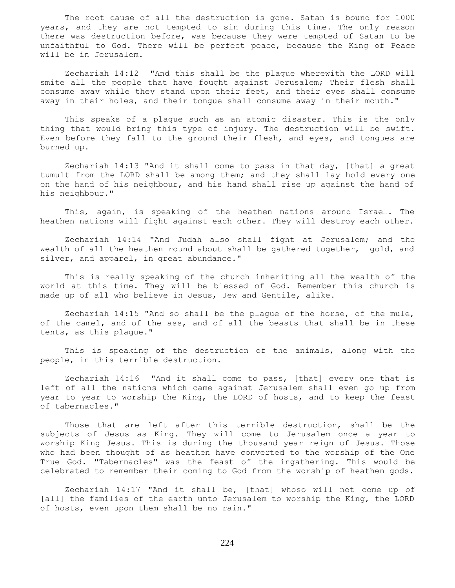The root cause of all the destruction is gone. Satan is bound for 1000 years, and they are not tempted to sin during this time. The only reason there was destruction before, was because they were tempted of Satan to be unfaithful to God. There will be perfect peace, because the King of Peace will be in Jerusalem.

 Zechariah 14:12 "And this shall be the plague wherewith the LORD will smite all the people that have fought against Jerusalem; Their flesh shall consume away while they stand upon their feet, and their eyes shall consume away in their holes, and their tongue shall consume away in their mouth."

 This speaks of a plague such as an atomic disaster. This is the only thing that would bring this type of injury. The destruction will be swift. Even before they fall to the ground their flesh, and eyes, and tongues are burned up.

 Zechariah 14:13 "And it shall come to pass in that day, [that] a great tumult from the LORD shall be among them; and they shall lay hold every one on the hand of his neighbour, and his hand shall rise up against the hand of his neighbour."

 This, again, is speaking of the heathen nations around Israel. The heathen nations will fight against each other. They will destroy each other.

 Zechariah 14:14 "And Judah also shall fight at Jerusalem; and the wealth of all the heathen round about shall be gathered together, gold, and silver, and apparel, in great abundance."

 This is really speaking of the church inheriting all the wealth of the world at this time. They will be blessed of God. Remember this church is made up of all who believe in Jesus, Jew and Gentile, alike.

 Zechariah 14:15 "And so shall be the plague of the horse, of the mule, of the camel, and of the ass, and of all the beasts that shall be in these tents, as this plague."

 This is speaking of the destruction of the animals, along with the people, in this terrible destruction.

 Zechariah 14:16 "And it shall come to pass, [that] every one that is left of all the nations which came against Jerusalem shall even go up from year to year to worship the King, the LORD of hosts, and to keep the feast of tabernacles."

 Those that are left after this terrible destruction, shall be the subjects of Jesus as King. They will come to Jerusalem once a year to worship King Jesus. This is during the thousand year reign of Jesus. Those who had been thought of as heathen have converted to the worship of the One True God. "Tabernacles" was the feast of the ingathering. This would be celebrated to remember their coming to God from the worship of heathen gods.

 Zechariah 14:17 "And it shall be, [that] whoso will not come up of [all] the families of the earth unto Jerusalem to worship the King, the LORD of hosts, even upon them shall be no rain."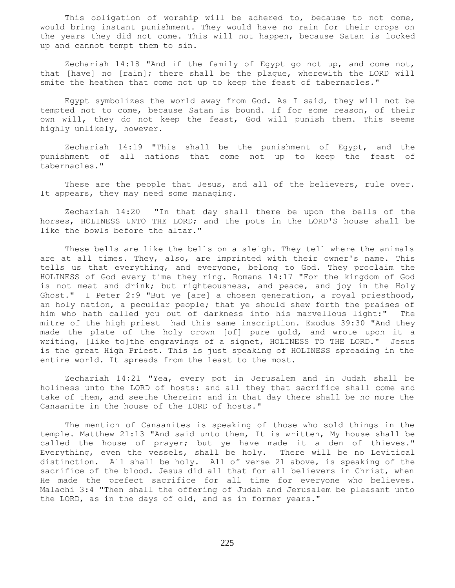This obligation of worship will be adhered to, because to not come, would bring instant punishment. They would have no rain for their crops on the years they did not come. This will not happen, because Satan is locked up and cannot tempt them to sin.

 Zechariah 14:18 "And if the family of Egypt go not up, and come not, that [have] no [rain]; there shall be the plague, wherewith the LORD will smite the heathen that come not up to keep the feast of tabernacles."

 Egypt symbolizes the world away from God. As I said, they will not be tempted not to come, because Satan is bound. If for some reason, of their own will, they do not keep the feast, God will punish them. This seems highly unlikely, however.

 Zechariah 14:19 "This shall be the punishment of Egypt, and the punishment of all nations that come not up to keep the feast of tabernacles."

These are the people that Jesus, and all of the believers, rule over. It appears, they may need some managing.

 Zechariah 14:20 "In that day shall there be upon the bells of the horses, HOLINESS UNTO THE LORD; and the pots in the LORD'S house shall be like the bowls before the altar."

 These bells are like the bells on a sleigh. They tell where the animals are at all times. They, also, are imprinted with their owner's name. This tells us that everything, and everyone, belong to God. They proclaim the HOLINESS of God every time they ring. Romans 14:17 "For the kingdom of God is not meat and drink; but righteousness, and peace, and joy in the Holy Ghost." I Peter 2:9 "But ye [are] a chosen generation, a royal priesthood, an holy nation, a peculiar people; that ye should shew forth the praises of him who hath called you out of darkness into his marvellous light:" The mitre of the high priest had this same inscription. Exodus 39:30 "And they made the plate of the holy crown [of] pure gold, and wrote upon it a writing, [like to]the engravings of a signet, HOLINESS TO THE LORD." Jesus is the great High Priest. This is just speaking of HOLINESS spreading in the entire world. It spreads from the least to the most.

 Zechariah 14:21 "Yea, every pot in Jerusalem and in Judah shall be holiness unto the LORD of hosts: and all they that sacrifice shall come and take of them, and seethe therein: and in that day there shall be no more the Canaanite in the house of the LORD of hosts."

 The mention of Canaanites is speaking of those who sold things in the temple. Matthew 21:13 "And said unto them, It is written, My house shall be called the house of prayer; but ye have made it a den of thieves." Everything, even the vessels, shall be holy. There will be no Levitical distinction. All shall be holy. All of verse 21 above, is speaking of the sacrifice of the blood. Jesus did all that for all believers in Christ, when He made the prefect sacrifice for all time for everyone who believes. Malachi 3:4 "Then shall the offering of Judah and Jerusalem be pleasant unto the LORD, as in the days of old, and as in former years."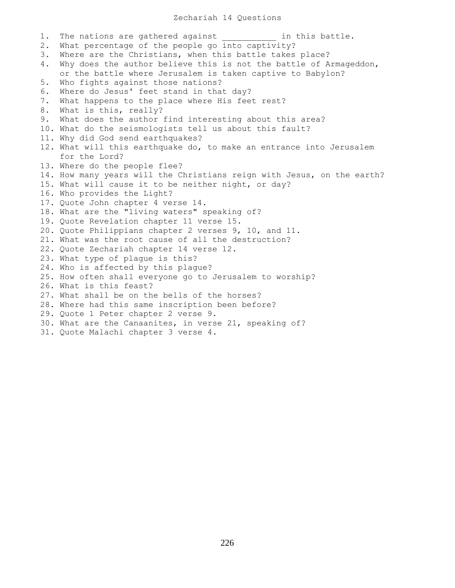## Zechariah 14 Questions

1. The nations are gathered against the same in this battle. 2. What percentage of the people go into captivity? 3. Where are the Christians, when this battle takes place? 4. Why does the author believe this is not the battle of Armageddon, or the battle where Jerusalem is taken captive to Babylon? 5. Who fights against those nations? 6. Where do Jesus' feet stand in that day? 7. What happens to the place where His feet rest? 8. What is this, really? 9. What does the author find interesting about this area? 10. What do the seismologists tell us about this fault? 11. Why did God send earthquakes? 12. What will this earthquake do, to make an entrance into Jerusalem for the Lord? 13. Where do the people flee? 14. How many years will the Christians reign with Jesus, on the earth? 15. What will cause it to be neither night, or day? 16. Who provides the Light? 17. Quote John chapter 4 verse 14. 18. What are the "living waters" speaking of? 19. Quote Revelation chapter 11 verse 15. 20. Quote Philippians chapter 2 verses 9, 10, and 11. 21. What was the root cause of all the destruction? 22. Quote Zechariah chapter 14 verse 12. 23. What type of plague is this? 24. Who is affected by this plague? 25. How often shall everyone go to Jerusalem to worship? 26. What is this feast? 27. What shall be on the bells of the horses? 28. Where had this same inscription been before? 29. Quote 1 Peter chapter 2 verse 9. 30. What are the Canaanites, in verse 21, speaking of? 31. Quote Malachi chapter 3 verse 4.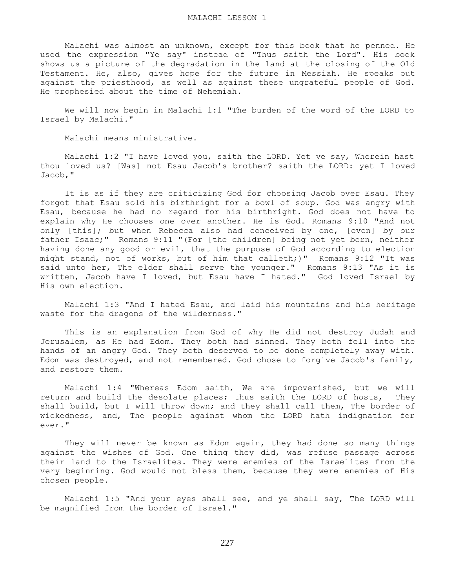Malachi was almost an unknown, except for this book that he penned. He used the expression "Ye say" instead of "Thus saith the Lord". His book shows us a picture of the degradation in the land at the closing of the Old Testament. He, also, gives hope for the future in Messiah. He speaks out against the priesthood, as well as against these ungrateful people of God. He prophesied about the time of Nehemiah.

 We will now begin in Malachi 1:1 "The burden of the word of the LORD to Israel by Malachi."

Malachi means ministrative.

 Malachi 1:2 "I have loved you, saith the LORD. Yet ye say, Wherein hast thou loved us? [Was] not Esau Jacob's brother? saith the LORD: yet I loved Jacob,"

 It is as if they are criticizing God for choosing Jacob over Esau. They forgot that Esau sold his birthright for a bowl of soup. God was angry with Esau, because he had no regard for his birthright. God does not have to explain why He chooses one over another. He is God. Romans 9:10 "And not only [this]; but when Rebecca also had conceived by one, [even] by our father Isaac;" Romans 9:11 "(For [the children] being not yet born, neither having done any good or evil, that the purpose of God according to election might stand, not of works, but of him that calleth;)" Romans 9:12 "It was said unto her, The elder shall serve the younger." Romans 9:13 "As it is written, Jacob have I loved, but Esau have I hated." God loved Israel by His own election.

 Malachi 1:3 "And I hated Esau, and laid his mountains and his heritage waste for the dragons of the wilderness."

 This is an explanation from God of why He did not destroy Judah and Jerusalem, as He had Edom. They both had sinned. They both fell into the hands of an angry God. They both deserved to be done completely away with. Edom was destroyed, and not remembered. God chose to forgive Jacob's family, and restore them.

 Malachi 1:4 "Whereas Edom saith, We are impoverished, but we will return and build the desolate places; thus saith the LORD of hosts, They shall build, but I will throw down; and they shall call them, The border of wickedness, and, The people against whom the LORD hath indignation for ever."

 They will never be known as Edom again, they had done so many things against the wishes of God. One thing they did, was refuse passage across their land to the Israelites. They were enemies of the Israelites from the very beginning. God would not bless them, because they were enemies of His chosen people.

 Malachi 1:5 "And your eyes shall see, and ye shall say, The LORD will be magnified from the border of Israel."

227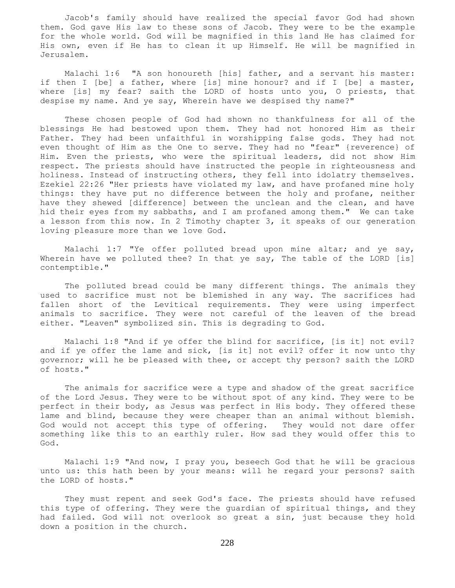Jacob's family should have realized the special favor God had shown them. God gave His law to these sons of Jacob. They were to be the example for the whole world. God will be magnified in this land He has claimed for His own, even if He has to clean it up Himself. He will be magnified in Jerusalem.

 Malachi 1:6 "A son honoureth [his] father, and a servant his master: if then I [be] a father, where [is] mine honour? and if I [be] a master, where [is] my fear? saith the LORD of hosts unto you, O priests, that despise my name. And ye say, Wherein have we despised thy name?"

 These chosen people of God had shown no thankfulness for all of the blessings He had bestowed upon them. They had not honored Him as their Father. They had been unfaithful in worshipping false gods. They had not even thought of Him as the One to serve. They had no "fear" {reverence} of Him. Even the priests, who were the spiritual leaders, did not show Him respect. The priests should have instructed the people in righteousness and holiness. Instead of instructing others, they fell into idolatry themselves. Ezekiel 22:26 "Her priests have violated my law, and have profaned mine holy things: they have put no difference between the holy and profane, neither have they shewed [difference] between the unclean and the clean, and have hid their eyes from my sabbaths, and I am profaned among them." We can take a lesson from this now. In 2 Timothy chapter 3, it speaks of our generation loving pleasure more than we love God.

 Malachi 1:7 "Ye offer polluted bread upon mine altar; and ye say, Wherein have we polluted thee? In that ye say, The table of the LORD [is] contemptible."

 The polluted bread could be many different things. The animals they used to sacrifice must not be blemished in any way. The sacrifices had fallen short of the Levitical requirements. They were using imperfect animals to sacrifice. They were not careful of the leaven of the bread either. "Leaven" symbolized sin. This is degrading to God.

 Malachi 1:8 "And if ye offer the blind for sacrifice, [is it] not evil? and if ye offer the lame and sick, [is it] not evil? offer it now unto thy governor; will he be pleased with thee, or accept thy person? saith the LORD of hosts."

 The animals for sacrifice were a type and shadow of the great sacrifice of the Lord Jesus. They were to be without spot of any kind. They were to be perfect in their body, as Jesus was perfect in His body. They offered these lame and blind, because they were cheaper than an animal without blemish. God would not accept this type of offering. They would not dare offer something like this to an earthly ruler. How sad they would offer this to God.

 Malachi 1:9 "And now, I pray you, beseech God that he will be gracious unto us: this hath been by your means: will he regard your persons? saith the LORD of hosts."

 They must repent and seek God's face. The priests should have refused this type of offering. They were the guardian of spiritual things, and they had failed. God will not overlook so great a sin, just because they hold down a position in the church.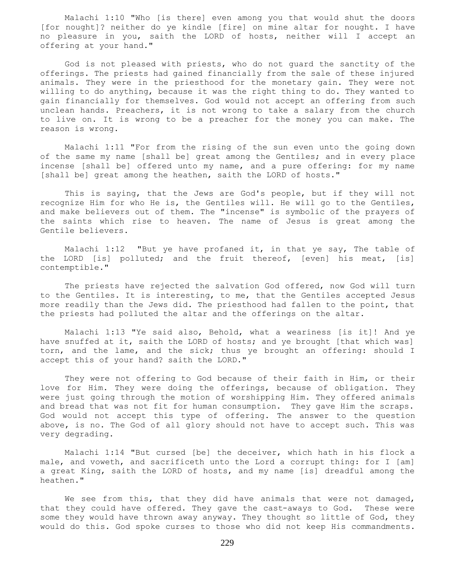Malachi 1:10 "Who [is there] even among you that would shut the doors [for nought]? neither do ye kindle [fire] on mine altar for nought. I have no pleasure in you, saith the LORD of hosts, neither will I accept an offering at your hand."

 God is not pleased with priests, who do not guard the sanctity of the offerings. The priests had gained financially from the sale of these injured animals. They were in the priesthood for the monetary gain. They were not willing to do anything, because it was the right thing to do. They wanted to gain financially for themselves. God would not accept an offering from such unclean hands. Preachers, it is not wrong to take a salary from the church to live on. It is wrong to be a preacher for the money you can make. The reason is wrong.

 Malachi 1:11 "For from the rising of the sun even unto the going down of the same my name [shall be] great among the Gentiles; and in every place incense [shall be] offered unto my name, and a pure offering: for my name [shall be] great among the heathen, saith the LORD of hosts."

 This is saying, that the Jews are God's people, but if they will not recognize Him for who He is, the Gentiles will. He will go to the Gentiles, and make believers out of them. The "incense" is symbolic of the prayers of the saints which rise to heaven. The name of Jesus is great among the Gentile believers.

 Malachi 1:12 "But ye have profaned it, in that ye say, The table of the LORD [is] polluted; and the fruit thereof, [even] his meat, [is] contemptible."

 The priests have rejected the salvation God offered, now God will turn to the Gentiles. It is interesting, to me, that the Gentiles accepted Jesus more readily than the Jews did. The priesthood had fallen to the point, that the priests had polluted the altar and the offerings on the altar.

 Malachi 1:13 "Ye said also, Behold, what a weariness [is it]! And ye have snuffed at it, saith the LORD of hosts; and ye brought [that which was] torn, and the lame, and the sick; thus ye brought an offering: should I accept this of your hand? saith the LORD."

 They were not offering to God because of their faith in Him, or their love for Him. They were doing the offerings, because of obligation. They were just going through the motion of worshipping Him. They offered animals and bread that was not fit for human consumption. They gave Him the scraps. God would not accept this type of offering. The answer to the question above, is no. The God of all glory should not have to accept such. This was very degrading.

 Malachi 1:14 "But cursed [be] the deceiver, which hath in his flock a male, and voweth, and sacrificeth unto the Lord a corrupt thing: for I [am] a great King, saith the LORD of hosts, and my name [is] dreadful among the heathen."

We see from this, that they did have animals that were not damaged, that they could have offered. They gave the cast-aways to God. These were some they would have thrown away anyway. They thought so little of God, they would do this. God spoke curses to those who did not keep His commandments.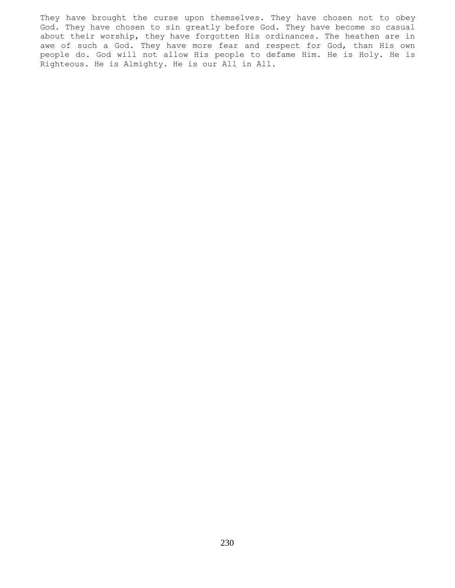They have brought the curse upon themselves. They have chosen not to obey God. They have chosen to sin greatly before God. They have become so casual about their worship, they have forgotten His ordinances. The heathen are in awe of such a God. They have more fear and respect for God, than His own people do. God will not allow His people to defame Him. He is Holy. He is Righteous. He is Almighty. He is our All in All.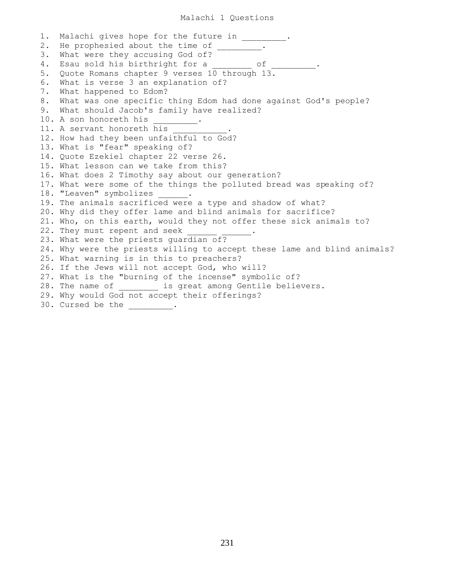## Malachi 1 Questions

1. Malachi gives hope for the future in \_\_\_\_\_\_\_\_\_. 2. He prophesied about the time of 3. What were they accusing God of? 4. Esau sold his birthright for a \_\_\_\_\_\_\_\_\_\_ of 5. Quote Romans chapter 9 verses 10 through 13. 6. What is verse 3 an explanation of? 7. What happened to Edom? 8. What was one specific thing Edom had done against God's people? 9. What should Jacob's family have realized? 9.  $v_{\text{max}}$  .  $v_{\text{max}}$  .  $v_{\text{max}}$  . 11. A servant honoreth his 12. How had they been unfaithful to God? 13. What is "fear" speaking of? 14. Quote Ezekiel chapter 22 verse 26. 15. What lesson can we take from this? 16. What does 2 Timothy say about our generation? 17. What were some of the things the polluted bread was speaking of? 18. "Leaven" symbolizes 19. The animals sacrificed were a type and shadow of what? 20. Why did they offer lame and blind animals for sacrifice? 21. Who, on this earth, would they not offer these sick animals to? 22. They must repent and seek 23. What were the priests guardian of? 24. Why were the priests willing to accept these lame and blind animals? 25. What warning is in this to preachers? 26. If the Jews will not accept God, who will? 27. What is the "burning of the incense" symbolic of? 28. The name of \_\_\_\_\_\_\_\_\_ is great among Gentile believers. 29. Why would God not accept their offerings? 30. Cursed be the \_\_\_\_\_\_\_\_\_.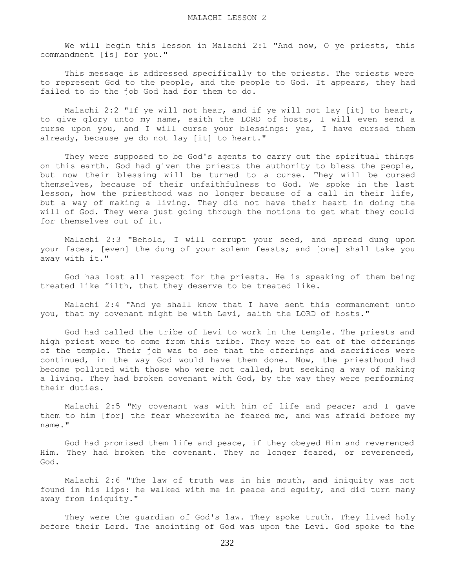We will begin this lesson in Malachi 2:1 "And now, O ye priests, this commandment [is] for you."

 This message is addressed specifically to the priests. The priests were to represent God to the people, and the people to God. It appears, they had failed to do the job God had for them to do.

 Malachi 2:2 "If ye will not hear, and if ye will not lay [it] to heart, to give glory unto my name, saith the LORD of hosts, I will even send a curse upon you, and I will curse your blessings: yea, I have cursed them already, because ye do not lay [it] to heart."

 They were supposed to be God's agents to carry out the spiritual things on this earth. God had given the priests the authority to bless the people, but now their blessing will be turned to a curse. They will be cursed themselves, because of their unfaithfulness to God. We spoke in the last lesson, how the priesthood was no longer because of a call in their life, but a way of making a living. They did not have their heart in doing the will of God. They were just going through the motions to get what they could for themselves out of it.

 Malachi 2:3 "Behold, I will corrupt your seed, and spread dung upon your faces, [even] the dung of your solemn feasts; and [one] shall take you away with it."

 God has lost all respect for the priests. He is speaking of them being treated like filth, that they deserve to be treated like.

 Malachi 2:4 "And ye shall know that I have sent this commandment unto you, that my covenant might be with Levi, saith the LORD of hosts."

 God had called the tribe of Levi to work in the temple. The priests and high priest were to come from this tribe. They were to eat of the offerings of the temple. Their job was to see that the offerings and sacrifices were continued, in the way God would have them done. Now, the priesthood had become polluted with those who were not called, but seeking a way of making a living. They had broken covenant with God, by the way they were performing their duties.

 Malachi 2:5 "My covenant was with him of life and peace; and I gave them to him [for] the fear wherewith he feared me, and was afraid before my name."

 God had promised them life and peace, if they obeyed Him and reverenced Him. They had broken the covenant. They no longer feared, or reverenced, God.

 Malachi 2:6 "The law of truth was in his mouth, and iniquity was not found in his lips: he walked with me in peace and equity, and did turn many away from iniquity."

 They were the guardian of God's law. They spoke truth. They lived holy before their Lord. The anointing of God was upon the Levi. God spoke to the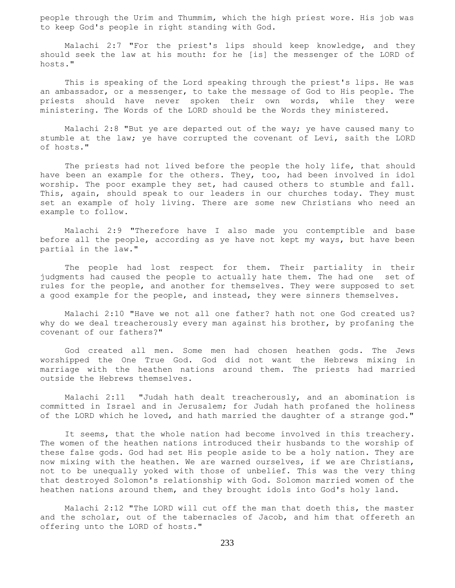people through the Urim and Thummim, which the high priest wore. His job was to keep God's people in right standing with God.

 Malachi 2:7 "For the priest's lips should keep knowledge, and they should seek the law at his mouth: for he [is] the messenger of the LORD of hosts."

 This is speaking of the Lord speaking through the priest's lips. He was an ambassador, or a messenger, to take the message of God to His people. The priests should have never spoken their own words, while they were ministering. The Words of the LORD should be the Words they ministered.

 Malachi 2:8 "But ye are departed out of the way; ye have caused many to stumble at the law; ye have corrupted the covenant of Levi, saith the LORD of hosts."

 The priests had not lived before the people the holy life, that should have been an example for the others. They, too, had been involved in idol worship. The poor example they set, had caused others to stumble and fall. This, again, should speak to our leaders in our churches today. They must set an example of holy living. There are some new Christians who need an example to follow.

 Malachi 2:9 "Therefore have I also made you contemptible and base before all the people, according as ye have not kept my ways, but have been partial in the law."

 The people had lost respect for them. Their partiality in their judgments had caused the people to actually hate them. The had one set of rules for the people, and another for themselves. They were supposed to set a good example for the people, and instead, they were sinners themselves.

 Malachi 2:10 "Have we not all one father? hath not one God created us? why do we deal treacherously every man against his brother, by profaning the covenant of our fathers?"

 God created all men. Some men had chosen heathen gods. The Jews worshipped the One True God. God did not want the Hebrews mixing in marriage with the heathen nations around them. The priests had married outside the Hebrews themselves.

 Malachi 2:11 "Judah hath dealt treacherously, and an abomination is committed in Israel and in Jerusalem; for Judah hath profaned the holiness of the LORD which he loved, and hath married the daughter of a strange god."

 It seems, that the whole nation had become involved in this treachery. The women of the heathen nations introduced their husbands to the worship of these false gods. God had set His people aside to be a holy nation. They are now mixing with the heathen. We are warned ourselves, if we are Christians, not to be unequally yoked with those of unbelief. This was the very thing that destroyed Solomon's relationship with God. Solomon married women of the heathen nations around them, and they brought idols into God's holy land.

 Malachi 2:12 "The LORD will cut off the man that doeth this, the master and the scholar, out of the tabernacles of Jacob, and him that offereth an offering unto the LORD of hosts."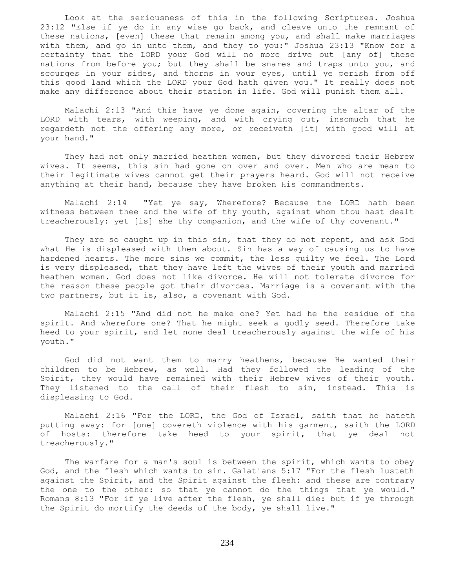Look at the seriousness of this in the following Scriptures. Joshua 23:12 "Else if ye do in any wise go back, and cleave unto the remnant of these nations, [even] these that remain among you, and shall make marriages with them, and go in unto them, and they to you:" Joshua 23:13 "Know for a certainty that the LORD your God will no more drive out [any of] these nations from before you; but they shall be snares and traps unto you, and scourges in your sides, and thorns in your eyes, until ye perish from off this good land which the LORD your God hath given you." It really does not make any difference about their station in life. God will punish them all.

 Malachi 2:13 "And this have ye done again, covering the altar of the LORD with tears, with weeping, and with crying out, insomuch that he regardeth not the offering any more, or receiveth [it] with good will at your hand."

 They had not only married heathen women, but they divorced their Hebrew wives. It seems, this sin had gone on over and over. Men who are mean to their legitimate wives cannot get their prayers heard. God will not receive anything at their hand, because they have broken His commandments.

 Malachi 2:14 "Yet ye say, Wherefore? Because the LORD hath been witness between thee and the wife of thy youth, against whom thou hast dealt treacherously: yet [is] she thy companion, and the wife of thy covenant."

 They are so caught up in this sin, that they do not repent, and ask God what He is displeased with them about. Sin has a way of causing us to have hardened hearts. The more sins we commit, the less guilty we feel. The Lord is very displeased, that they have left the wives of their youth and married heathen women. God does not like divorce. He will not tolerate divorce for the reason these people got their divorces. Marriage is a covenant with the two partners, but it is, also, a covenant with God.

 Malachi 2:15 "And did not he make one? Yet had he the residue of the spirit. And wherefore one? That he might seek a godly seed. Therefore take heed to your spirit, and let none deal treacherously against the wife of his youth."

 God did not want them to marry heathens, because He wanted their children to be Hebrew, as well. Had they followed the leading of the Spirit, they would have remained with their Hebrew wives of their youth. They listened to the call of their flesh to sin, instead. This is displeasing to God.

 Malachi 2:16 "For the LORD, the God of Israel, saith that he hateth putting away: for [one] covereth violence with his garment, saith the LORD of hosts: therefore take heed to your spirit, that ye deal not treacherously."

The warfare for a man's soul is between the spirit, which wants to obey God, and the flesh which wants to sin. Galatians 5:17 "For the flesh lusteth against the Spirit, and the Spirit against the flesh: and these are contrary the one to the other: so that ye cannot do the things that ye would." Romans 8:13 "For if ye live after the flesh, ye shall die: but if ye through the Spirit do mortify the deeds of the body, ye shall live."

234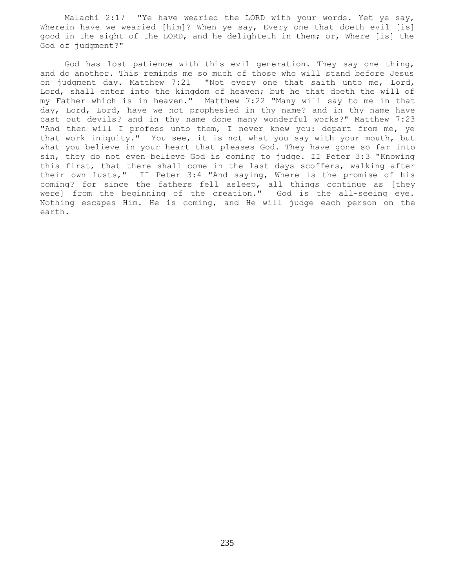Malachi 2:17 "Ye have wearied the LORD with your words. Yet ye say, Wherein have we wearied [him]? When ye say, Every one that doeth evil [is] good in the sight of the LORD, and he delighteth in them; or, Where [is] the God of judgment?"

 God has lost patience with this evil generation. They say one thing, and do another. This reminds me so much of those who will stand before Jesus on judgment day. Matthew 7:21 "Not every one that saith unto me, Lord, Lord, shall enter into the kingdom of heaven; but he that doeth the will of my Father which is in heaven." Matthew 7:22 "Many will say to me in that day, Lord, Lord, have we not prophesied in thy name? and in thy name have cast out devils? and in thy name done many wonderful works?" Matthew 7:23 "And then will I profess unto them, I never knew you: depart from me, ye that work iniquity." You see, it is not what you say with your mouth, but what you believe in your heart that pleases God. They have gone so far into sin, they do not even believe God is coming to judge. II Peter 3:3 "Knowing this first, that there shall come in the last days scoffers, walking after their own lusts," II Peter 3:4 "And saying, Where is the promise of his coming? for since the fathers fell asleep, all things continue as [they were] from the beginning of the creation." God is the all-seeing eye. Nothing escapes Him. He is coming, and He will judge each person on the earth.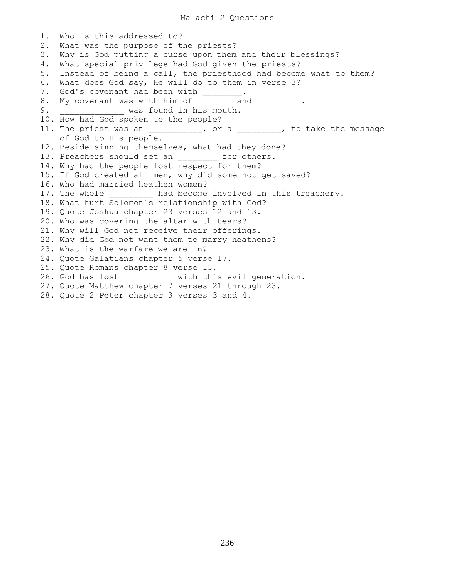Malachi 2 Questions

1. Who is this addressed to? 2. What was the purpose of the priests? 3. Why is God putting a curse upon them and their blessings? 4. What special privilege had God given the priests? 5. Instead of being a call, the priesthood had become what to them? 6. What does God say, He will do to them in verse 3? 7. God's covenant had been with \_\_\_\_\_\_\_. 8. My covenant was with him of \_\_\_\_\_\_\_\_\_ and \_\_ 9. \_\_\_\_\_\_\_\_\_\_\_\_ was found in his mouth. 10. How had God spoken to the people? 11. The priest was an \_\_\_\_\_\_\_\_\_\_\_, or a \_\_\_\_\_\_\_\_\_, to take the message of God to His people. 12. Beside sinning themselves, what had they done? 13. Preachers should set an electric for others. 14. Why had the people lost respect for them? 15. If God created all men, why did some not get saved? 16. Who had married heathen women? 17. The whole \_\_\_\_\_\_\_\_\_\_ had become involved in this treachery. 18. What hurt Solomon's relationship with God? 19. Quote Joshua chapter 23 verses 12 and 13. 20. Who was covering the altar with tears? 21. Why will God not receive their offerings. 22. Why did God not want them to marry heathens? 23. What is the warfare we are in? 24. Quote Galatians chapter 5 verse 17. 25. Quote Romans chapter 8 verse 13. 26. God has lost \_\_\_\_\_\_\_\_\_\_ with this evil generation. 27. Quote Matthew chapter 7 verses 21 through 23. 28. Quote 2 Peter chapter 3 verses 3 and 4.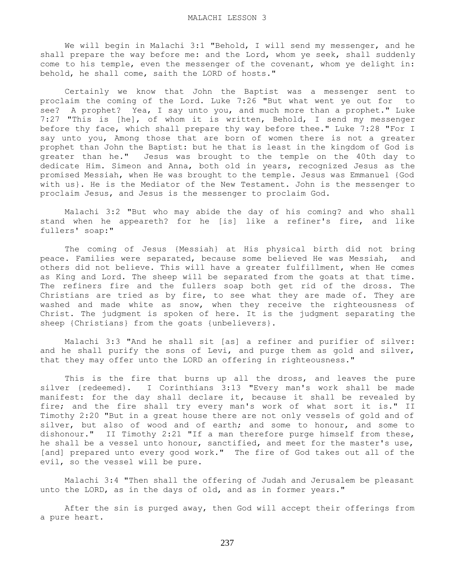We will begin in Malachi 3:1 "Behold, I will send my messenger, and he shall prepare the way before me: and the Lord, whom ye seek, shall suddenly come to his temple, even the messenger of the covenant, whom ye delight in: behold, he shall come, saith the LORD of hosts."

 Certainly we know that John the Baptist was a messenger sent to proclaim the coming of the Lord. Luke 7:26 "But what went ye out for to see? A prophet? Yea, I say unto you, and much more than a prophet." Luke 7:27 "This is [he], of whom it is written, Behold, I send my messenger before thy face, which shall prepare thy way before thee." Luke 7:28 "For I say unto you, Among those that are born of women there is not a greater prophet than John the Baptist: but he that is least in the kingdom of God is greater than he." Jesus was brought to the temple on the 40th day to dedicate Him. Simeon and Anna, both old in years, recognized Jesus as the promised Messiah, when He was brought to the temple. Jesus was Emmanuel {God with us}. He is the Mediator of the New Testament. John is the messenger to proclaim Jesus, and Jesus is the messenger to proclaim God.

 Malachi 3:2 "But who may abide the day of his coming? and who shall stand when he appeareth? for he [is] like a refiner's fire, and like fullers' soap:"

 The coming of Jesus {Messiah} at His physical birth did not bring peace. Families were separated, because some believed He was Messiah, and others did not believe. This will have a greater fulfillment, when He comes as King and Lord. The sheep will be separated from the goats at that time. The refiners fire and the fullers soap both get rid of the dross. The Christians are tried as by fire, to see what they are made of. They are washed and made white as snow, when they receive the righteousness of Christ. The judgment is spoken of here. It is the judgment separating the sheep {Christians} from the goats {unbelievers}.

 Malachi 3:3 "And he shall sit [as] a refiner and purifier of silver: and he shall purify the sons of Levi, and purge them as gold and silver, that they may offer unto the LORD an offering in righteousness."

 This is the fire that burns up all the dross, and leaves the pure silver {redeemed}. I Corinthians 3:13 "Every man's work shall be made manifest: for the day shall declare it, because it shall be revealed by fire; and the fire shall try every man's work of what sort it is." II Timothy 2:20 "But in a great house there are not only vessels of gold and of silver, but also of wood and of earth; and some to honour, and some to dishonour." II Timothy 2:21 "If a man therefore purge himself from these, he shall be a vessel unto honour, sanctified, and meet for the master's use, [and] prepared unto every good work." The fire of God takes out all of the evil, so the vessel will be pure.

 Malachi 3:4 "Then shall the offering of Judah and Jerusalem be pleasant unto the LORD, as in the days of old, and as in former years."

 After the sin is purged away, then God will accept their offerings from a pure heart.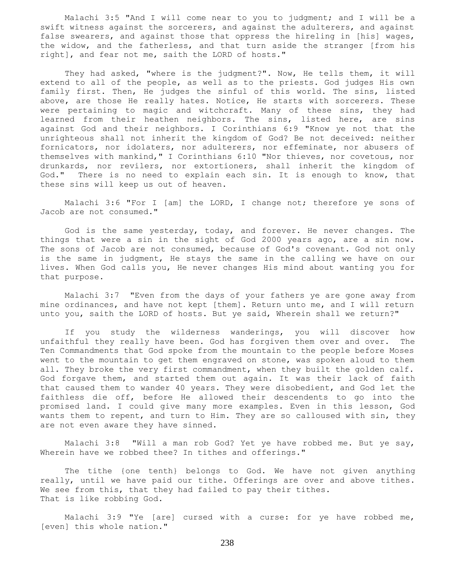Malachi 3:5 "And I will come near to you to judgment; and I will be a swift witness against the sorcerers, and against the adulterers, and against false swearers, and against those that oppress the hireling in [his] wages, the widow, and the fatherless, and that turn aside the stranger [from his right], and fear not me, saith the LORD of hosts."

They had asked, "where is the judgment?". Now, He tells them, it will extend to all of the people, as well as to the priests. God judges His own family first. Then, He judges the sinful of this world. The sins, listed above, are those He really hates. Notice, He starts with sorcerers. These were pertaining to magic and witchcraft. Many of these sins, they had learned from their heathen neighbors. The sins, listed here, are sins against God and their neighbors. I Corinthians 6:9 "Know ye not that the unrighteous shall not inherit the kingdom of God? Be not deceived: neither fornicators, nor idolaters, nor adulterers, nor effeminate, nor abusers of themselves with mankind," I Corinthians 6:10 "Nor thieves, nor covetous, nor drunkards, nor revilers, nor extortioners, shall inherit the kingdom of God." There is no need to explain each sin. It is enough to know, that these sins will keep us out of heaven.

 Malachi 3:6 "For I [am] the LORD, I change not; therefore ye sons of Jacob are not consumed."

 God is the same yesterday, today, and forever. He never changes. The things that were a sin in the sight of God 2000 years ago, are a sin now. The sons of Jacob are not consumed, because of God's covenant. God not only is the same in judgment, He stays the same in the calling we have on our lives. When God calls you, He never changes His mind about wanting you for that purpose.

 Malachi 3:7 "Even from the days of your fathers ye are gone away from mine ordinances, and have not kept [them]. Return unto me, and I will return unto you, saith the LORD of hosts. But ye said, Wherein shall we return?"

 If you study the wilderness wanderings, you will discover how unfaithful they really have been. God has forgiven them over and over. The Ten Commandments that God spoke from the mountain to the people before Moses went to the mountain to get them engraved on stone, was spoken aloud to them all. They broke the very first commandment, when they built the golden calf. God forgave them, and started them out again. It was their lack of faith that caused them to wander 40 years. They were disobedient, and God let the faithless die off, before He allowed their descendents to go into the promised land. I could give many more examples. Even in this lesson, God wants them to repent, and turn to Him. They are so calloused with sin, they are not even aware they have sinned.

 Malachi 3:8 "Will a man rob God? Yet ye have robbed me. But ye say, Wherein have we robbed thee? In tithes and offerings."

 The tithe {one tenth} belongs to God. We have not given anything really, until we have paid our tithe. Offerings are over and above tithes. We see from this, that they had failed to pay their tithes. That is like robbing God.

 Malachi 3:9 "Ye [are] cursed with a curse: for ye have robbed me, [even] this whole nation."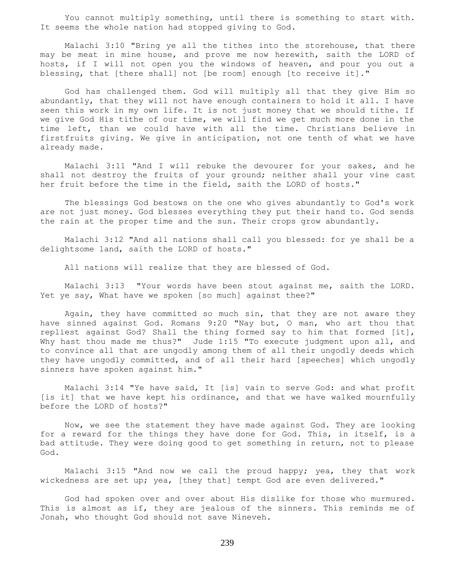You cannot multiply something, until there is something to start with. It seems the whole nation had stopped giving to God.

 Malachi 3:10 "Bring ye all the tithes into the storehouse, that there may be meat in mine house, and prove me now herewith, saith the LORD of hosts, if I will not open you the windows of heaven, and pour you out a blessing, that [there shall] not [be room] enough [to receive it]."

 God has challenged them. God will multiply all that they give Him so abundantly, that they will not have enough containers to hold it all. I have seen this work in my own life. It is not just money that we should tithe. If we give God His tithe of our time, we will find we get much more done in the time left, than we could have with all the time. Christians believe in firstfruits giving. We give in anticipation, not one tenth of what we have already made.

 Malachi 3:11 "And I will rebuke the devourer for your sakes, and he shall not destroy the fruits of your ground; neither shall your vine cast her fruit before the time in the field, saith the LORD of hosts."

 The blessings God bestows on the one who gives abundantly to God's work are not just money. God blesses everything they put their hand to. God sends the rain at the proper time and the sun. Their crops grow abundantly.

 Malachi 3:12 "And all nations shall call you blessed: for ye shall be a delightsome land, saith the LORD of hosts."

All nations will realize that they are blessed of God.

 Malachi 3:13 "Your words have been stout against me, saith the LORD. Yet ye say, What have we spoken [so much] against thee?"

 Again, they have committed so much sin, that they are not aware they have sinned against God. Romans 9:20 "Nay but, O man, who art thou that repliest against God? Shall the thing formed say to him that formed [it], Why hast thou made me thus?" Jude 1:15 "To execute judgment upon all, and to convince all that are ungodly among them of all their ungodly deeds which they have ungodly committed, and of all their hard [speeches] which ungodly sinners have spoken against him."

 Malachi 3:14 "Ye have said, It [is] vain to serve God: and what profit [is it] that we have kept his ordinance, and that we have walked mournfully before the LORD of hosts?"

 Now, we see the statement they have made against God. They are looking for a reward for the things they have done for God. This, in itself, is a bad attitude. They were doing good to get something in return, not to please God.

 Malachi 3:15 "And now we call the proud happy; yea, they that work wickedness are set up; yea, [they that] tempt God are even delivered."

 God had spoken over and over about His dislike for those who murmured. This is almost as if, they are jealous of the sinners. This reminds me of Jonah, who thought God should not save Nineveh.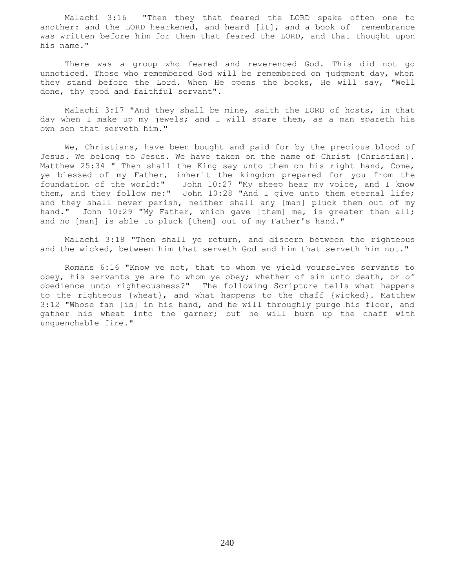Malachi 3:16 "Then they that feared the LORD spake often one to another: and the LORD hearkened, and heard [it], and a book of remembrance was written before him for them that feared the LORD, and that thought upon his name."

 There was a group who feared and reverenced God. This did not go unnoticed. Those who remembered God will be remembered on judgment day, when they stand before the Lord. When He opens the books, He will say, "Well done, thy good and faithful servant".

 Malachi 3:17 "And they shall be mine, saith the LORD of hosts, in that day when I make up my jewels; and I will spare them, as a man spareth his own son that serveth him."

 We, Christians, have been bought and paid for by the precious blood of Jesus. We belong to Jesus. We have taken on the name of Christ {Christian}. Matthew 25:34 " Then shall the King say unto them on his right hand, Come, ye blessed of my Father, inherit the kingdom prepared for you from the foundation of the world:" John 10:27 "My sheep hear my voice, and I know them, and they follow me:" John 10:28 "And I give unto them eternal life; and they shall never perish, neither shall any [man] pluck them out of my hand." John 10:29 "My Father, which gave [them] me, is greater than all; and no [man] is able to pluck [them] out of my Father's hand."

 Malachi 3:18 "Then shall ye return, and discern between the righteous and the wicked, between him that serveth God and him that serveth him not."

 Romans 6:16 "Know ye not, that to whom ye yield yourselves servants to obey, his servants ye are to whom ye obey; whether of sin unto death, or of obedience unto righteousness?" The following Scripture tells what happens to the righteous {wheat}, and what happens to the chaff {wicked}. Matthew 3:12 "Whose fan [is] in his hand, and he will throughly purge his floor, and gather his wheat into the garner; but he will burn up the chaff with unquenchable fire."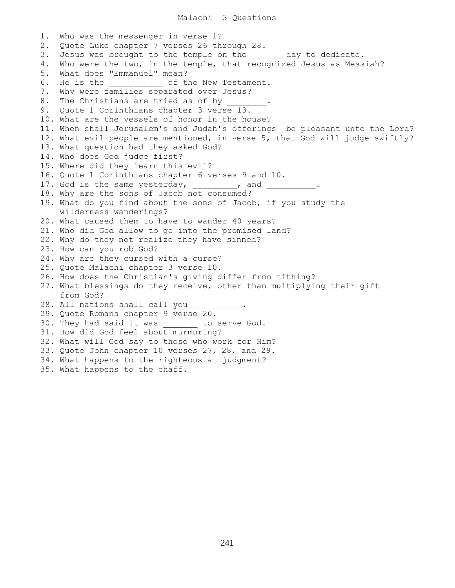1. Who was the messenger in verse 1? 2. Quote Luke chapter 7 verses 26 through 28. 3. Jesus was brought to the temple on the any day to dedicate. 4. Who were the two, in the temple, that recognized Jesus as Messiah? 5. What does "Emmanuel" mean? 6. He is the control of the New Testament. 7. Why were families separated over Jesus? 8. The Christians are tried as of by 9. Quote 1 Corinthians chapter 3 verse 13. 10. What are the vessels of honor in the house? 11. When shall Jerusalem's and Judah's offerings be pleasant unto the Lord? 12. What evil people are mentioned, in verse 5, that God will judge swiftly? 13. What question had they asked God? 14. Who does God judge first? 15. Where did they learn this evil? 16. Quote 1 Corinthians chapter 6 verses 9 and 10. 17. God is the same yesterday, and and 18. Why are the sons of Jacob not consumed? 19. What do you find about the sons of Jacob, if you study the wilderness wanderings? 20. What caused them to have to wander 40 years? 21. Who did God allow to go into the promised land? 22. Why do they not realize they have sinned? 23. How can you rob God? 24. Why are they cursed with a curse? 25. Quote Malachi chapter 3 verse 10. 26. How does the Christian's giving differ from tithing? 27. What blessings do they receive, other than multiplying their gift from God? 28. All nations shall call you 29. Quote Romans chapter 9 verse 20. 30. They had said it was to serve God. 31. How did God feel about murmuring? 32. What will God say to those who work for Him? 33. Quote John chapter 10 verses 27, 28, and 29. 34. What happens to the righteous at judgment? 35. What happens to the chaff.

Malachi 3 Questions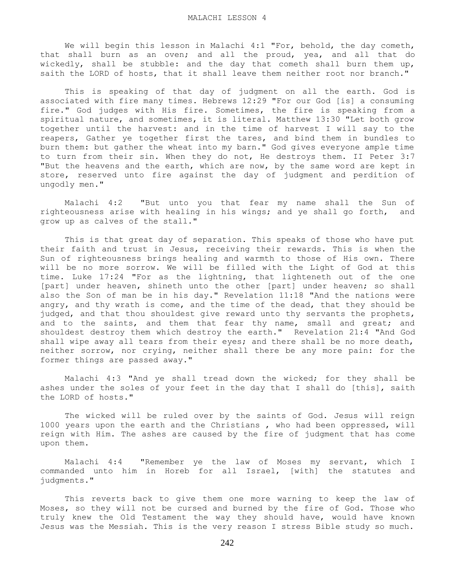We will begin this lesson in Malachi 4:1 "For, behold, the day cometh, that shall burn as an oven; and all the proud, yea, and all that do wickedly, shall be stubble: and the day that cometh shall burn them up, saith the LORD of hosts, that it shall leave them neither root nor branch."

 This is speaking of that day of judgment on all the earth. God is associated with fire many times. Hebrews 12:29 "For our God [is] a consuming fire." God judges with His fire. Sometimes, the fire is speaking from a spiritual nature, and sometimes, it is literal. Matthew 13:30 "Let both grow together until the harvest: and in the time of harvest I will say to the reapers, Gather ye together first the tares, and bind them in bundles to burn them: but gather the wheat into my barn." God gives everyone ample time to turn from their sin. When they do not, He destroys them. II Peter 3:7 "But the heavens and the earth, which are now, by the same word are kept in store, reserved unto fire against the day of judgment and perdition of ungodly men."

 Malachi 4:2 "But unto you that fear my name shall the Sun of righteousness arise with healing in his wings; and ye shall go forth, and grow up as calves of the stall."

 This is that great day of separation. This speaks of those who have put their faith and trust in Jesus, receiving their rewards. This is when the Sun of righteousness brings healing and warmth to those of His own. There will be no more sorrow. We will be filled with the Light of God at this time. Luke 17:24 "For as the lightning, that lighteneth out of the one [part] under heaven, shineth unto the other [part] under heaven; so shall also the Son of man be in his day." Revelation 11:18 "And the nations were angry, and thy wrath is come, and the time of the dead, that they should be judged, and that thou shouldest give reward unto thy servants the prophets, and to the saints, and them that fear thy name, small and great; and shouldest destroy them which destroy the earth." Revelation 21:4 "And God shall wipe away all tears from their eyes; and there shall be no more death, neither sorrow, nor crying, neither shall there be any more pain: for the former things are passed away."

 Malachi 4:3 "And ye shall tread down the wicked; for they shall be ashes under the soles of your feet in the day that I shall do [this], saith the LORD of hosts."

 The wicked will be ruled over by the saints of God. Jesus will reign 1000 years upon the earth and the Christians , who had been oppressed, will reign with Him. The ashes are caused by the fire of judgment that has come upon them.

 Malachi 4:4 "Remember ye the law of Moses my servant, which I commanded unto him in Horeb for all Israel, [with] the statutes and judgments."

 This reverts back to give them one more warning to keep the law of Moses, so they will not be cursed and burned by the fire of God. Those who truly knew the Old Testament the way they should have, would have known Jesus was the Messiah. This is the very reason I stress Bible study so much.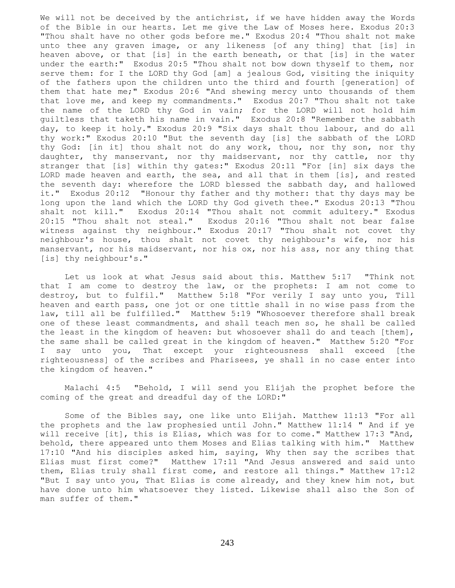We will not be deceived by the antichrist, if we have hidden away the Words of the Bible in our hearts. Let me give the Law of Moses here. Exodus 20:3 "Thou shalt have no other gods before me." Exodus 20:4 "Thou shalt not make unto thee any graven image, or any likeness [of any thing] that [is] in heaven above, or that [is] in the earth beneath, or that [is] in the water under the earth:" Exodus 20:5 "Thou shalt not bow down thyself to them, nor serve them: for I the LORD thy God [am] a jealous God, visiting the iniquity of the fathers upon the children unto the third and fourth [generation] of them that hate me;" Exodus 20:6 "And shewing mercy unto thousands of them that love me, and keep my commandments." Exodus 20:7 "Thou shalt not take the name of the LORD thy God in vain; for the LORD will not hold him guiltless that taketh his name in vain." Exodus 20:8 "Remember the sabbath day, to keep it holy." Exodus 20:9 "Six days shalt thou labour, and do all thy work:" Exodus 20:10 "But the seventh day [is] the sabbath of the LORD thy God: [in it] thou shalt not do any work, thou, nor thy son, nor thy daughter, thy manservant, nor thy maidservant, nor thy cattle, nor thy stranger that [is] within thy gates:" Exodus 20:11 "For [in] six days the LORD made heaven and earth, the sea, and all that in them [is], and rested the seventh day: wherefore the LORD blessed the sabbath day, and hallowed it." Exodus 20:12 "Honour thy father and thy mother: that thy days may be long upon the land which the LORD thy God giveth thee." Exodus 20:13 "Thou shalt not kill." Exodus 20:14 "Thou shalt not commit adultery." Exodus 20:15 "Thou shalt not steal." Exodus 20:16 "Thou shalt not bear false witness against thy neighbour." Exodus 20:17 "Thou shalt not covet thy neighbour's house, thou shalt not covet thy neighbour's wife, nor his manservant, nor his maidservant, nor his ox, nor his ass, nor any thing that [is] thy neighbour's."

 Let us look at what Jesus said about this. Matthew 5:17 "Think not that I am come to destroy the law, or the prophets: I am not come to destroy, but to fulfil." Matthew 5:18 "For verily I say unto you, Till heaven and earth pass, one jot or one tittle shall in no wise pass from the law, till all be fulfilled." Matthew 5:19 "Whosoever therefore shall break one of these least commandments, and shall teach men so, he shall be called the least in the kingdom of heaven: but whosoever shall do and teach [them], the same shall be called great in the kingdom of heaven." Matthew 5:20 "For I say unto you, That except your righteousness shall exceed [the righteousness] of the scribes and Pharisees, ye shall in no case enter into the kingdom of heaven."

 Malachi 4:5 "Behold, I will send you Elijah the prophet before the coming of the great and dreadful day of the LORD:"

 Some of the Bibles say, one like unto Elijah. Matthew 11:13 "For all the prophets and the law prophesied until John." Matthew 11:14 " And if ye will receive [it], this is Elias, which was for to come." Matthew 17:3 "And, behold, there appeared unto them Moses and Elias talking with him." Matthew 17:10 "And his disciples asked him, saying, Why then say the scribes that Elias must first come?" Matthew 17:11 "And Jesus answered and said unto them, Elias truly shall first come, and restore all things." Matthew 17:12 "But I say unto you, That Elias is come already, and they knew him not, but have done unto him whatsoever they listed. Likewise shall also the Son of man suffer of them."

243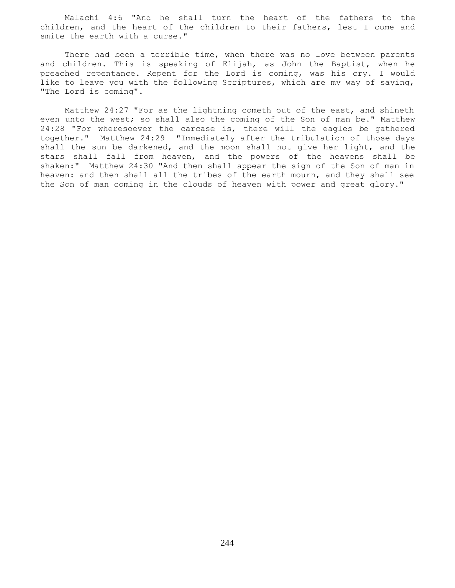Malachi 4:6 "And he shall turn the heart of the fathers to the children, and the heart of the children to their fathers, lest I come and smite the earth with a curse."

There had been a terrible time, when there was no love between parents and children. This is speaking of Elijah, as John the Baptist, when he preached repentance. Repent for the Lord is coming, was his cry. I would like to leave you with the following Scriptures, which are my way of saying, "The Lord is coming".

 Matthew 24:27 "For as the lightning cometh out of the east, and shineth even unto the west; so shall also the coming of the Son of man be." Matthew 24:28 "For wheresoever the carcase is, there will the eagles be gathered together." Matthew 24:29 "Immediately after the tribulation of those days shall the sun be darkened, and the moon shall not give her light, and the stars shall fall from heaven, and the powers of the heavens shall be shaken:" Matthew 24:30 "And then shall appear the sign of the Son of man in heaven: and then shall all the tribes of the earth mourn, and they shall see the Son of man coming in the clouds of heaven with power and great glory."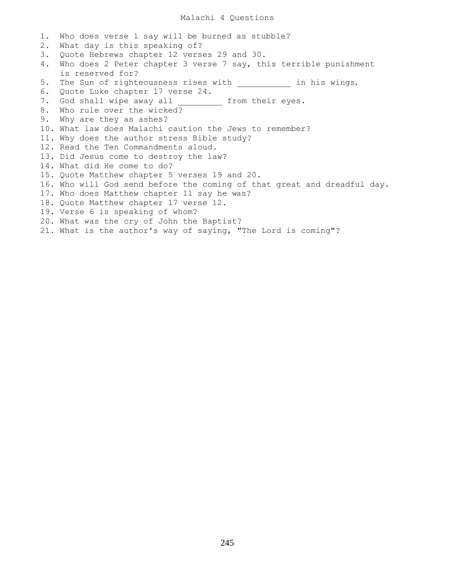## Malachi 4 Questions

1. Who does verse 1 say will be burned as stubble? 2. What day is this speaking of? 3. Quote Hebrews chapter 12 verses 29 and 30. 4. Who does 2 Peter chapter 3 verse 7 say, this terrible punishment is reserved for? 5. The Sun of righteousness rises with the line his wings. 6. Quote Luke chapter 17 verse 24. 7. God shall wipe away all \_\_\_\_\_\_\_\_\_ from their eyes. 8. Who rule over the wicked? 9. Why are they as ashes? 10. What law does Malachi caution the Jews to remember? 11. Why does the author stress Bible study? 12. Read the Ten Commandments aloud. 13. Did Jesus come to destroy the law? 14. What did He come to do? 15. Quote Matthew chapter 5 verses 19 and 20. 16. Who will God send before the coming of that great and dreadful day. 17. Who does Matthew chapter 11 say he was? 18. Quote Matthew chapter 17 verse 12. 19. Verse 6 is speaking of whom? 20. What was the cry of John the Baptist? 21. What is the author's way of saying, "The Lord is coming"?